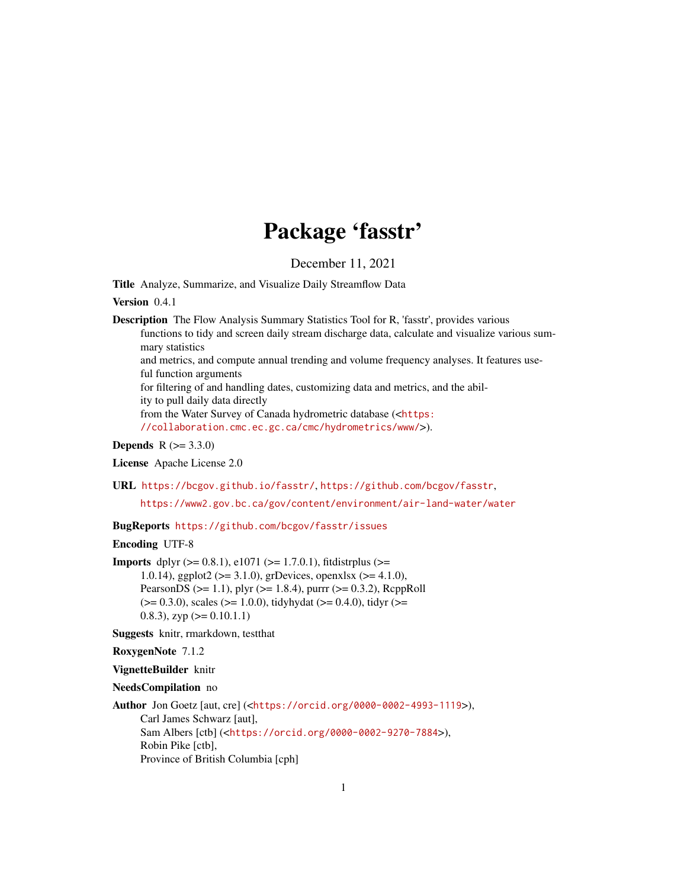# Package 'fasstr'

December 11, 2021

Title Analyze, Summarize, and Visualize Daily Streamflow Data

Version 0.4.1

Description The Flow Analysis Summary Statistics Tool for R, 'fasstr', provides various functions to tidy and screen daily stream discharge data, calculate and visualize various summary statistics and metrics, and compute annual trending and volume frequency analyses. It features useful function arguments for filtering of and handling dates, customizing data and metrics, and the ability to pull daily data directly from the Water Survey of Canada hydrometric database (<[https:](https://collaboration.cmc.ec.gc.ca/cmc/hydrometrics/www/) [//collaboration.cmc.ec.gc.ca/cmc/hydrometrics/www/](https://collaboration.cmc.ec.gc.ca/cmc/hydrometrics/www/)>).

**Depends**  $R (= 3.3.0)$ 

License Apache License 2.0

URL <https://bcgov.github.io/fasstr/>, <https://github.com/bcgov/fasstr>,

<https://www2.gov.bc.ca/gov/content/environment/air-land-water/water>

BugReports <https://github.com/bcgov/fasstr/issues>

Encoding UTF-8

**Imports** dplyr  $(>= 0.8.1)$ , e1071  $(>= 1.7.0.1)$ , fitdistrplus  $(>= 1.7.0.1)$ 1.0.14), ggplot2 (>= 3.1.0), grDevices, openxlsx (>= 4.1.0), PearsonDS ( $>= 1.1$ ), plyr ( $>= 1.8.4$ ), purrr ( $>= 0.3.2$ ), RcppRoll  $(>= 0.3.0)$ , scales  $(>= 1.0.0)$ , tidyhydat  $(>= 0.4.0)$ , tidyr  $(>= 0.3.0)$ 0.8.3), zyp  $(>= 0.10.1.1)$ 

Suggests knitr, rmarkdown, testthat

RoxygenNote 7.1.2

VignetteBuilder knitr

NeedsCompilation no

Author Jon Goetz [aut, cre] (<<https://orcid.org/0000-0002-4993-1119>>), Carl James Schwarz [aut], Sam Albers [ctb] (<<https://orcid.org/0000-0002-9270-7884>>), Robin Pike [ctb], Province of British Columbia [cph]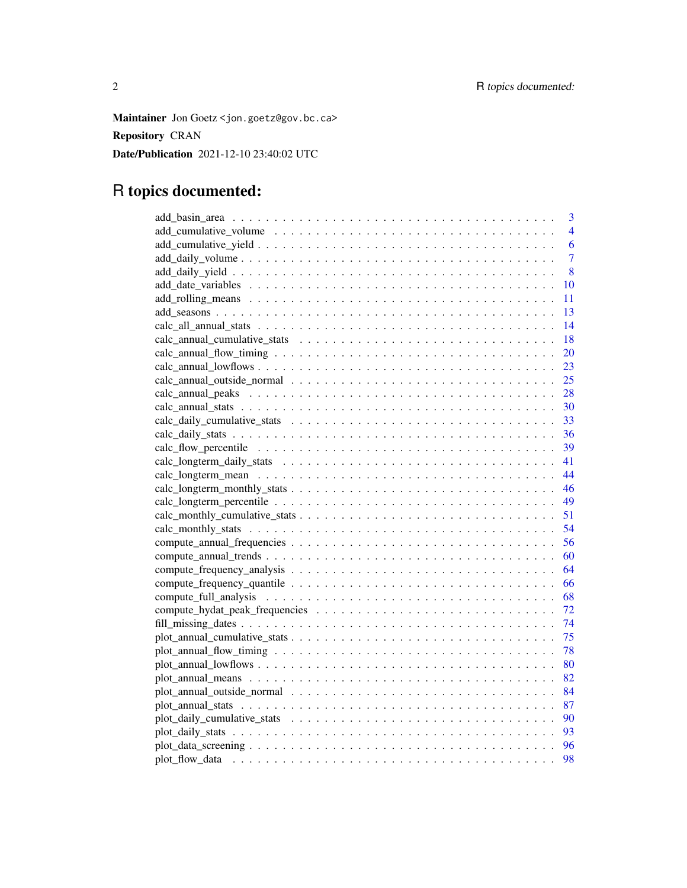Maintainer Jon Goetz <jon.goetz@gov.bc.ca> Repository CRAN Date/Publication 2021-12-10 23:40:02 UTC

# R topics documented:

| 3              |
|----------------|
| 4              |
| 6              |
| $\overline{7}$ |
| 8              |
| 10             |
| 11             |
| 13             |
| 14             |
| 18             |
| 20             |
| 23             |
| 25             |
| 28             |
| 30             |
| 33             |
| 36             |
| 39             |
| 41             |
| 44             |
| 46             |
| 49             |
| 51             |
| 54             |
| 56             |
| 60             |
| 64             |
| 66             |
| 68             |
| 72             |
| 74             |
| 75             |
| 78             |
| 80             |
|                |
| 84             |
| 87             |
| 90             |
| 93             |
|                |
| 98             |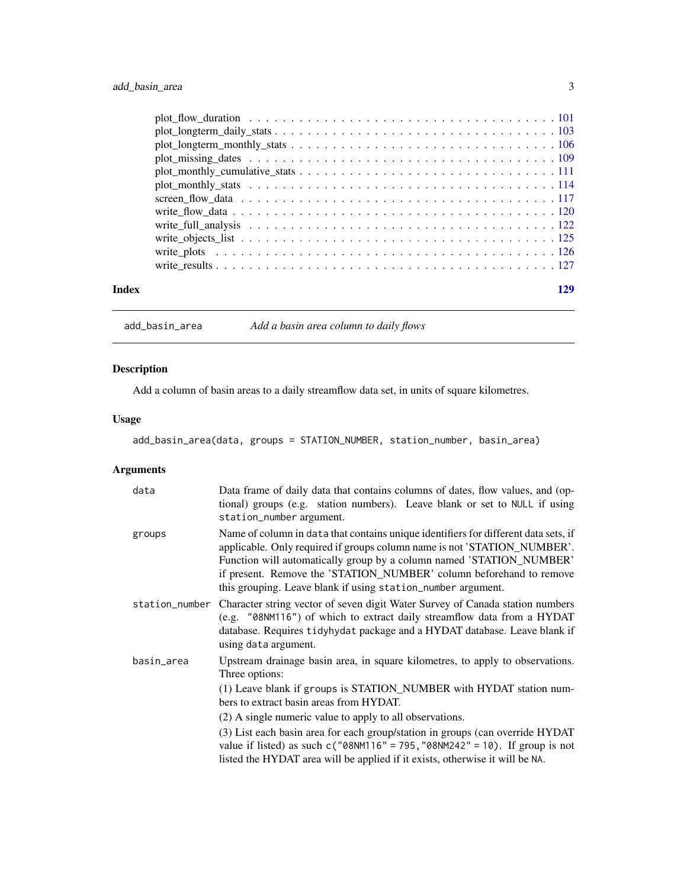<span id="page-2-0"></span>

| Index |  |
|-------|--|

add\_basin\_area *Add a basin area column to daily flows*

# Description

Add a column of basin areas to a daily streamflow data set, in units of square kilometres.

# Usage

add\_basin\_area(data, groups = STATION\_NUMBER, station\_number, basin\_area)

| data           | Data frame of daily data that contains columns of dates, flow values, and (op-<br>tional) groups (e.g. station numbers). Leave blank or set to NULL if using<br>station_number argument.                                                                                                                                                                                                                                                                                                                                          |
|----------------|-----------------------------------------------------------------------------------------------------------------------------------------------------------------------------------------------------------------------------------------------------------------------------------------------------------------------------------------------------------------------------------------------------------------------------------------------------------------------------------------------------------------------------------|
| groups         | Name of column in data that contains unique identifiers for different data sets, if<br>applicable. Only required if groups column name is not 'STATION_NUMBER'.<br>Function will automatically group by a column named 'STATION_NUMBER'<br>if present. Remove the 'STATION_NUMBER' column beforehand to remove<br>this grouping. Leave blank if using station_number argument.                                                                                                                                                    |
| station_number | Character string vector of seven digit Water Survey of Canada station numbers<br>(e.g. "08NM116") of which to extract daily streamflow data from a HYDAT<br>database. Requires tidyhydat package and a HYDAT database. Leave blank if<br>using data argument.                                                                                                                                                                                                                                                                     |
| basin_area     | Upstream drainage basin area, in square kilometres, to apply to observations.<br>Three options:<br>(1) Leave blank if groups is STATION_NUMBER with HYDAT station num-<br>bers to extract basin areas from HYDAT.<br>(2) A single numeric value to apply to all observations.<br>(3) List each basin area for each group/station in groups (can override HYDAT<br>value if listed) as such $c("08NM116" = 795, "08NM242" = 10)$ . If group is not<br>listed the HYDAT area will be applied if it exists, otherwise it will be NA. |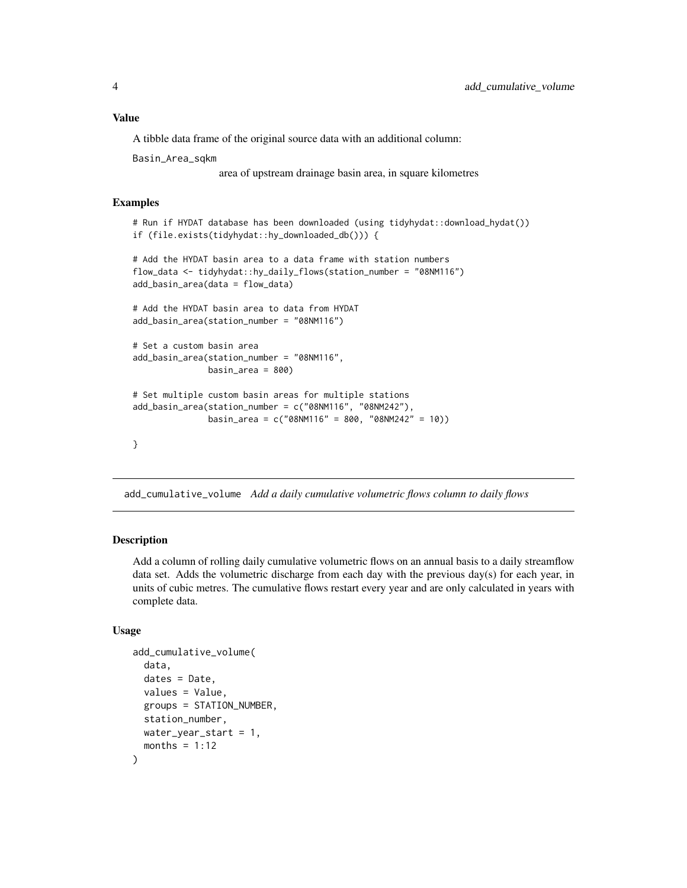<span id="page-3-0"></span>A tibble data frame of the original source data with an additional column:

Basin\_Area\_sqkm

area of upstream drainage basin area, in square kilometres

# Examples

```
# Run if HYDAT database has been downloaded (using tidyhydat::download_hydat())
if (file.exists(tidyhydat::hy_downloaded_db())) {
```

```
# Add the HYDAT basin area to a data frame with station numbers
flow_data <- tidyhydat::hy_daily_flows(station_number = "08NM116")
add_basin_area(data = flow_data)
```
# Add the HYDAT basin area to data from HYDAT add\_basin\_area(station\_number = "08NM116")

```
# Set a custom basin area
add_basin_area(station_number = "08NM116",
              basin_area = 800
```

```
# Set multiple custom basin areas for multiple stations
add_basin_area(station_number = c("08NM116", "08NM242"),
               basin_area = c("08NM116" = 800, "08NM242" = 10))
```

```
}
```
add\_cumulative\_volume *Add a daily cumulative volumetric flows column to daily flows*

#### Description

Add a column of rolling daily cumulative volumetric flows on an annual basis to a daily streamflow data set. Adds the volumetric discharge from each day with the previous day(s) for each year, in units of cubic metres. The cumulative flows restart every year and are only calculated in years with complete data.

#### Usage

```
add_cumulative_volume(
  data,
  dates = Date,
  values = Value,
  groups = STATION_NUMBER,
  station_number,
  water_year_start = 1,
  months = 1:12)
```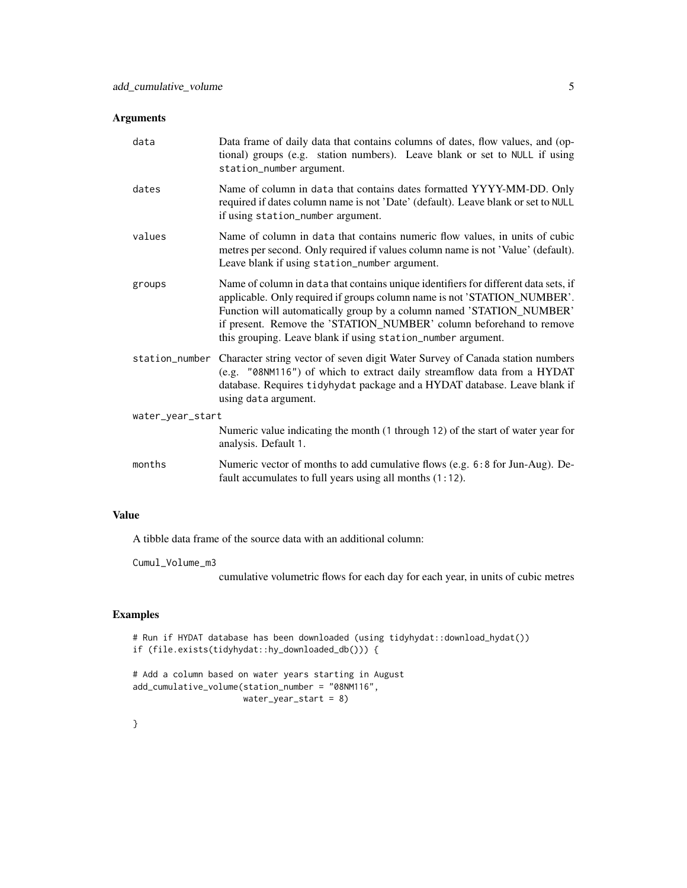# Arguments

| data             | Data frame of daily data that contains columns of dates, flow values, and (op-<br>tional) groups (e.g. station numbers). Leave blank or set to NULL if using<br>station_number argument.                                                                                                                                                                                       |
|------------------|--------------------------------------------------------------------------------------------------------------------------------------------------------------------------------------------------------------------------------------------------------------------------------------------------------------------------------------------------------------------------------|
| dates            | Name of column in data that contains dates formatted YYYY-MM-DD. Only<br>required if dates column name is not 'Date' (default). Leave blank or set to NULL<br>if using station_number argument.                                                                                                                                                                                |
| values           | Name of column in data that contains numeric flow values, in units of cubic<br>metres per second. Only required if values column name is not 'Value' (default).<br>Leave blank if using station_number argument.                                                                                                                                                               |
| groups           | Name of column in data that contains unique identifiers for different data sets, if<br>applicable. Only required if groups column name is not 'STATION_NUMBER'.<br>Function will automatically group by a column named 'STATION_NUMBER'<br>if present. Remove the 'STATION_NUMBER' column beforehand to remove<br>this grouping. Leave blank if using station_number argument. |
| station_number   | Character string vector of seven digit Water Survey of Canada station numbers<br>(e.g. "08NM116") of which to extract daily streamflow data from a HYDAT<br>database. Requires tidyhydat package and a HYDAT database. Leave blank if<br>using data argument.                                                                                                                  |
| water_year_start |                                                                                                                                                                                                                                                                                                                                                                                |
|                  | Numeric value indicating the month (1 through 12) of the start of water year for<br>analysis. Default 1.                                                                                                                                                                                                                                                                       |
| months           | Numeric vector of months to add cumulative flows (e.g. 6:8 for Jun-Aug). De-<br>fault accumulates to full years using all months $(1:12)$ .                                                                                                                                                                                                                                    |

# Value

A tibble data frame of the source data with an additional column:

Cumul\_Volume\_m3

cumulative volumetric flows for each day for each year, in units of cubic metres

# Examples

```
# Run if HYDAT database has been downloaded (using tidyhydat::download_hydat())
if (file.exists(tidyhydat::hy_downloaded_db())) {
```

```
# Add a column based on water years starting in August
add_cumulative_volume(station_number = "08NM116",
                     water_year_start = 8)
```
# }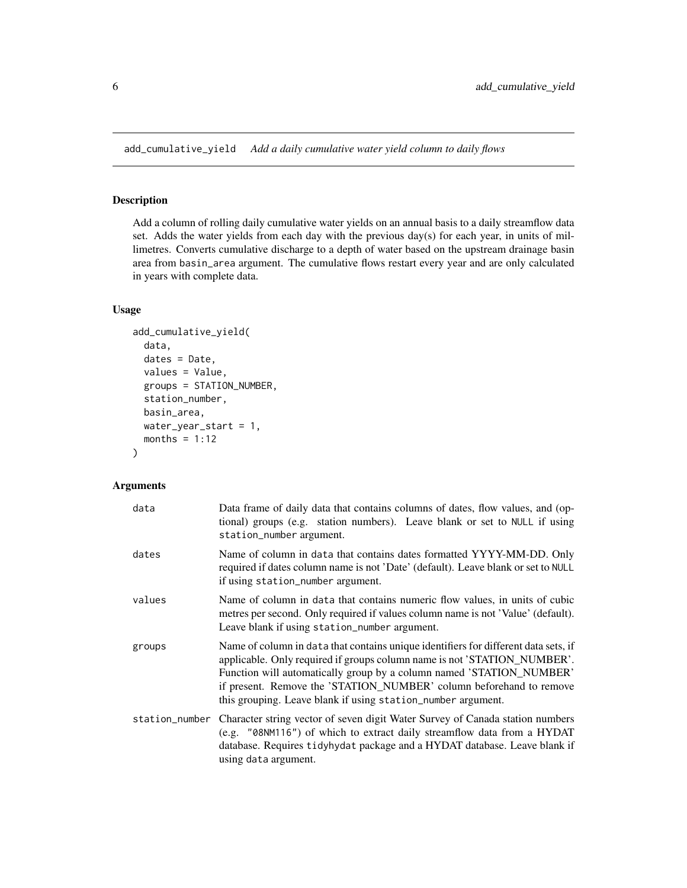<span id="page-5-0"></span>add\_cumulative\_yield *Add a daily cumulative water yield column to daily flows*

# Description

Add a column of rolling daily cumulative water yields on an annual basis to a daily streamflow data set. Adds the water yields from each day with the previous day(s) for each year, in units of millimetres. Converts cumulative discharge to a depth of water based on the upstream drainage basin area from basin\_area argument. The cumulative flows restart every year and are only calculated in years with complete data.

#### Usage

```
add_cumulative_yield(
  data,
  dates = Date,
  values = Value,
  groups = STATION_NUMBER,
  station_number,
 basin_area,
  water_year_start = 1,
 months = 1:12\lambda
```

| data           | Data frame of daily data that contains columns of dates, flow values, and (op-<br>tional) groups (e.g. station numbers). Leave blank or set to NULL if using<br>station_number argument.                                                                                                                                                                                       |
|----------------|--------------------------------------------------------------------------------------------------------------------------------------------------------------------------------------------------------------------------------------------------------------------------------------------------------------------------------------------------------------------------------|
| dates          | Name of column in data that contains dates formatted YYYY-MM-DD. Only<br>required if dates column name is not 'Date' (default). Leave blank or set to NULL<br>if using station_number argument.                                                                                                                                                                                |
| values         | Name of column in data that contains numeric flow values, in units of cubic<br>metres per second. Only required if values column name is not 'Value' (default).<br>Leave blank if using station_number argument.                                                                                                                                                               |
| groups         | Name of column in data that contains unique identifiers for different data sets, if<br>applicable. Only required if groups column name is not 'STATION_NUMBER'.<br>Function will automatically group by a column named 'STATION_NUMBER'<br>if present. Remove the 'STATION_NUMBER' column beforehand to remove<br>this grouping. Leave blank if using station_number argument. |
| station_number | Character string vector of seven digit Water Survey of Canada station numbers<br>(e.g. "08NM116") of which to extract daily streamflow data from a HYDAT<br>database. Requires tidyhydat package and a HYDAT database. Leave blank if<br>using data argument.                                                                                                                  |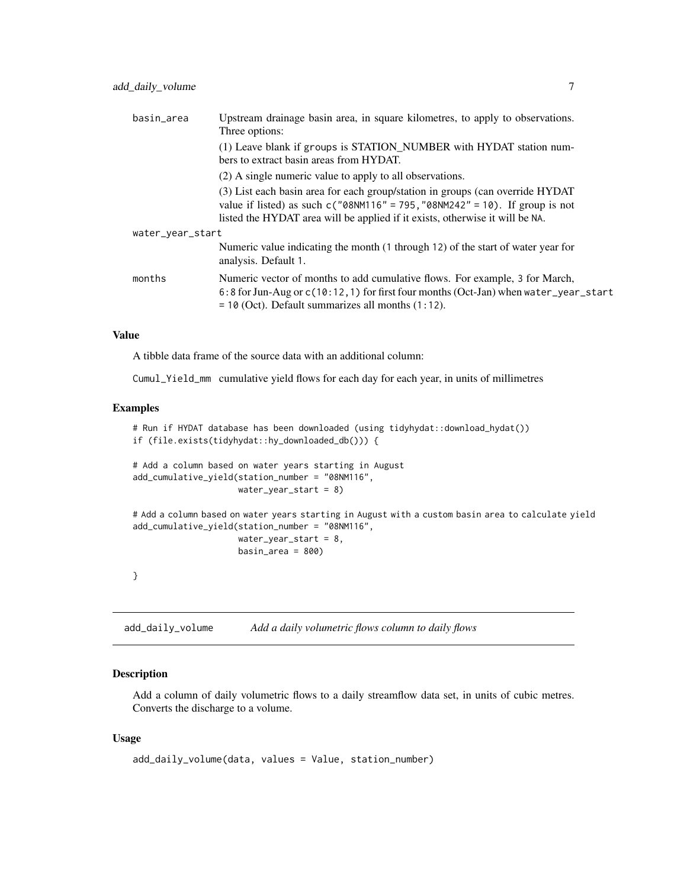<span id="page-6-0"></span>

| basin_area       | Upstream drainage basin area, in square kilometres, to apply to observations.<br>Three options:                                                                                                                                                   |
|------------------|---------------------------------------------------------------------------------------------------------------------------------------------------------------------------------------------------------------------------------------------------|
|                  | (1) Leave blank if groups is STATION_NUMBER with HYDAT station num-<br>bers to extract basin areas from HYDAT.                                                                                                                                    |
|                  | (2) A single numeric value to apply to all observations.                                                                                                                                                                                          |
|                  | (3) List each basin area for each group/station in groups (can override HYDAT)<br>value if listed) as such $c("08NM116" = 795, "08NM242" = 10)$ . If group is not<br>listed the HYDAT area will be applied if it exists, otherwise it will be NA. |
| water_year_start |                                                                                                                                                                                                                                                   |
|                  | Numeric value indicating the month (1 through 12) of the start of water year for<br>analysis. Default 1.                                                                                                                                          |
| months           | Numeric vector of months to add cumulative flows. For example, 3 for March,<br>6:8 for Jun-Aug or c(10:12, 1) for first four months (Oct-Jan) when water_year_start<br>$=$ 10 (Oct). Default summarizes all months $(1:12)$ .                     |

A tibble data frame of the source data with an additional column:

Cumul\_Yield\_mm cumulative yield flows for each day for each year, in units of millimetres

#### Examples

```
# Run if HYDAT database has been downloaded (using tidyhydat::download_hydat())
if (file.exists(tidyhydat::hy_downloaded_db())) {
# Add a column based on water years starting in August
add_cumulative_yield(station_number = "08NM116",
                     water_year_start = 8)
# Add a column based on water years starting in August with a custom basin area to calculate yield
add_cumulative_yield(station_number = "08NM116",
                     water_year_start = 8,
                     basin_area = 800}
```
add\_daily\_volume *Add a daily volumetric flows column to daily flows*

#### Description

Add a column of daily volumetric flows to a daily streamflow data set, in units of cubic metres. Converts the discharge to a volume.

#### Usage

```
add_daily_volume(data, values = Value, station_number)
```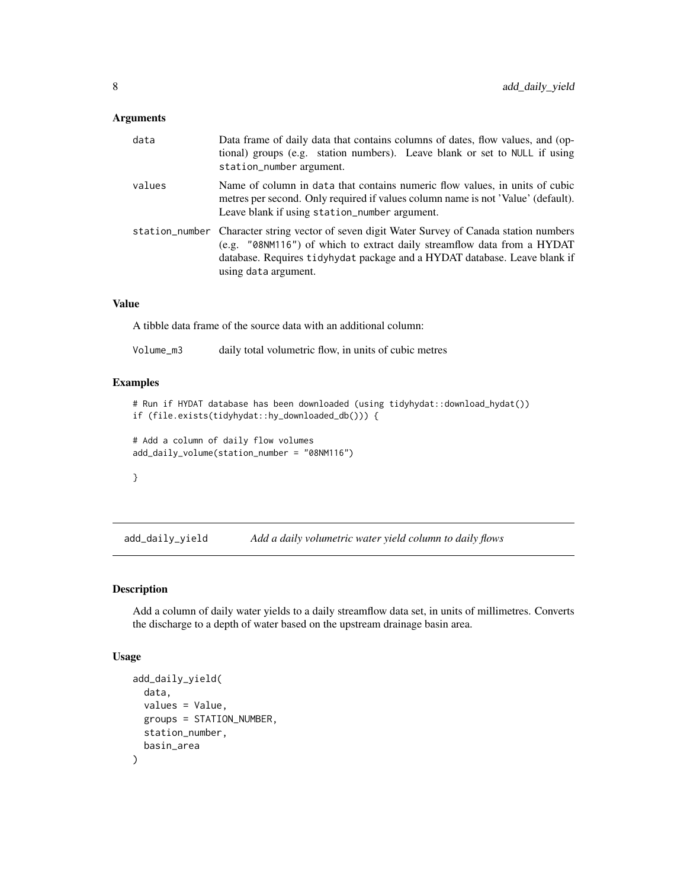# <span id="page-7-0"></span>Arguments

| data   | Data frame of daily data that contains columns of dates, flow values, and (op-<br>tional) groups (e.g. station numbers). Leave blank or set to NULL if using<br>station_number argument.                                                                                     |
|--------|------------------------------------------------------------------------------------------------------------------------------------------------------------------------------------------------------------------------------------------------------------------------------|
| values | Name of column in data that contains numeric flow values, in units of cubic<br>metres per second. Only required if values column name is not 'Value' (default).<br>Leave blank if using station_number argument.                                                             |
|        | station_number Character string vector of seven digit Water Survey of Canada station numbers<br>(e.g. "08NM116") of which to extract daily streamflow data from a HYDAT<br>database. Requires tidyhydat package and a HYDAT database. Leave blank if<br>using data argument. |

#### Value

A tibble data frame of the source data with an additional column:

# Examples

```
# Run if HYDAT database has been downloaded (using tidyhydat::download_hydat())
if (file.exists(tidyhydat::hy_downloaded_db())) {
```

```
# Add a column of daily flow volumes
add_daily_volume(station_number = "08NM116")
```
#### }

add\_daily\_yield *Add a daily volumetric water yield column to daily flows*

# Description

Add a column of daily water yields to a daily streamflow data set, in units of millimetres. Converts the discharge to a depth of water based on the upstream drainage basin area.

#### Usage

```
add_daily_yield(
  data,
  values = Value,
  groups = STATION_NUMBER,
  station_number,
  basin_area
)
```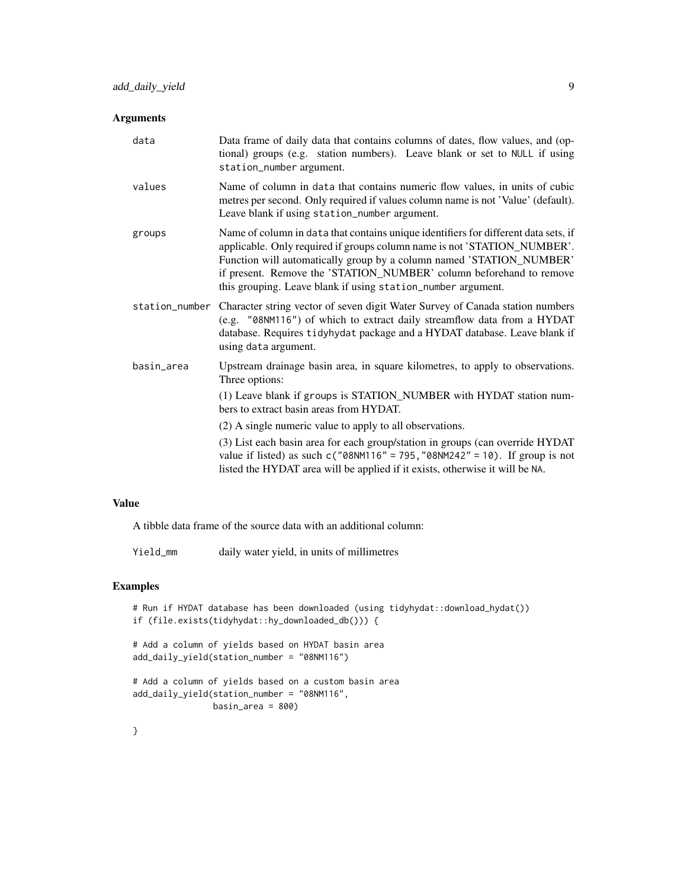# Arguments

| data       | Data frame of daily data that contains columns of dates, flow values, and (op-<br>tional) groups (e.g. station numbers). Leave blank or set to NULL if using<br>station_number argument.                                                                                                                                                                                       |
|------------|--------------------------------------------------------------------------------------------------------------------------------------------------------------------------------------------------------------------------------------------------------------------------------------------------------------------------------------------------------------------------------|
| values     | Name of column in data that contains numeric flow values, in units of cubic<br>metres per second. Only required if values column name is not 'Value' (default).<br>Leave blank if using station_number argument.                                                                                                                                                               |
| groups     | Name of column in data that contains unique identifiers for different data sets, if<br>applicable. Only required if groups column name is not 'STATION_NUMBER'.<br>Function will automatically group by a column named 'STATION_NUMBER'<br>if present. Remove the 'STATION_NUMBER' column beforehand to remove<br>this grouping. Leave blank if using station_number argument. |
|            | station_number Character string vector of seven digit Water Survey of Canada station numbers<br>(e.g. "08NM116") of which to extract daily streamflow data from a HYDAT<br>database. Requires tidyhydat package and a HYDAT database. Leave blank if<br>using data argument.                                                                                                   |
| basin_area | Upstream drainage basin area, in square kilometres, to apply to observations.<br>Three options:<br>(1) Leave blank if groups is STATION_NUMBER with HYDAT station num-<br>bers to extract basin areas from HYDAT.                                                                                                                                                              |
|            | (2) A single numeric value to apply to all observations.                                                                                                                                                                                                                                                                                                                       |
|            | (3) List each basin area for each group/station in groups (can override HYDAT<br>value if listed) as such $c("08NM116" = 795, "08NM242" = 10)$ . If group is not<br>listed the HYDAT area will be applied if it exists, otherwise it will be NA.                                                                                                                               |

# Value

A tibble data frame of the source data with an additional column:

Yield\_mm daily water yield, in units of millimetres

# Examples

```
# Run if HYDAT database has been downloaded (using tidyhydat::download_hydat())
if (file.exists(tidyhydat::hy_downloaded_db())) {
# Add a column of yields based on HYDAT basin area
add_daily_yield(station_number = "08NM116")
# Add a column of yields based on a custom basin area
add_daily_yield(station_number = "08NM116",
               basin_area = 800)
```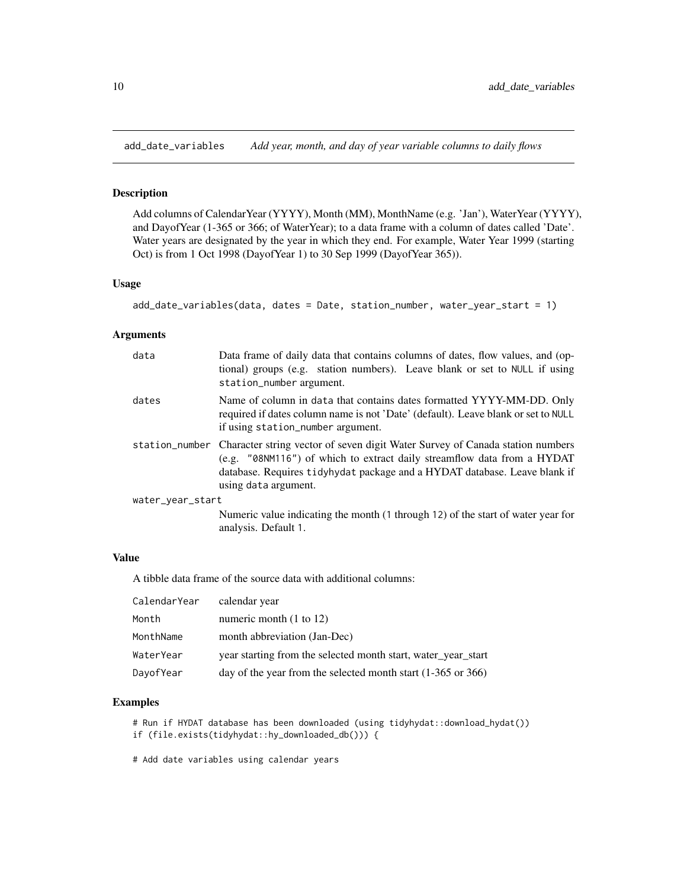<span id="page-9-0"></span>add\_date\_variables *Add year, month, and day of year variable columns to daily flows*

## Description

Add columns of CalendarYear (YYYY), Month (MM), MonthName (e.g. 'Jan'), WaterYear (YYYY), and DayofYear (1-365 or 366; of WaterYear); to a data frame with a column of dates called 'Date'. Water years are designated by the year in which they end. For example, Water Year 1999 (starting Oct) is from 1 Oct 1998 (DayofYear 1) to 30 Sep 1999 (DayofYear 365)).

#### Usage

```
add_date_variables(data, dates = Date, station_number, water_year_start = 1)
```
#### Arguments

| data             | Data frame of daily data that contains columns of dates, flow values, and (op-<br>tional) groups (e.g. station numbers). Leave blank or set to NULL if using<br>station_number argument.                                                                                     |  |
|------------------|------------------------------------------------------------------------------------------------------------------------------------------------------------------------------------------------------------------------------------------------------------------------------|--|
| dates            | Name of column in data that contains dates formatted YYYY-MM-DD. Only<br>required if dates column name is not 'Date' (default). Leave blank or set to NULL<br>if using station_number argument.                                                                              |  |
|                  | station_number Character string vector of seven digit Water Survey of Canada station numbers<br>(e.g. "08NM116") of which to extract daily streamflow data from a HYDAT<br>database. Requires tidyhydat package and a HYDAT database. Leave blank if<br>using data argument. |  |
| water_year_start |                                                                                                                                                                                                                                                                              |  |
|                  | Numeric value indicating the month (1 through 12) of the start of water year for<br>analysis. Default 1.                                                                                                                                                                     |  |

#### Value

A tibble data frame of the source data with additional columns:

| CalendarYear | calendar year                                                           |
|--------------|-------------------------------------------------------------------------|
| Month        | numeric month $(1 \text{ to } 12)$                                      |
| MonthName    | month abbreviation (Jan-Dec)                                            |
| WaterYear    | year starting from the selected month start, water_year_start           |
| DayofYear    | day of the year from the selected month start $(1-365 \text{ or } 366)$ |

# Examples

```
# Run if HYDAT database has been downloaded (using tidyhydat::download_hydat())
if (file.exists(tidyhydat::hy_downloaded_db())) {
```
# Add date variables using calendar years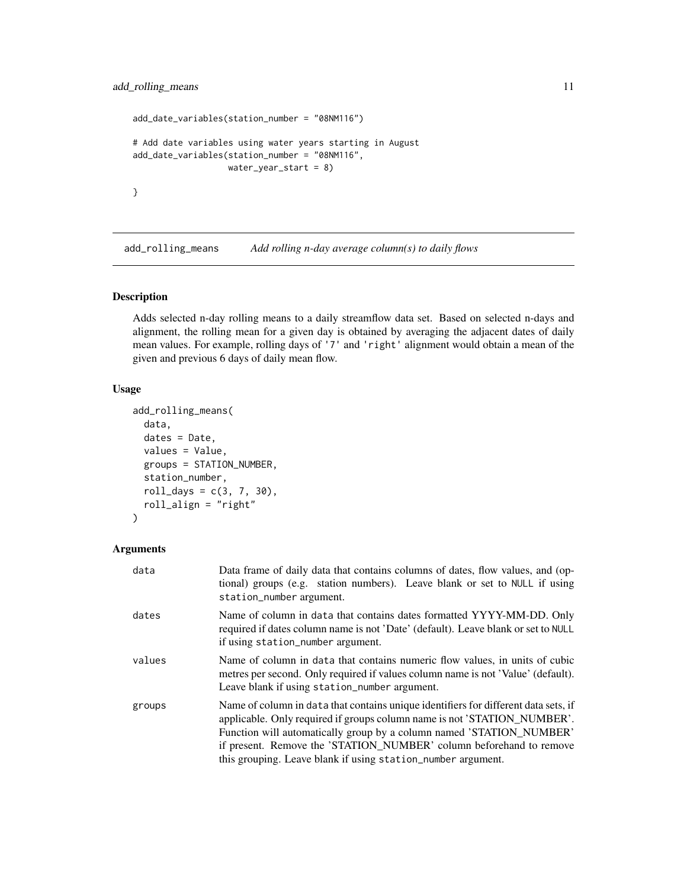```
add_date_variables(station_number = "08NM116")
# Add date variables using water years starting in August
add_date_variables(station_number = "08NM116",
                  water_year_start = 8)
}
```
add\_rolling\_means *Add rolling n-day average column(s) to daily flows*

## Description

Adds selected n-day rolling means to a daily streamflow data set. Based on selected n-days and alignment, the rolling mean for a given day is obtained by averaging the adjacent dates of daily mean values. For example, rolling days of '7' and 'right' alignment would obtain a mean of the given and previous 6 days of daily mean flow.

# Usage

```
add_rolling_means(
  data,
  dates = Date,
  values = Value,
  groups = STATION_NUMBER,
  station_number,
  roll\_days = c(3, 7, 30),roll_align = "right"
)
```

| data   | Data frame of daily data that contains columns of dates, flow values, and (op-<br>tional) groups (e.g. station numbers). Leave blank or set to NULL if using<br>station_number argument.                                                                                                                                                                                       |
|--------|--------------------------------------------------------------------------------------------------------------------------------------------------------------------------------------------------------------------------------------------------------------------------------------------------------------------------------------------------------------------------------|
| dates  | Name of column in data that contains dates formatted YYYY-MM-DD. Only<br>required if dates column name is not 'Date' (default). Leave blank or set to NULL<br>if using station_number argument.                                                                                                                                                                                |
| values | Name of column in data that contains numeric flow values, in units of cubic<br>metres per second. Only required if values column name is not 'Value' (default).<br>Leave blank if using station_number argument.                                                                                                                                                               |
| groups | Name of column in data that contains unique identifiers for different data sets, if<br>applicable. Only required if groups column name is not 'STATION_NUMBER'.<br>Function will automatically group by a column named 'STATION_NUMBER'<br>if present. Remove the 'STATION_NUMBER' column beforehand to remove<br>this grouping. Leave blank if using station_number argument. |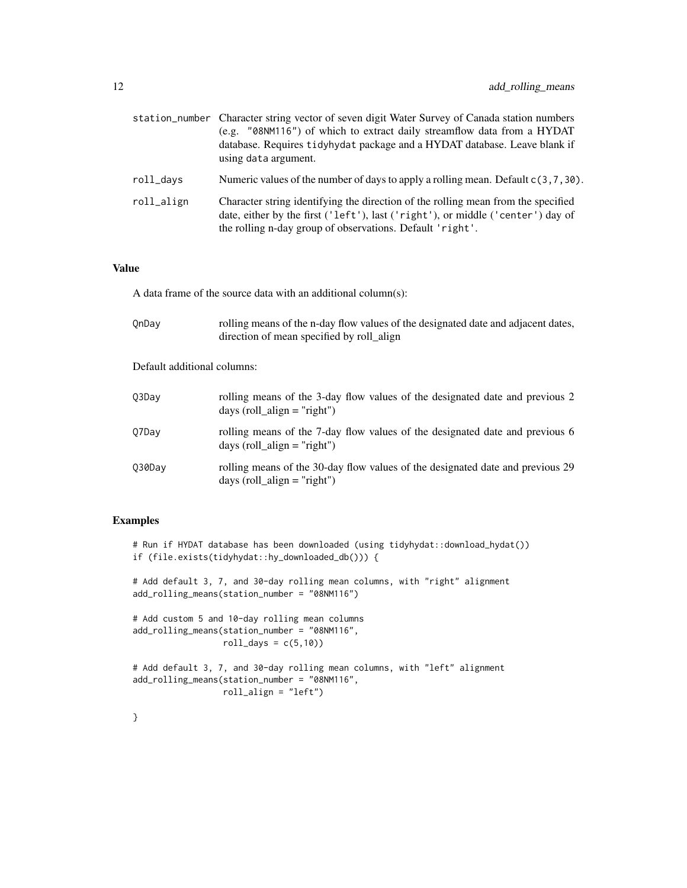|            | station_number Character string vector of seven digit Water Survey of Canada station numbers<br>(e.g. "08NM116") of which to extract daily streamflow data from a HYDAT<br>database. Requires tidyhydat package and a HYDAT database. Leave blank if<br>using data argument. |
|------------|------------------------------------------------------------------------------------------------------------------------------------------------------------------------------------------------------------------------------------------------------------------------------|
| roll_days  | Numeric values of the number of days to apply a rolling mean. Default $c(3,7,30)$ .                                                                                                                                                                                          |
| roll_align | Character string identifying the direction of the rolling mean from the specified<br>date, either by the first ('left'), last ('right'), or middle ('center') day of<br>the rolling n-day group of observations. Default 'right'.                                            |

A data frame of the source data with an additional column(s):

| OnDay                       | rolling means of the n-day flow values of the designated date and adjacent dates,<br>direction of mean specified by roll_align |
|-----------------------------|--------------------------------------------------------------------------------------------------------------------------------|
| Default additional columns: |                                                                                                                                |
| 03Day                       | rolling means of the 3-day flow values of the designated date and previous 2<br>days (roll $align = "right")$                  |
| Q7Day                       | rolling means of the 7-day flow values of the designated date and previous 6<br>days (roll_align = "right")                    |
| 030Day                      | rolling means of the 30-day flow values of the designated date and previous 29<br>days (roll $align = "right")$                |

# Examples

# Run if HYDAT database has been downloaded (using tidyhydat::download\_hydat()) if (file.exists(tidyhydat::hy\_downloaded\_db())) { # Add default 3, 7, and 30-day rolling mean columns, with "right" alignment add\_rolling\_means(station\_number = "08NM116") # Add custom 5 and 10-day rolling mean columns add\_rolling\_means(station\_number = "08NM116",  $roll\_days = c(5,10)$ # Add default 3, 7, and 30-day rolling mean columns, with "left" alignment add\_rolling\_means(station\_number = "08NM116", roll\_align = "left")

}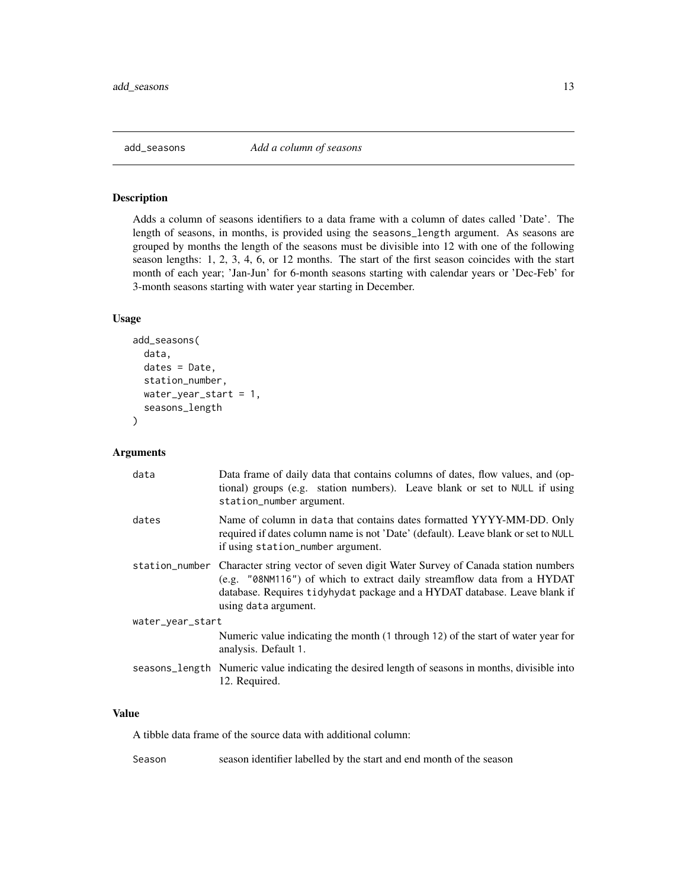<span id="page-12-0"></span>

# Description

Adds a column of seasons identifiers to a data frame with a column of dates called 'Date'. The length of seasons, in months, is provided using the seasons\_length argument. As seasons are grouped by months the length of the seasons must be divisible into 12 with one of the following season lengths: 1, 2, 3, 4, 6, or 12 months. The start of the first season coincides with the start month of each year; 'Jan-Jun' for 6-month seasons starting with calendar years or 'Dec-Feb' for 3-month seasons starting with water year starting in December.

# Usage

```
add_seasons(
  data,
  dates = Date,
  station_number,
  water_year_start = 1,
  seasons_length
)
```
#### Arguments

| data             | Data frame of daily data that contains columns of dates, flow values, and (op-<br>tional) groups (e.g. station numbers). Leave blank or set to NULL if using<br>station_number argument.                                                                                     |  |
|------------------|------------------------------------------------------------------------------------------------------------------------------------------------------------------------------------------------------------------------------------------------------------------------------|--|
| dates            | Name of column in data that contains dates formatted YYYY-MM-DD. Only<br>required if dates column name is not 'Date' (default). Leave blank or set to NULL<br>if using station_number argument.                                                                              |  |
|                  | station_number Character string vector of seven digit Water Survey of Canada station numbers<br>(e.g. "08NM116") of which to extract daily streamflow data from a HYDAT<br>database. Requires tidyhydat package and a HYDAT database. Leave blank if<br>using data argument. |  |
| water_year_start |                                                                                                                                                                                                                                                                              |  |
|                  | Numeric value indicating the month (1 through 12) of the start of water year for<br>analysis. Default 1.                                                                                                                                                                     |  |
|                  | seasons_length Numeric value indicating the desired length of seasons in months, divisible into<br>12. Required.                                                                                                                                                             |  |

#### Value

A tibble data frame of the source data with additional column:

Season season identifier labelled by the start and end month of the season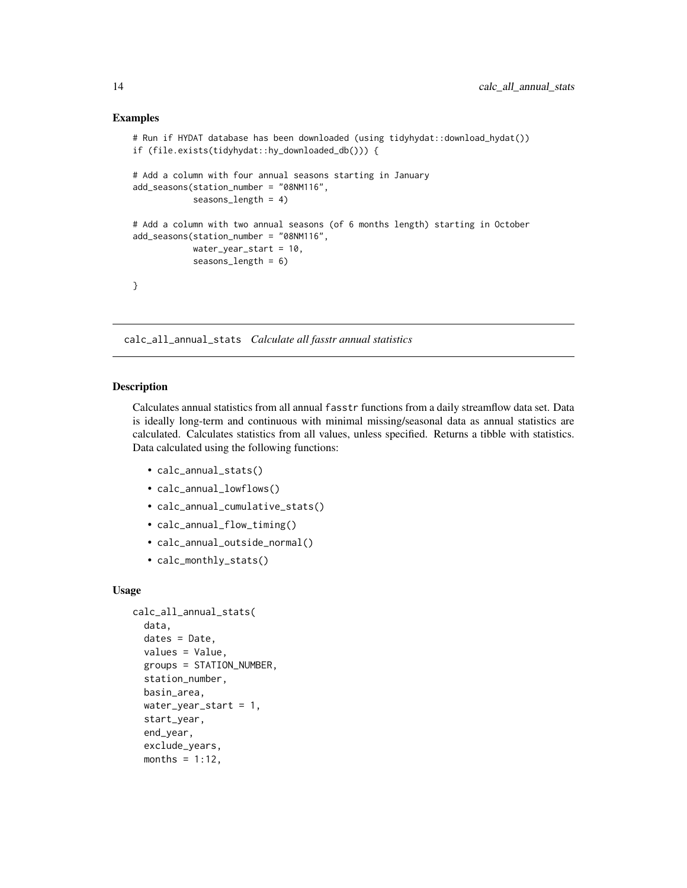#### Examples

```
# Run if HYDAT database has been downloaded (using tidyhydat::download_hydat())
if (file.exists(tidyhydat::hy_downloaded_db())) {
# Add a column with four annual seasons starting in January
add_seasons(station_number = "08NM116",
            seasons_length = 4)
# Add a column with two annual seasons (of 6 months length) starting in October
add_seasons(station_number = "08NM116",
           water_year_start = 10,
            seasons_length = 6)
}
```
calc\_all\_annual\_stats *Calculate all fasstr annual statistics*

#### Description

Calculates annual statistics from all annual fasstr functions from a daily streamflow data set. Data is ideally long-term and continuous with minimal missing/seasonal data as annual statistics are calculated. Calculates statistics from all values, unless specified. Returns a tibble with statistics. Data calculated using the following functions:

- calc\_annual\_stats()
- calc\_annual\_lowflows()
- calc\_annual\_cumulative\_stats()
- calc\_annual\_flow\_timing()
- calc\_annual\_outside\_normal()
- calc\_monthly\_stats()

#### Usage

```
calc_all_annual_stats(
  data,
  dates = Date,
  values = Value,
  groups = STATION_NUMBER,
  station_number,
  basin_area,
  water_year_start = 1,
  start_year,
  end_year,
  exclude_years,
  months = 1:12,
```
<span id="page-13-0"></span>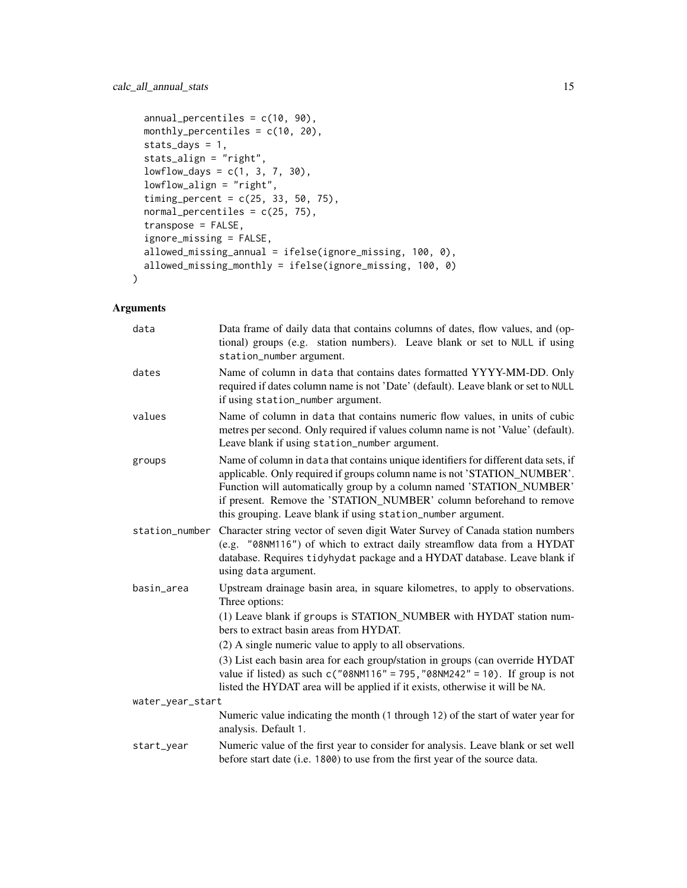```
annual_percentiles = c(10, 90),
 monthly_percentiles = c(10, 20),
 stats_days = 1,
 stats_align = "right",
 lowflow\_days = c(1, 3, 7, 30),lowflow_align = "right",
  timing_percent = c(25, 33, 50, 75),
 normal_percentiles = c(25, 75),
  transpose = FALSE,
  ignore_missing = FALSE,
 allowed_missing_annual = ifelse(ignore_missing, 100, 0),
 allowed_missing_monthly = ifelse(ignore_missing, 100, 0)
)
```

| data             | Data frame of daily data that contains columns of dates, flow values, and (op-<br>tional) groups (e.g. station numbers). Leave blank or set to NULL if using<br>station_number argument.                                                                                                                                                                                       |  |
|------------------|--------------------------------------------------------------------------------------------------------------------------------------------------------------------------------------------------------------------------------------------------------------------------------------------------------------------------------------------------------------------------------|--|
| dates            | Name of column in data that contains dates formatted YYYY-MM-DD. Only<br>required if dates column name is not 'Date' (default). Leave blank or set to NULL<br>if using station_number argument.                                                                                                                                                                                |  |
| values           | Name of column in data that contains numeric flow values, in units of cubic<br>metres per second. Only required if values column name is not 'Value' (default).<br>Leave blank if using station_number argument.                                                                                                                                                               |  |
| groups           | Name of column in data that contains unique identifiers for different data sets, if<br>applicable. Only required if groups column name is not 'STATION_NUMBER'.<br>Function will automatically group by a column named 'STATION_NUMBER'<br>if present. Remove the 'STATION_NUMBER' column beforehand to remove<br>this grouping. Leave blank if using station_number argument. |  |
| station_number   | Character string vector of seven digit Water Survey of Canada station numbers<br>(e.g. "08NM116") of which to extract daily streamflow data from a HYDAT<br>database. Requires tidyhydat package and a HYDAT database. Leave blank if<br>using data argument.                                                                                                                  |  |
| basin_area       | Upstream drainage basin area, in square kilometres, to apply to observations.<br>Three options:                                                                                                                                                                                                                                                                                |  |
|                  | (1) Leave blank if groups is STATION_NUMBER with HYDAT station num-<br>bers to extract basin areas from HYDAT.                                                                                                                                                                                                                                                                 |  |
|                  | (2) A single numeric value to apply to all observations.                                                                                                                                                                                                                                                                                                                       |  |
|                  | (3) List each basin area for each group/station in groups (can override HYDAT<br>value if listed) as such $c("08NM116" = 795, "08NM242" = 10)$ . If group is not<br>listed the HYDAT area will be applied if it exists, otherwise it will be NA.                                                                                                                               |  |
| water_year_start |                                                                                                                                                                                                                                                                                                                                                                                |  |
|                  | Numeric value indicating the month (1 through 12) of the start of water year for<br>analysis. Default 1.                                                                                                                                                                                                                                                                       |  |
| start_year       | Numeric value of the first year to consider for analysis. Leave blank or set well<br>before start date (i.e. 1800) to use from the first year of the source data.                                                                                                                                                                                                              |  |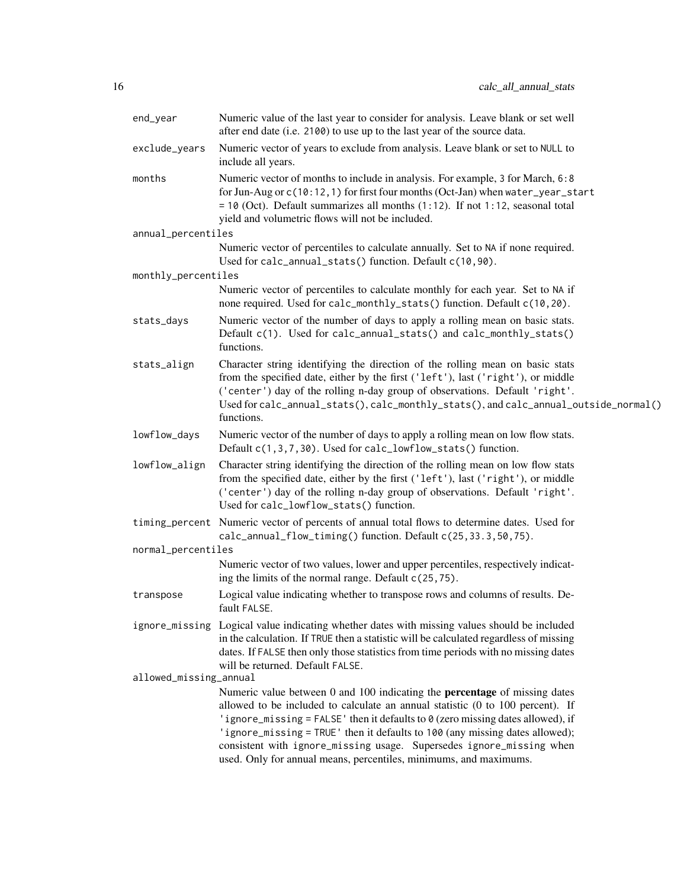| end_year               | Numeric value of the last year to consider for analysis. Leave blank or set well<br>after end date (i.e. 2100) to use up to the last year of the source data.                                                                                                                                                                                                                                                                                                                       |
|------------------------|-------------------------------------------------------------------------------------------------------------------------------------------------------------------------------------------------------------------------------------------------------------------------------------------------------------------------------------------------------------------------------------------------------------------------------------------------------------------------------------|
| exclude_years          | Numeric vector of years to exclude from analysis. Leave blank or set to NULL to<br>include all years.                                                                                                                                                                                                                                                                                                                                                                               |
| months                 | Numeric vector of months to include in analysis. For example, 3 for March, 6:8<br>for Jun-Aug or c(10:12, 1) for first four months (Oct-Jan) when water_year_start<br>$= 10$ (Oct). Default summarizes all months (1:12). If not 1:12, seasonal total<br>yield and volumetric flows will not be included.                                                                                                                                                                           |
| annual_percentiles     |                                                                                                                                                                                                                                                                                                                                                                                                                                                                                     |
|                        | Numeric vector of percentiles to calculate annually. Set to NA if none required.<br>Used for calc_annual_stats() function. Default c(10,90).                                                                                                                                                                                                                                                                                                                                        |
| monthly_percentiles    |                                                                                                                                                                                                                                                                                                                                                                                                                                                                                     |
|                        | Numeric vector of percentiles to calculate monthly for each year. Set to NA if<br>none required. Used for calc_monthly_stats() function. Default c(10,20).                                                                                                                                                                                                                                                                                                                          |
| stats_days             | Numeric vector of the number of days to apply a rolling mean on basic stats.<br>Default c(1). Used for calc_annual_stats() and calc_monthly_stats()<br>functions.                                                                                                                                                                                                                                                                                                                   |
| stats_align            | Character string identifying the direction of the rolling mean on basic stats<br>from the specified date, either by the first ('left'), last ('right'), or middle<br>('center') day of the rolling n-day group of observations. Default 'right'.<br>Used for calc_annual_stats(), calc_monthly_stats(), and calc_annual_outside_normal()<br>functions.                                                                                                                              |
| lowflow_days           | Numeric vector of the number of days to apply a rolling mean on low flow stats.<br>Default c(1,3,7,30). Used for calc_lowflow_stats() function.                                                                                                                                                                                                                                                                                                                                     |
| lowflow_align          | Character string identifying the direction of the rolling mean on low flow stats<br>from the specified date, either by the first ('left'), last ('right'), or middle<br>('center') day of the rolling n-day group of observations. Default 'right'.<br>Used for calc_lowflow_stats() function.                                                                                                                                                                                      |
|                        | timing_percent Numeric vector of percents of annual total flows to determine dates. Used for<br>calc_annual_flow_timing() function. Default c(25,33.3,50,75).                                                                                                                                                                                                                                                                                                                       |
| normal_percentiles     |                                                                                                                                                                                                                                                                                                                                                                                                                                                                                     |
|                        | Numeric vector of two values, lower and upper percentiles, respectively indicat-<br>ing the limits of the normal range. Default c(25,75).                                                                                                                                                                                                                                                                                                                                           |
| transpose              | Logical value indicating whether to transpose rows and columns of results. De-<br>fault FALSE.                                                                                                                                                                                                                                                                                                                                                                                      |
|                        | ignore_missing Logical value indicating whether dates with missing values should be included<br>in the calculation. If TRUE then a statistic will be calculated regardless of missing<br>dates. If FALSE then only those statistics from time periods with no missing dates<br>will be returned. Default FALSE.                                                                                                                                                                     |
| allowed_missing_annual |                                                                                                                                                                                                                                                                                                                                                                                                                                                                                     |
|                        | Numeric value between 0 and 100 indicating the <b>percentage</b> of missing dates<br>allowed to be included to calculate an annual statistic (0 to 100 percent). If<br>'ignore_missing = FALSE' then it defaults to 0 (zero missing dates allowed), if<br>'ignore_missing = TRUE' then it defaults to 100 (any missing dates allowed);<br>consistent with ignore_missing usage. Supersedes ignore_missing when<br>used. Only for annual means, percentiles, minimums, and maximums. |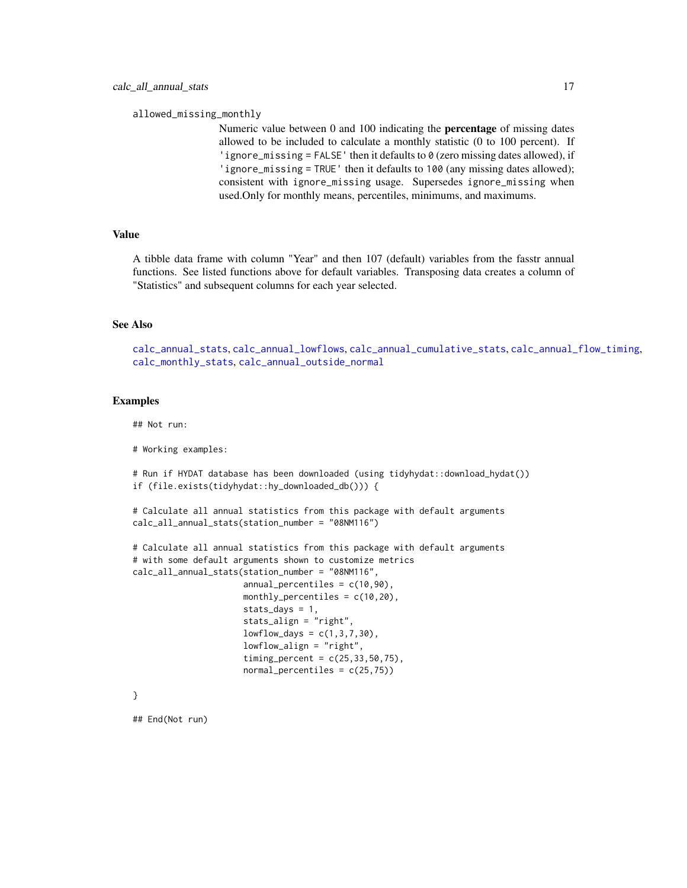allowed\_missing\_monthly

Numeric value between 0 and 100 indicating the percentage of missing dates allowed to be included to calculate a monthly statistic (0 to 100 percent). If 'ignore\_missing = FALSE' then it defaults to 0 (zero missing dates allowed), if 'ignore\_missing = TRUE' then it defaults to 100 (any missing dates allowed); consistent with ignore\_missing usage. Supersedes ignore\_missing when used.Only for monthly means, percentiles, minimums, and maximums.

# Value

A tibble data frame with column "Year" and then 107 (default) variables from the fasstr annual functions. See listed functions above for default variables. Transposing data creates a column of "Statistics" and subsequent columns for each year selected.

#### See Also

[calc\\_annual\\_stats](#page-29-1), [calc\\_annual\\_lowflows](#page-22-1), [calc\\_annual\\_cumulative\\_stats](#page-17-1), [calc\\_annual\\_flow\\_timing](#page-19-1), [calc\\_monthly\\_stats](#page-53-1), [calc\\_annual\\_outside\\_normal](#page-24-1)

#### Examples

## Not run:

# Working examples:

# Run if HYDAT database has been downloaded (using tidyhydat::download\_hydat()) if (file.exists(tidyhydat::hy\_downloaded\_db())) {

```
# Calculate all annual statistics from this package with default arguments
calc_all_annual_stats(station_number = "08NM116")
```

```
# Calculate all annual statistics from this package with default arguments
# with some default arguments shown to customize metrics
calc_all_annual_stats(station_number = "08NM116",
                      annual_percentiles = c(10,90),
                      monthly_percentiles = c(10, 20),
                      stats_days = 1,
                      stats_align = "right",
                      lowflow\_days = c(1, 3, 7, 30),
                      lowflow_align = "right",
                      timing_percent = c(25, 33, 50, 75),
                      normal_percentiles = c(25,75))
```
}

## End(Not run)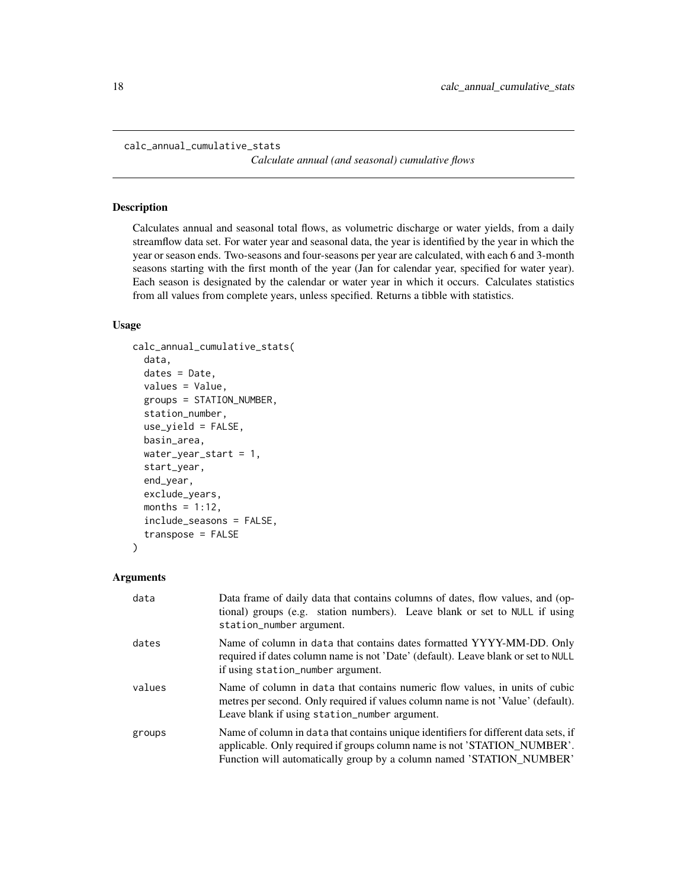```
calc_annual_cumulative_stats
```
*Calculate annual (and seasonal) cumulative flows*

#### Description

Calculates annual and seasonal total flows, as volumetric discharge or water yields, from a daily streamflow data set. For water year and seasonal data, the year is identified by the year in which the year or season ends. Two-seasons and four-seasons per year are calculated, with each 6 and 3-month seasons starting with the first month of the year (Jan for calendar year, specified for water year). Each season is designated by the calendar or water year in which it occurs. Calculates statistics from all values from complete years, unless specified. Returns a tibble with statistics.

#### Usage

```
calc_annual_cumulative_stats(
  data,
  dates = Date,
  values = Value,
  groups = STATION_NUMBER,
  station_number,
  use_yield = FALSE,
  basin_area,
  water_year_start = 1,
  start_year,
  end_year,
  exclude_years,
  months = 1:12,
  include_seasons = FALSE,
  transpose = FALSE
)
```

| data   | Data frame of daily data that contains columns of dates, flow values, and (op-<br>tional) groups (e.g. station numbers). Leave blank or set to NULL if using<br>station_number argument.                                                |
|--------|-----------------------------------------------------------------------------------------------------------------------------------------------------------------------------------------------------------------------------------------|
| dates  | Name of column in data that contains dates formatted YYYY-MM-DD. Only<br>required if dates column name is not 'Date' (default). Leave blank or set to NULL<br>if using station_number argument.                                         |
| values | Name of column in data that contains numeric flow values, in units of cubic<br>metres per second. Only required if values column name is not 'Value' (default).<br>Leave blank if using station_number argument.                        |
| groups | Name of column in data that contains unique identifiers for different data sets, if<br>applicable. Only required if groups column name is not 'STATION_NUMBER'.<br>Function will automatically group by a column named 'STATION_NUMBER' |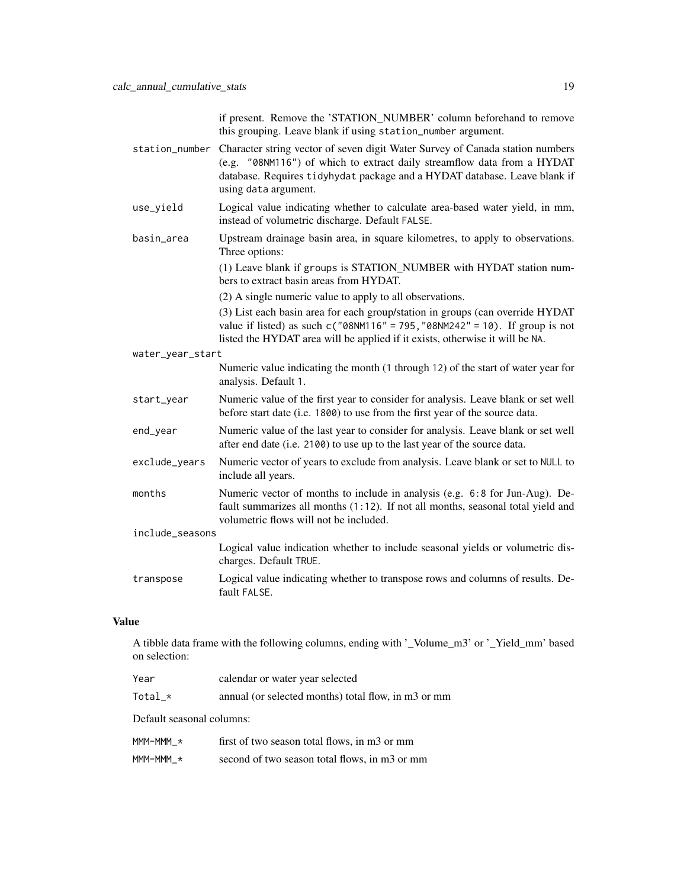if present. Remove the 'STATION\_NUMBER' column beforehand to remove this grouping. Leave blank if using station\_number argument.

- station\_number Character string vector of seven digit Water Survey of Canada station numbers (e.g. "08NM116") of which to extract daily streamflow data from a HYDAT database. Requires tidyhydat package and a HYDAT database. Leave blank if using data argument.
- use\_yield Logical value indicating whether to calculate area-based water yield, in mm, instead of volumetric discharge. Default FALSE.
- basin\_area Upstream drainage basin area, in square kilometres, to apply to observations. Three options:

(1) Leave blank if groups is STATION\_NUMBER with HYDAT station numbers to extract basin areas from HYDAT.

(2) A single numeric value to apply to all observations.

(3) List each basin area for each group/station in groups (can override HYDAT value if listed) as such  $c("08NM116" = 795, "08NM242" = 10)$ . If group is not listed the HYDAT area will be applied if it exists, otherwise it will be NA.

water\_year\_start

include\_seasons

- Numeric value indicating the month (1 through 12) of the start of water year for analysis. Default 1.
- start\_year Numeric value of the first year to consider for analysis. Leave blank or set well before start date (i.e. 1800) to use from the first year of the source data.
- end\_year Numeric value of the last year to consider for analysis. Leave blank or set well after end date (i.e. 2100) to use up to the last year of the source data.
- exclude\_years Numeric vector of years to exclude from analysis. Leave blank or set to NULL to include all years.
- months Numeric vector of months to include in analysis (e.g. 6:8 for Jun-Aug). Default summarizes all months (1:12). If not all months, seasonal total yield and volumetric flows will not be included.
	- Logical value indication whether to include seasonal yields or volumetric discharges. Default TRUE.
- transpose Logical value indicating whether to transpose rows and columns of results. Default FALSE.

## Value

A tibble data frame with the following columns, ending with '\_Volume\_m3' or '\_Yield\_mm' based on selection:

| Year                      | calendar or water year selected                     |
|---------------------------|-----------------------------------------------------|
| $Total_*$                 | annual (or selected months) total flow, in m3 or mm |
| Default seasonal columns: |                                                     |
| $MM-MMM \star$            | first of two season total flows, in m3 or mm        |

 $MM-MMM_*$  second of two season total flows, in m3 or mm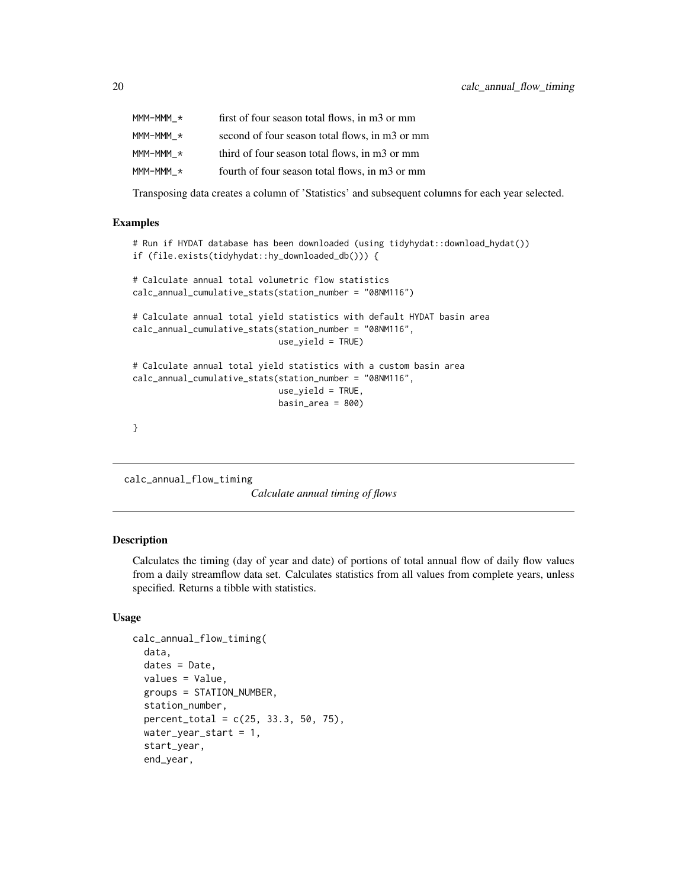<span id="page-19-0"></span>

| $MM-MMM \star$ | first of four season total flows, in m3 or mm  |
|----------------|------------------------------------------------|
| MMM-MMM *      | second of four season total flows, in m3 or mm |
| MMM-MMM *      | third of four season total flows, in m3 or mm  |
| MMM-MMM *      | fourth of four season total flows, in m3 or mm |

Transposing data creates a column of 'Statistics' and subsequent columns for each year selected.

# Examples

```
# Run if HYDAT database has been downloaded (using tidyhydat::download_hydat())
if (file.exists(tidyhydat::hy_downloaded_db())) {
# Calculate annual total volumetric flow statistics
calc_annual_cumulative_stats(station_number = "08NM116")
# Calculate annual total yield statistics with default HYDAT basin area
```

```
calc_annual_cumulative_stats(station_number = "08NM116",
                            use_yield = TRUE)
```

```
# Calculate annual total yield statistics with a custom basin area
calc_annual_cumulative_stats(station_number = "08NM116",
                              use<sup>yield</sup> = TRUE,
                              basin_area = 800
```
}

<span id="page-19-1"></span>calc\_annual\_flow\_timing

*Calculate annual timing of flows*

#### Description

Calculates the timing (day of year and date) of portions of total annual flow of daily flow values from a daily streamflow data set. Calculates statistics from all values from complete years, unless specified. Returns a tibble with statistics.

#### Usage

```
calc_annual_flow_timing(
  data,
  dates = Date,
  values = Value,
  groups = STATION_NUMBER,
  station_number,
  percent\_total = c(25, 33.3, 50, 75),
  water_year_start = 1,
  start_year,
  end_year,
```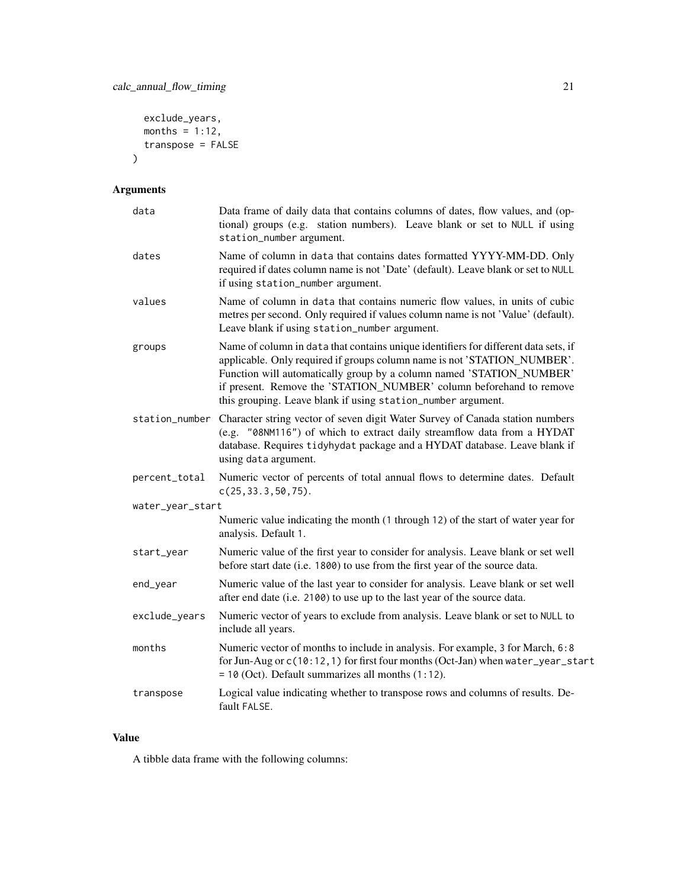```
exclude_years,
  months = 1:12,
  transpose = FALSE
\mathcal{L}
```
# Arguments

| data             | Data frame of daily data that contains columns of dates, flow values, and (op-<br>tional) groups (e.g. station numbers). Leave blank or set to NULL if using<br>station_number argument.                                                                                                                                                                                       |
|------------------|--------------------------------------------------------------------------------------------------------------------------------------------------------------------------------------------------------------------------------------------------------------------------------------------------------------------------------------------------------------------------------|
| dates            | Name of column in data that contains dates formatted YYYY-MM-DD. Only<br>required if dates column name is not 'Date' (default). Leave blank or set to NULL<br>if using station_number argument.                                                                                                                                                                                |
| values           | Name of column in data that contains numeric flow values, in units of cubic<br>metres per second. Only required if values column name is not 'Value' (default).<br>Leave blank if using station_number argument.                                                                                                                                                               |
| groups           | Name of column in data that contains unique identifiers for different data sets, if<br>applicable. Only required if groups column name is not 'STATION_NUMBER'.<br>Function will automatically group by a column named 'STATION_NUMBER'<br>if present. Remove the 'STATION_NUMBER' column beforehand to remove<br>this grouping. Leave blank if using station_number argument. |
|                  | station_number Character string vector of seven digit Water Survey of Canada station numbers<br>(e.g. "08NM116") of which to extract daily streamflow data from a HYDAT<br>database. Requires tidyhydat package and a HYDAT database. Leave blank if<br>using data argument.                                                                                                   |
| percent_total    | Numeric vector of percents of total annual flows to determine dates. Default<br>c(25, 33.3, 50, 75).                                                                                                                                                                                                                                                                           |
| water_year_start |                                                                                                                                                                                                                                                                                                                                                                                |
|                  | Numeric value indicating the month (1 through 12) of the start of water year for<br>analysis. Default 1.                                                                                                                                                                                                                                                                       |
| start_year       | Numeric value of the first year to consider for analysis. Leave blank or set well<br>before start date (i.e. 1800) to use from the first year of the source data.                                                                                                                                                                                                              |
| end_year         | Numeric value of the last year to consider for analysis. Leave blank or set well<br>after end date (i.e. 2100) to use up to the last year of the source data.                                                                                                                                                                                                                  |
| exclude_years    | Numeric vector of years to exclude from analysis. Leave blank or set to NULL to<br>include all years.                                                                                                                                                                                                                                                                          |
| months           | Numeric vector of months to include in analysis. For example, 3 for March, 6:8<br>for Jun-Aug or c(10:12, 1) for first four months (Oct-Jan) when water_year_start<br>$= 10$ (Oct). Default summarizes all months $(1:12)$ .                                                                                                                                                   |
| transpose        | Logical value indicating whether to transpose rows and columns of results. De-<br>fault FALSE.                                                                                                                                                                                                                                                                                 |

# Value

A tibble data frame with the following columns: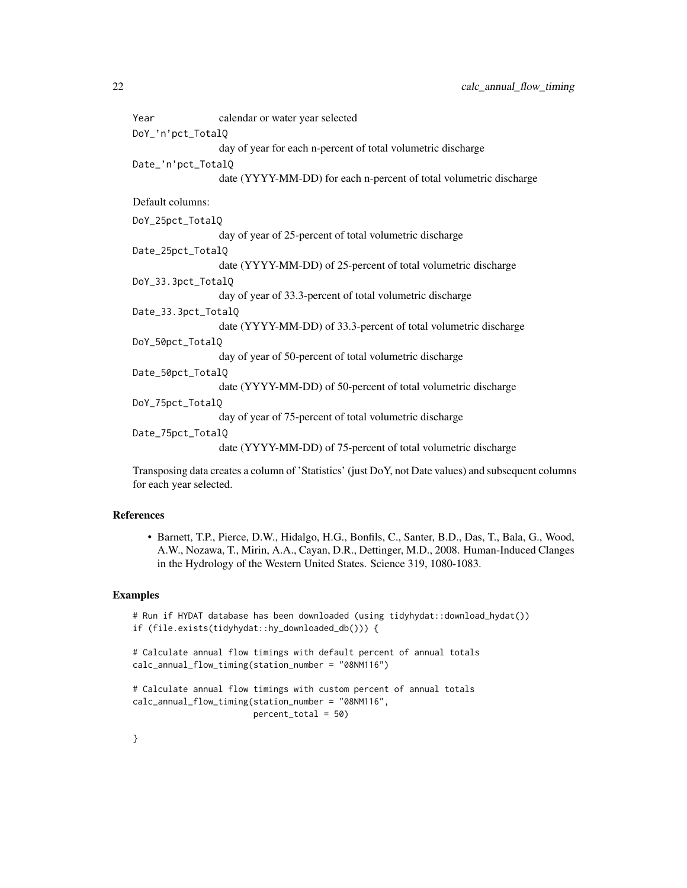| Year                | calendar or water year selected                                    |  |
|---------------------|--------------------------------------------------------------------|--|
| DoY_'n'pct_TotalQ   |                                                                    |  |
|                     | day of year for each n-percent of total volumetric discharge       |  |
| Date_'n'pct_TotalQ  |                                                                    |  |
|                     | date (YYYY-MM-DD) for each n-percent of total volumetric discharge |  |
| Default columns:    |                                                                    |  |
| DoY_25pct_TotalQ    |                                                                    |  |
|                     | day of year of 25-percent of total volumetric discharge            |  |
| Date_25pct_TotalQ   |                                                                    |  |
|                     | date (YYYY-MM-DD) of 25-percent of total volumetric discharge      |  |
| DoY_33.3pct_TotalQ  |                                                                    |  |
|                     | day of year of 33.3-percent of total volumetric discharge          |  |
| Date_33.3pct_TotalQ |                                                                    |  |
|                     | date (YYYY-MM-DD) of 33.3-percent of total volumetric discharge    |  |
| DoY_50pct_TotalQ    |                                                                    |  |
|                     | day of year of 50-percent of total volumetric discharge            |  |
| Date_50pct_TotalQ   |                                                                    |  |
|                     | date (YYYY-MM-DD) of 50-percent of total volumetric discharge      |  |
| DoY_75pct_TotalQ    |                                                                    |  |
|                     | day of year of 75-percent of total volumetric discharge            |  |
| Date_75pct_TotalQ   |                                                                    |  |
|                     | date (YYYY-MM-DD) of 75-percent of total volumetric discharge      |  |
|                     |                                                                    |  |

Transposing data creates a column of 'Statistics' (just DoY, not Date values) and subsequent columns for each year selected.

#### References

• Barnett, T.P., Pierce, D.W., Hidalgo, H.G., Bonfils, C., Santer, B.D., Das, T., Bala, G., Wood, A.W., Nozawa, T., Mirin, A.A., Cayan, D.R., Dettinger, M.D., 2008. Human-Induced Clanges in the Hydrology of the Western United States. Science 319, 1080-1083.

#### Examples

```
# Run if HYDAT database has been downloaded (using tidyhydat::download_hydat())
if (file.exists(tidyhydat::hy_downloaded_db())) {
```

```
# Calculate annual flow timings with default percent of annual totals
calc_annual_flow_timing(station_number = "08NM116")
```

```
# Calculate annual flow timings with custom percent of annual totals
calc_annual_flow_timing(station_number = "08NM116",
                       percent_total = 50)
```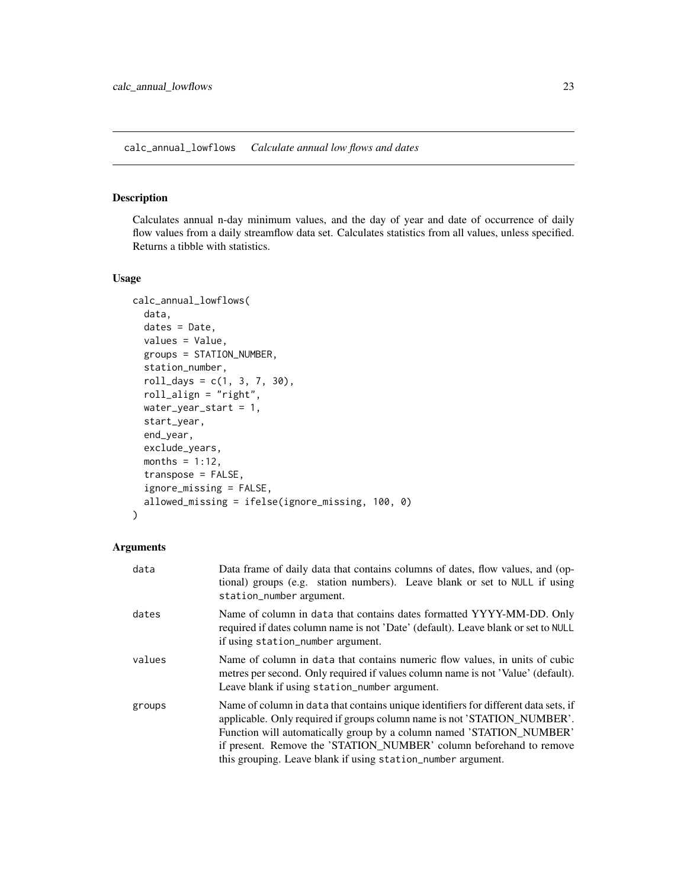<span id="page-22-1"></span><span id="page-22-0"></span>calc\_annual\_lowflows *Calculate annual low flows and dates*

#### Description

Calculates annual n-day minimum values, and the day of year and date of occurrence of daily flow values from a daily streamflow data set. Calculates statistics from all values, unless specified. Returns a tibble with statistics.

#### Usage

```
calc_annual_lowflows(
  data,
  dates = Date,
  values = Value,
  groups = STATION_NUMBER,
  station_number,
  roll\_days = c(1, 3, 7, 30),roll_align = "right",
  water_year_start = 1,
  start_year,
  end_year,
  exclude_years,
  months = 1:12,
  transpose = FALSE,
  ignore_missing = FALSE,
  allowed_missing = ifelse(ignore_missing, 100, 0)
)
```

| data   | Data frame of daily data that contains columns of dates, flow values, and (op-<br>tional) groups (e.g. station numbers). Leave blank or set to NULL if using<br>station_number argument.                                                                                                                                                                                       |
|--------|--------------------------------------------------------------------------------------------------------------------------------------------------------------------------------------------------------------------------------------------------------------------------------------------------------------------------------------------------------------------------------|
| dates  | Name of column in data that contains dates formatted YYYY-MM-DD. Only<br>required if dates column name is not 'Date' (default). Leave blank or set to NULL<br>if using station_number argument.                                                                                                                                                                                |
| values | Name of column in data that contains numeric flow values, in units of cubic<br>metres per second. Only required if values column name is not 'Value' (default).<br>Leave blank if using station_number argument.                                                                                                                                                               |
| groups | Name of column in data that contains unique identifiers for different data sets, if<br>applicable. Only required if groups column name is not 'STATION_NUMBER'.<br>Function will automatically group by a column named 'STATION_NUMBER'<br>if present. Remove the 'STATION_NUMBER' column beforehand to remove<br>this grouping. Leave blank if using station_number argument. |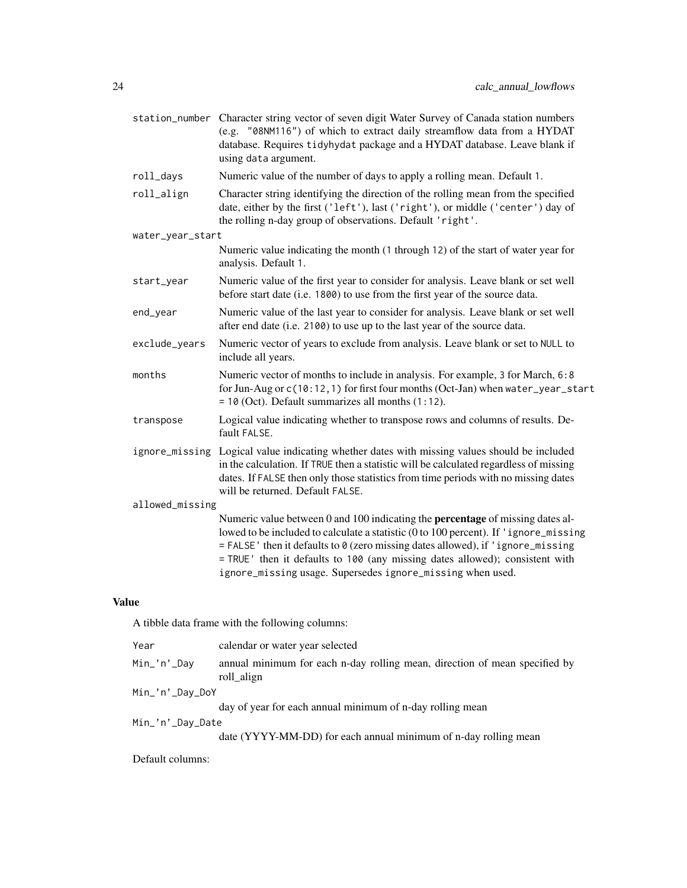|                  | station_number Character string vector of seven digit Water Survey of Canada station numbers<br>(e.g. "08NM116") of which to extract daily streamflow data from a HYDAT<br>database. Requires tidyhydat package and a HYDAT database. Leave blank if<br>using data argument.                                                                                                                                    |
|------------------|-----------------------------------------------------------------------------------------------------------------------------------------------------------------------------------------------------------------------------------------------------------------------------------------------------------------------------------------------------------------------------------------------------------------|
| roll_days        | Numeric value of the number of days to apply a rolling mean. Default 1.                                                                                                                                                                                                                                                                                                                                         |
| roll_align       | Character string identifying the direction of the rolling mean from the specified<br>date, either by the first ('left'), last ('right'), or middle ('center') day of<br>the rolling n-day group of observations. Default 'right'.                                                                                                                                                                               |
| water_year_start |                                                                                                                                                                                                                                                                                                                                                                                                                 |
|                  | Numeric value indicating the month (1 through 12) of the start of water year for<br>analysis. Default 1.                                                                                                                                                                                                                                                                                                        |
| start_year       | Numeric value of the first year to consider for analysis. Leave blank or set well<br>before start date (i.e. 1800) to use from the first year of the source data.                                                                                                                                                                                                                                               |
| end_year         | Numeric value of the last year to consider for analysis. Leave blank or set well<br>after end date (i.e. 2100) to use up to the last year of the source data.                                                                                                                                                                                                                                                   |
| exclude_years    | Numeric vector of years to exclude from analysis. Leave blank or set to NULL to<br>include all years.                                                                                                                                                                                                                                                                                                           |
| months           | Numeric vector of months to include in analysis. For example, 3 for March, 6:8<br>for Jun-Aug or c(10:12, 1) for first four months (Oct-Jan) when water_year_start<br>$= 10$ (Oct). Default summarizes all months $(1:12)$ .                                                                                                                                                                                    |
| transpose        | Logical value indicating whether to transpose rows and columns of results. De-<br>fault FALSE.                                                                                                                                                                                                                                                                                                                  |
|                  | ignore_missing Logical value indicating whether dates with missing values should be included<br>in the calculation. If TRUE then a statistic will be calculated regardless of missing<br>dates. If FALSE then only those statistics from time periods with no missing dates<br>will be returned. Default FALSE.                                                                                                 |
| allowed_missing  |                                                                                                                                                                                                                                                                                                                                                                                                                 |
|                  | Numeric value between 0 and 100 indicating the <b>percentage</b> of missing dates al-<br>lowed to be included to calculate a statistic (0 to 100 percent). If 'ignore_missing<br>= FALSE' then it defaults to 0 (zero missing dates allowed), if 'ignore_missing<br>= TRUE ' then it defaults to 100 (any missing dates allowed); consistent with<br>ignore_missing usage. Supersedes ignore_missing when used. |

A tibble data frame with the following columns:

| Year             | calendar or water year selected                                                          |  |
|------------------|------------------------------------------------------------------------------------------|--|
| Min_'n'_Day      | annual minimum for each n-day rolling mean, direction of mean specified by<br>roll align |  |
| Min_'n'_Day_DoY  |                                                                                          |  |
|                  | day of year for each annual minimum of n-day rolling mean                                |  |
| Min_'n'_Day_Date |                                                                                          |  |
|                  | date (YYYY-MM-DD) for each annual minimum of n-day rolling mean                          |  |
|                  |                                                                                          |  |

Default columns: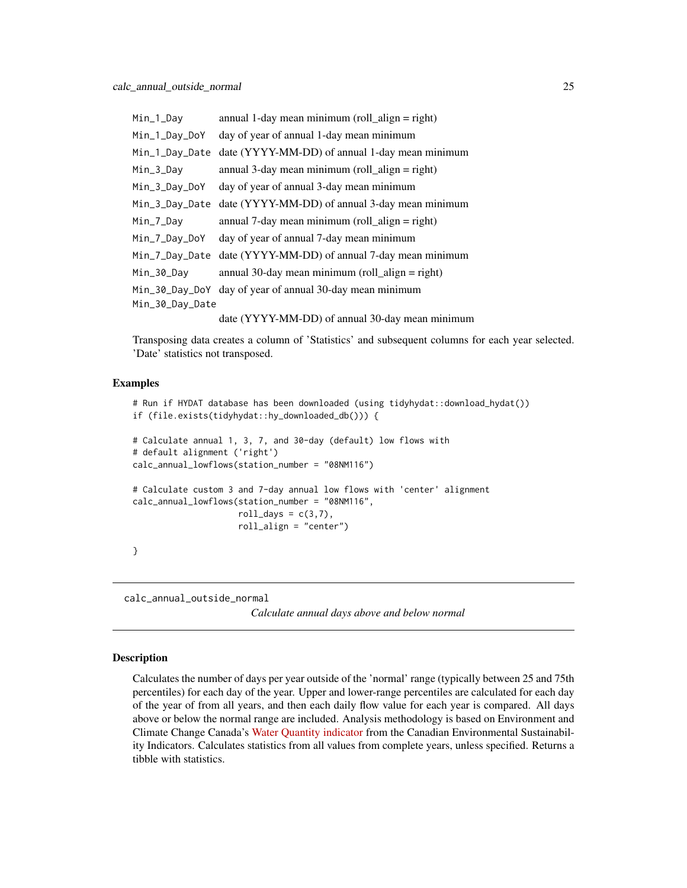<span id="page-24-0"></span>

| Min_1_Day       | annual 1-day mean minimum (roll_align = right)           |  |
|-----------------|----------------------------------------------------------|--|
| Min_1_Day_DoY   | day of year of annual 1-day mean minimum                 |  |
| Min_1_Day_Date  | date (YYYY-MM-DD) of annual 1-day mean minimum           |  |
| Min_3_Day       | annual 3-day mean minimum (roll_align = right)           |  |
| Min_3_Day_DoY   | day of year of annual 3-day mean minimum                 |  |
| Min_3_Day_Date  | date (YYYY-MM-DD) of annual 3-day mean minimum           |  |
| Min_7_Day       | annual 7-day mean minimum (roll_align = right)           |  |
| Min_7_Day_DoY   | day of year of annual 7-day mean minimum                 |  |
| Min_7_Day_Date  | date (YYYY-MM-DD) of annual 7-day mean minimum           |  |
| Min_30_Day      | annual 30-day mean minimum (roll_align = right)          |  |
|                 | Min_30_Day_DoY day of year of annual 30-day mean minimum |  |
| Min_30_Day_Date |                                                          |  |
|                 | date (YYYY-MM-DD) of annual 30-day mean minimum          |  |

Transposing data creates a column of 'Statistics' and subsequent columns for each year selected. 'Date' statistics not transposed.

#### Examples

```
# Run if HYDAT database has been downloaded (using tidyhydat::download_hydat())
if (file.exists(tidyhydat::hy_downloaded_db())) {
# Calculate annual 1, 3, 7, and 30-day (default) low flows with
# default alignment ('right')
calc_annual_lowflows(station_number = "08NM116")
# Calculate custom 3 and 7-day annual low flows with 'center' alignment
calc_annual_lowflows(station_number = "08NM116",
                     roll_days = c(3,7),
                     roll_align = "center")
}
```
<span id="page-24-1"></span>calc\_annual\_outside\_normal

*Calculate annual days above and below normal*

#### Description

Calculates the number of days per year outside of the 'normal' range (typically between 25 and 75th percentiles) for each day of the year. Upper and lower-range percentiles are calculated for each day of the year of from all years, and then each daily flow value for each year is compared. All days above or below the normal range are included. Analysis methodology is based on Environment and Climate Change Canada's [Water Quantity indicator](https://www.canada.ca/en/environment-climate-change/services/environmental-indicators/water-quantity-canadian-rivers.html) from the Canadian Environmental Sustainability Indicators. Calculates statistics from all values from complete years, unless specified. Returns a tibble with statistics.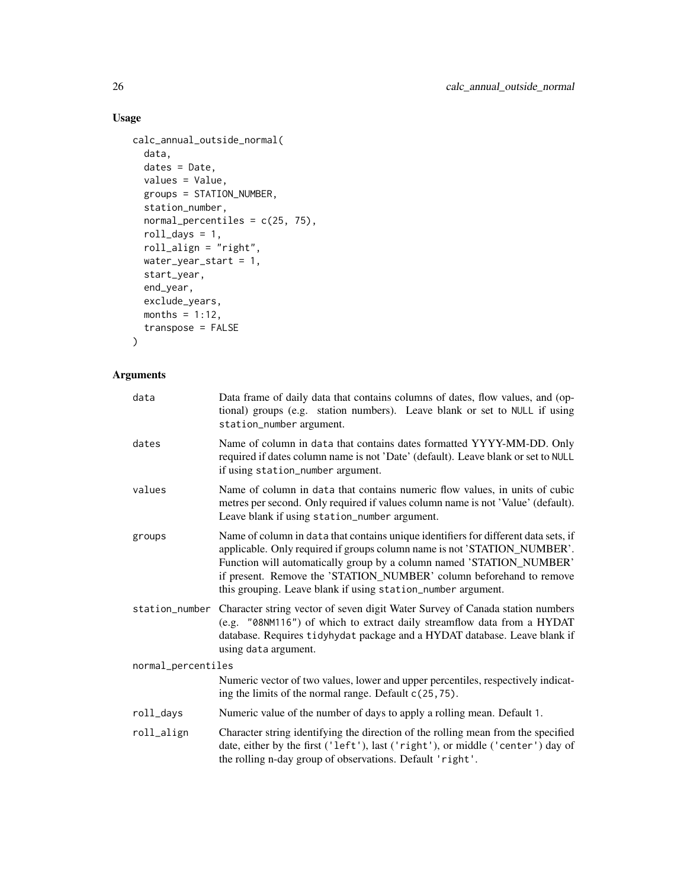# Usage

```
calc_annual_outside_normal(
  data,
  dates = Date,
  values = Value,
  groups = STATION_NUMBER,
  station_number,
  normal_percentiles = c(25, 75),
  roll\_days = 1,
  roll_align = "right",
  water_year_start = 1,
  start_year,
  end_year,
  exclude_years,
  months = 1:12,
  transpose = FALSE
\mathcal{L}
```

| data               | Data frame of daily data that contains columns of dates, flow values, and (op-<br>tional) groups (e.g. station numbers). Leave blank or set to NULL if using<br>station_number argument.                                                                                                                                                                                       |
|--------------------|--------------------------------------------------------------------------------------------------------------------------------------------------------------------------------------------------------------------------------------------------------------------------------------------------------------------------------------------------------------------------------|
| dates              | Name of column in data that contains dates formatted YYYY-MM-DD. Only<br>required if dates column name is not 'Date' (default). Leave blank or set to NULL<br>if using station_number argument.                                                                                                                                                                                |
| values             | Name of column in data that contains numeric flow values, in units of cubic<br>metres per second. Only required if values column name is not 'Value' (default).<br>Leave blank if using station_number argument.                                                                                                                                                               |
| groups             | Name of column in data that contains unique identifiers for different data sets, if<br>applicable. Only required if groups column name is not 'STATION_NUMBER'.<br>Function will automatically group by a column named 'STATION_NUMBER'<br>if present. Remove the 'STATION_NUMBER' column beforehand to remove<br>this grouping. Leave blank if using station_number argument. |
| station_number     | Character string vector of seven digit Water Survey of Canada station numbers<br>(e.g. "08NM116") of which to extract daily streamflow data from a HYDAT<br>database. Requires tidyhydat package and a HYDAT database. Leave blank if<br>using data argument.                                                                                                                  |
| normal_percentiles |                                                                                                                                                                                                                                                                                                                                                                                |
|                    | Numeric vector of two values, lower and upper percentiles, respectively indicat-<br>ing the limits of the normal range. Default $c(25, 75)$ .                                                                                                                                                                                                                                  |
| roll_days          | Numeric value of the number of days to apply a rolling mean. Default 1.                                                                                                                                                                                                                                                                                                        |
| roll_align         | Character string identifying the direction of the rolling mean from the specified<br>date, either by the first ('left'), last ('right'), or middle ('center') day of<br>the rolling n-day group of observations. Default 'right'.                                                                                                                                              |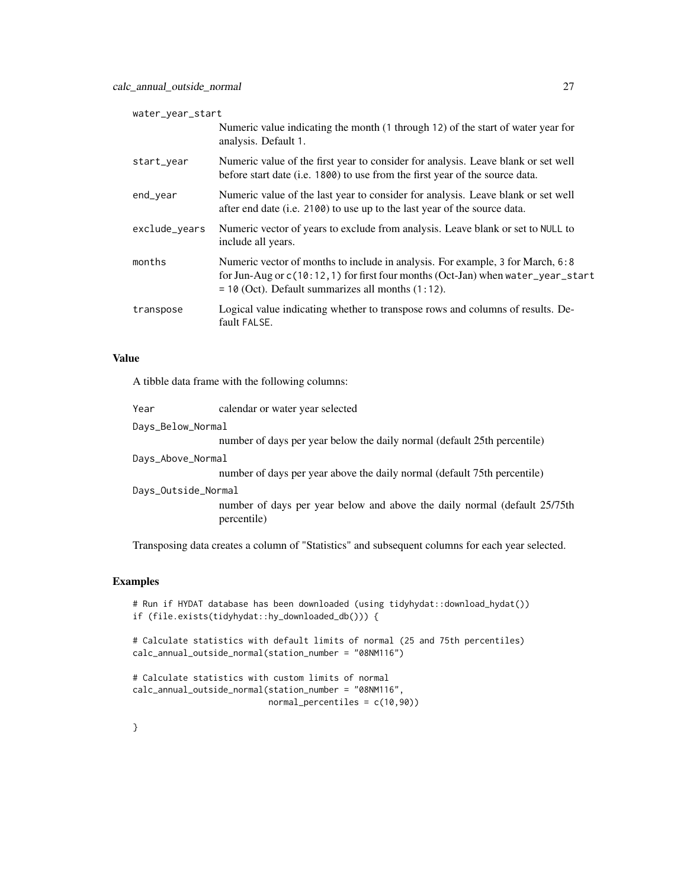| water_year_start |                                                                                                                                                                                                                               |
|------------------|-------------------------------------------------------------------------------------------------------------------------------------------------------------------------------------------------------------------------------|
|                  | Numeric value indicating the month (1 through 12) of the start of water year for<br>analysis. Default 1.                                                                                                                      |
| start_year       | Numeric value of the first year to consider for analysis. Leave blank or set well<br>before start date (i.e. 1800) to use from the first year of the source data.                                                             |
| end_year         | Numeric value of the last year to consider for analysis. Leave blank or set well<br>after end date (i.e. 2100) to use up to the last year of the source data.                                                                 |
| exclude_years    | Numeric vector of years to exclude from analysis. Leave blank or set to NULL to<br>include all years.                                                                                                                         |
| months           | Numeric vector of months to include in analysis. For example, 3 for March, 6:8<br>for Jun-Aug or $c(10:12,1)$ for first four months (Oct-Jan) when water_year_start<br>$=$ 10 (Oct). Default summarizes all months $(1:12)$ . |
| transpose        | Logical value indicating whether to transpose rows and columns of results. De-<br>fault FALSE.                                                                                                                                |

A tibble data frame with the following columns:

| Year                | calendar or water year selected                                                          |
|---------------------|------------------------------------------------------------------------------------------|
| Days_Below_Normal   |                                                                                          |
|                     | number of days per year below the daily normal (default 25th percentile)                 |
| Days_Above_Normal   |                                                                                          |
|                     | number of days per year above the daily normal (default 75th percentile)                 |
| Days_Outside_Normal |                                                                                          |
|                     | number of days per year below and above the daily normal (default 25/75th<br>percentile) |
|                     |                                                                                          |

Transposing data creates a column of "Statistics" and subsequent columns for each year selected.

#### Examples

```
# Run if HYDAT database has been downloaded (using tidyhydat::download_hydat())
if (file.exists(tidyhydat::hy_downloaded_db())) {
```

```
# Calculate statistics with default limits of normal (25 and 75th percentiles)
calc_annual_outside_normal(station_number = "08NM116")
```

```
# Calculate statistics with custom limits of normal
calc_annual_outside_normal(station_number = "08NM116",
                           normal_percentiles = c(10,90))
```
}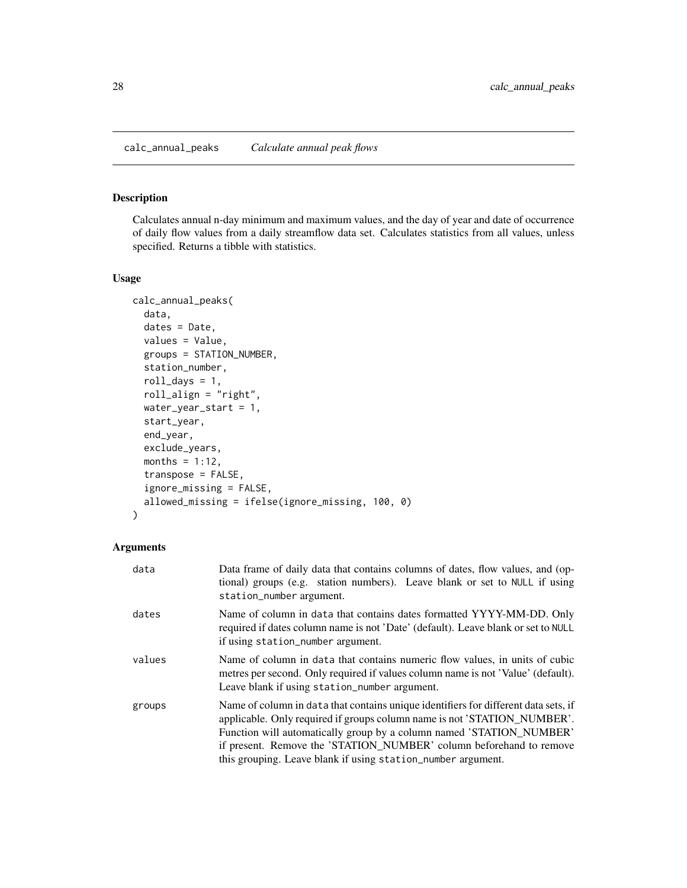#### <span id="page-27-0"></span>Description

Calculates annual n-day minimum and maximum values, and the day of year and date of occurrence of daily flow values from a daily streamflow data set. Calculates statistics from all values, unless specified. Returns a tibble with statistics.

#### Usage

```
calc_annual_peaks(
  data,
  dates = Date,
  values = Value,
  groups = STATION_NUMBER,
  station_number,
  roll_days = 1,
  roll_align = "right",
  water_year_start = 1,
  start_year,
  end_year,
  exclude_years,
  months = 1:12,
  transpose = FALSE,
  ignore_missing = FALSE,
  allowed_missing = ifelse(ignore_missing, 100, 0)
)
```

| data   | Data frame of daily data that contains columns of dates, flow values, and (op-<br>tional) groups (e.g. station numbers). Leave blank or set to NULL if using<br>station_number argument.                                                                                                                                                                                       |
|--------|--------------------------------------------------------------------------------------------------------------------------------------------------------------------------------------------------------------------------------------------------------------------------------------------------------------------------------------------------------------------------------|
| dates  | Name of column in data that contains dates formatted YYYY-MM-DD. Only<br>required if dates column name is not 'Date' (default). Leave blank or set to NULL<br>if using station_number argument.                                                                                                                                                                                |
| values | Name of column in data that contains numeric flow values, in units of cubic<br>metres per second. Only required if values column name is not 'Value' (default).<br>Leave blank if using station_number argument.                                                                                                                                                               |
| groups | Name of column in data that contains unique identifiers for different data sets, if<br>applicable. Only required if groups column name is not 'STATION_NUMBER'.<br>Function will automatically group by a column named 'STATION_NUMBER'<br>if present. Remove the 'STATION_NUMBER' column beforehand to remove<br>this grouping. Leave blank if using station_number argument. |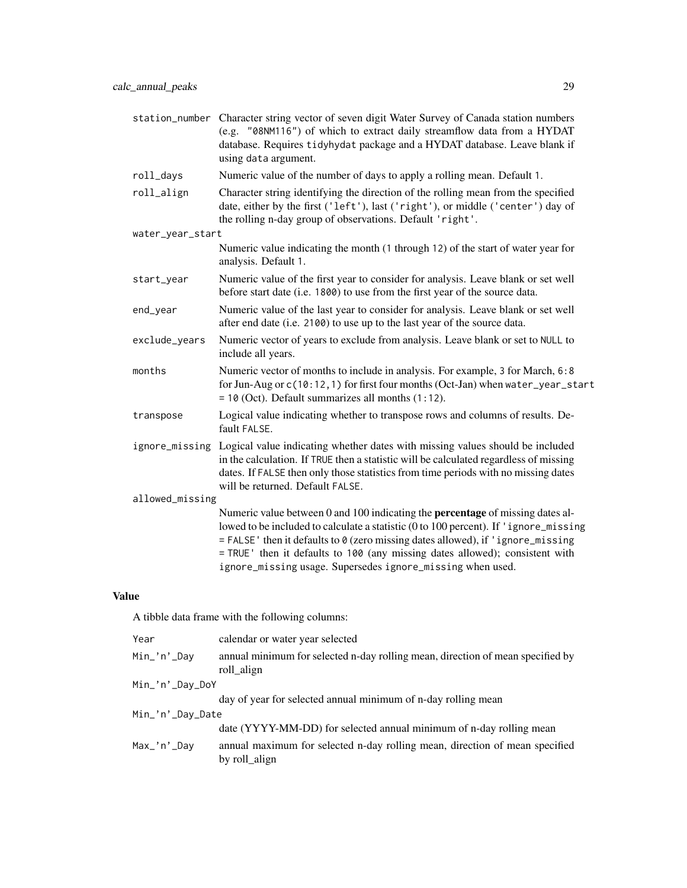|                  | station_number Character string vector of seven digit Water Survey of Canada station numbers<br>(e.g. "08NM116") of which to extract daily streamflow data from a HYDAT<br>database. Requires tidyhydat package and a HYDAT database. Leave blank if<br>using data argument.                                                                                                                                    |
|------------------|-----------------------------------------------------------------------------------------------------------------------------------------------------------------------------------------------------------------------------------------------------------------------------------------------------------------------------------------------------------------------------------------------------------------|
| roll_days        | Numeric value of the number of days to apply a rolling mean. Default 1.                                                                                                                                                                                                                                                                                                                                         |
| roll_align       | Character string identifying the direction of the rolling mean from the specified<br>date, either by the first ('left'), last ('right'), or middle ('center') day of<br>the rolling n-day group of observations. Default 'right'.                                                                                                                                                                               |
| water_year_start |                                                                                                                                                                                                                                                                                                                                                                                                                 |
|                  | Numeric value indicating the month (1 through 12) of the start of water year for<br>analysis. Default 1.                                                                                                                                                                                                                                                                                                        |
| start_year       | Numeric value of the first year to consider for analysis. Leave blank or set well<br>before start date (i.e. 1800) to use from the first year of the source data.                                                                                                                                                                                                                                               |
| end_year         | Numeric value of the last year to consider for analysis. Leave blank or set well<br>after end date (i.e. 2100) to use up to the last year of the source data.                                                                                                                                                                                                                                                   |
| exclude_years    | Numeric vector of years to exclude from analysis. Leave blank or set to NULL to<br>include all years.                                                                                                                                                                                                                                                                                                           |
| months           | Numeric vector of months to include in analysis. For example, 3 for March, 6:8<br>for Jun-Aug or c(10:12, 1) for first four months (Oct-Jan) when water_year_start<br>$= 10$ (Oct). Default summarizes all months $(1:12)$ .                                                                                                                                                                                    |
| transpose        | Logical value indicating whether to transpose rows and columns of results. De-<br>fault FALSE.                                                                                                                                                                                                                                                                                                                  |
|                  | ignore_missing Logical value indicating whether dates with missing values should be included<br>in the calculation. If TRUE then a statistic will be calculated regardless of missing<br>dates. If FALSE then only those statistics from time periods with no missing dates<br>will be returned. Default FALSE.                                                                                                 |
| allowed_missing  |                                                                                                                                                                                                                                                                                                                                                                                                                 |
|                  | Numeric value between 0 and 100 indicating the <b>percentage</b> of missing dates al-<br>lowed to be included to calculate a statistic (0 to 100 percent). If 'ignore_missing<br>= FALSE' then it defaults to 0 (zero missing dates allowed), if 'ignore_missing<br>= TRUE ' then it defaults to 100 (any missing dates allowed); consistent with<br>ignore_missing usage. Supersedes ignore_missing when used. |

A tibble data frame with the following columns:

| Year             | calendar or water year selected                                                              |  |
|------------------|----------------------------------------------------------------------------------------------|--|
| Min_'n'_Day      | annual minimum for selected n-day rolling mean, direction of mean specified by<br>roll_align |  |
| Min_'n'_Day_DoY  |                                                                                              |  |
|                  | day of year for selected annual minimum of n-day rolling mean                                |  |
| Min_'n'_Day_Date |                                                                                              |  |
|                  | date (YYYY-MM-DD) for selected annual minimum of n-day rolling mean                          |  |
| Max_'n'_Day      | annual maximum for selected n-day rolling mean, direction of mean specified<br>by roll_align |  |
|                  |                                                                                              |  |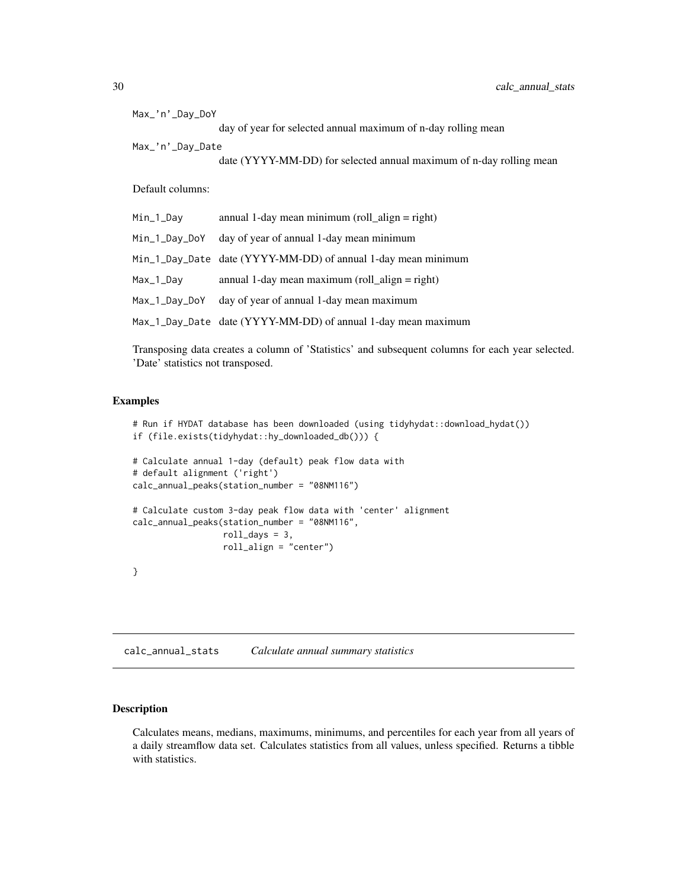<span id="page-29-0"></span>

| Max_'n'_Day_DoY  |                                                                     |  |  |
|------------------|---------------------------------------------------------------------|--|--|
|                  | day of year for selected annual maximum of n-day rolling mean       |  |  |
| Max_'n'_Day_Date |                                                                     |  |  |
|                  | date (YYYY-MM-DD) for selected annual maximum of n-day rolling mean |  |  |
| Default columns: |                                                                     |  |  |
| Min_1_Day        | annual 1-day mean minimum (roll_align = right)                      |  |  |
| Min_1_Day_DoY    | day of year of annual 1-day mean minimum                            |  |  |
|                  | Min_1_Day_Date date (YYYY-MM-DD) of annual 1-day mean minimum       |  |  |
| Max_1_Day        | annual 1-day mean maximum (roll_align = right)                      |  |  |
|                  | Max_1_Day_DoY day of year of annual 1-day mean maximum              |  |  |
|                  | Max_1_Day_Date date (YYYY-MM-DD) of annual 1-day mean maximum       |  |  |

Transposing data creates a column of 'Statistics' and subsequent columns for each year selected. 'Date' statistics not transposed.

# Examples

```
# Run if HYDAT database has been downloaded (using tidyhydat::download_hydat())
if (file.exists(tidyhydat::hy_downloaded_db())) {
# Calculate annual 1-day (default) peak flow data with
# default alignment ('right')
calc_annual_peaks(station_number = "08NM116")
# Calculate custom 3-day peak flow data with 'center' alignment
calc_annual_peaks(station_number = "08NM116",
                  roll\_days = 3,
                  roll_align = "center")
}
```
<span id="page-29-1"></span>calc\_annual\_stats *Calculate annual summary statistics*

# Description

Calculates means, medians, maximums, minimums, and percentiles for each year from all years of a daily streamflow data set. Calculates statistics from all values, unless specified. Returns a tibble with statistics.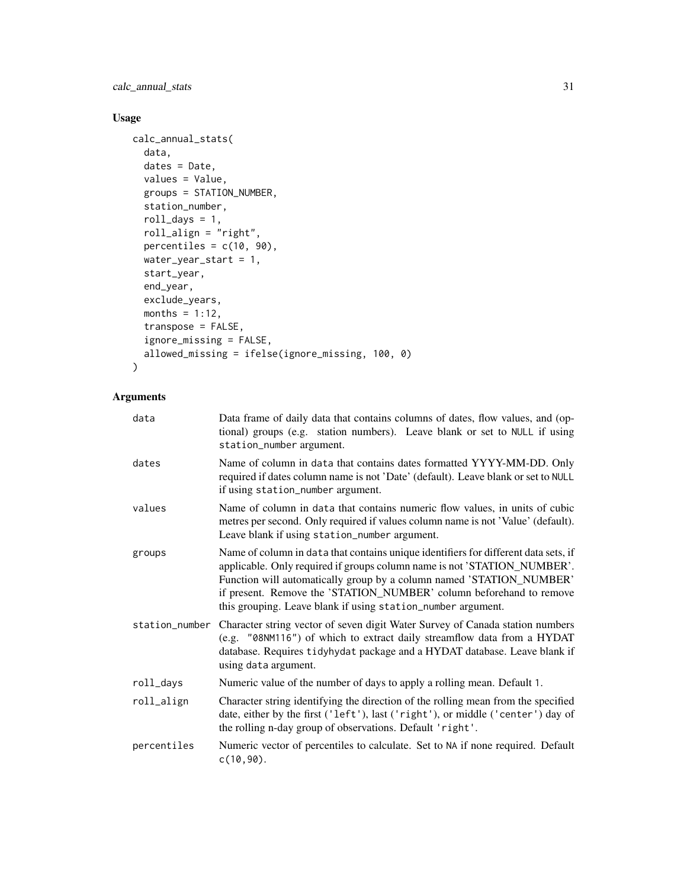calc\_annual\_stats 31

# Usage

```
calc_annual_stats(
 data,
 dates = Date,
 values = Value,
 groups = STATION_NUMBER,
 station_number,
  roll\_days = 1,
  roll_align = "right",
 percentiles = c(10, 90),
 water_year_start = 1,
  start_year,
  end_year,
  exclude_years,
 months = 1:12,
  transpose = FALSE,
  ignore_missing = FALSE,
 allowed_missing = ifelse(ignore_missing, 100, 0)
)
```

| data           | Data frame of daily data that contains columns of dates, flow values, and (op-<br>tional) groups (e.g. station numbers). Leave blank or set to NULL if using<br>station_number argument.                                                                                                                                                                                       |
|----------------|--------------------------------------------------------------------------------------------------------------------------------------------------------------------------------------------------------------------------------------------------------------------------------------------------------------------------------------------------------------------------------|
| dates          | Name of column in data that contains dates formatted YYYY-MM-DD. Only<br>required if dates column name is not 'Date' (default). Leave blank or set to NULL<br>if using station_number argument.                                                                                                                                                                                |
| values         | Name of column in data that contains numeric flow values, in units of cubic<br>metres per second. Only required if values column name is not 'Value' (default).<br>Leave blank if using station_number argument.                                                                                                                                                               |
| groups         | Name of column in data that contains unique identifiers for different data sets, if<br>applicable. Only required if groups column name is not 'STATION_NUMBER'.<br>Function will automatically group by a column named 'STATION_NUMBER'<br>if present. Remove the 'STATION_NUMBER' column beforehand to remove<br>this grouping. Leave blank if using station_number argument. |
| station_number | Character string vector of seven digit Water Survey of Canada station numbers<br>(e.g. "08NM116") of which to extract daily streamflow data from a HYDAT<br>database. Requires tidyhydat package and a HYDAT database. Leave blank if<br>using data argument.                                                                                                                  |
| roll_days      | Numeric value of the number of days to apply a rolling mean. Default 1.                                                                                                                                                                                                                                                                                                        |
| roll_align     | Character string identifying the direction of the rolling mean from the specified<br>date, either by the first ('left'), last ('right'), or middle ('center') day of<br>the rolling n-day group of observations. Default 'right'.                                                                                                                                              |
| percentiles    | Numeric vector of percentiles to calculate. Set to NA if none required. Default<br>$c(10, 90)$ .                                                                                                                                                                                                                                                                               |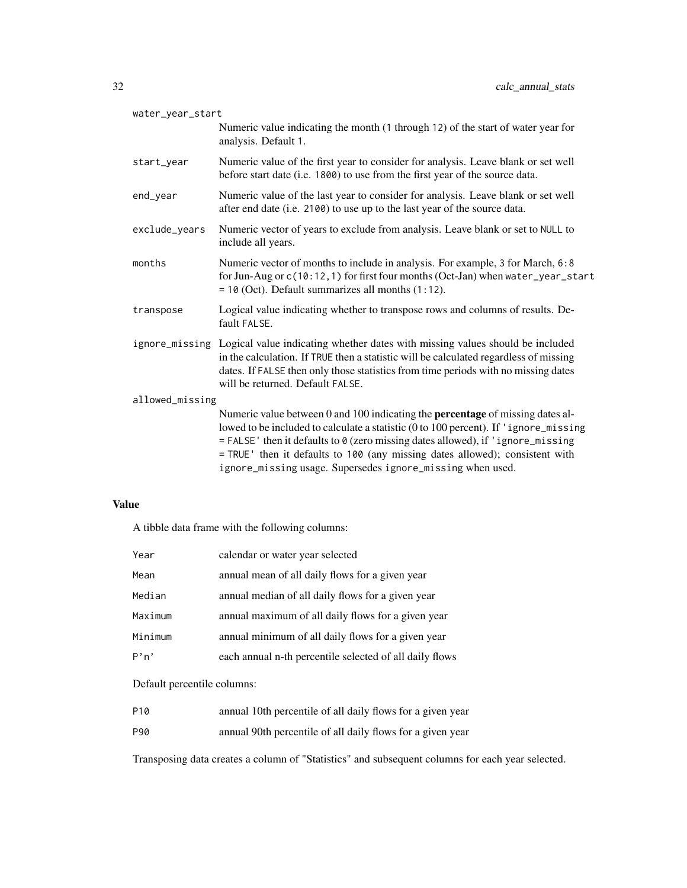| water_year_start                                                                                                                                                                                                                                                                                                                                                                                                |
|-----------------------------------------------------------------------------------------------------------------------------------------------------------------------------------------------------------------------------------------------------------------------------------------------------------------------------------------------------------------------------------------------------------------|
| Numeric value indicating the month (1 through 12) of the start of water year for<br>analysis. Default 1.                                                                                                                                                                                                                                                                                                        |
| Numeric value of the first year to consider for analysis. Leave blank or set well<br>before start date (i.e. 1800) to use from the first year of the source data.                                                                                                                                                                                                                                               |
| Numeric value of the last year to consider for analysis. Leave blank or set well<br>after end date (i.e. 2100) to use up to the last year of the source data.                                                                                                                                                                                                                                                   |
| Numeric vector of years to exclude from analysis. Leave blank or set to NULL to<br>include all years.                                                                                                                                                                                                                                                                                                           |
| Numeric vector of months to include in analysis. For example, 3 for March, 6:8<br>for Jun-Aug or c(10:12, 1) for first four months (Oct-Jan) when water_year_start<br>$= 10$ (Oct). Default summarizes all months $(1:12)$ .                                                                                                                                                                                    |
| Logical value indicating whether to transpose rows and columns of results. De-<br>fault FALSE.                                                                                                                                                                                                                                                                                                                  |
| ignore_missing Logical value indicating whether dates with missing values should be included<br>in the calculation. If TRUE then a statistic will be calculated regardless of missing<br>dates. If FALSE then only those statistics from time periods with no missing dates<br>will be returned. Default FALSE.                                                                                                 |
| allowed_missing                                                                                                                                                                                                                                                                                                                                                                                                 |
| Numeric value between 0 and 100 indicating the <b>percentage</b> of missing dates al-<br>lowed to be included to calculate a statistic (0 to 100 percent). If 'ignore_missing<br>= FALSE' then it defaults to 0 (zero missing dates allowed), if 'ignore_missing<br>= TRUE ' then it defaults to 100 (any missing dates allowed); consistent with<br>ignore_missing usage. Supersedes ignore_missing when used. |
|                                                                                                                                                                                                                                                                                                                                                                                                                 |

A tibble data frame with the following columns:

| Year    | calendar or water year selected                         |
|---------|---------------------------------------------------------|
| Mean    | annual mean of all daily flows for a given year         |
| Median  | annual median of all daily flows for a given year       |
| Maximum | annual maximum of all daily flows for a given year      |
| Minimum | annual minimum of all daily flows for a given year      |
| P'n'    | each annual n-th percentile selected of all daily flows |

# Default percentile columns:

- P10 annual 10th percentile of all daily flows for a given year
- P90 annual 90th percentile of all daily flows for a given year

Transposing data creates a column of "Statistics" and subsequent columns for each year selected.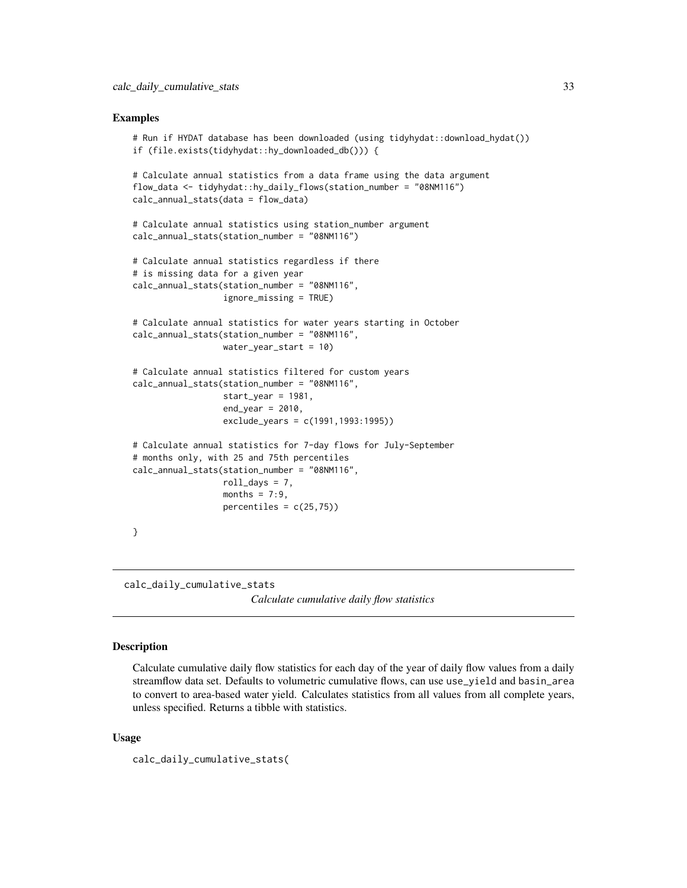#### <span id="page-32-0"></span>Examples

```
# Run if HYDAT database has been downloaded (using tidyhydat::download_hydat())
if (file.exists(tidyhydat::hy_downloaded_db())) {
# Calculate annual statistics from a data frame using the data argument
flow_data <- tidyhydat::hy_daily_flows(station_number = "08NM116")
calc_annual_stats(data = flow_data)
# Calculate annual statistics using station_number argument
calc_annual_stats(station_number = "08NM116")
# Calculate annual statistics regardless if there
# is missing data for a given year
calc_annual_stats(station_number = "08NM116",
                  ignore_missing = TRUE)
# Calculate annual statistics for water years starting in October
calc_annual_stats(station_number = "08NM116",
                  water_year_start = 10)
# Calculate annual statistics filtered for custom years
calc_annual_stats(station_number = "08NM116",
                  start_year = 1981,
                  end\_year = 2010,
                  exclude_years = c(1991,1993:1995))
# Calculate annual statistics for 7-day flows for July-September
# months only, with 25 and 75th percentiles
calc_annual_stats(station_number = "08NM116",
                 roll\_days = 7,
                 months = 7:9,
                  percentiles = c(25,75)}
```
calc\_daily\_cumulative\_stats *Calculate cumulative daily flow statistics*

# Description

Calculate cumulative daily flow statistics for each day of the year of daily flow values from a daily streamflow data set. Defaults to volumetric cumulative flows, can use use\_yield and basin\_area to convert to area-based water yield. Calculates statistics from all values from all complete years, unless specified. Returns a tibble with statistics.

#### Usage

calc\_daily\_cumulative\_stats(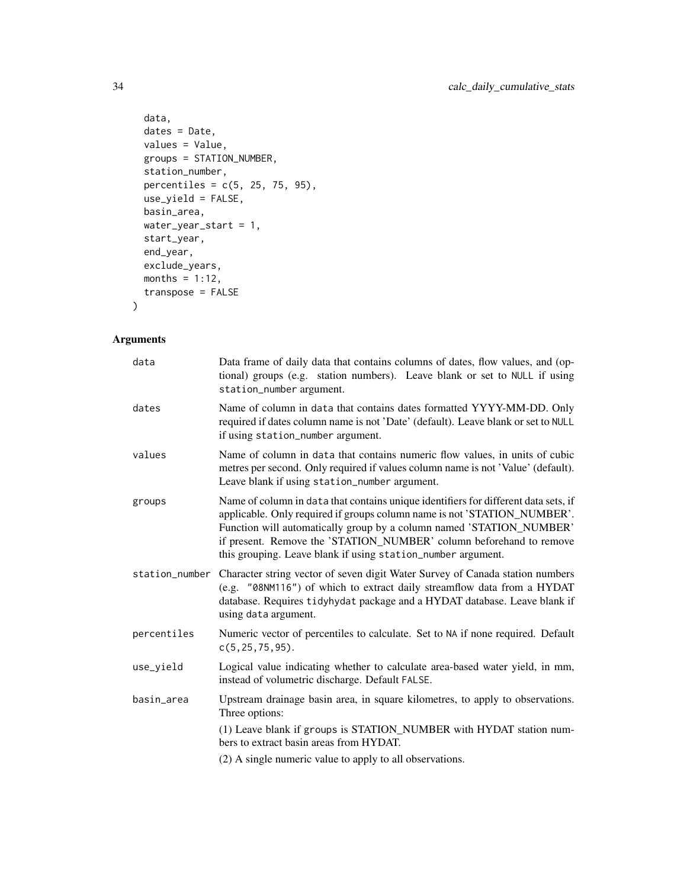```
data,
 dates = Date,
 values = Value,
 groups = STATION_NUMBER,
 station_number,
 percentiles = c(5, 25, 75, 95),
 use_yield = FALSE,
 basin_area,
 water_year_start = 1,
 start_year,
 end_year,
 exclude_years,
 months = 1:12,
 transpose = FALSE
\mathcal{L}
```

| data           | Data frame of daily data that contains columns of dates, flow values, and (op-<br>tional) groups (e.g. station numbers). Leave blank or set to NULL if using<br>station_number argument.                                                                                                                                                                                       |
|----------------|--------------------------------------------------------------------------------------------------------------------------------------------------------------------------------------------------------------------------------------------------------------------------------------------------------------------------------------------------------------------------------|
| dates          | Name of column in data that contains dates formatted YYYY-MM-DD. Only<br>required if dates column name is not 'Date' (default). Leave blank or set to NULL<br>if using station_number argument.                                                                                                                                                                                |
| values         | Name of column in data that contains numeric flow values, in units of cubic<br>metres per second. Only required if values column name is not 'Value' (default).<br>Leave blank if using station_number argument.                                                                                                                                                               |
| groups         | Name of column in data that contains unique identifiers for different data sets, if<br>applicable. Only required if groups column name is not 'STATION_NUMBER'.<br>Function will automatically group by a column named 'STATION_NUMBER'<br>if present. Remove the 'STATION_NUMBER' column beforehand to remove<br>this grouping. Leave blank if using station_number argument. |
| station_number | Character string vector of seven digit Water Survey of Canada station numbers<br>(e.g. "08NM116") of which to extract daily streamflow data from a HYDAT<br>database. Requires tidyhydat package and a HYDAT database. Leave blank if<br>using data argument.                                                                                                                  |
| percentiles    | Numeric vector of percentiles to calculate. Set to NA if none required. Default<br>$c(5, 25, 75, 95)$ .                                                                                                                                                                                                                                                                        |
| use_yield      | Logical value indicating whether to calculate area-based water yield, in mm,<br>instead of volumetric discharge. Default FALSE.                                                                                                                                                                                                                                                |
| basin_area     | Upstream drainage basin area, in square kilometres, to apply to observations.<br>Three options:                                                                                                                                                                                                                                                                                |
|                | (1) Leave blank if groups is STATION_NUMBER with HYDAT station num-<br>bers to extract basin areas from HYDAT.                                                                                                                                                                                                                                                                 |
|                | (2) A single numeric value to apply to all observations.                                                                                                                                                                                                                                                                                                                       |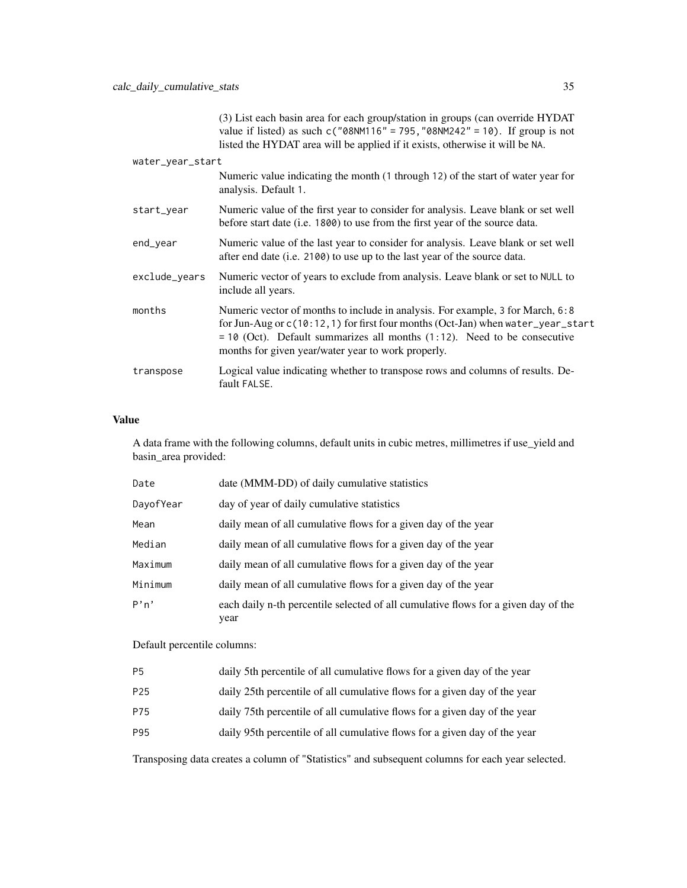|                  | value if listed) as such $c("08NM116" = 795, "08NM242" = 10)$ . If group is not<br>listed the HYDAT area will be applied if it exists, otherwise it will be NA.                                                                                                                                        |
|------------------|--------------------------------------------------------------------------------------------------------------------------------------------------------------------------------------------------------------------------------------------------------------------------------------------------------|
| water_year_start |                                                                                                                                                                                                                                                                                                        |
|                  | Numeric value indicating the month (1 through 12) of the start of water year for<br>analysis. Default 1.                                                                                                                                                                                               |
| start_year       | Numeric value of the first year to consider for analysis. Leave blank or set well<br>before start date (i.e. 1800) to use from the first year of the source data.                                                                                                                                      |
| end_year         | Numeric value of the last year to consider for analysis. Leave blank or set well<br>after end date (i.e. 2100) to use up to the last year of the source data.                                                                                                                                          |
| exclude_years    | Numeric vector of years to exclude from analysis. Leave blank or set to NULL to<br>include all years.                                                                                                                                                                                                  |
| months           | Numeric vector of months to include in analysis. For example, 3 for March, 6:8<br>for Jun-Aug or c(10:12, 1) for first four months (Oct-Jan) when water_year_start<br>$= 10$ (Oct). Default summarizes all months (1:12). Need to be consecutive<br>months for given year/water year to work properly. |
| transpose        | Logical value indicating whether to transpose rows and columns of results. De-<br>fault FALSE.                                                                                                                                                                                                         |

(3) List each basin area for each group/station in groups (can override HYDAT

## Value

A data frame with the following columns, default units in cubic metres, millimetres if use\_yield and basin\_area provided:

| date (MMM-DD) of daily cumulative statistics                                               |
|--------------------------------------------------------------------------------------------|
| day of year of daily cumulative statistics                                                 |
| daily mean of all cumulative flows for a given day of the year                             |
| daily mean of all cumulative flows for a given day of the year                             |
| daily mean of all cumulative flows for a given day of the year                             |
| daily mean of all cumulative flows for a given day of the year                             |
| each daily n-th percentile selected of all cumulative flows for a given day of the<br>year |
|                                                                                            |

Default percentile columns:

| P <sub>5</sub><br>daily 5th percentile of all cumulative flows for a given day of the year |  |
|--------------------------------------------------------------------------------------------|--|
|--------------------------------------------------------------------------------------------|--|

P25 daily 25th percentile of all cumulative flows for a given day of the year

- P75 daily 75th percentile of all cumulative flows for a given day of the year
- P95 daily 95th percentile of all cumulative flows for a given day of the year

Transposing data creates a column of "Statistics" and subsequent columns for each year selected.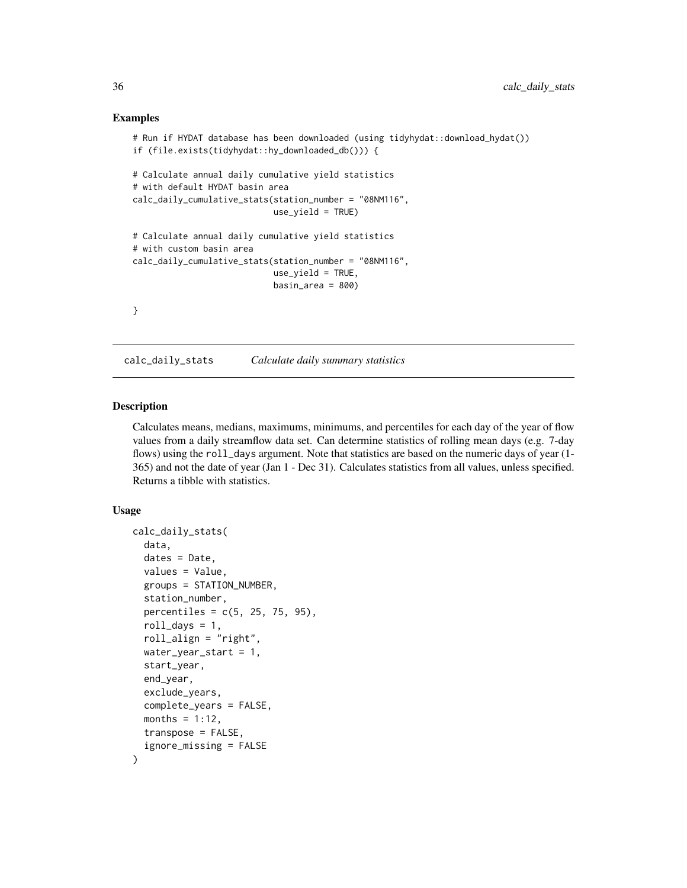#### Examples

```
# Run if HYDAT database has been downloaded (using tidyhydat::download_hydat())
if (file.exists(tidyhydat::hy_downloaded_db())) {
# Calculate annual daily cumulative yield statistics
# with default HYDAT basin area
calc_daily_cumulative_stats(station_number = "08NM116",
                            use_yield = TRUE)
# Calculate annual daily cumulative yield statistics
# with custom basin area
calc_daily_cumulative_stats(station_number = "08NM116",
                            use_yield = TRUE,
                            basin_area = 800}
```
calc\_daily\_stats *Calculate daily summary statistics*

# Description

Calculates means, medians, maximums, minimums, and percentiles for each day of the year of flow values from a daily streamflow data set. Can determine statistics of rolling mean days (e.g. 7-day flows) using the roll\_days argument. Note that statistics are based on the numeric days of year (1- 365) and not the date of year (Jan 1 - Dec 31). Calculates statistics from all values, unless specified. Returns a tibble with statistics.

#### Usage

```
calc_daily_stats(
  data,
  dates = Date,
  values = Value,
  groups = STATION_NUMBER,
  station_number,
  percentiles = c(5, 25, 75, 95),
  roll\_days = 1,
  roll_align = "right",
 water_year_start = 1,
  start_year,
  end_year,
  exclude_years,
  complete_years = FALSE,
  months = 1:12,
  transpose = FALSE,
  ignore_missing = FALSE
)
```
<span id="page-35-0"></span>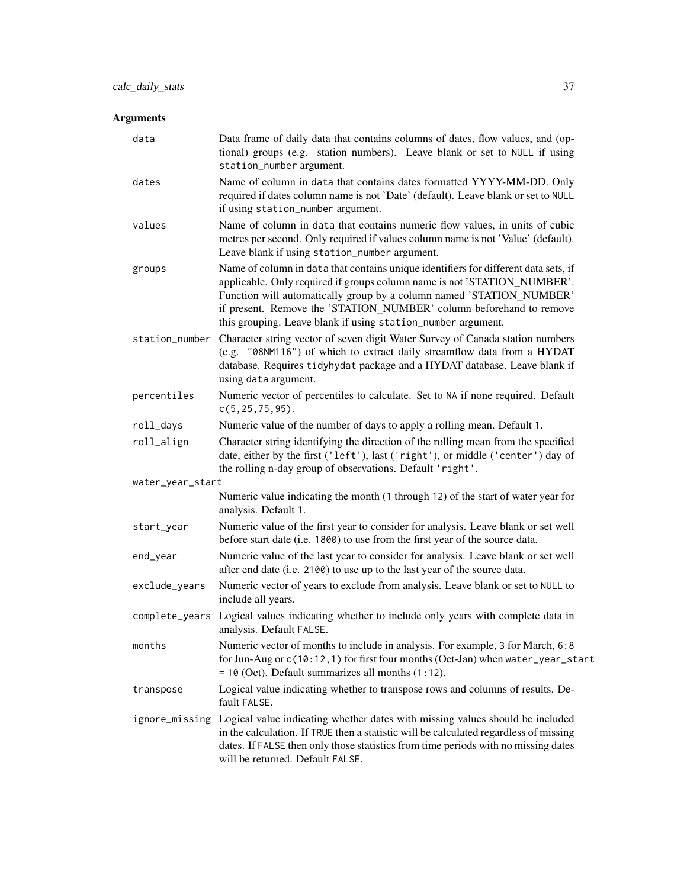| data             | Data frame of daily data that contains columns of dates, flow values, and (op-<br>tional) groups (e.g. station numbers). Leave blank or set to NULL if using<br>station_number argument.                                                                                                                                                                                       |
|------------------|--------------------------------------------------------------------------------------------------------------------------------------------------------------------------------------------------------------------------------------------------------------------------------------------------------------------------------------------------------------------------------|
| dates            | Name of column in data that contains dates formatted YYYY-MM-DD. Only<br>required if dates column name is not 'Date' (default). Leave blank or set to NULL<br>if using station_number argument.                                                                                                                                                                                |
| values           | Name of column in data that contains numeric flow values, in units of cubic<br>metres per second. Only required if values column name is not 'Value' (default).<br>Leave blank if using station_number argument.                                                                                                                                                               |
| groups           | Name of column in data that contains unique identifiers for different data sets, if<br>applicable. Only required if groups column name is not 'STATION_NUMBER'.<br>Function will automatically group by a column named 'STATION_NUMBER'<br>if present. Remove the 'STATION_NUMBER' column beforehand to remove<br>this grouping. Leave blank if using station_number argument. |
| station_number   | Character string vector of seven digit Water Survey of Canada station numbers<br>(e.g. "08NM116") of which to extract daily streamflow data from a HYDAT<br>database. Requires tidyhydat package and a HYDAT database. Leave blank if<br>using data argument.                                                                                                                  |
| percentiles      | Numeric vector of percentiles to calculate. Set to NA if none required. Default<br>$c(5, 25, 75, 95)$ .                                                                                                                                                                                                                                                                        |
| roll_days        | Numeric value of the number of days to apply a rolling mean. Default 1.                                                                                                                                                                                                                                                                                                        |
| roll_align       | Character string identifying the direction of the rolling mean from the specified<br>date, either by the first ('left'), last ('right'), or middle ('center') day of<br>the rolling n-day group of observations. Default 'right'.                                                                                                                                              |
| water_year_start |                                                                                                                                                                                                                                                                                                                                                                                |
|                  | Numeric value indicating the month (1 through 12) of the start of water year for<br>analysis. Default 1.                                                                                                                                                                                                                                                                       |
| start_year       | Numeric value of the first year to consider for analysis. Leave blank or set well<br>before start date (i.e. 1800) to use from the first year of the source data.                                                                                                                                                                                                              |
| end_year         | Numeric value of the last year to consider for analysis. Leave blank or set well<br>after end date (i.e. 2100) to use up to the last year of the source data.                                                                                                                                                                                                                  |
| exclude_years    | Numeric vector of years to exclude from analysis. Leave blank or set to NULL to<br>include all years.                                                                                                                                                                                                                                                                          |
| complete_years   | Logical values indicating whether to include only years with complete data in<br>analysis. Default FALSE.                                                                                                                                                                                                                                                                      |
| months           | Numeric vector of months to include in analysis. For example, 3 for March, 6:8<br>for Jun-Aug or c(10:12, 1) for first four months (Oct-Jan) when water_year_start<br>$= 10$ (Oct). Default summarizes all months $(1:12)$ .                                                                                                                                                   |
| transpose        | Logical value indicating whether to transpose rows and columns of results. De-<br>fault FALSE.                                                                                                                                                                                                                                                                                 |
| ignore_missing   | Logical value indicating whether dates with missing values should be included<br>in the calculation. If TRUE then a statistic will be calculated regardless of missing<br>dates. If FALSE then only those statistics from time periods with no missing dates<br>will be returned. Default FALSE.                                                                               |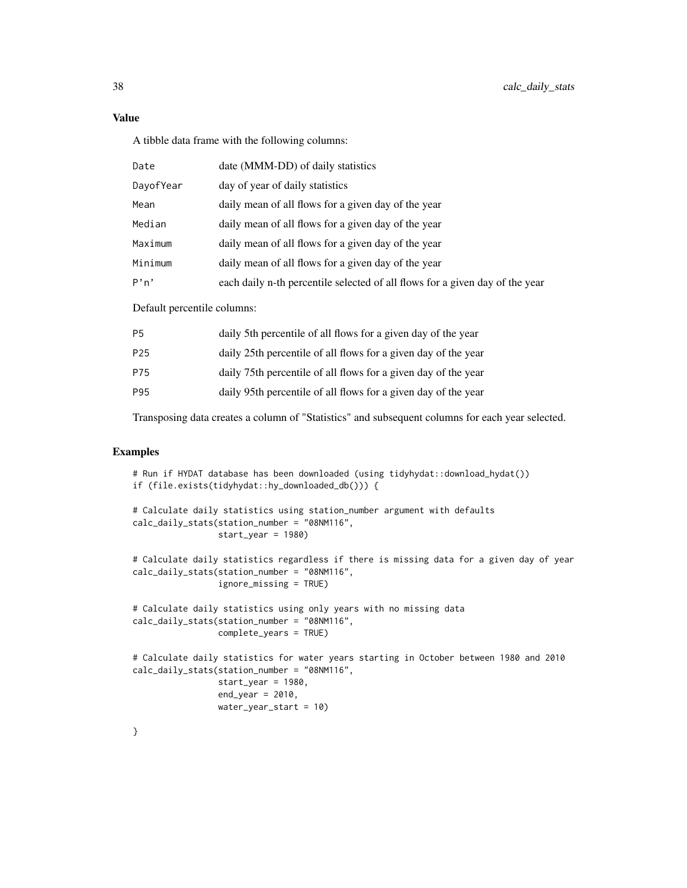A tibble data frame with the following columns:

| Date      | date (MMM-DD) of daily statistics                                            |
|-----------|------------------------------------------------------------------------------|
| DayofYear | day of year of daily statistics                                              |
| Mean      | daily mean of all flows for a given day of the year                          |
| Median    | daily mean of all flows for a given day of the year                          |
| Maximum   | daily mean of all flows for a given day of the year                          |
| Minimum   | daily mean of all flows for a given day of the year                          |
| P'n'      | each daily n-th percentile selected of all flows for a given day of the year |

Default percentile columns:

| <b>P5</b>       | daily 5th percentile of all flows for a given day of the year  |
|-----------------|----------------------------------------------------------------|
| P <sub>25</sub> | daily 25th percentile of all flows for a given day of the year |
| P75             | daily 75th percentile of all flows for a given day of the year |
| P95             | daily 95th percentile of all flows for a given day of the year |

Transposing data creates a column of "Statistics" and subsequent columns for each year selected.

## Examples

```
# Run if HYDAT database has been downloaded (using tidyhydat::download_hydat())
if (file.exists(tidyhydat::hy_downloaded_db())) {
# Calculate daily statistics using station_number argument with defaults
calc_daily_stats(station_number = "08NM116",
                 start_year = 1980)
# Calculate daily statistics regardless if there is missing data for a given day of year
calc_daily_stats(station_number = "08NM116",
                ignore_missing = TRUE)
# Calculate daily statistics using only years with no missing data
calc_daily_stats(station_number = "08NM116",
                 complete_years = TRUE)
# Calculate daily statistics for water years starting in October between 1980 and 2010
calc_daily_stats(station_number = "08NM116",
                 start_year = 1980,
                 end\_year = 2010,water_year_start = 10)
}
```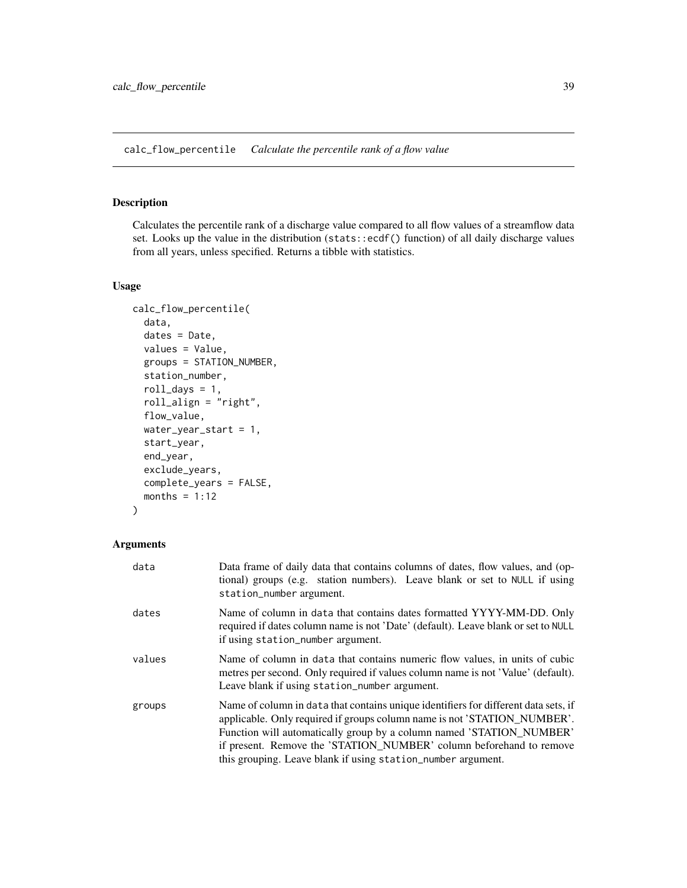calc\_flow\_percentile *Calculate the percentile rank of a flow value*

## Description

Calculates the percentile rank of a discharge value compared to all flow values of a streamflow data set. Looks up the value in the distribution (stats::ecdf() function) of all daily discharge values from all years, unless specified. Returns a tibble with statistics.

#### Usage

```
calc_flow_percentile(
  data,
  dates = Date,
  values = Value,
  groups = STATION_NUMBER,
  station_number,
  roll\_days = 1,
  roll_align = "right",
  flow_value,
  water_year_start = 1,
  start_year,
  end_year,
  exclude_years,
  complete_years = FALSE,
 months = 1:12)
```

| data   | Data frame of daily data that contains columns of dates, flow values, and (op-<br>tional) groups (e.g. station numbers). Leave blank or set to NULL if using<br>station_number argument.                                                                                                                                                                                       |
|--------|--------------------------------------------------------------------------------------------------------------------------------------------------------------------------------------------------------------------------------------------------------------------------------------------------------------------------------------------------------------------------------|
| dates  | Name of column in data that contains dates formatted YYYY-MM-DD. Only<br>required if dates column name is not 'Date' (default). Leave blank or set to NULL<br>if using station_number argument.                                                                                                                                                                                |
| values | Name of column in data that contains numeric flow values, in units of cubic<br>metres per second. Only required if values column name is not 'Value' (default).<br>Leave blank if using station_number argument.                                                                                                                                                               |
| groups | Name of column in data that contains unique identifiers for different data sets, if<br>applicable. Only required if groups column name is not 'STATION_NUMBER'.<br>Function will automatically group by a column named 'STATION_NUMBER'<br>if present. Remove the 'STATION_NUMBER' column beforehand to remove<br>this grouping. Leave blank if using station_number argument. |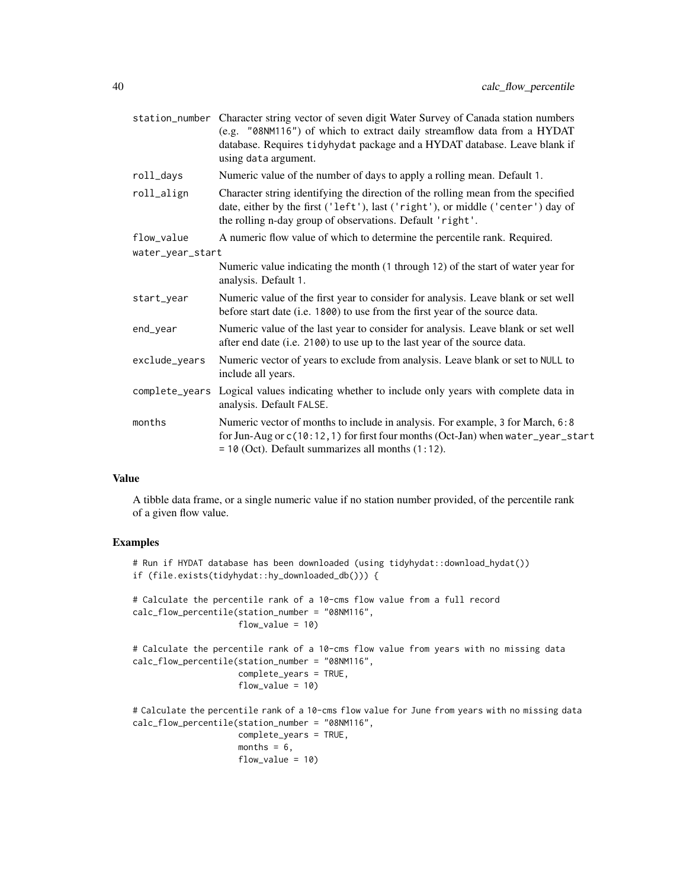|                  | station_number Character string vector of seven digit Water Survey of Canada station numbers<br>(e.g. "08NM116") of which to extract daily streamflow data from a HYDAT<br>database. Requires tidyhydat package and a HYDAT database. Leave blank if<br>using data argument. |
|------------------|------------------------------------------------------------------------------------------------------------------------------------------------------------------------------------------------------------------------------------------------------------------------------|
| roll_days        | Numeric value of the number of days to apply a rolling mean. Default 1.                                                                                                                                                                                                      |
| roll_align       | Character string identifying the direction of the rolling mean from the specified<br>date, either by the first ('left'), last ('right'), or middle ('center') day of<br>the rolling n-day group of observations. Default 'right'.                                            |
| flow_value       | A numeric flow value of which to determine the percentile rank. Required.                                                                                                                                                                                                    |
| water_year_start |                                                                                                                                                                                                                                                                              |
|                  | Numeric value indicating the month (1 through 12) of the start of water year for<br>analysis. Default 1.                                                                                                                                                                     |
| start_year       | Numeric value of the first year to consider for analysis. Leave blank or set well<br>before start date (i.e. 1800) to use from the first year of the source data.                                                                                                            |
| end_year         | Numeric value of the last year to consider for analysis. Leave blank or set well<br>after end date (i.e. 2100) to use up to the last year of the source data.                                                                                                                |
| exclude_years    | Numeric vector of years to exclude from analysis. Leave blank or set to NULL to<br>include all years.                                                                                                                                                                        |
| complete_years   | Logical values indicating whether to include only years with complete data in<br>analysis. Default FALSE.                                                                                                                                                                    |
| months           | Numeric vector of months to include in analysis. For example, 3 for March, 6:8<br>for Jun-Aug or c(10:12, 1) for first four months (Oct-Jan) when water_year_start<br>$= 10$ (Oct). Default summarizes all months $(1:12)$ .                                                 |

A tibble data frame, or a single numeric value if no station number provided, of the percentile rank of a given flow value.

## Examples

```
# Run if HYDAT database has been downloaded (using tidyhydat::download_hydat())
if (file.exists(tidyhydat::hy_downloaded_db())) {
# Calculate the percentile rank of a 10-cms flow value from a full record
calc_flow_percentile(station_number = "08NM116",
                     flow_value = 10)
# Calculate the percentile rank of a 10-cms flow value from years with no missing data
calc_flow_percentile(station_number = "08NM116",
                     complete_years = TRUE,
                     flow_value = 10)
# Calculate the percentile rank of a 10-cms flow value for June from years with no missing data
calc_flow_percentile(station_number = "08NM116",
                     complete_years = TRUE,
                     months = 6,
                     flow_value = 10)
```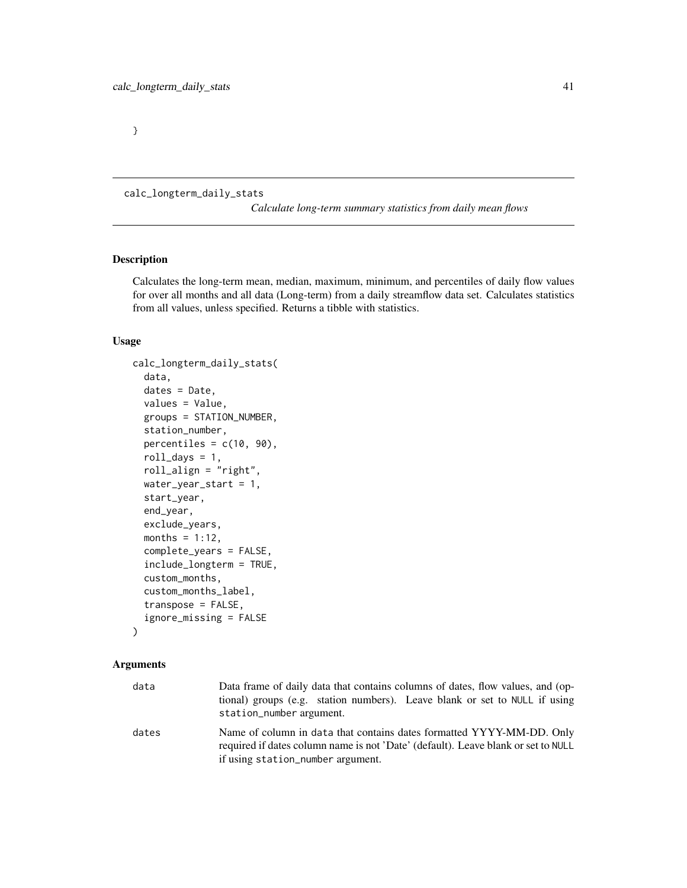}

<span id="page-40-0"></span>calc\_longterm\_daily\_stats

*Calculate long-term summary statistics from daily mean flows*

## Description

Calculates the long-term mean, median, maximum, minimum, and percentiles of daily flow values for over all months and all data (Long-term) from a daily streamflow data set. Calculates statistics from all values, unless specified. Returns a tibble with statistics.

## Usage

```
calc_longterm_daily_stats(
  data,
  dates = Date,
  values = Value,
  groups = STATION_NUMBER,
  station_number,
  percentiles = c(10, 90),
  roll\_days = 1,
  roll_align = "right",
  water_year_start = 1,
  start_year,
  end_year,
  exclude_years,
  months = 1:12,
  complete_years = FALSE,
  include_longterm = TRUE,
  custom_months,
  custom_months_label,
  transpose = FALSE,
  ignore_missing = FALSE
)
```

| data  | Data frame of daily data that contains columns of dates, flow values, and (op-<br>tional) groups (e.g. station numbers). Leave blank or set to NULL if using<br>station_number argument.        |
|-------|-------------------------------------------------------------------------------------------------------------------------------------------------------------------------------------------------|
| dates | Name of column in data that contains dates formatted YYYY-MM-DD. Only<br>required if dates column name is not 'Date' (default). Leave blank or set to NULL<br>if using station_number argument. |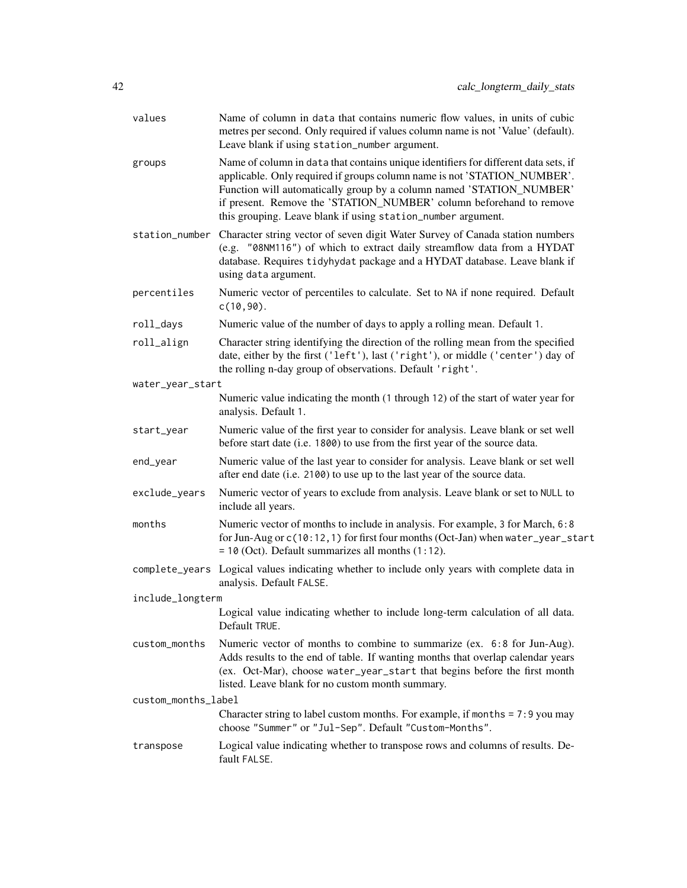| values              | Name of column in data that contains numeric flow values, in units of cubic<br>metres per second. Only required if values column name is not 'Value' (default).<br>Leave blank if using station_number argument.                                                                                                                                                               |
|---------------------|--------------------------------------------------------------------------------------------------------------------------------------------------------------------------------------------------------------------------------------------------------------------------------------------------------------------------------------------------------------------------------|
| groups              | Name of column in data that contains unique identifiers for different data sets, if<br>applicable. Only required if groups column name is not 'STATION_NUMBER'.<br>Function will automatically group by a column named 'STATION_NUMBER'<br>if present. Remove the 'STATION_NUMBER' column beforehand to remove<br>this grouping. Leave blank if using station_number argument. |
|                     | station_number Character string vector of seven digit Water Survey of Canada station numbers<br>(e.g. "08NM116") of which to extract daily streamflow data from a HYDAT<br>database. Requires tidyhydat package and a HYDAT database. Leave blank if<br>using data argument.                                                                                                   |
| percentiles         | Numeric vector of percentiles to calculate. Set to NA if none required. Default<br>$c(10, 90)$ .                                                                                                                                                                                                                                                                               |
| roll_days           | Numeric value of the number of days to apply a rolling mean. Default 1.                                                                                                                                                                                                                                                                                                        |
| roll_align          | Character string identifying the direction of the rolling mean from the specified<br>date, either by the first ('left'), last ('right'), or middle ('center') day of<br>the rolling n-day group of observations. Default 'right'.                                                                                                                                              |
| water_year_start    | Numeric value indicating the month (1 through 12) of the start of water year for                                                                                                                                                                                                                                                                                               |
|                     | analysis. Default 1.                                                                                                                                                                                                                                                                                                                                                           |
| start_year          | Numeric value of the first year to consider for analysis. Leave blank or set well<br>before start date (i.e. 1800) to use from the first year of the source data.                                                                                                                                                                                                              |
| end_year            | Numeric value of the last year to consider for analysis. Leave blank or set well<br>after end date (i.e. 2100) to use up to the last year of the source data.                                                                                                                                                                                                                  |
| exclude_years       | Numeric vector of years to exclude from analysis. Leave blank or set to NULL to<br>include all years.                                                                                                                                                                                                                                                                          |
| months              | Numeric vector of months to include in analysis. For example, 3 for March, 6:8<br>for Jun-Aug or c(10:12, 1) for first four months (Oct-Jan) when water_year_start<br>$= 10$ (Oct). Default summarizes all months $(1:12)$ .                                                                                                                                                   |
|                     | complete_years Logical values indicating whether to include only years with complete data in<br>analysis. Default FALSE.                                                                                                                                                                                                                                                       |
| include_longterm    |                                                                                                                                                                                                                                                                                                                                                                                |
|                     | Logical value indicating whether to include long-term calculation of all data.<br>Default TRUE.                                                                                                                                                                                                                                                                                |
| custom_months       | Numeric vector of months to combine to summarize (ex. 6:8 for Jun-Aug).<br>Adds results to the end of table. If wanting months that overlap calendar years<br>(ex. Oct-Mar), choose water_year_start that begins before the first month<br>listed. Leave blank for no custom month summary.                                                                                    |
| custom_months_label |                                                                                                                                                                                                                                                                                                                                                                                |
|                     | Character string to label custom months. For example, if months $= 7:9$ you may<br>choose "Summer" or "Jul-Sep". Default "Custom-Months".                                                                                                                                                                                                                                      |
| transpose           | Logical value indicating whether to transpose rows and columns of results. De-<br>fault FALSE.                                                                                                                                                                                                                                                                                 |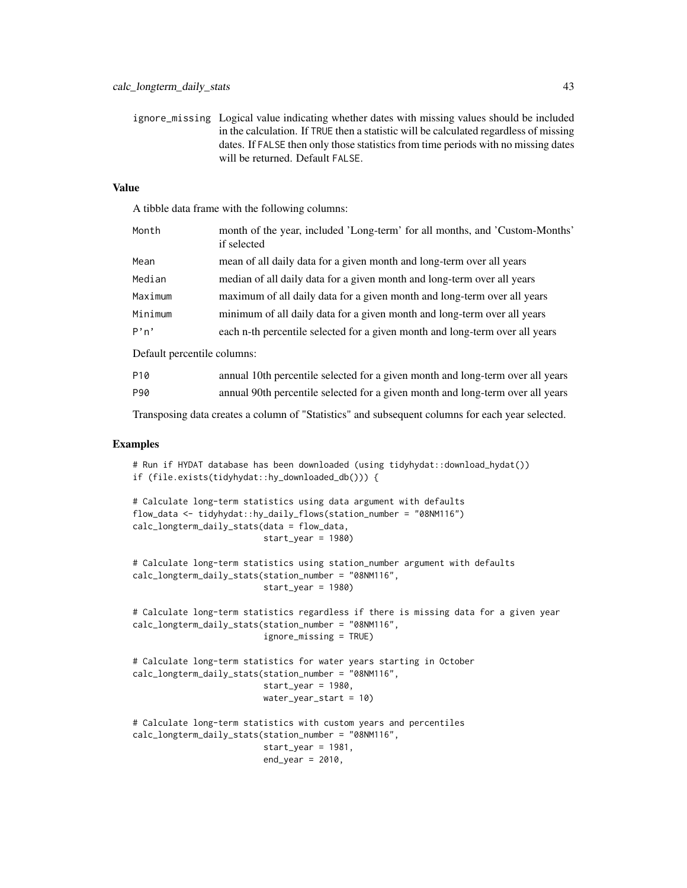ignore\_missing Logical value indicating whether dates with missing values should be included in the calculation. If TRUE then a statistic will be calculated regardless of missing dates. If FALSE then only those statistics from time periods with no missing dates will be returned. Default FALSE.

## Value

A tibble data frame with the following columns:

| Month   | month of the year, included 'Long-term' for all months, and 'Custom-Months'<br>if selected |
|---------|--------------------------------------------------------------------------------------------|
| Mean    | mean of all daily data for a given month and long-term over all years                      |
| Median  | median of all daily data for a given month and long-term over all years                    |
| Maximum | maximum of all daily data for a given month and long-term over all years                   |
| Minimum | minimum of all daily data for a given month and long-term over all years                   |
| P'n'    | each n-th percentile selected for a given month and long-term over all years               |
|         |                                                                                            |

Default percentile columns:

| P10 | annual 10th percentile selected for a given month and long-term over all years |
|-----|--------------------------------------------------------------------------------|
| P90 | annual 90th percentile selected for a given month and long-term over all years |

Transposing data creates a column of "Statistics" and subsequent columns for each year selected.

## Examples

```
# Run if HYDAT database has been downloaded (using tidyhydat::download_hydat())
if (file.exists(tidyhydat::hy_downloaded_db())) {
```

```
# Calculate long-term statistics using data argument with defaults
flow_data <- tidyhydat::hy_daily_flows(station_number = "08NM116")
calc_longterm_daily_stats(data = flow_data,
                          start_year = 1980)
```

```
# Calculate long-term statistics using station_number argument with defaults
calc_longterm_daily_stats(station_number = "08NM116",
                          start_year = 1980)
```

```
# Calculate long-term statistics regardless if there is missing data for a given year
calc_longterm_daily_stats(station_number = "08NM116",
                          ignore_missing = TRUE)
```

```
# Calculate long-term statistics for water years starting in October
calc_longterm_daily_stats(station_number = "08NM116",
                          start_year = 1980,
                          water_year_start = 10)
```

```
# Calculate long-term statistics with custom years and percentiles
calc_longterm_daily_stats(station_number = "08NM116",
                          start_year = 1981,
                          end_year = 2010,
```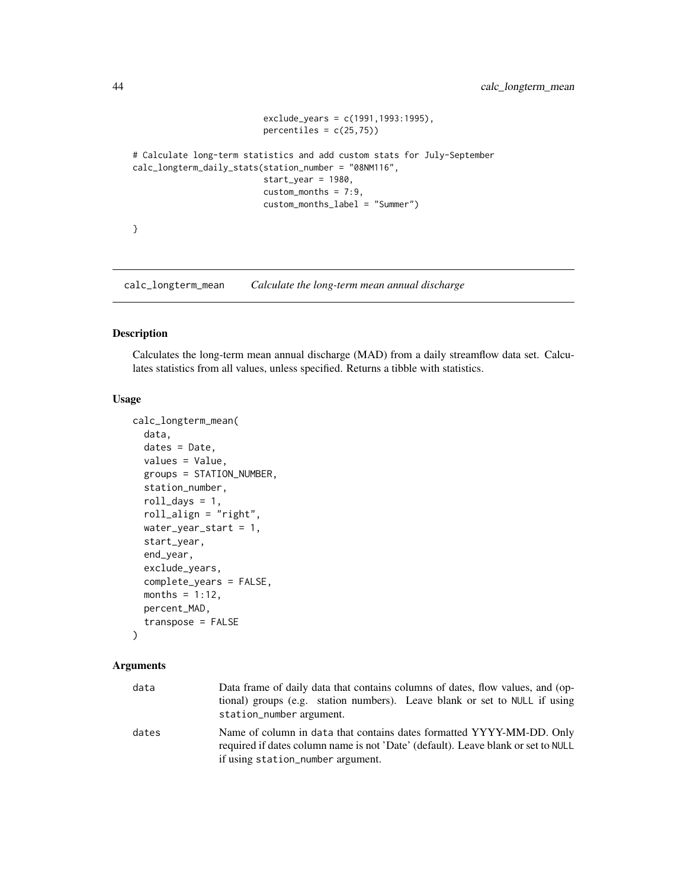```
exclude_years = c(1991,1993:1995),
                          percentiles = c(25,75)# Calculate long-term statistics and add custom stats for July-September
calc_longterm_daily_stats(station_number = "08NM116",
                         start_year = 1980,
                         custom_months = 7:9,
                         custom_months_label = "Summer")
}
```
calc\_longterm\_mean *Calculate the long-term mean annual discharge*

## Description

Calculates the long-term mean annual discharge (MAD) from a daily streamflow data set. Calculates statistics from all values, unless specified. Returns a tibble with statistics.

#### Usage

```
calc_longterm_mean(
  data,
  dates = Date,
  values = Value,
  groups = STATION_NUMBER,
  station_number,
  roll\_days = 1,
  roll_align = "right",
  water_year_start = 1,
  start_year,
  end_year,
  exclude_years,
  complete_years = FALSE,
  months = 1:12,
  percent_MAD,
  transpose = FALSE
```
## )

| data  | Data frame of daily data that contains columns of dates, flow values, and (op-<br>tional) groups (e.g. station numbers). Leave blank or set to NULL if using<br>station_number argument.        |
|-------|-------------------------------------------------------------------------------------------------------------------------------------------------------------------------------------------------|
| dates | Name of column in data that contains dates formatted YYYY-MM-DD. Only<br>required if dates column name is not 'Date' (default). Leave blank or set to NULL<br>if using station_number argument. |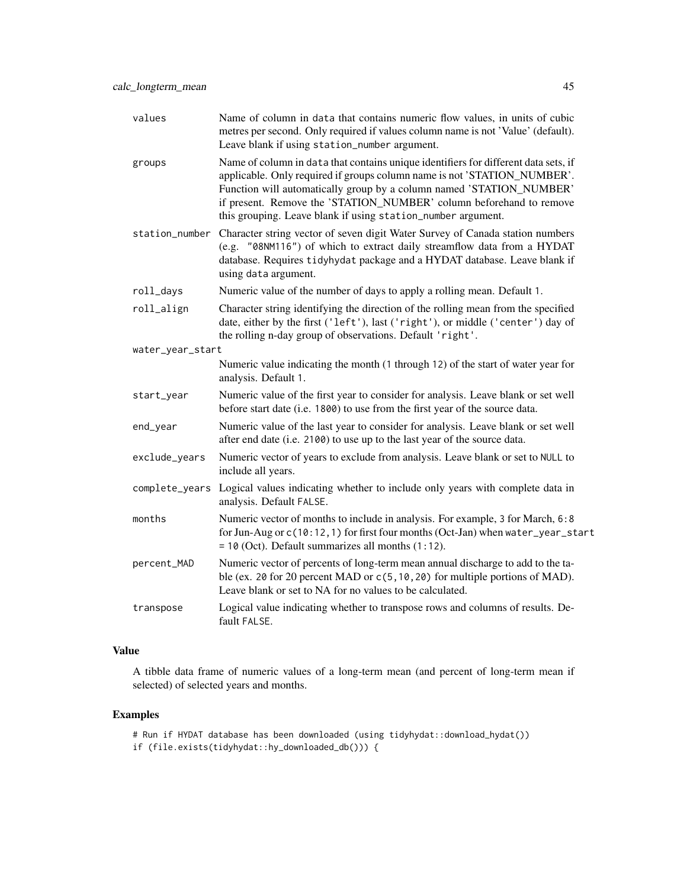| values           | Name of column in data that contains numeric flow values, in units of cubic<br>metres per second. Only required if values column name is not 'Value' (default).<br>Leave blank if using station_number argument.                                                                                                                                                               |  |
|------------------|--------------------------------------------------------------------------------------------------------------------------------------------------------------------------------------------------------------------------------------------------------------------------------------------------------------------------------------------------------------------------------|--|
| groups           | Name of column in data that contains unique identifiers for different data sets, if<br>applicable. Only required if groups column name is not 'STATION_NUMBER'.<br>Function will automatically group by a column named 'STATION_NUMBER'<br>if present. Remove the 'STATION_NUMBER' column beforehand to remove<br>this grouping. Leave blank if using station_number argument. |  |
| station_number   | Character string vector of seven digit Water Survey of Canada station numbers<br>(e.g. "08NM116") of which to extract daily streamflow data from a HYDAT<br>database. Requires tidyhydat package and a HYDAT database. Leave blank if<br>using data argument.                                                                                                                  |  |
| roll_days        | Numeric value of the number of days to apply a rolling mean. Default 1.                                                                                                                                                                                                                                                                                                        |  |
| roll_align       | Character string identifying the direction of the rolling mean from the specified<br>date, either by the first ('left'), last ('right'), or middle ('center') day of<br>the rolling n-day group of observations. Default 'right'.                                                                                                                                              |  |
| water_year_start |                                                                                                                                                                                                                                                                                                                                                                                |  |
|                  | Numeric value indicating the month (1 through 12) of the start of water year for<br>analysis. Default 1.                                                                                                                                                                                                                                                                       |  |
| start_year       | Numeric value of the first year to consider for analysis. Leave blank or set well<br>before start date (i.e. 1800) to use from the first year of the source data.                                                                                                                                                                                                              |  |
| end_year         | Numeric value of the last year to consider for analysis. Leave blank or set well<br>after end date (i.e. 2100) to use up to the last year of the source data.                                                                                                                                                                                                                  |  |
| exclude_years    | Numeric vector of years to exclude from analysis. Leave blank or set to NULL to<br>include all years.                                                                                                                                                                                                                                                                          |  |
| complete_years   | Logical values indicating whether to include only years with complete data in<br>analysis. Default FALSE.                                                                                                                                                                                                                                                                      |  |
| months           | Numeric vector of months to include in analysis. For example, 3 for March, 6:8<br>for Jun-Aug or c(10:12, 1) for first four months (Oct-Jan) when water_year_start<br>$= 10$ (Oct). Default summarizes all months $(1:12)$ .                                                                                                                                                   |  |
| percent_MAD      | Numeric vector of percents of long-term mean annual discharge to add to the ta-<br>ble (ex. 20 for 20 percent MAD or c(5, 10, 20) for multiple portions of MAD).<br>Leave blank or set to NA for no values to be calculated.                                                                                                                                                   |  |
| transpose        | Logical value indicating whether to transpose rows and columns of results. De-<br>fault FALSE.                                                                                                                                                                                                                                                                                 |  |

A tibble data frame of numeric values of a long-term mean (and percent of long-term mean if selected) of selected years and months.

## Examples

# Run if HYDAT database has been downloaded (using tidyhydat::download\_hydat()) if (file.exists(tidyhydat::hy\_downloaded\_db())) {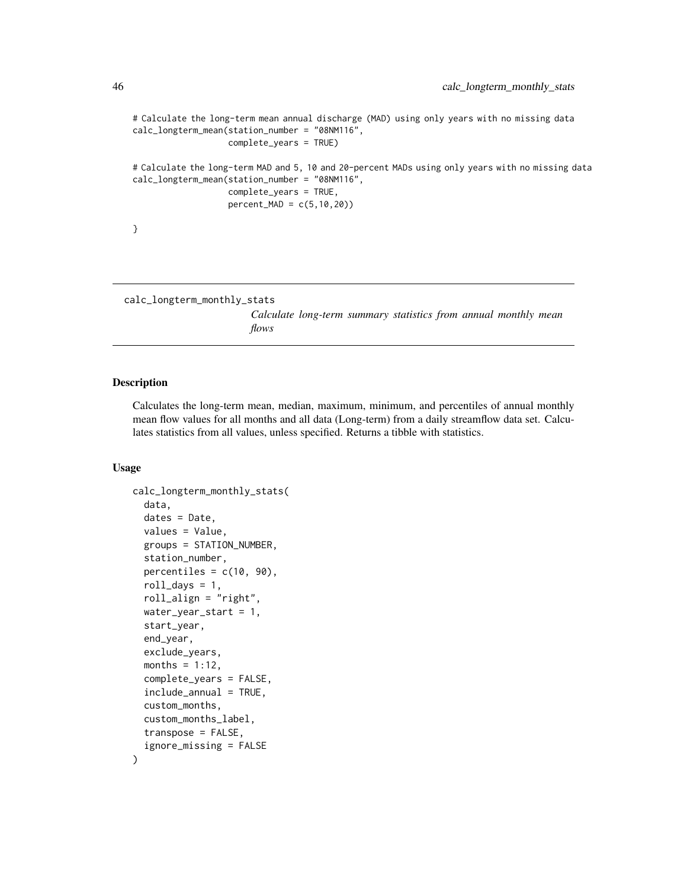```
# Calculate the long-term mean annual discharge (MAD) using only years with no missing data
calc_longterm_mean(station_number = "08NM116",
                   complete_years = TRUE)
# Calculate the long-term MAD and 5, 10 and 20-percent MADs using only years with no missing data
calc_longterm_mean(station_number = "08NM116",
                   complete_years = TRUE,
                   percent_MAD = c(5,10,20))
}
```

```
calc_longterm_monthly_stats
```
*Calculate long-term summary statistics from annual monthly mean flows*

## Description

Calculates the long-term mean, median, maximum, minimum, and percentiles of annual monthly mean flow values for all months and all data (Long-term) from a daily streamflow data set. Calculates statistics from all values, unless specified. Returns a tibble with statistics.

## Usage

```
calc_longterm_monthly_stats(
  data,
  dates = Date,
  values = Value,
  groups = STATION_NUMBER,
  station_number,
  percentiles = c(10, 90),
  roll\_days = 1,
  roll_align = "right",
  water_year_start = 1,
  start_year,
  end_year,
  exclude_years,
  months = 1:12,
  complete_years = FALSE,
  include_annual = TRUE,
  custom_months,
  custom_months_label,
  transpose = FALSE,
  ignore_missing = FALSE
)
```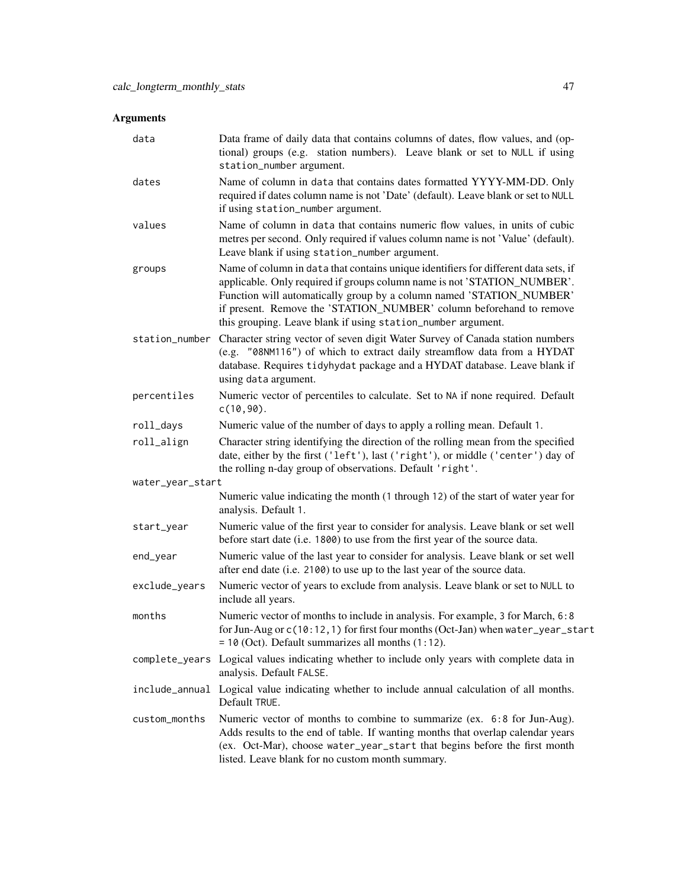| data             | Data frame of daily data that contains columns of dates, flow values, and (op-<br>tional) groups (e.g. station numbers). Leave blank or set to NULL if using<br>station_number argument.                                                                                                                                                                                       |
|------------------|--------------------------------------------------------------------------------------------------------------------------------------------------------------------------------------------------------------------------------------------------------------------------------------------------------------------------------------------------------------------------------|
| dates            | Name of column in data that contains dates formatted YYYY-MM-DD. Only<br>required if dates column name is not 'Date' (default). Leave blank or set to NULL<br>if using station_number argument.                                                                                                                                                                                |
| values           | Name of column in data that contains numeric flow values, in units of cubic<br>metres per second. Only required if values column name is not 'Value' (default).<br>Leave blank if using station_number argument.                                                                                                                                                               |
| groups           | Name of column in data that contains unique identifiers for different data sets, if<br>applicable. Only required if groups column name is not 'STATION_NUMBER'.<br>Function will automatically group by a column named 'STATION_NUMBER'<br>if present. Remove the 'STATION_NUMBER' column beforehand to remove<br>this grouping. Leave blank if using station_number argument. |
| station_number   | Character string vector of seven digit Water Survey of Canada station numbers<br>(e.g. "08NM116") of which to extract daily streamflow data from a HYDAT<br>database. Requires tidyhydat package and a HYDAT database. Leave blank if<br>using data argument.                                                                                                                  |
| percentiles      | Numeric vector of percentiles to calculate. Set to NA if none required. Default<br>$c(10, 90)$ .                                                                                                                                                                                                                                                                               |
| roll_days        | Numeric value of the number of days to apply a rolling mean. Default 1.                                                                                                                                                                                                                                                                                                        |
| roll_align       | Character string identifying the direction of the rolling mean from the specified<br>date, either by the first ('left'), last ('right'), or middle ('center') day of<br>the rolling n-day group of observations. Default 'right'.                                                                                                                                              |
| water_year_start |                                                                                                                                                                                                                                                                                                                                                                                |
|                  | Numeric value indicating the month (1 through 12) of the start of water year for<br>analysis. Default 1.                                                                                                                                                                                                                                                                       |
| start_year       | Numeric value of the first year to consider for analysis. Leave blank or set well<br>before start date (i.e. 1800) to use from the first year of the source data.                                                                                                                                                                                                              |
| end_year         | Numeric value of the last year to consider for analysis. Leave blank or set well<br>after end date (i.e. 2100) to use up to the last year of the source data.                                                                                                                                                                                                                  |
| exclude_years    | Numeric vector of years to exclude from analysis. Leave blank or set to NULL to<br>include all years.                                                                                                                                                                                                                                                                          |
| months           | Numeric vector of months to include in analysis. For example, 3 for March, 6:8<br>for Jun-Aug or c(10:12,1) for first four months (Oct-Jan) when water_year_start<br>$= 10$ (Oct). Default summarizes all months $(1:12)$ .                                                                                                                                                    |
| complete_years   | Logical values indicating whether to include only years with complete data in<br>analysis. Default FALSE.                                                                                                                                                                                                                                                                      |
|                  | include_annual Logical value indicating whether to include annual calculation of all months.<br>Default TRUE.                                                                                                                                                                                                                                                                  |
| custom_months    | Numeric vector of months to combine to summarize (ex. 6:8 for Jun-Aug).<br>Adds results to the end of table. If wanting months that overlap calendar years<br>(ex. Oct-Mar), choose water_year_start that begins before the first month<br>listed. Leave blank for no custom month summary.                                                                                    |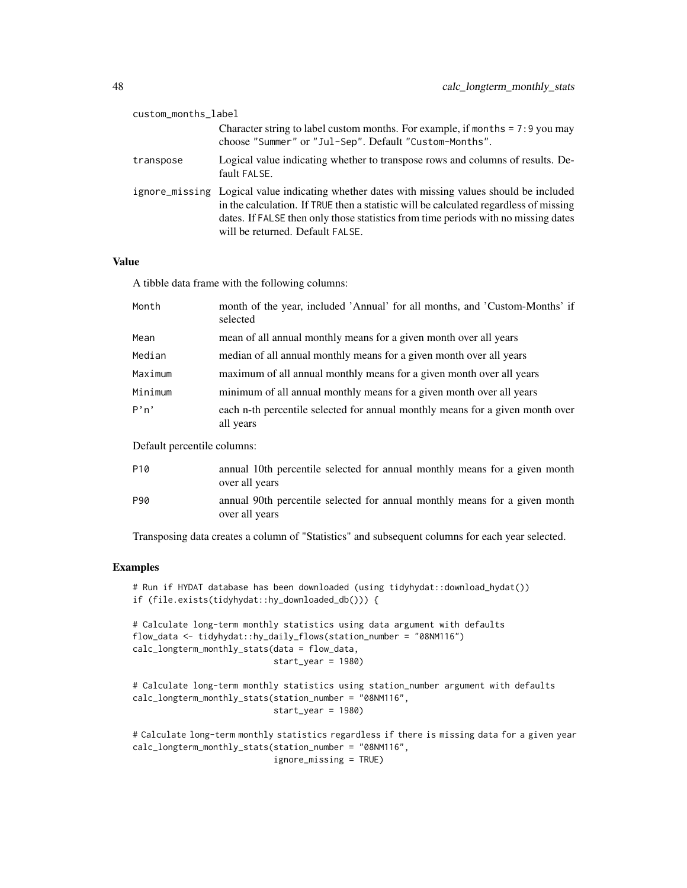| custom_months_label |                                                                                                                                                                                                                                                                                                                 |
|---------------------|-----------------------------------------------------------------------------------------------------------------------------------------------------------------------------------------------------------------------------------------------------------------------------------------------------------------|
|                     | Character string to label custom months. For example, if months $= 7:9$ you may<br>choose "Summer" or "Jul-Sep". Default "Custom-Months".                                                                                                                                                                       |
| transpose           | Logical value indicating whether to transpose rows and columns of results. De-<br>fault FALSE.                                                                                                                                                                                                                  |
|                     | ignore_missing Logical value indicating whether dates with missing values should be included<br>in the calculation. If TRUE then a statistic will be calculated regardless of missing<br>dates. If FALSE then only those statistics from time periods with no missing dates<br>will be returned. Default FALSE. |

A tibble data frame with the following columns:

| Month   | month of the year, included 'Annual' for all months, and 'Custom-Months' if<br>selected    |
|---------|--------------------------------------------------------------------------------------------|
| Mean    | mean of all annual monthly means for a given month over all years                          |
| Median  | median of all annual monthly means for a given month over all years                        |
| Maximum | maximum of all annual monthly means for a given month over all years                       |
| Minimum | minimum of all annual monthly means for a given month over all years                       |
| P'n'    | each n-th percentile selected for annual monthly means for a given month over<br>all years |

Default percentile columns:

| P <sub>10</sub> | annual 10th percentile selected for annual monthly means for a given month<br>over all years |
|-----------------|----------------------------------------------------------------------------------------------|
| P90             | annual 90th percentile selected for annual monthly means for a given month<br>over all years |

Transposing data creates a column of "Statistics" and subsequent columns for each year selected.

## Examples

# Run if HYDAT database has been downloaded (using tidyhydat::download\_hydat()) if (file.exists(tidyhydat::hy\_downloaded\_db())) {

# Calculate long-term monthly statistics using data argument with defaults flow\_data <- tidyhydat::hy\_daily\_flows(station\_number = "08NM116") calc\_longterm\_monthly\_stats(data = flow\_data, start\_year = 1980)

# Calculate long-term monthly statistics using station\_number argument with defaults calc\_longterm\_monthly\_stats(station\_number = "08NM116", start\_year = 1980)

# Calculate long-term monthly statistics regardless if there is missing data for a given year calc\_longterm\_monthly\_stats(station\_number = "08NM116", ignore\_missing = TRUE)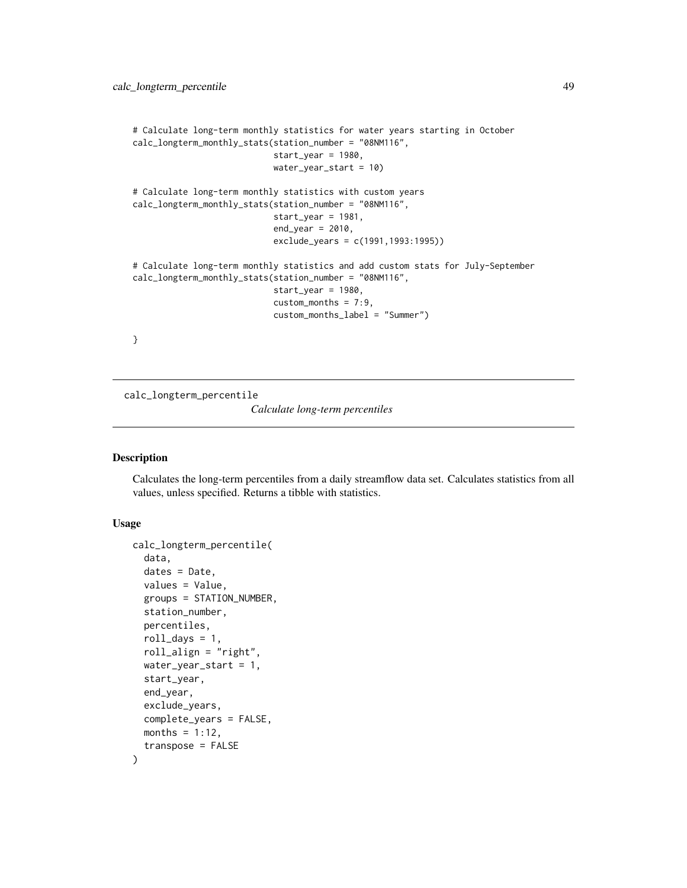```
# Calculate long-term monthly statistics for water years starting in October
calc_longterm_monthly_stats(station_number = "08NM116",
                            start_year = 1980,
                            water_year_start = 10)
# Calculate long-term monthly statistics with custom years
calc_longterm_monthly_stats(station_number = "08NM116",
                            start_year = 1981,
                            end_year = 2010,
                            exclude_years = c(1991,1993:1995))
# Calculate long-term monthly statistics and add custom stats for July-September
calc_longterm_monthly_stats(station_number = "08NM116",
                            start_year = 1980,
                            custom_months = 7:9,
                            custom_months_label = "Summer")
}
```
calc\_longterm\_percentile

*Calculate long-term percentiles*

## Description

Calculates the long-term percentiles from a daily streamflow data set. Calculates statistics from all values, unless specified. Returns a tibble with statistics.

### Usage

```
calc_longterm_percentile(
  data,
  dates = Date,
  values = Value,
  groups = STATION_NUMBER,
  station_number,
  percentiles,
  roll\_days = 1,
  roll_align = "right",
  water_year_start = 1,
  start_year,
  end_year,
  exclude_years,
  complete_years = FALSE,
  months = 1:12,
  transpose = FALSE
)
```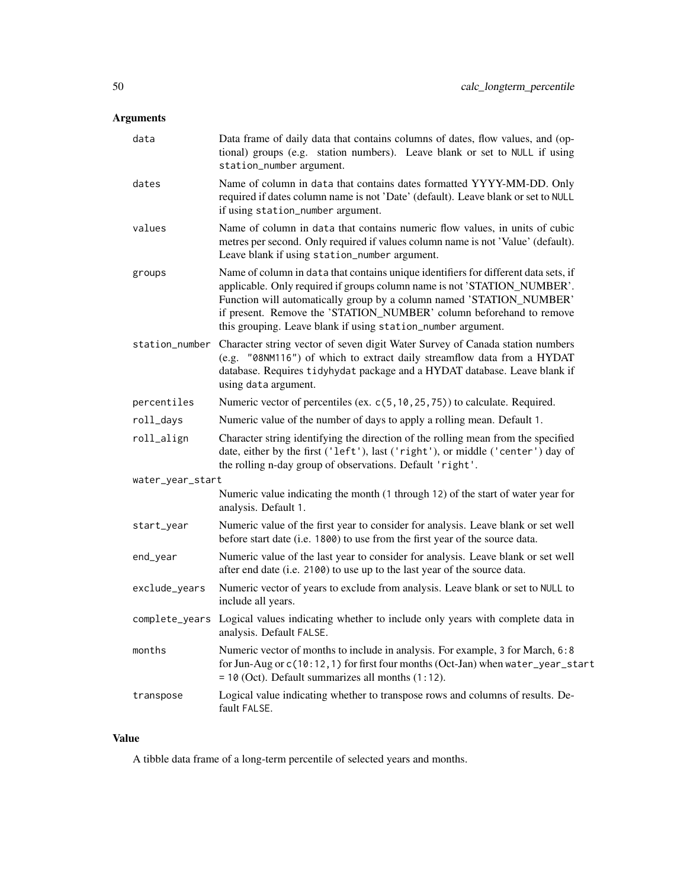| data             | Data frame of daily data that contains columns of dates, flow values, and (op-<br>tional) groups (e.g. station numbers). Leave blank or set to NULL if using<br>station_number argument.                                                                                                                                                                                       |  |
|------------------|--------------------------------------------------------------------------------------------------------------------------------------------------------------------------------------------------------------------------------------------------------------------------------------------------------------------------------------------------------------------------------|--|
| dates            | Name of column in data that contains dates formatted YYYY-MM-DD. Only<br>required if dates column name is not 'Date' (default). Leave blank or set to NULL<br>if using station_number argument.                                                                                                                                                                                |  |
| values           | Name of column in data that contains numeric flow values, in units of cubic<br>metres per second. Only required if values column name is not 'Value' (default).<br>Leave blank if using station_number argument.                                                                                                                                                               |  |
| groups           | Name of column in data that contains unique identifiers for different data sets, if<br>applicable. Only required if groups column name is not 'STATION_NUMBER'.<br>Function will automatically group by a column named 'STATION_NUMBER'<br>if present. Remove the 'STATION_NUMBER' column beforehand to remove<br>this grouping. Leave blank if using station_number argument. |  |
| station_number   | Character string vector of seven digit Water Survey of Canada station numbers<br>(e.g. "08NM116") of which to extract daily streamflow data from a HYDAT<br>database. Requires tidyhydat package and a HYDAT database. Leave blank if<br>using data argument.                                                                                                                  |  |
| percentiles      | Numeric vector of percentiles (ex. c(5, 10, 25, 75)) to calculate. Required.                                                                                                                                                                                                                                                                                                   |  |
| roll_days        | Numeric value of the number of days to apply a rolling mean. Default 1.                                                                                                                                                                                                                                                                                                        |  |
| roll_align       | Character string identifying the direction of the rolling mean from the specified<br>date, either by the first ('left'), last ('right'), or middle ('center') day of<br>the rolling n-day group of observations. Default 'right'.                                                                                                                                              |  |
| water_year_start |                                                                                                                                                                                                                                                                                                                                                                                |  |
|                  | Numeric value indicating the month (1 through 12) of the start of water year for<br>analysis. Default 1.                                                                                                                                                                                                                                                                       |  |
| start_year       | Numeric value of the first year to consider for analysis. Leave blank or set well<br>before start date (i.e. 1800) to use from the first year of the source data.                                                                                                                                                                                                              |  |
| end_year         | Numeric value of the last year to consider for analysis. Leave blank or set well<br>after end date (i.e. 2100) to use up to the last year of the source data.                                                                                                                                                                                                                  |  |
| exclude_years    | Numeric vector of years to exclude from analysis. Leave blank or set to NULL to<br>include all years.                                                                                                                                                                                                                                                                          |  |
| complete_years   | Logical values indicating whether to include only years with complete data in<br>analysis. Default FALSE.                                                                                                                                                                                                                                                                      |  |
| months           | Numeric vector of months to include in analysis. For example, 3 for March, 6:8<br>for Jun-Aug or c(10:12, 1) for first four months (Oct-Jan) when water_year_start<br>$= 10$ (Oct). Default summarizes all months $(1:12)$ .                                                                                                                                                   |  |
| transpose        | Logical value indicating whether to transpose rows and columns of results. De-<br>fault FALSE.                                                                                                                                                                                                                                                                                 |  |

# Value

A tibble data frame of a long-term percentile of selected years and months.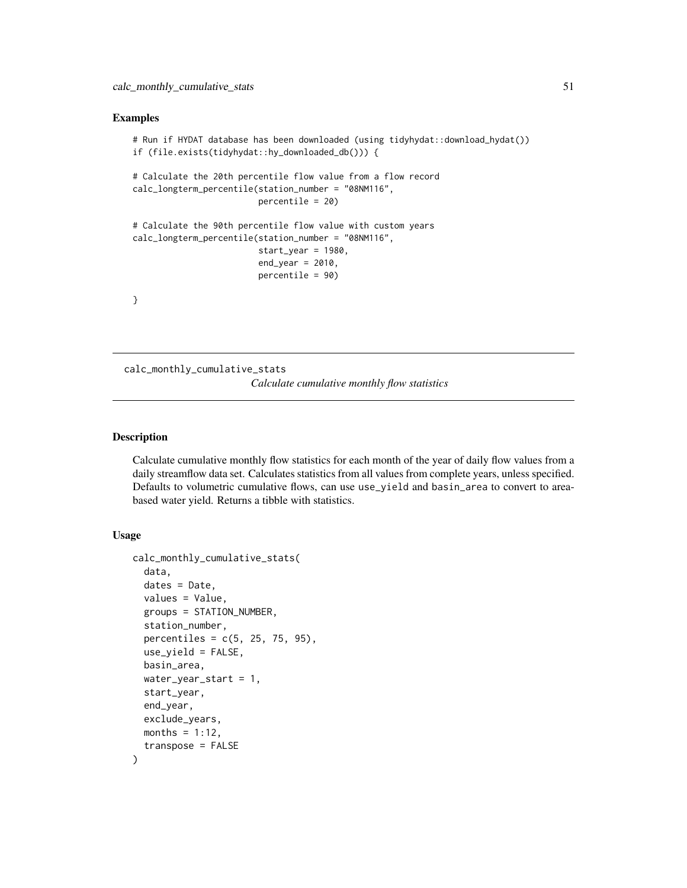#### Examples

```
# Run if HYDAT database has been downloaded (using tidyhydat::download_hydat())
if (file.exists(tidyhydat::hy_downloaded_db())) {
# Calculate the 20th percentile flow value from a flow record
calc_longterm_percentile(station_number = "08NM116",
                        percentile = 20)
# Calculate the 90th percentile flow value with custom years
calc_longterm_percentile(station_number = "08NM116",
                        start_year = 1980,
                         end_year = 2010,
                         percentile = 90)
}
```
<span id="page-50-0"></span>calc\_monthly\_cumulative\_stats *Calculate cumulative monthly flow statistics*

## Description

Calculate cumulative monthly flow statistics for each month of the year of daily flow values from a daily streamflow data set. Calculates statistics from all values from complete years, unless specified. Defaults to volumetric cumulative flows, can use use\_yield and basin\_area to convert to areabased water yield. Returns a tibble with statistics.

#### Usage

```
calc_monthly_cumulative_stats(
  data,
  dates = Date,
  values = Value,
  groups = STATION_NUMBER,
  station_number,
  percentiles = c(5, 25, 75, 95),
  use_yield = FALSE,
  basin_area,
  water_year_start = 1,
  start_year,
  end_year,
  exclude_years,
 months = 1:12,
  transpose = FALSE
)
```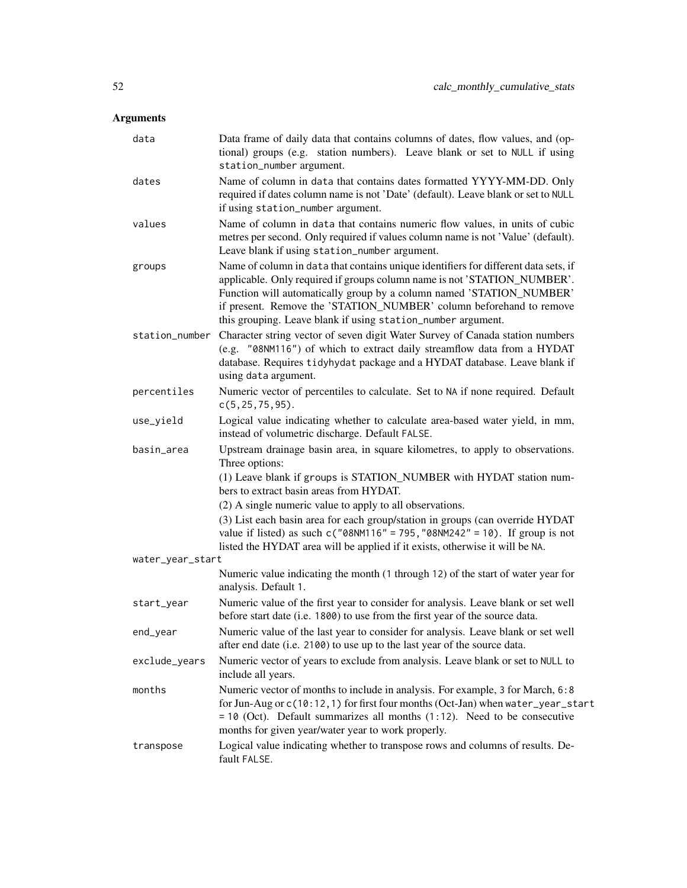| data             | Data frame of daily data that contains columns of dates, flow values, and (op-<br>tional) groups (e.g. station numbers). Leave blank or set to NULL if using<br>station_number argument.                                                                                                                                                                                       |  |
|------------------|--------------------------------------------------------------------------------------------------------------------------------------------------------------------------------------------------------------------------------------------------------------------------------------------------------------------------------------------------------------------------------|--|
| dates            | Name of column in data that contains dates formatted YYYY-MM-DD. Only<br>required if dates column name is not 'Date' (default). Leave blank or set to NULL<br>if using station_number argument.                                                                                                                                                                                |  |
| values           | Name of column in data that contains numeric flow values, in units of cubic<br>metres per second. Only required if values column name is not 'Value' (default).<br>Leave blank if using station_number argument.                                                                                                                                                               |  |
| groups           | Name of column in data that contains unique identifiers for different data sets, if<br>applicable. Only required if groups column name is not 'STATION_NUMBER'.<br>Function will automatically group by a column named 'STATION_NUMBER'<br>if present. Remove the 'STATION_NUMBER' column beforehand to remove<br>this grouping. Leave blank if using station_number argument. |  |
|                  | station_number Character string vector of seven digit Water Survey of Canada station numbers<br>(e.g. "08NM116") of which to extract daily streamflow data from a HYDAT<br>database. Requires tidyhydat package and a HYDAT database. Leave blank if<br>using data argument.                                                                                                   |  |
| percentiles      | Numeric vector of percentiles to calculate. Set to NA if none required. Default<br>$c(5, 25, 75, 95)$ .                                                                                                                                                                                                                                                                        |  |
| use_yield        | Logical value indicating whether to calculate area-based water yield, in mm,<br>instead of volumetric discharge. Default FALSE.                                                                                                                                                                                                                                                |  |
| basin_area       | Upstream drainage basin area, in square kilometres, to apply to observations.<br>Three options:                                                                                                                                                                                                                                                                                |  |
|                  | (1) Leave blank if groups is STATION_NUMBER with HYDAT station num-<br>bers to extract basin areas from HYDAT.                                                                                                                                                                                                                                                                 |  |
|                  | (2) A single numeric value to apply to all observations.                                                                                                                                                                                                                                                                                                                       |  |
|                  | (3) List each basin area for each group/station in groups (can override HYDAT<br>value if listed) as such $c("08NM116" = 795, "08NM242" = 10)$ . If group is not<br>listed the HYDAT area will be applied if it exists, otherwise it will be NA.                                                                                                                               |  |
| water_year_start |                                                                                                                                                                                                                                                                                                                                                                                |  |
|                  | Numeric value indicating the month (1 through 12) of the start of water year for<br>analysis. Default 1.                                                                                                                                                                                                                                                                       |  |
| start_year       | Numeric value of the first year to consider for analysis. Leave blank or set well<br>before start date (i.e. 1800) to use from the first year of the source data.                                                                                                                                                                                                              |  |
| end_year         | Numeric value of the last year to consider for analysis. Leave blank or set well<br>after end date (i.e. 2100) to use up to the last year of the source data.                                                                                                                                                                                                                  |  |
| exclude_years    | Numeric vector of years to exclude from analysis. Leave blank or set to NULL to<br>include all years.                                                                                                                                                                                                                                                                          |  |
| months           | Numeric vector of months to include in analysis. For example, 3 for March, 6:8<br>for Jun-Aug or c(10:12, 1) for first four months (Oct-Jan) when water_year_start<br>$= 10$ (Oct). Default summarizes all months (1:12). Need to be consecutive<br>months for given year/water year to work properly.                                                                         |  |
| transpose        | Logical value indicating whether to transpose rows and columns of results. De-<br>fault FALSE.                                                                                                                                                                                                                                                                                 |  |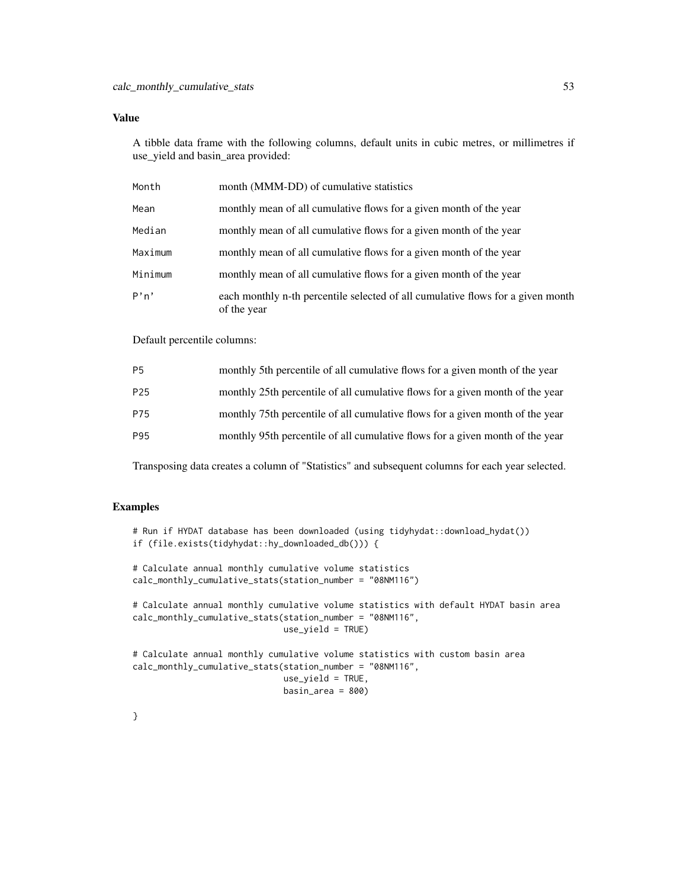A tibble data frame with the following columns, default units in cubic metres, or millimetres if use\_yield and basin\_area provided:

| Month   | month (MMM-DD) of cumulative statistics                                                        |
|---------|------------------------------------------------------------------------------------------------|
| Mean    | monthly mean of all cumulative flows for a given month of the year                             |
| Median  | monthly mean of all cumulative flows for a given month of the year                             |
| Maximum | monthly mean of all cumulative flows for a given month of the year                             |
| Minimum | monthly mean of all cumulative flows for a given month of the year                             |
| P'n'    | each monthly n-th percentile selected of all cumulative flows for a given month<br>of the year |

Default percentile columns:

| P <sub>5</sub>  | monthly 5th percentile of all cumulative flows for a given month of the year  |
|-----------------|-------------------------------------------------------------------------------|
| P <sub>25</sub> | monthly 25th percentile of all cumulative flows for a given month of the year |
| P75             | monthly 75th percentile of all cumulative flows for a given month of the year |
| P95             | monthly 95th percentile of all cumulative flows for a given month of the year |

Transposing data creates a column of "Statistics" and subsequent columns for each year selected.

## Examples

```
# Run if HYDAT database has been downloaded (using tidyhydat::download_hydat())
if (file.exists(tidyhydat::hy_downloaded_db())) {
# Calculate annual monthly cumulative volume statistics
calc_monthly_cumulative_stats(station_number = "08NM116")
# Calculate annual monthly cumulative volume statistics with default HYDAT basin area
calc_monthly_cumulative_stats(station_number = "08NM116",
                             use_yield = TRUE)
# Calculate annual monthly cumulative volume statistics with custom basin area
calc_monthly_cumulative_stats(station_number = "08NM116",
                             use_yield = TRUE,
                             basin_area = 800)
```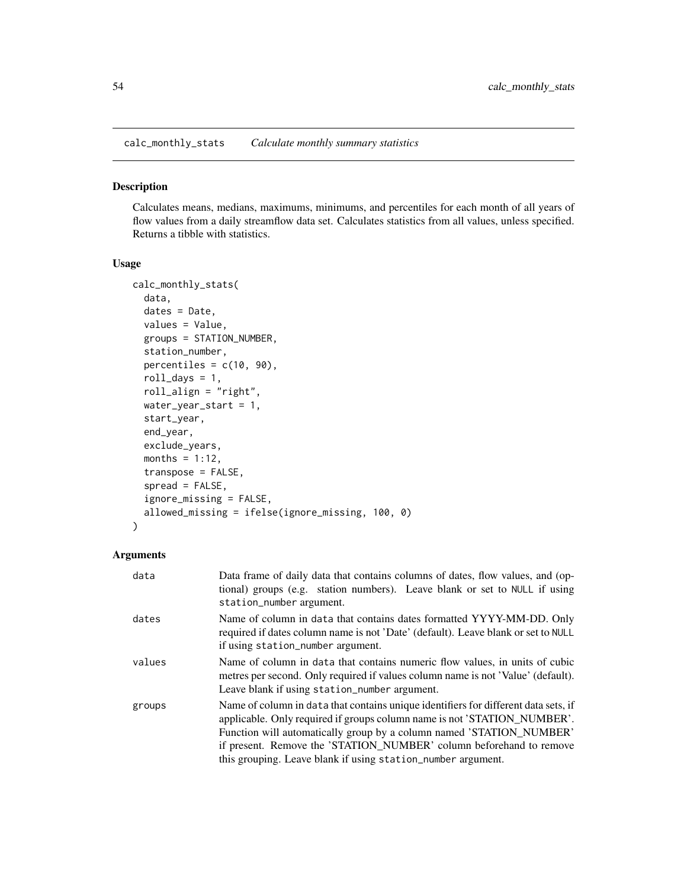<span id="page-53-0"></span>calc\_monthly\_stats *Calculate monthly summary statistics*

## Description

Calculates means, medians, maximums, minimums, and percentiles for each month of all years of flow values from a daily streamflow data set. Calculates statistics from all values, unless specified. Returns a tibble with statistics.

#### Usage

```
calc_monthly_stats(
  data,
  dates = Date,
  values = Value,
  groups = STATION_NUMBER,
  station_number,
 percentiles = c(10, 90),
  roll\_days = 1,
  roll_align = "right",
  water_year_start = 1,
  start_year,
  end_year,
  exclude_years,
  months = 1:12,
  transpose = FALSE,
  spread = FALSE,
  ignore_missing = FALSE,
  allowed_missing = ifelse(ignore_missing, 100, 0)
\mathcal{L}
```

| data   | Data frame of daily data that contains columns of dates, flow values, and (op-<br>tional) groups (e.g. station numbers). Leave blank or set to NULL if using<br>station_number argument.                                                                                                                                                                                       |
|--------|--------------------------------------------------------------------------------------------------------------------------------------------------------------------------------------------------------------------------------------------------------------------------------------------------------------------------------------------------------------------------------|
| dates  | Name of column in data that contains dates formatted YYYY-MM-DD. Only<br>required if dates column name is not 'Date' (default). Leave blank or set to NULL<br>if using station_number argument.                                                                                                                                                                                |
| values | Name of column in data that contains numeric flow values, in units of cubic<br>metres per second. Only required if values column name is not 'Value' (default).<br>Leave blank if using station_number argument.                                                                                                                                                               |
| groups | Name of column in data that contains unique identifiers for different data sets, if<br>applicable. Only required if groups column name is not 'STATION NUMBER'.<br>Function will automatically group by a column named 'STATION_NUMBER'<br>if present. Remove the 'STATION_NUMBER' column beforehand to remove<br>this grouping. Leave blank if using station_number argument. |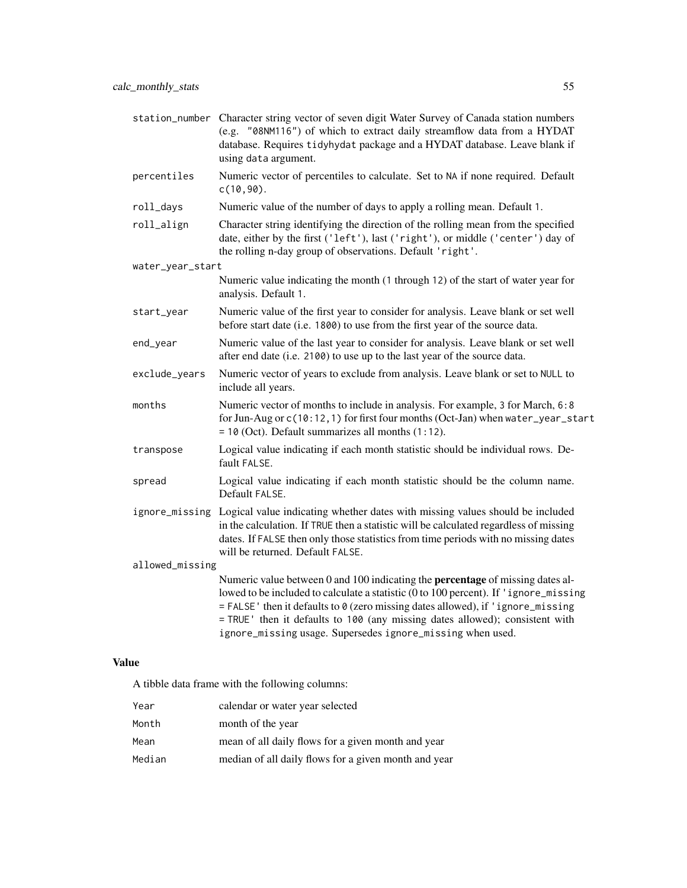|                  | station_number Character string vector of seven digit Water Survey of Canada station numbers<br>(e.g. "08NM116") of which to extract daily streamflow data from a HYDAT<br>database. Requires tidyhydat package and a HYDAT database. Leave blank if<br>using data argument.                                                                                                                                    |  |
|------------------|-----------------------------------------------------------------------------------------------------------------------------------------------------------------------------------------------------------------------------------------------------------------------------------------------------------------------------------------------------------------------------------------------------------------|--|
| percentiles      | Numeric vector of percentiles to calculate. Set to NA if none required. Default<br>$c(10, 90)$ .                                                                                                                                                                                                                                                                                                                |  |
| roll_days        | Numeric value of the number of days to apply a rolling mean. Default 1.                                                                                                                                                                                                                                                                                                                                         |  |
| roll_align       | Character string identifying the direction of the rolling mean from the specified<br>date, either by the first ('left'), last ('right'), or middle ('center') day of<br>the rolling n-day group of observations. Default 'right'.                                                                                                                                                                               |  |
| water_year_start |                                                                                                                                                                                                                                                                                                                                                                                                                 |  |
|                  | Numeric value indicating the month (1 through 12) of the start of water year for<br>analysis. Default 1.                                                                                                                                                                                                                                                                                                        |  |
| start_year       | Numeric value of the first year to consider for analysis. Leave blank or set well<br>before start date (i.e. 1800) to use from the first year of the source data.                                                                                                                                                                                                                                               |  |
| end_year         | Numeric value of the last year to consider for analysis. Leave blank or set well<br>after end date (i.e. 2100) to use up to the last year of the source data.                                                                                                                                                                                                                                                   |  |
| exclude_years    | Numeric vector of years to exclude from analysis. Leave blank or set to NULL to<br>include all years.                                                                                                                                                                                                                                                                                                           |  |
| months           | Numeric vector of months to include in analysis. For example, 3 for March, 6:8<br>for Jun-Aug or c(10:12, 1) for first four months (Oct-Jan) when water_year_start<br>$= 10$ (Oct). Default summarizes all months $(1:12)$ .                                                                                                                                                                                    |  |
| transpose        | Logical value indicating if each month statistic should be individual rows. De-<br>fault FALSE.                                                                                                                                                                                                                                                                                                                 |  |
| spread           | Logical value indicating if each month statistic should be the column name.<br>Default FALSE.                                                                                                                                                                                                                                                                                                                   |  |
|                  | ignore_missing Logical value indicating whether dates with missing values should be included<br>in the calculation. If TRUE then a statistic will be calculated regardless of missing<br>dates. If FALSE then only those statistics from time periods with no missing dates<br>will be returned. Default FALSE.                                                                                                 |  |
| allowed_missing  |                                                                                                                                                                                                                                                                                                                                                                                                                 |  |
|                  | Numeric value between 0 and 100 indicating the <b>percentage</b> of missing dates al-<br>lowed to be included to calculate a statistic (0 to 100 percent). If 'ignore_missing<br>= FALSE' then it defaults to 0 (zero missing dates allowed), if 'ignore_missing<br>= TRUE ' then it defaults to 100 (any missing dates allowed); consistent with<br>ignore_missing usage. Supersedes ignore_missing when used. |  |

A tibble data frame with the following columns:

| Year   | calendar or water year selected                      |
|--------|------------------------------------------------------|
| Month  | month of the year                                    |
| Mean   | mean of all daily flows for a given month and year   |
| Median | median of all daily flows for a given month and year |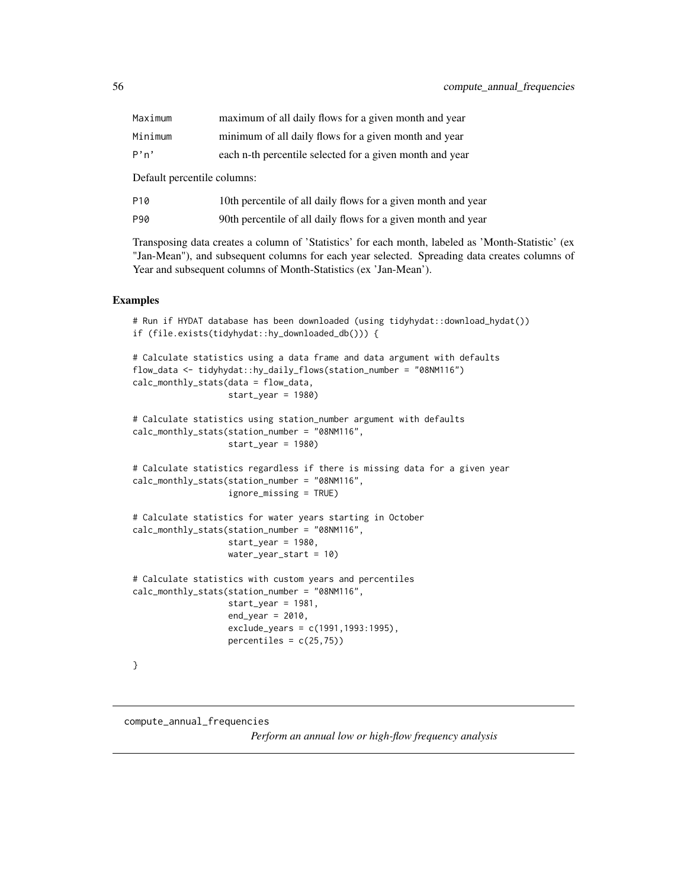| Maximum                     | maximum of all daily flows for a given month and year    |  |
|-----------------------------|----------------------------------------------------------|--|
| Minimum                     | minimum of all daily flows for a given month and year    |  |
| P'n'                        | each n-th percentile selected for a given month and year |  |
| Default percentile columns: |                                                          |  |

| P10 | 10th percentile of all daily flows for a given month and year |
|-----|---------------------------------------------------------------|
| P90 | 90th percentile of all daily flows for a given month and year |

Transposing data creates a column of 'Statistics' for each month, labeled as 'Month-Statistic' (ex "Jan-Mean"), and subsequent columns for each year selected. Spreading data creates columns of Year and subsequent columns of Month-Statistics (ex 'Jan-Mean').

#### Examples

```
# Run if HYDAT database has been downloaded (using tidyhydat::download_hydat())
if (file.exists(tidyhydat::hy_downloaded_db())) {
# Calculate statistics using a data frame and data argument with defaults
flow_data <- tidyhydat::hy_daily_flows(station_number = "08NM116")
calc_monthly_stats(data = flow_data,
                   start_year = 1980)
# Calculate statistics using station_number argument with defaults
calc_monthly_stats(station_number = "08NM116",
                   start_year = 1980)
# Calculate statistics regardless if there is missing data for a given year
calc_monthly_stats(station_number = "08NM116",
                   ignore_missing = TRUE)
# Calculate statistics for water years starting in October
calc_monthly_stats(station_number = "08NM116",
                  start_year = 1980,
                  water_year_start = 10)
# Calculate statistics with custom years and percentiles
calc_monthly_stats(station_number = "08NM116",
                  start_year = 1981,
                   end\_year = 2010,exclude_years = c(1991,1993:1995),
                   percentiles = c(25,75)}
```
## <span id="page-55-0"></span>compute\_annual\_frequencies *Perform an annual low or high-flow frequency analysis*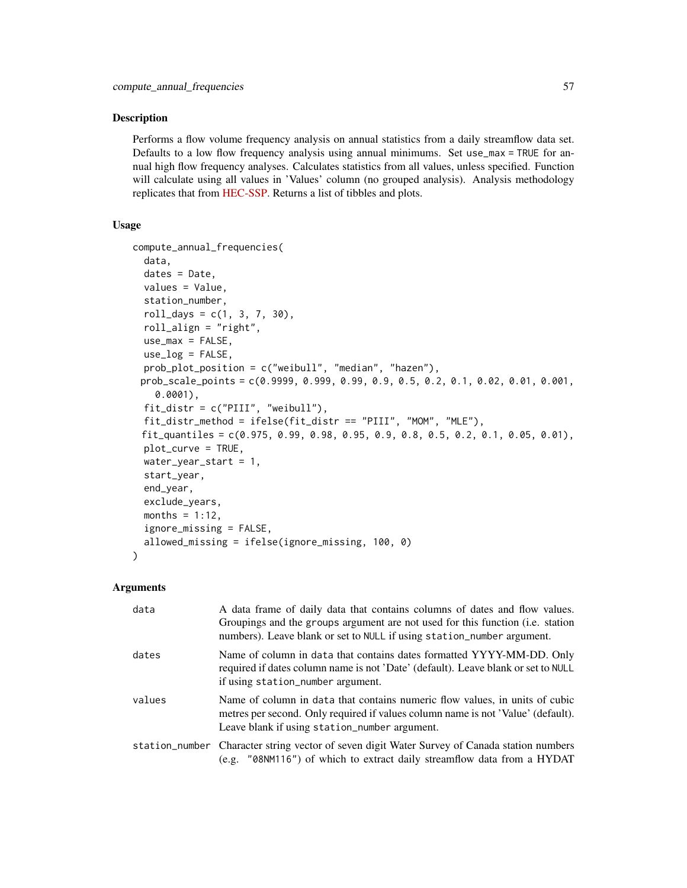#### **Description**

Performs a flow volume frequency analysis on annual statistics from a daily streamflow data set. Defaults to a low flow frequency analysis using annual minimums. Set use\_max = TRUE for annual high flow frequency analyses. Calculates statistics from all values, unless specified. Function will calculate using all values in 'Values' column (no grouped analysis). Analysis methodology replicates that from [HEC-SSP.](https://www.hec.usace.army.mil/software/hec-ssp/) Returns a list of tibbles and plots.

## Usage

```
compute_annual_frequencies(
  data,
  dates = Date,
 values = Value,
  station_number,
  roll\_days = c(1, 3, 7, 30),roll_align = "right",
 use_max = FALSE,use_log = FALSE,prob_plot_position = c("weibull", "median", "hazen"),
 prob_scale_points = c(0.9999, 0.999, 0.99, 0.9, 0.5, 0.2, 0.1, 0.02, 0.01, 0.001,
    0.0001),
  fit_distr = c("PIII", "weibull"),
 fit_distr_method = ifelse(fit_distr == "PIII", "MOM", "MLE"),
 fit_quantiles = c(0.975, 0.99, 0.98, 0.95, 0.9, 0.8, 0.5, 0.2, 0.1, 0.05, 0.01),
 plot_curve = TRUE,
 water_year_start = 1,
  start_year,
  end_year,
  exclude_years,
 months = 1:12,
  ignore_missing = FALSE,
  allowed_missing = ifelse(ignore_missing, 100, 0)
)
```

| data   | A data frame of daily data that contains columns of dates and flow values.<br>Groupings and the groups argument are not used for this function (i.e. station<br>numbers). Leave blank or set to NULL if using station_number argument. |
|--------|----------------------------------------------------------------------------------------------------------------------------------------------------------------------------------------------------------------------------------------|
| dates  | Name of column in data that contains dates formatted YYYY-MM-DD. Only<br>required if dates column name is not 'Date' (default). Leave blank or set to NULL<br>if using station_number argument.                                        |
| values | Name of column in data that contains numeric flow values, in units of cubic<br>metres per second. Only required if values column name is not 'Value' (default).<br>Leave blank if using station_number argument.                       |
|        | station_number Character string vector of seven digit Water Survey of Canada station numbers<br>(e.g. "08NM116") of which to extract daily streamflow data from a HYDAT                                                                |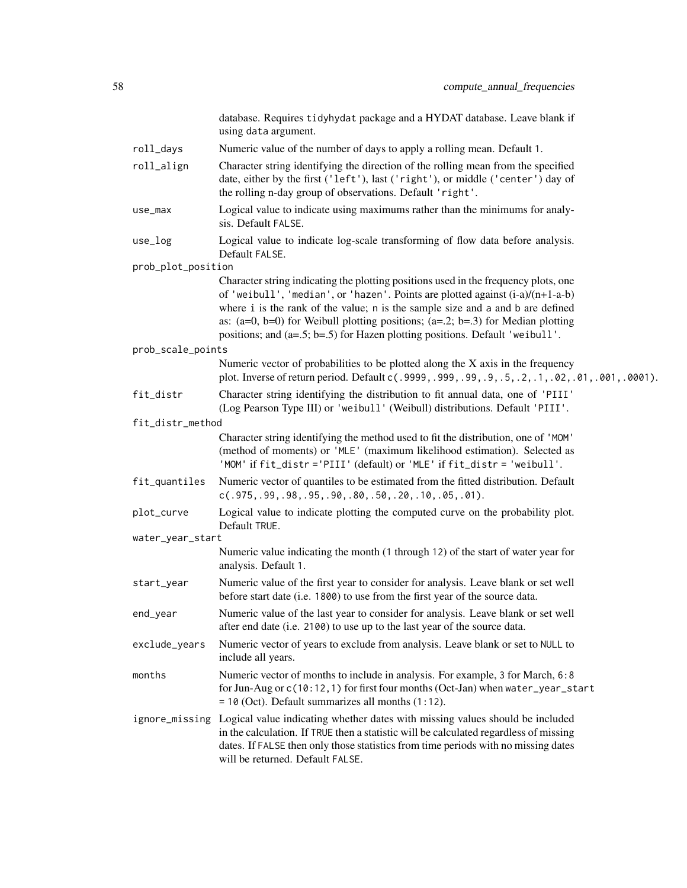|                    | database. Requires tidyhydat package and a HYDAT database. Leave blank if<br>using data argument.                                                                                                                                                                                                                                                                                                                                |
|--------------------|----------------------------------------------------------------------------------------------------------------------------------------------------------------------------------------------------------------------------------------------------------------------------------------------------------------------------------------------------------------------------------------------------------------------------------|
| roll_days          | Numeric value of the number of days to apply a rolling mean. Default 1.                                                                                                                                                                                                                                                                                                                                                          |
| roll_align         | Character string identifying the direction of the rolling mean from the specified<br>date, either by the first ('left'), last ('right'), or middle ('center') day of<br>the rolling n-day group of observations. Default 'right'.                                                                                                                                                                                                |
| use_max            | Logical value to indicate using maximums rather than the minimums for analy-<br>sis. Default FALSE.                                                                                                                                                                                                                                                                                                                              |
| use_log            | Logical value to indicate log-scale transforming of flow data before analysis.<br>Default FALSE.                                                                                                                                                                                                                                                                                                                                 |
| prob_plot_position |                                                                                                                                                                                                                                                                                                                                                                                                                                  |
|                    | Character string indicating the plotting positions used in the frequency plots, one<br>of 'weibull', 'median', or 'hazen'. Points are plotted against $(i-a)/(n+1-a-b)$<br>where i is the rank of the value; n is the sample size and a and b are defined<br>as: $(a=0, b=0)$ for Weibull plotting positions; $(a=.2; b=.3)$ for Median plotting<br>positions; and (a=.5; b=.5) for Hazen plotting positions. Default 'weibull'. |
| prob_scale_points  |                                                                                                                                                                                                                                                                                                                                                                                                                                  |
|                    | Numeric vector of probabilities to be plotted along the X axis in the frequency<br>plot. Inverse of return period. Default c(.9999,.999,.99,.9,.5,.2,.1,.02,.01,.001,.0001).                                                                                                                                                                                                                                                     |
| fit_distr          | Character string identifying the distribution to fit annual data, one of 'PIII'<br>(Log Pearson Type III) or 'weibull' (Weibull) distributions. Default 'PIII'.                                                                                                                                                                                                                                                                  |
| fit_distr_method   |                                                                                                                                                                                                                                                                                                                                                                                                                                  |
|                    | Character string identifying the method used to fit the distribution, one of 'MOM'<br>(method of moments) or 'MLE' (maximum likelihood estimation). Selected as<br>'MOM' if fit_distr ='PIII' (default) or 'MLE' if fit_distr = 'weibull'.                                                                                                                                                                                       |
| fit_quantiles      | Numeric vector of quantiles to be estimated from the fitted distribution. Default<br>$c(.975, .99, .98, .95, .90, .80, .50, .20, .10, .05, .01).$                                                                                                                                                                                                                                                                                |
| plot_curve         | Logical value to indicate plotting the computed curve on the probability plot.<br>Default TRUE.                                                                                                                                                                                                                                                                                                                                  |
| water_year_start   |                                                                                                                                                                                                                                                                                                                                                                                                                                  |
|                    | Numeric value indicating the month (1 through 12) of the start of water year for<br>analysis. Default 1.                                                                                                                                                                                                                                                                                                                         |
| start_year         | Numeric value of the first year to consider for analysis. Leave blank or set well<br>before start date (i.e. 1800) to use from the first year of the source data.                                                                                                                                                                                                                                                                |
| end_year           | Numeric value of the last year to consider for analysis. Leave blank or set well<br>after end date (i.e. 2100) to use up to the last year of the source data.                                                                                                                                                                                                                                                                    |
| exclude_years      | Numeric vector of years to exclude from analysis. Leave blank or set to NULL to<br>include all years.                                                                                                                                                                                                                                                                                                                            |
| months             | Numeric vector of months to include in analysis. For example, 3 for March, 6:8<br>for Jun-Aug or c(10:12, 1) for first four months (Oct-Jan) when water_year_start<br>$= 10$ (Oct). Default summarizes all months $(1:12)$ .                                                                                                                                                                                                     |
|                    | ignore_missing Logical value indicating whether dates with missing values should be included<br>in the calculation. If TRUE then a statistic will be calculated regardless of missing<br>dates. If FALSE then only those statistics from time periods with no missing dates<br>will be returned. Default FALSE.                                                                                                                  |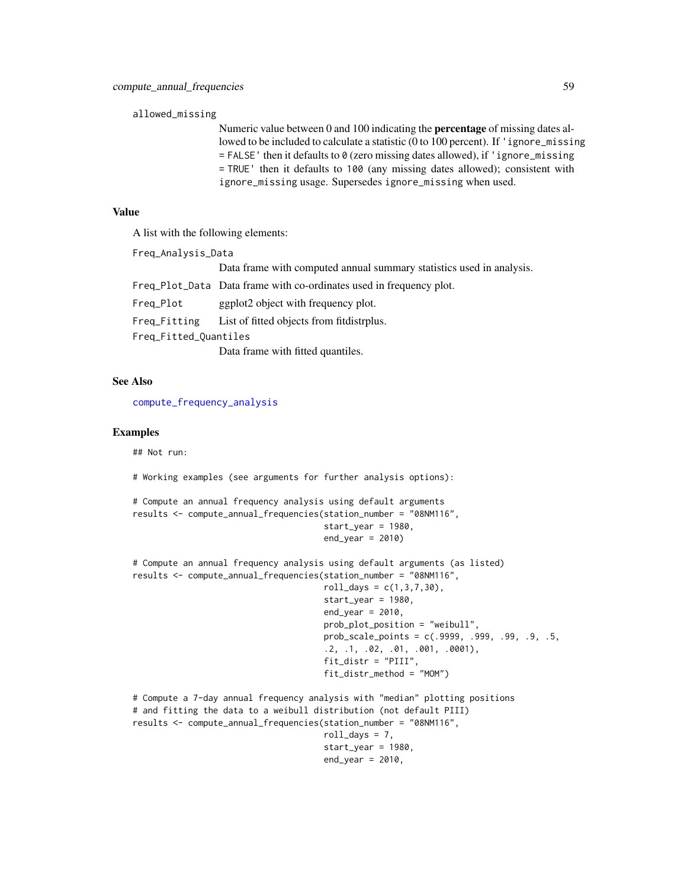#### allowed\_missing

Numeric value between 0 and 100 indicating the percentage of missing dates allowed to be included to calculate a statistic (0 to 100 percent). If 'ignore\_missing  $=$  FALSE' then it defaults to 0 (zero missing dates allowed), if 'ignore\_missing = TRUE' then it defaults to 100 (any missing dates allowed); consistent with ignore\_missing usage. Supersedes ignore\_missing when used.

## Value

A list with the following elements:

```
Freq_Analysis_Data
```
Data frame with computed annual summary statistics used in analysis.

|                       | Freq Plot Data Data frame with co-ordinates used in frequency plot. |
|-----------------------|---------------------------------------------------------------------|
| Freg_Plot             | ggplot2 object with frequency plot.                                 |
| Freg_Fitting          | List of fitted objects from fitdistrplus.                           |
| Freq_Fitted_Quantiles |                                                                     |

Data frame with fitted quantiles.

#### See Also

[compute\\_frequency\\_analysis](#page-63-0)

#### Examples

## Not run:

```
# Working examples (see arguments for further analysis options):
```

```
# Compute an annual frequency analysis using default arguments
results <- compute_annual_frequencies(station_number = "08NM116",
                                      start_year = 1980,
                                      end\_year = 2010
```

```
# Compute an annual frequency analysis using default arguments (as listed)
results <- compute_annual_frequencies(station_number = "08NM116",
                                      roll\_days = c(1, 3, 7, 30),
                                      start_year = 1980,
                                      end\_year = 2010,
                                      prob_plot_position = "weibull",
                                      prob_scale_points = c(.9999, .999, .99, .9, .5,
                                       .2, .1, .02, .01, .001, .0001),
                                      fit_distr = "PIII",
                                      fit_distr_method = "MOM")
# Compute a 7-day annual frequency analysis with "median" plotting positions
# and fitting the data to a weibull distribution (not default PIII)
results <- compute_annual_frequencies(station_number = "08NM116",
                                      roll\_days = 7,
```

```
start_year = 1980,
end\_year = 2010,
```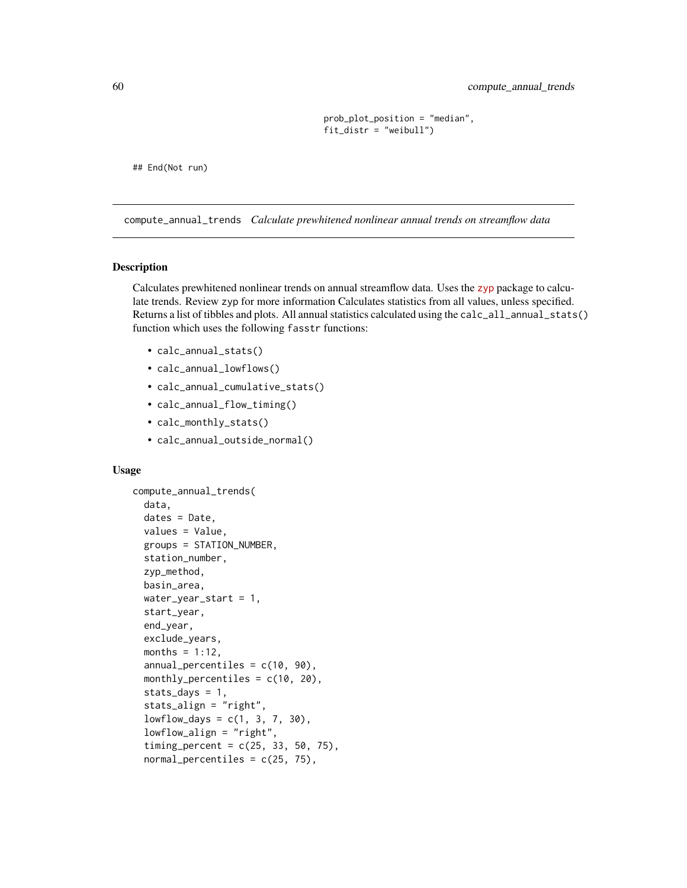```
prob_plot_position = "median",
fit_distr = "weibull")
```
## End(Not run)

<span id="page-59-0"></span>compute\_annual\_trends *Calculate prewhitened nonlinear annual trends on streamflow data*

#### Description

Calculates prewhitened nonlinear trends on annual streamflow data. Uses the [zyp](https://CRAN.R-project.org/package=zyp) package to calculate trends. Review zyp for more information Calculates statistics from all values, unless specified. Returns a list of tibbles and plots. All annual statistics calculated using the calc\_all\_annual\_stats() function which uses the following fasstr functions:

- calc\_annual\_stats()
- calc\_annual\_lowflows()
- calc\_annual\_cumulative\_stats()
- calc\_annual\_flow\_timing()
- calc\_monthly\_stats()
- calc\_annual\_outside\_normal()

## Usage

```
compute_annual_trends(
  data,
  dates = Date,
  values = Value,
  groups = STATION_NUMBER,
  station_number,
  zyp_method,
  basin_area,
 water_year_start = 1,
  start_year,
  end_year,
  exclude_years,
 months = 1:12,
  annual_percentiles = c(10, 90),
 monthly_percentiles = c(10, 20),
  stats_days = 1,
  stats_align = "right",
  lowflow\_days = c(1, 3, 7, 30),
  lowflow_align = "right",
  timing_percent = c(25, 33, 50, 75),
  normal_percentiles = c(25, 75),
```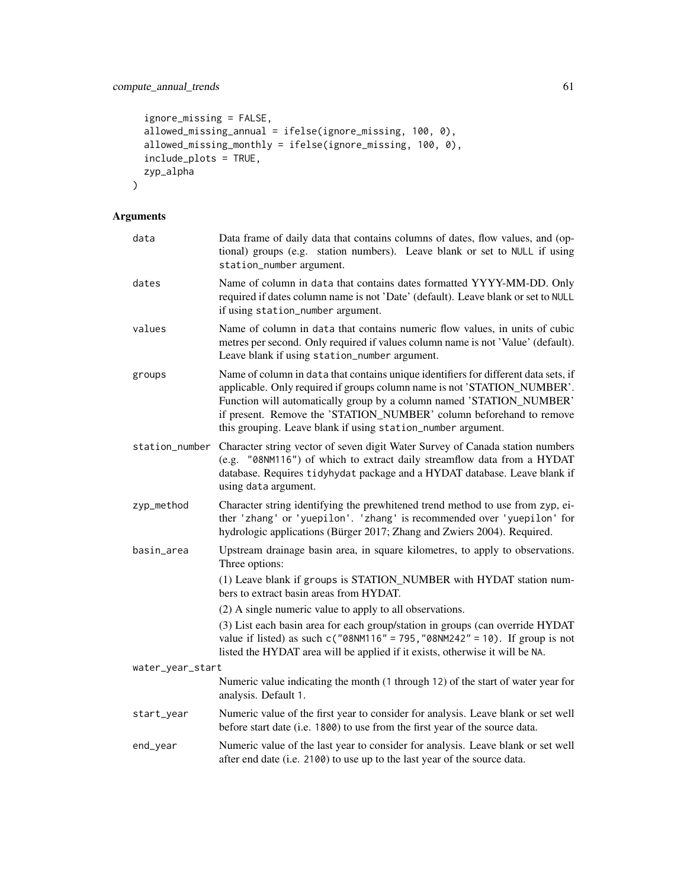```
ignore_missing = FALSE,
  allowed_missing_annual = ifelse(ignore_missing, 100, 0),
 allowed_missing_monthly = ifelse(ignore_missing, 100, 0),
  include_plots = TRUE,
 zyp_alpha
\mathcal{L}
```

| data             | Data frame of daily data that contains columns of dates, flow values, and (op-<br>tional) groups (e.g. station numbers). Leave blank or set to NULL if using<br>station_number argument.                                                                                                                                                                                       |
|------------------|--------------------------------------------------------------------------------------------------------------------------------------------------------------------------------------------------------------------------------------------------------------------------------------------------------------------------------------------------------------------------------|
| dates            | Name of column in data that contains dates formatted YYYY-MM-DD. Only<br>required if dates column name is not 'Date' (default). Leave blank or set to NULL<br>if using station_number argument.                                                                                                                                                                                |
| values           | Name of column in data that contains numeric flow values, in units of cubic<br>metres per second. Only required if values column name is not 'Value' (default).<br>Leave blank if using station_number argument.                                                                                                                                                               |
| groups           | Name of column in data that contains unique identifiers for different data sets, if<br>applicable. Only required if groups column name is not 'STATION_NUMBER'.<br>Function will automatically group by a column named 'STATION_NUMBER'<br>if present. Remove the 'STATION_NUMBER' column beforehand to remove<br>this grouping. Leave blank if using station_number argument. |
|                  | station_number Character string vector of seven digit Water Survey of Canada station numbers<br>(e.g. "08NM116") of which to extract daily streamflow data from a HYDAT<br>database. Requires tidyhydat package and a HYDAT database. Leave blank if<br>using data argument.                                                                                                   |
| zyp_method       | Character string identifying the prewhitened trend method to use from zyp, ei-<br>ther 'zhang' or 'yuepilon'. 'zhang' is recommended over 'yuepilon' for<br>hydrologic applications (Bürger 2017; Zhang and Zwiers 2004). Required.                                                                                                                                            |
| basin_area       | Upstream drainage basin area, in square kilometres, to apply to observations.<br>Three options:                                                                                                                                                                                                                                                                                |
|                  | (1) Leave blank if groups is STATION_NUMBER with HYDAT station num-<br>bers to extract basin areas from HYDAT.                                                                                                                                                                                                                                                                 |
|                  | (2) A single numeric value to apply to all observations.                                                                                                                                                                                                                                                                                                                       |
|                  | (3) List each basin area for each group/station in groups (can override HYDAT<br>value if listed) as such $c("08NM116" = 795, "08NM242" = 10)$ . If group is not<br>listed the HYDAT area will be applied if it exists, otherwise it will be NA.                                                                                                                               |
| water_year_start |                                                                                                                                                                                                                                                                                                                                                                                |
|                  | Numeric value indicating the month (1 through 12) of the start of water year for<br>analysis. Default 1.                                                                                                                                                                                                                                                                       |
| start_year       | Numeric value of the first year to consider for analysis. Leave blank or set well<br>before start date (i.e. 1800) to use from the first year of the source data.                                                                                                                                                                                                              |
| end_year         | Numeric value of the last year to consider for analysis. Leave blank or set well<br>after end date (i.e. 2100) to use up to the last year of the source data.                                                                                                                                                                                                                  |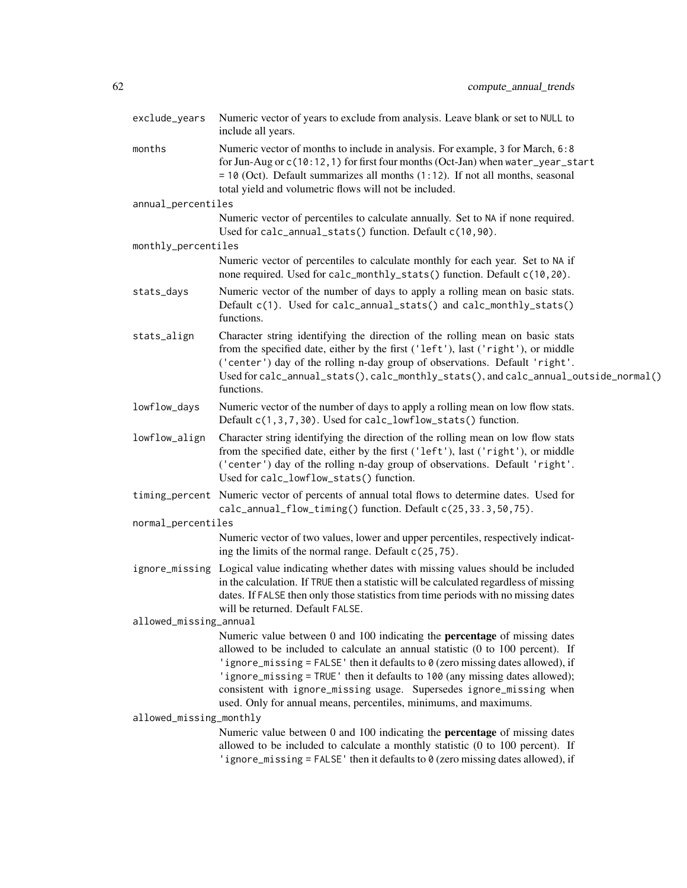| exclude_years           | Numeric vector of years to exclude from analysis. Leave blank or set to NULL to<br>include all years.                                                                                                                                                                                                                                                                                                                                                                                                   |
|-------------------------|---------------------------------------------------------------------------------------------------------------------------------------------------------------------------------------------------------------------------------------------------------------------------------------------------------------------------------------------------------------------------------------------------------------------------------------------------------------------------------------------------------|
| months                  | Numeric vector of months to include in analysis. For example, 3 for March, 6:8<br>for Jun-Aug or c(10:12, 1) for first four months (Oct-Jan) when water_year_start<br>$= 10$ (Oct). Default summarizes all months (1:12). If not all months, seasonal<br>total yield and volumetric flows will not be included.                                                                                                                                                                                         |
| annual_percentiles      |                                                                                                                                                                                                                                                                                                                                                                                                                                                                                                         |
|                         | Numeric vector of percentiles to calculate annually. Set to NA if none required.<br>Used for calc_annual_stats() function. Default c(10,90).                                                                                                                                                                                                                                                                                                                                                            |
| monthly_percentiles     |                                                                                                                                                                                                                                                                                                                                                                                                                                                                                                         |
|                         | Numeric vector of percentiles to calculate monthly for each year. Set to NA if<br>none required. Used for calc_monthly_stats() function. Default c(10,20).                                                                                                                                                                                                                                                                                                                                              |
| stats_days              | Numeric vector of the number of days to apply a rolling mean on basic stats.<br>Default c(1). Used for calc_annual_stats() and calc_monthly_stats()<br>functions.                                                                                                                                                                                                                                                                                                                                       |
| stats_align             | Character string identifying the direction of the rolling mean on basic stats<br>from the specified date, either by the first ('left'), last ('right'), or middle<br>('center') day of the rolling n-day group of observations. Default 'right'.<br>Used for calc_annual_stats(), calc_monthly_stats(), and calc_annual_outside_normal()<br>functions.                                                                                                                                                  |
| lowflow_days            | Numeric vector of the number of days to apply a rolling mean on low flow stats.<br>Default c(1,3,7,30). Used for calc_lowflow_stats() function.                                                                                                                                                                                                                                                                                                                                                         |
| lowflow_align           | Character string identifying the direction of the rolling mean on low flow stats<br>from the specified date, either by the first ('left'), last ('right'), or middle<br>('center') day of the rolling n-day group of observations. Default 'right'.<br>Used for calc_lowflow_stats() function.                                                                                                                                                                                                          |
|                         | timing_percent Numeric vector of percents of annual total flows to determine dates. Used for<br>calc_annual_flow_timing() function. Default c(25,33.3,50,75).                                                                                                                                                                                                                                                                                                                                           |
| normal_percentiles      |                                                                                                                                                                                                                                                                                                                                                                                                                                                                                                         |
|                         | Numeric vector of two values, lower and upper percentiles, respectively indicat-<br>ing the limits of the normal range. Default $c(25, 75)$ .                                                                                                                                                                                                                                                                                                                                                           |
|                         | ignore_missing Logical value indicating whether dates with missing values should be included<br>in the calculation. If TRUE then a statistic will be calculated regardless of missing<br>dates. If FALSE then only those statistics from time periods with no missing dates<br>will be returned. Default FALSE.                                                                                                                                                                                         |
| allowed_missing_annual  |                                                                                                                                                                                                                                                                                                                                                                                                                                                                                                         |
|                         | Numeric value between 0 and 100 indicating the <b>percentage</b> of missing dates<br>allowed to be included to calculate an annual statistic $(0 \text{ to } 100 \text{ percent})$ . If<br>'ignore_missing = FALSE' then it defaults to 0 (zero missing dates allowed), if<br>'ignore_missing = TRUE' then it defaults to 100 (any missing dates allowed);<br>consistent with ignore_missing usage. Supersedes ignore_missing when<br>used. Only for annual means, percentiles, minimums, and maximums. |
| allowed_missing_monthly |                                                                                                                                                                                                                                                                                                                                                                                                                                                                                                         |
|                         | Numeric value between 0 and 100 indicating the <b>percentage</b> of missing dates<br>allowed to be included to calculate a monthly statistic (0 to 100 percent). If<br>'ignore_missing = FALSE' then it defaults to $\theta$ (zero missing dates allowed), if                                                                                                                                                                                                                                           |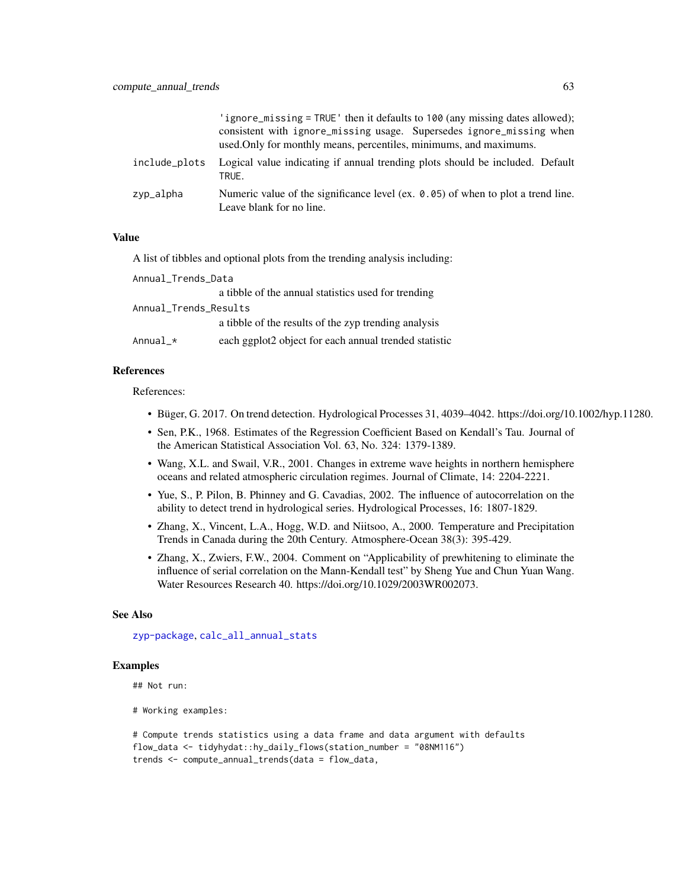|               | 'ignore_missing = TRUE' then it defaults to 100 (any missing dates allowed);<br>consistent with ignore_missing usage. Supersedes ignore_missing when<br>used. Only for monthly means, percentiles, minimums, and maximums. |
|---------------|----------------------------------------------------------------------------------------------------------------------------------------------------------------------------------------------------------------------------|
| include plots | Logical value indicating if annual trending plots should be included. Default<br>TRUE.                                                                                                                                     |
| zyp_alpha     | Numeric value of the significance level (ex. 0.05) of when to plot a trend line.<br>Leave blank for no line.                                                                                                               |

A list of tibbles and optional plots from the trending analysis including:

| Annual_Trends_Data        |                                                       |
|---------------------------|-------------------------------------------------------|
|                           | a tibble of the annual statistics used for trending   |
| Annual_Trends_Results     |                                                       |
|                           | a tibble of the results of the zyp trending analysis  |
| Annua $1_\mathbf{-}\star$ | each ggplot2 object for each annual trended statistic |

## References

References:

- Büger, G. 2017. On trend detection. Hydrological Processes 31, 4039–4042. https://doi.org/10.1002/hyp.11280.
- Sen, P.K., 1968. Estimates of the Regression Coefficient Based on Kendall's Tau. Journal of the American Statistical Association Vol. 63, No. 324: 1379-1389.
- Wang, X.L. and Swail, V.R., 2001. Changes in extreme wave heights in northern hemisphere oceans and related atmospheric circulation regimes. Journal of Climate, 14: 2204-2221.
- Yue, S., P. Pilon, B. Phinney and G. Cavadias, 2002. The influence of autocorrelation on the ability to detect trend in hydrological series. Hydrological Processes, 16: 1807-1829.
- Zhang, X., Vincent, L.A., Hogg, W.D. and Niitsoo, A., 2000. Temperature and Precipitation Trends in Canada during the 20th Century. Atmosphere-Ocean 38(3): 395-429.
- Zhang, X., Zwiers, F.W., 2004. Comment on "Applicability of prewhitening to eliminate the influence of serial correlation on the Mann-Kendall test" by Sheng Yue and Chun Yuan Wang. Water Resources Research 40. https://doi.org/10.1029/2003WR002073.

#### See Also

[zyp-package](#page-0-0), [calc\\_all\\_annual\\_stats](#page-13-0)

## Examples

```
## Not run:
```
# Working examples:

```
# Compute trends statistics using a data frame and data argument with defaults
flow_data <- tidyhydat::hy_daily_flows(station_number = "08NM116")
trends <- compute_annual_trends(data = flow_data,
```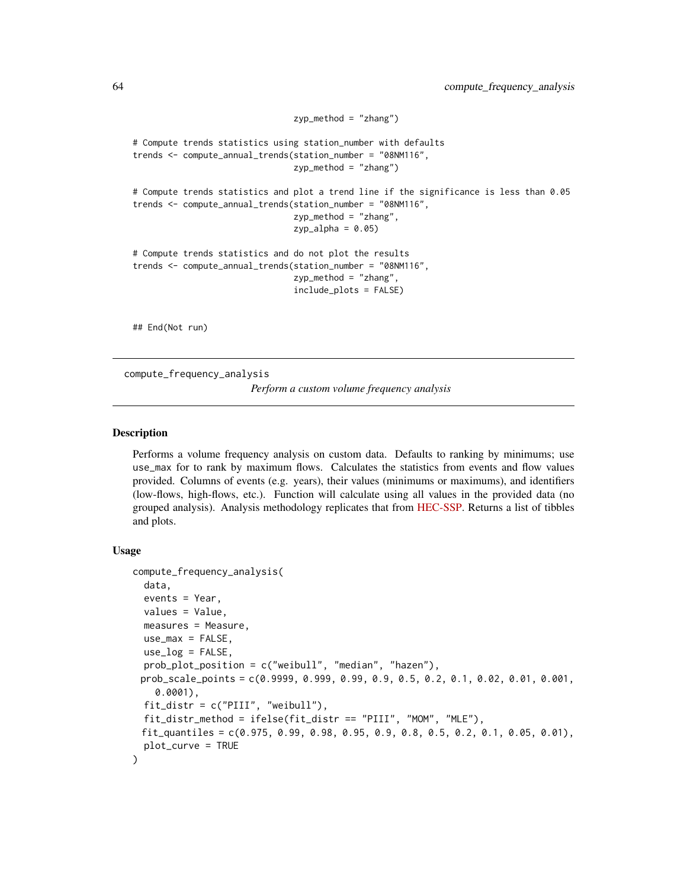```
zyp_method = "zhang")
# Compute trends statistics using station_number with defaults
trends <- compute_annual_trends(station_number = "08NM116",
                                zyp_method = "zhang")
# Compute trends statistics and plot a trend line if the significance is less than 0.05
trends <- compute_annual_trends(station_number = "08NM116",
                                zyp_method = "zhang",
                                zyp_alpha = 0.05# Compute trends statistics and do not plot the results
trends <- compute_annual_trends(station_number = "08NM116",
                                zyp_method = "zhang",
                                include_plots = FALSE)
```
## End(Not run)

<span id="page-63-0"></span>compute\_frequency\_analysis

*Perform a custom volume frequency analysis*

#### **Description**

Performs a volume frequency analysis on custom data. Defaults to ranking by minimums; use use\_max for to rank by maximum flows. Calculates the statistics from events and flow values provided. Columns of events (e.g. years), their values (minimums or maximums), and identifiers (low-flows, high-flows, etc.). Function will calculate using all values in the provided data (no grouped analysis). Analysis methodology replicates that from [HEC-SSP.](https://www.hec.usace.army.mil/software/hec-ssp/) Returns a list of tibbles and plots.

#### Usage

```
compute_frequency_analysis(
  data,
  events = Year,
  values = Value,
 measures = Measure,
  use_max = FALSE,use_log = FALSE,
 prob_plot_position = c("weibull", "median", "hazen"),
 prob_scale_points = c(0.9999, 0.999, 0.99, 0.9, 0.5, 0.2, 0.1, 0.02, 0.01, 0.001,
    0.0001),
  fit_distr = c("PIII", "weibull"),
  fit_distr_method = ifelse(fit_distr == "PIII", "MOM", "MLE"),
 fit_quantiles = c(0.975, 0.99, 0.98, 0.95, 0.9, 0.8, 0.5, 0.2, 0.1, 0.05, 0.01),
 plot_curve = TRUE
)
```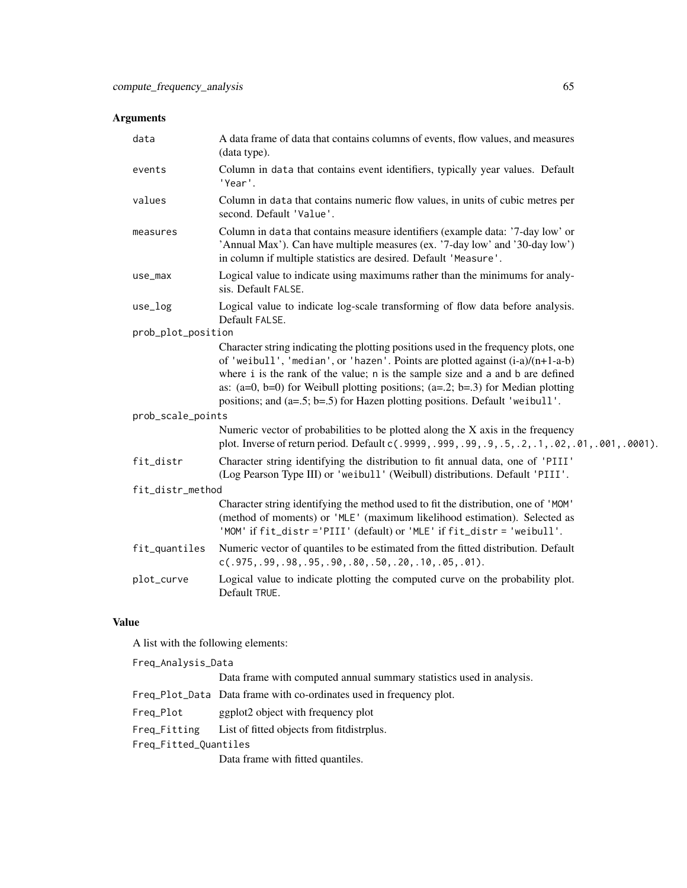| data               | A data frame of data that contains columns of events, flow values, and measures<br>(data type).                                                                                                                                                                                                                                                                                                                                  |  |
|--------------------|----------------------------------------------------------------------------------------------------------------------------------------------------------------------------------------------------------------------------------------------------------------------------------------------------------------------------------------------------------------------------------------------------------------------------------|--|
| events             | Column in data that contains event identifiers, typically year values. Default<br>'Year'.                                                                                                                                                                                                                                                                                                                                        |  |
| values             | Column in data that contains numeric flow values, in units of cubic metres per<br>second. Default 'Value'.                                                                                                                                                                                                                                                                                                                       |  |
| measures           | Column in data that contains measure identifiers (example data: '7-day low' or<br>'Annual Max'). Can have multiple measures (ex. '7-day low' and '30-day low')<br>in column if multiple statistics are desired. Default 'Measure'.                                                                                                                                                                                               |  |
| use_max            | Logical value to indicate using maximums rather than the minimums for analy-<br>sis. Default FALSE.                                                                                                                                                                                                                                                                                                                              |  |
| $use_log$          | Logical value to indicate log-scale transforming of flow data before analysis.<br>Default FALSE.                                                                                                                                                                                                                                                                                                                                 |  |
| prob_plot_position |                                                                                                                                                                                                                                                                                                                                                                                                                                  |  |
|                    | Character string indicating the plotting positions used in the frequency plots, one<br>of 'weibull', 'median', or 'hazen'. Points are plotted against $(i-a)/(n+1-a-b)$<br>where i is the rank of the value; n is the sample size and a and b are defined<br>as: $(a=0, b=0)$ for Weibull plotting positions; $(a=.2; b=.3)$ for Median plotting<br>positions; and (a=.5; b=.5) for Hazen plotting positions. Default 'weibull'. |  |
| prob_scale_points  |                                                                                                                                                                                                                                                                                                                                                                                                                                  |  |
|                    | Numeric vector of probabilities to be plotted along the X axis in the frequency<br>plot. Inverse of return period. Default c(.9999,.999,.99,.9,.5,.2,.1,.02,.01,.001,.0001).                                                                                                                                                                                                                                                     |  |
| fit_distr          | Character string identifying the distribution to fit annual data, one of 'PIII'<br>(Log Pearson Type III) or 'weibull' (Weibull) distributions. Default 'PIII'.                                                                                                                                                                                                                                                                  |  |
| fit_distr_method   |                                                                                                                                                                                                                                                                                                                                                                                                                                  |  |
|                    | Character string identifying the method used to fit the distribution, one of 'MOM'<br>(method of moments) or 'MLE' (maximum likelihood estimation). Selected as<br>'MOM' if fit_distr ='PIII' (default) or 'MLE' if fit_distr = 'weibull'.                                                                                                                                                                                       |  |
| fit_quantiles      | Numeric vector of quantiles to be estimated from the fitted distribution. Default<br>$c(.975,.99,.98,.95,.90,.80,.50,.20,.10,.05,.01).$                                                                                                                                                                                                                                                                                          |  |
| plot_curve         | Logical value to indicate plotting the computed curve on the probability plot.<br>Default TRUE.                                                                                                                                                                                                                                                                                                                                  |  |

## Value

A list with the following elements:

| Freq_Analysis_Data    |                                                                      |
|-----------------------|----------------------------------------------------------------------|
|                       | Data frame with computed annual summary statistics used in analysis. |
|                       | Freq_Plot_Data Data frame with co-ordinates used in frequency plot.  |
| Freq_Plot             | ggplot <sub>2</sub> object with frequency plot                       |
| Freg_Fitting          | List of fitted objects from fit distrplus.                           |
| Freg_Fitted_Quantiles |                                                                      |
|                       | Data frame with fitted quantiles.                                    |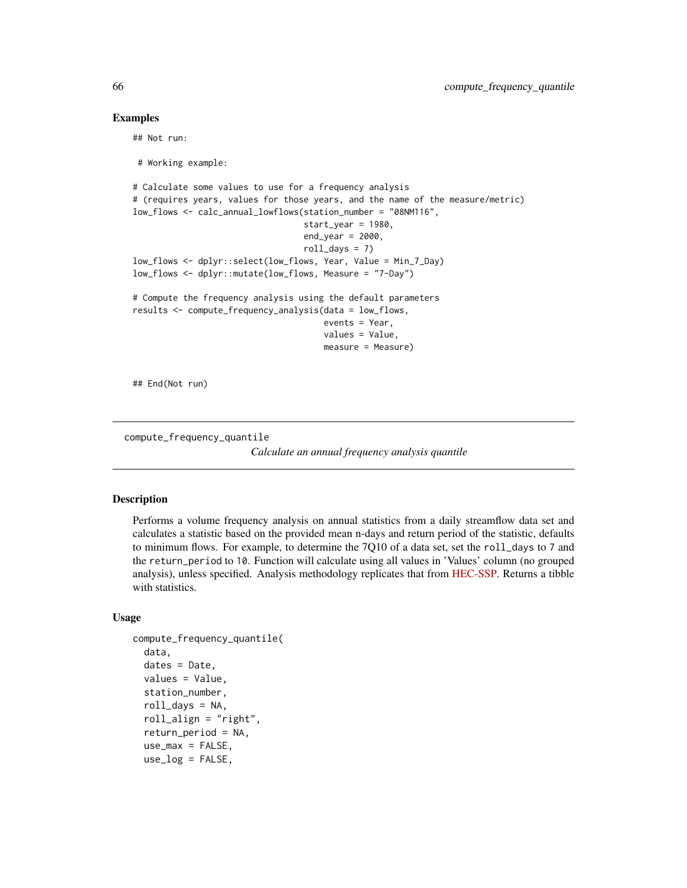#### Examples

## Not run:

```
# Working example:
# Calculate some values to use for a frequency analysis
# (requires years, values for those years, and the name of the measure/metric)
low_flows <- calc_annual_lowflows(station_number = "08NM116",
                                  start_year = 1980,
                                  end\_year = 2000,
                                  roll\_days = 7low_flows <- dplyr::select(low_flows, Year, Value = Min_7_Day)
low_flows <- dplyr::mutate(low_flows, Measure = "7-Day")
# Compute the frequency analysis using the default parameters
results <- compute_frequency_analysis(data = low_flows,
                                      events = Year,
                                      values = Value,
                                      measure = Measure)
```
## End(Not run)

compute\_frequency\_quantile

*Calculate an annual frequency analysis quantile*

#### Description

Performs a volume frequency analysis on annual statistics from a daily streamflow data set and calculates a statistic based on the provided mean n-days and return period of the statistic, defaults to minimum flows. For example, to determine the  $7Q10$  of a data set, set the roll\_days to 7 and the return\_period to 10. Function will calculate using all values in 'Values' column (no grouped analysis), unless specified. Analysis methodology replicates that from [HEC-SSP.](https://www.hec.usace.army.mil/software/hec-ssp/) Returns a tibble with statistics.

#### Usage

```
compute_frequency_quantile(
  data,
  dates = Date,
  values = Value,
  station_number,
  roll_days = NA,
  rollalign = "right",
  return_period = NA,
  use_max = FALSE,use_log = FALSE,
```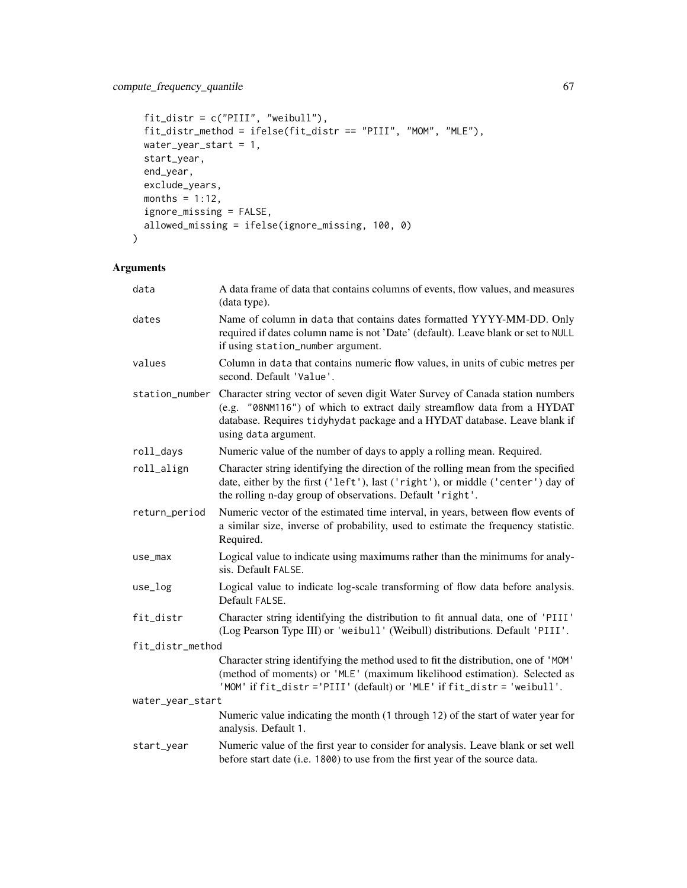```
fit_distr = c("PIII", "weibull"),
 fit_distr_method = ifelse(fit_distr == "PIII", "MOM", "MLE"),
 water_year_start = 1,
 start_year,
 end_year,
 exclude_years,
 months = 1:12,
 ignore_missing = FALSE,
 allowed_missing = ifelse(ignore_missing, 100, 0)
\mathcal{L}
```

| data             | A data frame of data that contains columns of events, flow values, and measures<br>(data type).                                                                                                                                                               |
|------------------|---------------------------------------------------------------------------------------------------------------------------------------------------------------------------------------------------------------------------------------------------------------|
| dates            | Name of column in data that contains dates formatted YYYY-MM-DD. Only<br>required if dates column name is not 'Date' (default). Leave blank or set to NULL<br>if using station_number argument.                                                               |
| values           | Column in data that contains numeric flow values, in units of cubic metres per<br>second. Default 'Value'.                                                                                                                                                    |
| station_number   | Character string vector of seven digit Water Survey of Canada station numbers<br>(e.g. "08NM116") of which to extract daily streamflow data from a HYDAT<br>database. Requires tidyhydat package and a HYDAT database. Leave blank if<br>using data argument. |
| roll_days        | Numeric value of the number of days to apply a rolling mean. Required.                                                                                                                                                                                        |
| roll_align       | Character string identifying the direction of the rolling mean from the specified<br>date, either by the first ('left'), last ('right'), or middle ('center') day of<br>the rolling n-day group of observations. Default 'right'.                             |
| return_period    | Numeric vector of the estimated time interval, in years, between flow events of<br>a similar size, inverse of probability, used to estimate the frequency statistic.<br>Required.                                                                             |
| use_max          | Logical value to indicate using maximums rather than the minimums for analy-<br>sis. Default FALSE.                                                                                                                                                           |
| $use_log$        | Logical value to indicate log-scale transforming of flow data before analysis.<br>Default FALSE.                                                                                                                                                              |
| fit_distr        | Character string identifying the distribution to fit annual data, one of 'PIII'<br>(Log Pearson Type III) or 'weibull' (Weibull) distributions. Default 'PIII'.                                                                                               |
| fit_distr_method |                                                                                                                                                                                                                                                               |
|                  | Character string identifying the method used to fit the distribution, one of 'MOM'<br>(method of moments) or 'MLE' (maximum likelihood estimation). Selected as<br>'MOM' if fit_distr ='PIII' (default) or 'MLE' if fit_distr = 'weibull'.                    |
| water_year_start |                                                                                                                                                                                                                                                               |
|                  | Numeric value indicating the month (1 through 12) of the start of water year for<br>analysis. Default 1.                                                                                                                                                      |
| start_year       | Numeric value of the first year to consider for analysis. Leave blank or set well<br>before start date (i.e. 1800) to use from the first year of the source data.                                                                                             |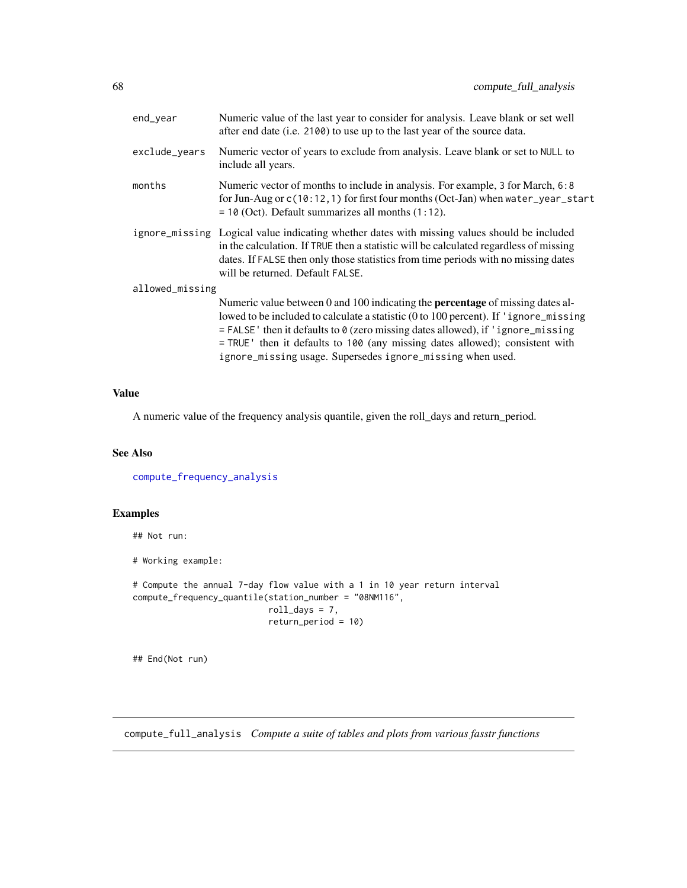| end_year        | Numeric value of the last year to consider for analysis. Leave blank or set well<br>after end date (i.e. 2100) to use up to the last year of the source data.                                                                                                                                                                                                                                                     |
|-----------------|-------------------------------------------------------------------------------------------------------------------------------------------------------------------------------------------------------------------------------------------------------------------------------------------------------------------------------------------------------------------------------------------------------------------|
| exclude_years   | Numeric vector of years to exclude from analysis. Leave blank or set to NULL to<br>include all years.                                                                                                                                                                                                                                                                                                             |
| months          | Numeric vector of months to include in analysis. For example, 3 for March, 6:8<br>for Jun-Aug or $c(10:12,1)$ for first four months (Oct-Jan) when water_year_start<br>$= 10$ (Oct). Default summarizes all months $(1:12)$ .                                                                                                                                                                                     |
|                 | ignore_missing Logical value indicating whether dates with missing values should be included<br>in the calculation. If TRUE then a statistic will be calculated regardless of missing<br>dates. If FALSE then only those statistics from time periods with no missing dates<br>will be returned. Default FALSE.                                                                                                   |
| allowed_missing |                                                                                                                                                                                                                                                                                                                                                                                                                   |
|                 | Numeric value between 0 and 100 indicating the <b>percentage</b> of missing dates al-<br>lowed to be included to calculate a statistic (0 to 100 percent). If 'ignore_missing<br>$=$ FALSE' then it defaults to 0 (zero missing dates allowed), if 'ignore_missing<br>= TRUE ' then it defaults to 100 (any missing dates allowed); consistent with<br>ignore_missing usage. Supersedes ignore_missing when used. |

A numeric value of the frequency analysis quantile, given the roll\_days and return\_period.

## See Also

[compute\\_frequency\\_analysis](#page-63-0)

# Examples

## Not run:

# Working example:

```
# Compute the annual 7-day flow value with a 1 in 10 year return interval
compute_frequency_quantile(station_number = "08NM116",
                           roll\_days = 7,
                           return_period = 10)
```
## End(Not run)

compute\_full\_analysis *Compute a suite of tables and plots from various fasstr functions*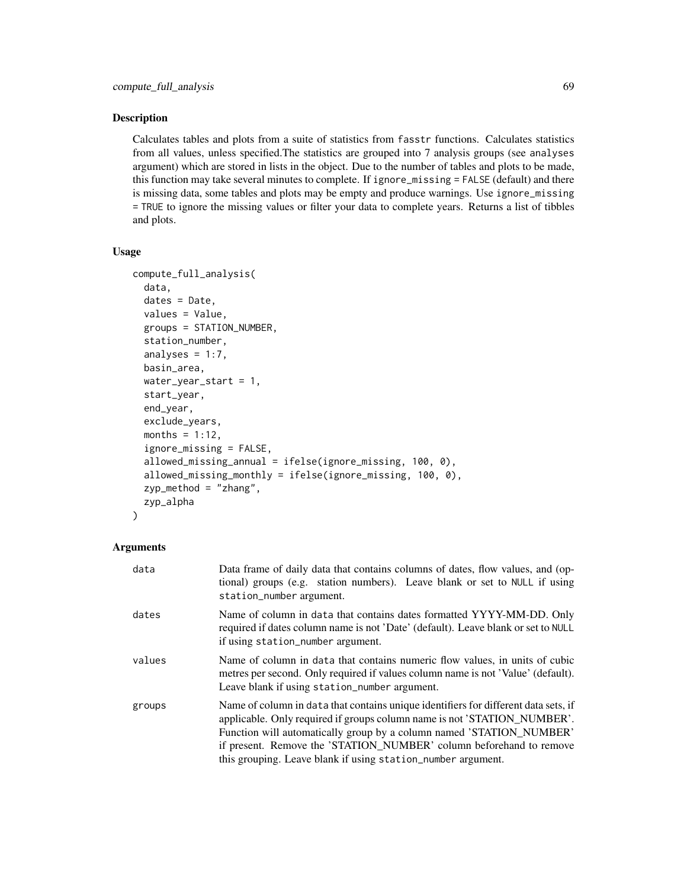### Description

Calculates tables and plots from a suite of statistics from fasstr functions. Calculates statistics from all values, unless specified.The statistics are grouped into 7 analysis groups (see analyses argument) which are stored in lists in the object. Due to the number of tables and plots to be made, this function may take several minutes to complete. If ignore\_missing = FALSE (default) and there is missing data, some tables and plots may be empty and produce warnings. Use ignore\_missing = TRUE to ignore the missing values or filter your data to complete years. Returns a list of tibbles and plots.

## Usage

```
compute_full_analysis(
  data,
  dates = Date,
  values = Value,
  groups = STATION_NUMBER,
  station_number,
  analyses = 1:7,
 basin_area,
 water_year_start = 1,
  start_year,
  end_year,
  exclude_years,
 months = 1:12,
  ignore_missing = FALSE,
  allowed_missing_annual = ifelse(ignore_missing, 100, 0),
  allowed_missing_monthly = ifelse(ignore_missing, 100, 0),
  zyp_method = "zhang",
  zyp_alpha
\lambda
```

| data   | Data frame of daily data that contains columns of dates, flow values, and (op-<br>tional) groups (e.g. station numbers). Leave blank or set to NULL if using<br>station_number argument.                                                                                                                                                                                       |
|--------|--------------------------------------------------------------------------------------------------------------------------------------------------------------------------------------------------------------------------------------------------------------------------------------------------------------------------------------------------------------------------------|
| dates  | Name of column in data that contains dates formatted YYYY-MM-DD. Only<br>required if dates column name is not 'Date' (default). Leave blank or set to NULL<br>if using station_number argument.                                                                                                                                                                                |
| values | Name of column in data that contains numeric flow values, in units of cubic<br>metres per second. Only required if values column name is not 'Value' (default).<br>Leave blank if using station_number argument.                                                                                                                                                               |
| groups | Name of column in data that contains unique identifiers for different data sets, if<br>applicable. Only required if groups column name is not 'STATION_NUMBER'.<br>Function will automatically group by a column named 'STATION_NUMBER'<br>if present. Remove the 'STATION_NUMBER' column beforehand to remove<br>this grouping. Leave blank if using station_number argument. |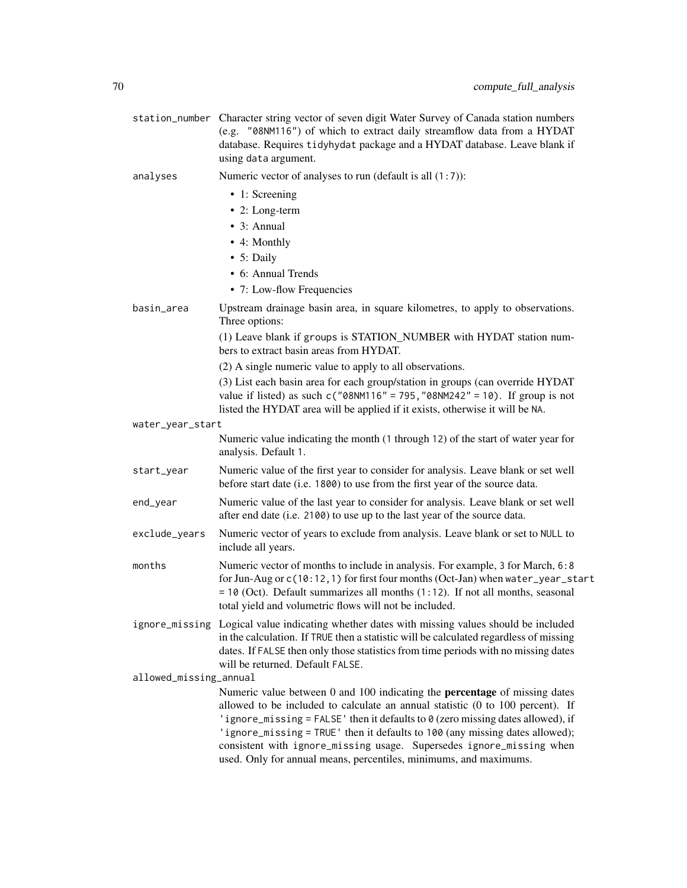|                        | station_number Character string vector of seven digit Water Survey of Canada station numbers<br>(e.g. "08NM116") of which to extract daily streamflow data from a HYDAT<br>database. Requires tidyhydat package and a HYDAT database. Leave blank if<br>using data argument.                                                                                                                                                                                                        |
|------------------------|-------------------------------------------------------------------------------------------------------------------------------------------------------------------------------------------------------------------------------------------------------------------------------------------------------------------------------------------------------------------------------------------------------------------------------------------------------------------------------------|
| analyses               | Numeric vector of analyses to run (default is all $(1:7)$ ):                                                                                                                                                                                                                                                                                                                                                                                                                        |
|                        | • 1: Screening                                                                                                                                                                                                                                                                                                                                                                                                                                                                      |
|                        | • 2: Long-term                                                                                                                                                                                                                                                                                                                                                                                                                                                                      |
|                        | $\bullet$ 3: Annual                                                                                                                                                                                                                                                                                                                                                                                                                                                                 |
|                        | • 4: Monthly                                                                                                                                                                                                                                                                                                                                                                                                                                                                        |
|                        | • 5: Daily                                                                                                                                                                                                                                                                                                                                                                                                                                                                          |
|                        | • 6: Annual Trends                                                                                                                                                                                                                                                                                                                                                                                                                                                                  |
|                        | • 7: Low-flow Frequencies                                                                                                                                                                                                                                                                                                                                                                                                                                                           |
| basin_area             | Upstream drainage basin area, in square kilometres, to apply to observations.<br>Three options:                                                                                                                                                                                                                                                                                                                                                                                     |
|                        | (1) Leave blank if groups is STATION_NUMBER with HYDAT station num-<br>bers to extract basin areas from HYDAT.                                                                                                                                                                                                                                                                                                                                                                      |
|                        | (2) A single numeric value to apply to all observations.                                                                                                                                                                                                                                                                                                                                                                                                                            |
|                        | (3) List each basin area for each group/station in groups (can override HYDAT<br>value if listed) as such $c("08NM116" = 795, "08NM242" = 10)$ . If group is not<br>listed the HYDAT area will be applied if it exists, otherwise it will be NA.                                                                                                                                                                                                                                    |
| water_year_start       |                                                                                                                                                                                                                                                                                                                                                                                                                                                                                     |
|                        | Numeric value indicating the month (1 through 12) of the start of water year for<br>analysis. Default 1.                                                                                                                                                                                                                                                                                                                                                                            |
| start_year             | Numeric value of the first year to consider for analysis. Leave blank or set well<br>before start date (i.e. 1800) to use from the first year of the source data.                                                                                                                                                                                                                                                                                                                   |
| end_year               | Numeric value of the last year to consider for analysis. Leave blank or set well<br>after end date (i.e. 2100) to use up to the last year of the source data.                                                                                                                                                                                                                                                                                                                       |
| exclude_years          | Numeric vector of years to exclude from analysis. Leave blank or set to NULL to<br>include all years.                                                                                                                                                                                                                                                                                                                                                                               |
| months                 | Numeric vector of months to include in analysis. For example, 3 for March, 6:8<br>for Jun-Aug or c(10:12, 1) for first four months (Oct-Jan) when water_year_start<br>$=$ 10 (Oct). Default summarizes all months (1:12). If not all months, seasonal<br>total yield and volumetric flows will not be included.                                                                                                                                                                     |
|                        | ignore_missing Logical value indicating whether dates with missing values should be included<br>in the calculation. If TRUE then a statistic will be calculated regardless of missing<br>dates. If FALSE then only those statistics from time periods with no missing dates<br>will be returned. Default FALSE.                                                                                                                                                                     |
| allowed_missing_annual |                                                                                                                                                                                                                                                                                                                                                                                                                                                                                     |
|                        | Numeric value between 0 and 100 indicating the <b>percentage</b> of missing dates<br>allowed to be included to calculate an annual statistic (0 to 100 percent). If<br>'ignore_missing = FALSE' then it defaults to 0 (zero missing dates allowed), if<br>'ignore_missing = TRUE' then it defaults to 100 (any missing dates allowed);<br>consistent with ignore_missing usage. Supersedes ignore_missing when<br>used. Only for annual means, percentiles, minimums, and maximums. |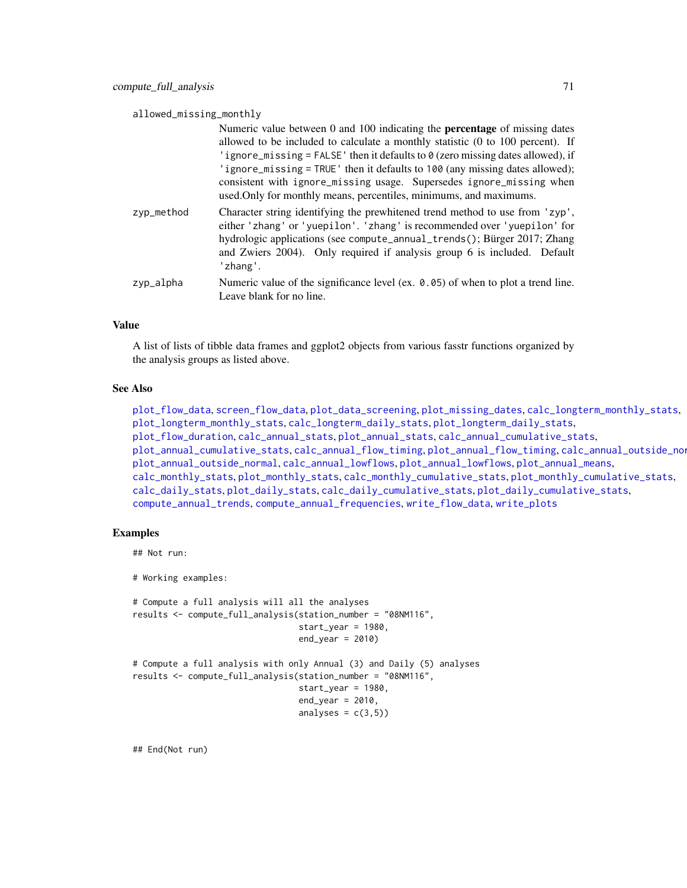allowed\_missing\_monthly

|            | Numeric value between 0 and 100 indicating the <b>percentage</b> of missing dates<br>allowed to be included to calculate a monthly statistic (0 to 100 percent). If<br>'ignore_missing = FALSE' then it defaults to $\theta$ (zero missing dates allowed), if<br>'ignore_missing = TRUE' then it defaults to 100 (any missing dates allowed);<br>consistent with ignore_missing usage. Supersedes ignore_missing when<br>used. Only for monthly means, percentiles, minimums, and maximums. |
|------------|---------------------------------------------------------------------------------------------------------------------------------------------------------------------------------------------------------------------------------------------------------------------------------------------------------------------------------------------------------------------------------------------------------------------------------------------------------------------------------------------|
| zyp_method | Character string identifying the prewhitened trend method to use from 'zyp',<br>either 'zhang' or 'yuepilon'. 'zhang' is recommended over 'yuepilon' for<br>hydrologic applications (see compute_annual_trends(); Bürger 2017; Zhang<br>and Zwiers 2004). Only required if analysis group 6 is included. Default<br>'zhang'.                                                                                                                                                                |
| zyp_alpha  | Numeric value of the significance level (ex. 0.05) of when to plot a trend line.<br>Leave blank for no line.                                                                                                                                                                                                                                                                                                                                                                                |

#### Value

A list of lists of tibble data frames and ggplot2 objects from various fasstr functions organized by the analysis groups as listed above.

## See Also

```
plot_flow_data, screen_flow_data, plot_data_screening, plot_missing_dates, calc_longterm_monthly_stats,
plot_longterm_monthly_stats, calc_longterm_daily_stats, plot_longterm_daily_stats,
plot_flow_duration, calc_annual_stats, plot_annual_stats, calc_annual_cumulative_stats,
plot_annual_cumulative_statscalc_annual_flow_timingplot_annual_flow_timingcalc_annual_outside_normal,
plot_annual_outside_normal, calc_annual_lowflows, plot_annual_lowflows, plot_annual_means,
calc_monthly_stats, plot_monthly_stats, calc_monthly_cumulative_stats, plot_monthly_cumulative_stats,
calc_daily_stats, plot_daily_stats, calc_daily_cumulative_stats, plot_daily_cumulative_stats,
compute_annual_trends, compute_annual_frequencies, write_flow_data, write_plots
```
#### Examples

## Not run:

```
# Working examples:
```

```
# Compute a full analysis will all the analyses
results <- compute_full_analysis(station_number = "08NM116",
                                 start_year = 1980,
                                 end\_year = 2010# Compute a full analysis with only Annual (3) and Daily (5) analyses
results <- compute_full_analysis(station_number = "08NM116",
                                 start_year = 1980,
                                 end\_year = 2010,analyses = c(3,5))
```
## End(Not run)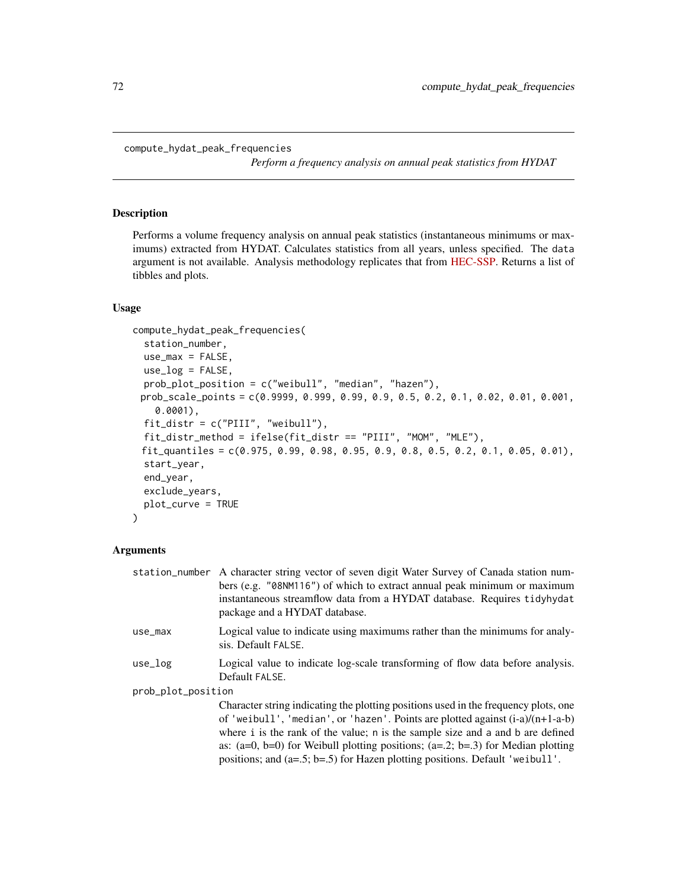*Perform a frequency analysis on annual peak statistics from HYDAT*

#### Description

Performs a volume frequency analysis on annual peak statistics (instantaneous minimums or maximums) extracted from HYDAT. Calculates statistics from all years, unless specified. The data argument is not available. Analysis methodology replicates that from [HEC-SSP.](https://www.hec.usace.army.mil/software/hec-ssp/) Returns a list of tibbles and plots.

## Usage

compute\_hydat\_peak\_frequencies( station\_number,  $use_max = FALSE,$ use\_log = FALSE, prob\_plot\_position = c("weibull", "median", "hazen"), prob\_scale\_points = c(0.9999, 0.999, 0.99, 0.9, 0.5, 0.2, 0.1, 0.02, 0.01, 0.001, 0.0001),  $fit\_distr = c("PIII", "weibull"),$ fit\_distr\_method = ifelse(fit\_distr == "PIII", "MOM", "MLE"), fit\_quantiles = c(0.975, 0.99, 0.98, 0.95, 0.9, 0.8, 0.5, 0.2, 0.1, 0.05, 0.01), start\_year, end\_year, exclude\_years, plot\_curve = TRUE )

|                    | station_number A character string vector of seven digit Water Survey of Canada station num-<br>bers (e.g. "08NM116") of which to extract annual peak minimum or maximum<br>instantaneous streamflow data from a HYDAT database. Requires tidyhydat<br>package and a HYDAT database.                                                                                                                                                   |  |
|--------------------|---------------------------------------------------------------------------------------------------------------------------------------------------------------------------------------------------------------------------------------------------------------------------------------------------------------------------------------------------------------------------------------------------------------------------------------|--|
| use_max            | Logical value to indicate using maximums rather than the minimums for analy-<br>sis. Default FALSE.                                                                                                                                                                                                                                                                                                                                   |  |
| use_log            | Logical value to indicate log-scale transforming of flow data before analysis.<br>Default FALSE.                                                                                                                                                                                                                                                                                                                                      |  |
| prob_plot_position |                                                                                                                                                                                                                                                                                                                                                                                                                                       |  |
|                    | Character string indicating the plotting positions used in the frequency plots, one<br>of 'weibull', 'median', or 'hazen'. Points are plotted against $(i-a)/(n+1-a-b)$<br>where i is the rank of the value; n is the sample size and a and b are defined<br>as: $(a=0, b=0)$ for Weibull plotting positions; $(a=.2; b=.3)$ for Median plotting<br>positions; and $(a=0.5; b=0.5)$ for Hazen plotting positions. Default 'we ibull'. |  |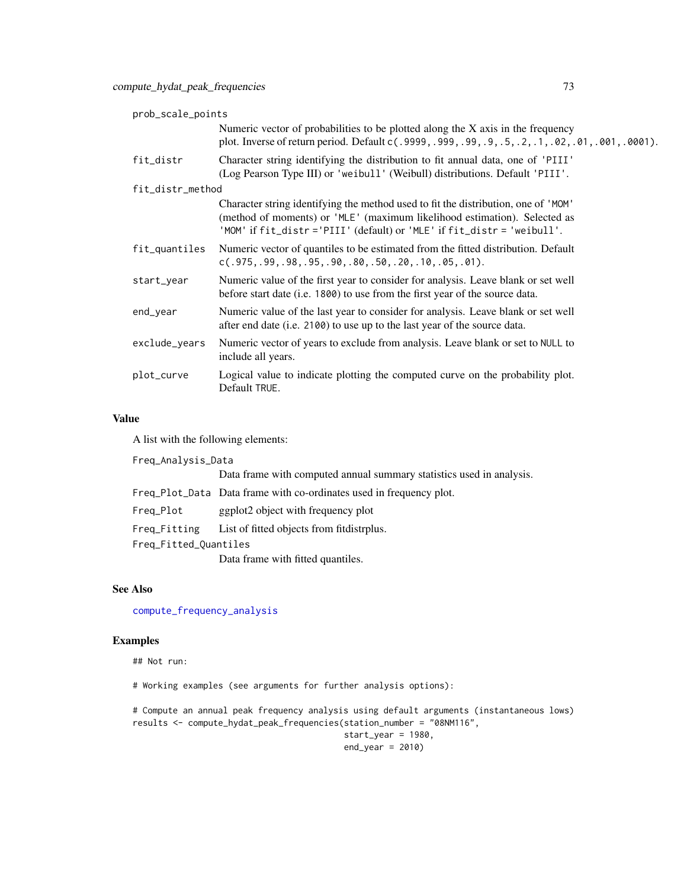| prob_scale_points |                                                                                                                                                                                                                                            |
|-------------------|--------------------------------------------------------------------------------------------------------------------------------------------------------------------------------------------------------------------------------------------|
|                   | Numeric vector of probabilities to be plotted along the $X$ axis in the frequency<br>plot. Inverse of return period. Default c(.9999,.999,.99,.9,.5,.2,.1,.02,.01,.001,.0001).                                                             |
| fit_distr         | Character string identifying the distribution to fit annual data, one of 'PIII'<br>(Log Pearson Type III) or 'weibull' (Weibull) distributions. Default 'PIII'.                                                                            |
| fit_distr_method  |                                                                                                                                                                                                                                            |
|                   | Character string identifying the method used to fit the distribution, one of 'MOM'<br>(method of moments) or 'MLE' (maximum likelihood estimation). Selected as<br>'MOM' if fit_distr ='PIII' (default) or 'MLE' if fit_distr = 'weibull'. |
| fit_quantiles     | Numeric vector of quantiles to be estimated from the fitted distribution. Default<br>$c(.975,.99,.98,.95,.90,.80,.50,.20,.10,.05,.01).$                                                                                                    |
| start_year        | Numeric value of the first year to consider for analysis. Leave blank or set well<br>before start date (i.e. 1800) to use from the first year of the source data.                                                                          |
| end_year          | Numeric value of the last year to consider for analysis. Leave blank or set well<br>after end date (i.e. 2100) to use up to the last year of the source data.                                                                              |
| exclude_years     | Numeric vector of years to exclude from analysis. Leave blank or set to NULL to<br>include all years.                                                                                                                                      |
| plot_curve        | Logical value to indicate plotting the computed curve on the probability plot.<br>Default TRUE.                                                                                                                                            |

A list with the following elements:

Freq\_Analysis\_Data Data frame with computed annual summary statistics used in analysis. Freq\_Plot\_Data Data frame with co-ordinates used in frequency plot. Freq\_Plot ggplot2 object with frequency plot Freq\_Fitting List of fitted objects from fitdistrplus. Freq\_Fitted\_Quantiles Data frame with fitted quantiles.

# See Also

[compute\\_frequency\\_analysis](#page-63-0)

# Examples

## Not run:

# Working examples (see arguments for further analysis options):

# Compute an annual peak frequency analysis using default arguments (instantaneous lows) results <- compute\_hydat\_peak\_frequencies(station\_number = "08NM116", start\_year = 1980,

 $end\_year = 2010$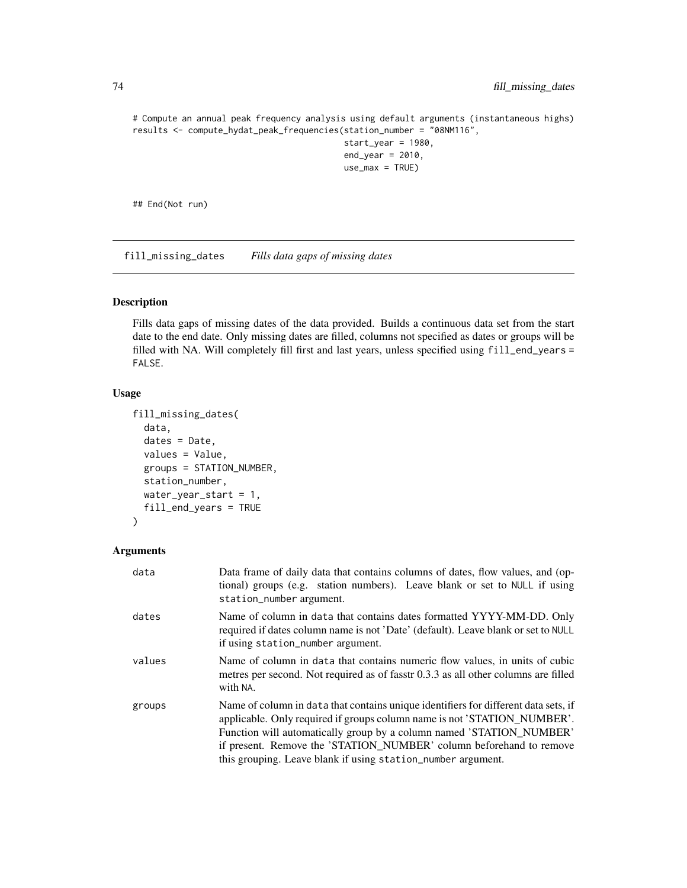# Compute an annual peak frequency analysis using default arguments (instantaneous highs) results <- compute\_hydat\_peak\_frequencies(station\_number = "08NM116", start\_year = 1980,

```
end\_year = 2010,use_max = TRUE)
```
## End(Not run)

fill\_missing\_dates *Fills data gaps of missing dates*

# Description

Fills data gaps of missing dates of the data provided. Builds a continuous data set from the start date to the end date. Only missing dates are filled, columns not specified as dates or groups will be filled with NA. Will completely fill first and last years, unless specified using fill\_end\_years = FALSE.

#### Usage

```
fill_missing_dates(
  data,
  dates = Date,
  values = Value,
  groups = STATION_NUMBER,
  station_number,
 water_year_start = 1,
  fill_end_years = TRUE
)
```

| data   | Data frame of daily data that contains columns of dates, flow values, and (op-<br>tional) groups (e.g. station numbers). Leave blank or set to NULL if using<br>station_number argument.                                                                                                                                                                                       |
|--------|--------------------------------------------------------------------------------------------------------------------------------------------------------------------------------------------------------------------------------------------------------------------------------------------------------------------------------------------------------------------------------|
| dates  | Name of column in data that contains dates formatted YYYY-MM-DD. Only<br>required if dates column name is not 'Date' (default). Leave blank or set to NULL<br>if using station_number argument.                                                                                                                                                                                |
| values | Name of column in data that contains numeric flow values, in units of cubic<br>metres per second. Not required as of fasstr 0.3.3 as all other columns are filled<br>with NA.                                                                                                                                                                                                  |
| groups | Name of column in data that contains unique identifiers for different data sets, if<br>applicable. Only required if groups column name is not 'STATION_NUMBER'.<br>Function will automatically group by a column named 'STATION_NUMBER'<br>if present. Remove the 'STATION_NUMBER' column beforehand to remove<br>this grouping. Leave blank if using station_number argument. |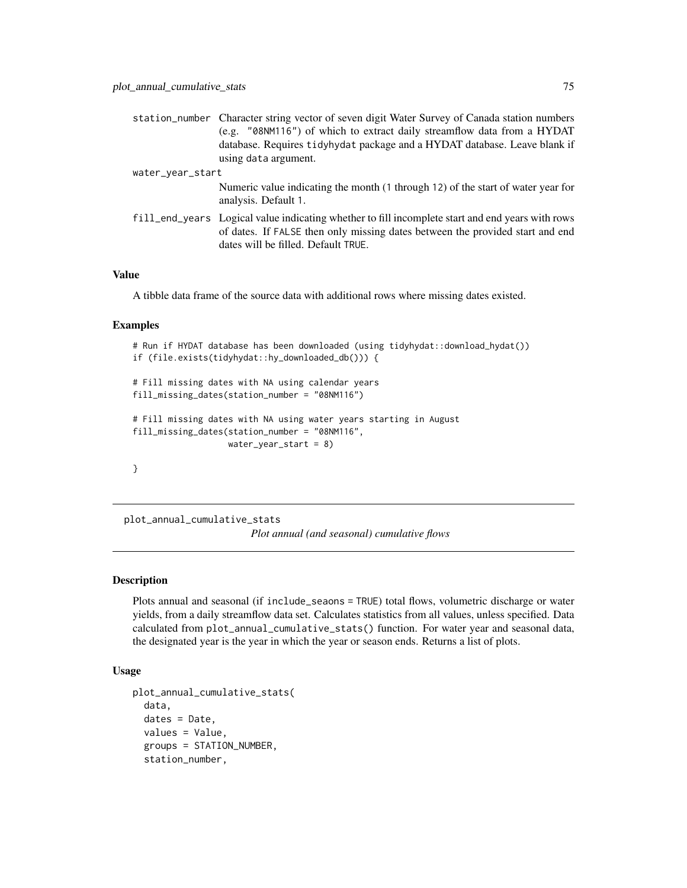|                  | station_number Character string vector of seven digit Water Survey of Canada station numbers |
|------------------|----------------------------------------------------------------------------------------------|
|                  | (e.g. "08NM116") of which to extract daily streamflow data from a HYDAT                      |
|                  | database. Requires tidyhydat package and a HYDAT database. Leave blank if                    |
|                  | using data argument.                                                                         |
| water_year_start |                                                                                              |

Numeric value indicating the month (1 through 12) of the start of water year for analysis. Default 1.

fill\_end\_years Logical value indicating whether to fill incomplete start and end years with rows of dates. If FALSE then only missing dates between the provided start and end dates will be filled. Default TRUE.

### Value

A tibble data frame of the source data with additional rows where missing dates existed.

#### Examples

```
# Run if HYDAT database has been downloaded (using tidyhydat::download_hydat())
if (file.exists(tidyhydat::hy_downloaded_db())) {
# Fill missing dates with NA using calendar years
fill_missing_dates(station_number = "08NM116")
# Fill missing dates with NA using water years starting in August
fill_missing_dates(station_number = "08NM116",
                   water_year_start = 8)
}
```
plot\_annual\_cumulative\_stats *Plot annual (and seasonal) cumulative flows*

### Description

Plots annual and seasonal (if include\_seaons = TRUE) total flows, volumetric discharge or water yields, from a daily streamflow data set. Calculates statistics from all values, unless specified. Data calculated from plot\_annual\_cumulative\_stats() function. For water year and seasonal data, the designated year is the year in which the year or season ends. Returns a list of plots.

# Usage

```
plot_annual_cumulative_stats(
  data,
  dates = Date,
  values = Value,
  groups = STATION_NUMBER,
  station_number,
```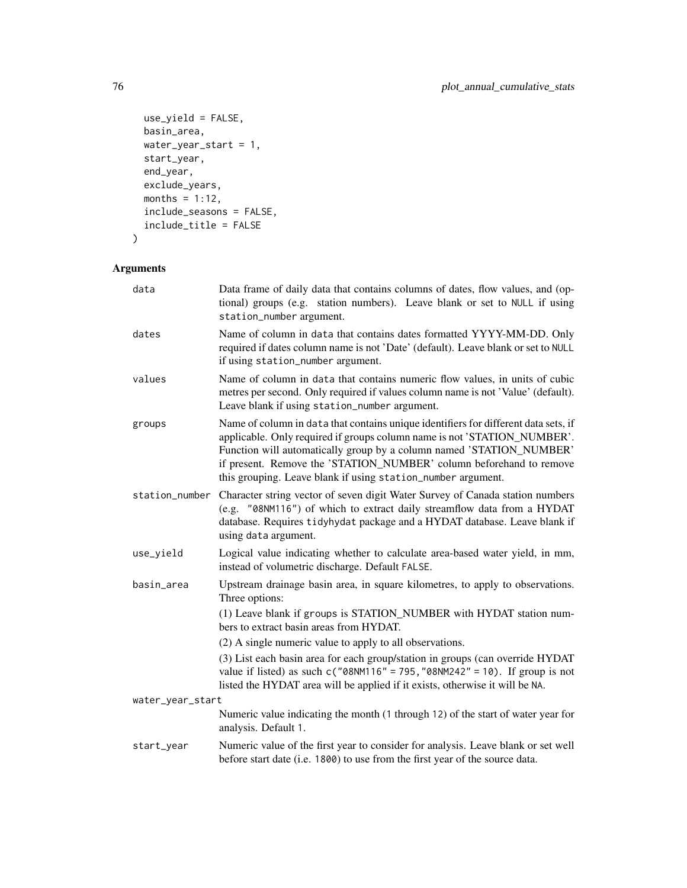```
use_yield = FALSE,
 basin_area,
 water_year_start = 1,
 start_year,
 end_year,
 exclude_years,
 months = 1:12,
 include_seasons = FALSE,
 include_title = FALSE
\mathcal{L}
```

| data             | Data frame of daily data that contains columns of dates, flow values, and (op-<br>tional) groups (e.g. station numbers). Leave blank or set to NULL if using<br>station_number argument.                                                                                                                                                                                       |  |
|------------------|--------------------------------------------------------------------------------------------------------------------------------------------------------------------------------------------------------------------------------------------------------------------------------------------------------------------------------------------------------------------------------|--|
| dates            | Name of column in data that contains dates formatted YYYY-MM-DD. Only<br>required if dates column name is not 'Date' (default). Leave blank or set to NULL<br>if using station_number argument.                                                                                                                                                                                |  |
| values           | Name of column in data that contains numeric flow values, in units of cubic<br>metres per second. Only required if values column name is not 'Value' (default).<br>Leave blank if using station_number argument.                                                                                                                                                               |  |
| groups           | Name of column in data that contains unique identifiers for different data sets, if<br>applicable. Only required if groups column name is not 'STATION_NUMBER'.<br>Function will automatically group by a column named 'STATION_NUMBER'<br>if present. Remove the 'STATION_NUMBER' column beforehand to remove<br>this grouping. Leave blank if using station_number argument. |  |
| station_number   | Character string vector of seven digit Water Survey of Canada station numbers<br>(e.g. "08NM116") of which to extract daily streamflow data from a HYDAT<br>database. Requires tidyhydat package and a HYDAT database. Leave blank if<br>using data argument.                                                                                                                  |  |
| use_yield        | Logical value indicating whether to calculate area-based water yield, in mm,<br>instead of volumetric discharge. Default FALSE.                                                                                                                                                                                                                                                |  |
| basin_area       | Upstream drainage basin area, in square kilometres, to apply to observations.<br>Three options:                                                                                                                                                                                                                                                                                |  |
|                  | (1) Leave blank if groups is STATION_NUMBER with HYDAT station num-<br>bers to extract basin areas from HYDAT.                                                                                                                                                                                                                                                                 |  |
|                  | (2) A single numeric value to apply to all observations.                                                                                                                                                                                                                                                                                                                       |  |
|                  | (3) List each basin area for each group/station in groups (can override HYDAT<br>value if listed) as such $c("08NM116" = 795, "08NM242" = 10)$ . If group is not<br>listed the HYDAT area will be applied if it exists, otherwise it will be NA.                                                                                                                               |  |
| water_year_start |                                                                                                                                                                                                                                                                                                                                                                                |  |
|                  | Numeric value indicating the month (1 through 12) of the start of water year for<br>analysis. Default 1.                                                                                                                                                                                                                                                                       |  |
| start_year       | Numeric value of the first year to consider for analysis. Leave blank or set well<br>before start date (i.e. 1800) to use from the first year of the source data.                                                                                                                                                                                                              |  |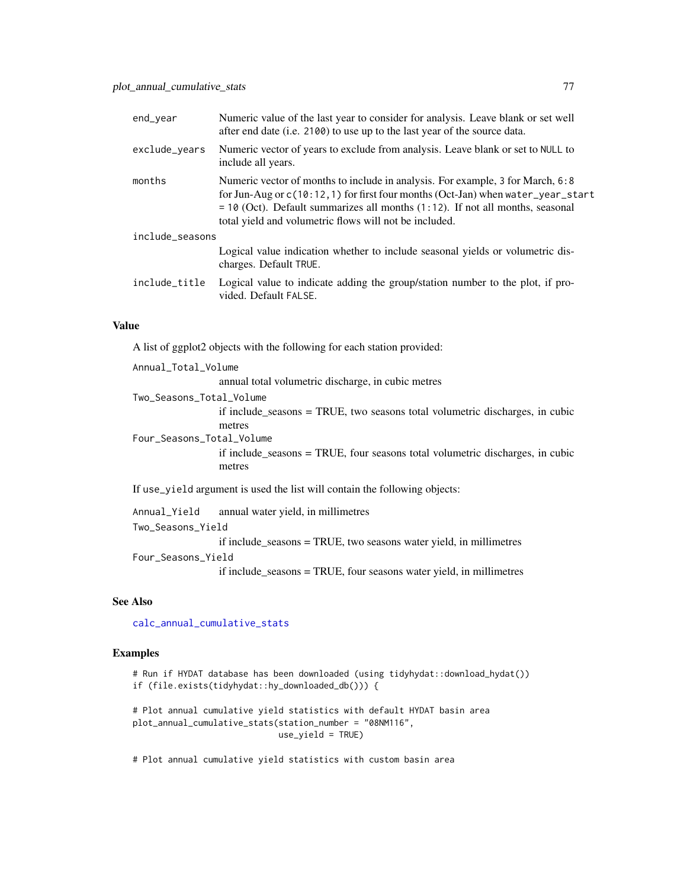| end_year        | Numeric value of the last year to consider for analysis. Leave blank or set well<br>after end date (i.e. 2100) to use up to the last year of the source data.                                                                                                                                                    |
|-----------------|------------------------------------------------------------------------------------------------------------------------------------------------------------------------------------------------------------------------------------------------------------------------------------------------------------------|
| exclude_years   | Numeric vector of years to exclude from analysis. Leave blank or set to NULL to<br>include all years.                                                                                                                                                                                                            |
| months          | Numeric vector of months to include in analysis. For example, 3 for March, 6:8<br>for Jun-Aug or $c(10:12,1)$ for first four months (Oct-Jan) when water_year_start<br>$=$ 10 (Oct). Default summarizes all months (1:12). If not all months, seasonal<br>total yield and volumetric flows will not be included. |
| include_seasons |                                                                                                                                                                                                                                                                                                                  |
|                 | Logical value indication whether to include seasonal yields or volumetric dis-<br>charges. Default TRUE.                                                                                                                                                                                                         |
| include_title   | Logical value to indicate adding the group/station number to the plot, if pro-<br>vided. Default FALSE.                                                                                                                                                                                                          |

A list of ggplot2 objects with the following for each station provided:

Annual\_Total\_Volume annual total volumetric discharge, in cubic metres Two\_Seasons\_Total\_Volume if include\_seasons = TRUE, two seasons total volumetric discharges, in cubic metres Four\_Seasons\_Total\_Volume if include\_seasons = TRUE, four seasons total volumetric discharges, in cubic metres If use\_yield argument is used the list will contain the following objects:

Annual\_Yield annual water yield, in millimetres Two\_Seasons\_Yield if include\_seasons = TRUE, two seasons water yield, in millimetres Four\_Seasons\_Yield

if include\_seasons = TRUE, four seasons water yield, in millimetres

#### See Also

[calc\\_annual\\_cumulative\\_stats](#page-17-0)

#### Examples

# Run if HYDAT database has been downloaded (using tidyhydat::download\_hydat()) if (file.exists(tidyhydat::hy\_downloaded\_db())) {

```
# Plot annual cumulative yield statistics with default HYDAT basin area
plot_annual_cumulative_stats(station_number = "08NM116",
                            use_yield = TRUE)
```
# Plot annual cumulative yield statistics with custom basin area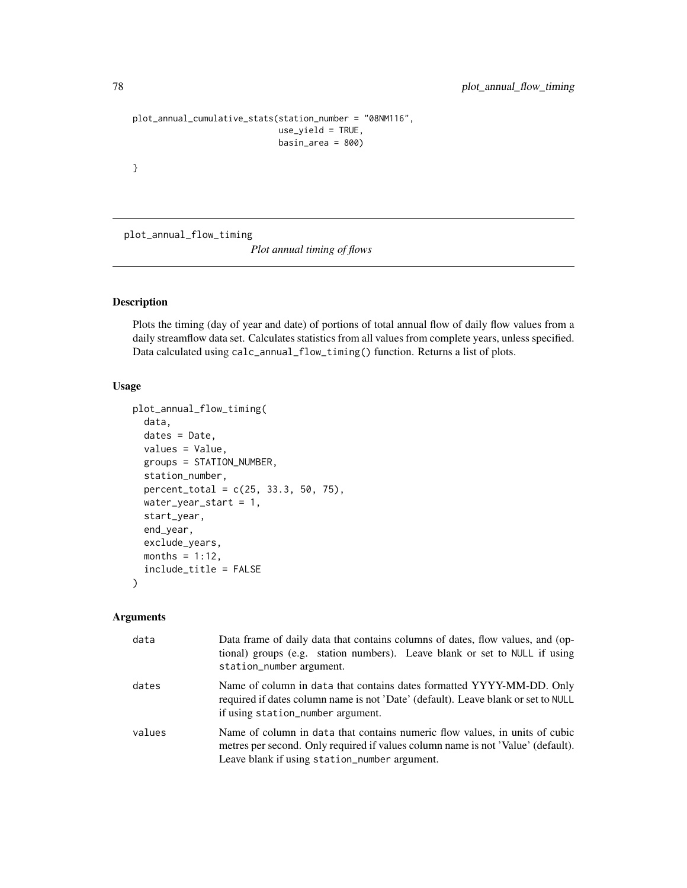```
plot_annual_cumulative_stats(station_number = "08NM116",
                             use_yield = TRUE,
                             basin_area = 800)
```
}

plot\_annual\_flow\_timing

*Plot annual timing of flows*

# Description

Plots the timing (day of year and date) of portions of total annual flow of daily flow values from a daily streamflow data set. Calculates statistics from all values from complete years, unless specified. Data calculated using calc\_annual\_flow\_timing() function. Returns a list of plots.

#### Usage

```
plot_annual_flow_timing(
  data,
  dates = Date,
  values = Value,
  groups = STATION_NUMBER,
  station_number,
 percent_total = c(25, 33.3, 50, 75),
 water_year_start = 1,
  start_year,
  end_year,
  exclude_years,
 months = 1:12,
  include_title = FALSE
)
```

| data   | Data frame of daily data that contains columns of dates, flow values, and (op-<br>tional) groups (e.g. station numbers). Leave blank or set to NULL if using<br>station_number argument.                         |
|--------|------------------------------------------------------------------------------------------------------------------------------------------------------------------------------------------------------------------|
| dates  | Name of column in data that contains dates formatted YYYY-MM-DD. Only<br>required if dates column name is not 'Date' (default). Leave blank or set to NULL<br>if using station_number argument.                  |
| values | Name of column in data that contains numeric flow values, in units of cubic<br>metres per second. Only required if values column name is not 'Value' (default).<br>Leave blank if using station_number argument. |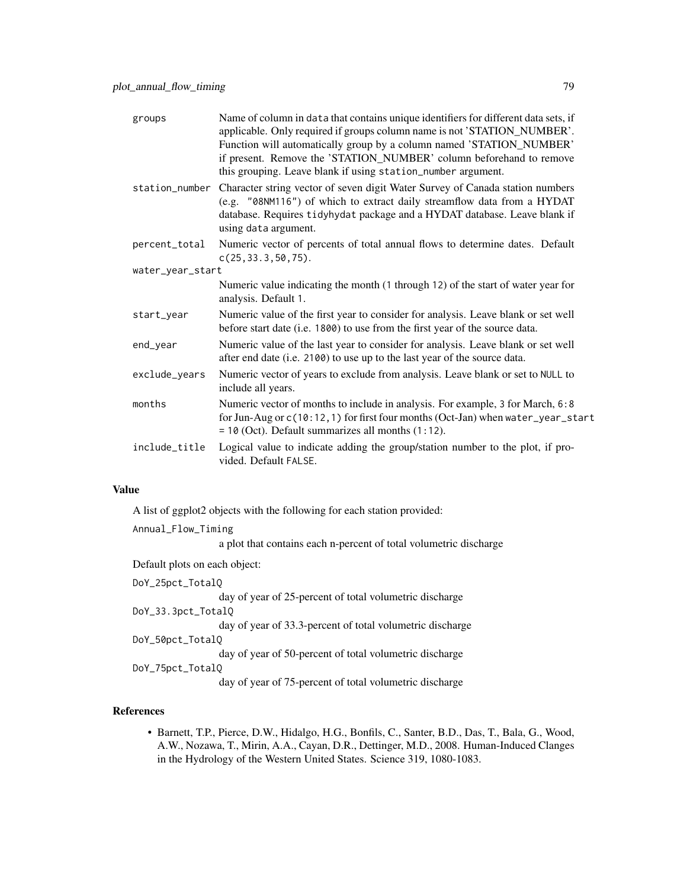| groups           | Name of column in data that contains unique identifiers for different data sets, if<br>applicable. Only required if groups column name is not 'STATION_NUMBER'.<br>Function will automatically group by a column named 'STATION_NUMBER'<br>if present. Remove the 'STATION_NUMBER' column beforehand to remove<br>this grouping. Leave blank if using station_number argument. |
|------------------|--------------------------------------------------------------------------------------------------------------------------------------------------------------------------------------------------------------------------------------------------------------------------------------------------------------------------------------------------------------------------------|
|                  | station_number Character string vector of seven digit Water Survey of Canada station numbers<br>(e.g. "08NM116") of which to extract daily streamflow data from a HYDAT<br>database. Requires tidyhydat package and a HYDAT database. Leave blank if<br>using data argument.                                                                                                   |
| percent_total    | Numeric vector of percents of total annual flows to determine dates. Default<br>$c(25, 33.3, 50, 75)$ .                                                                                                                                                                                                                                                                        |
| water_year_start |                                                                                                                                                                                                                                                                                                                                                                                |
|                  | Numeric value indicating the month (1 through 12) of the start of water year for<br>analysis. Default 1.                                                                                                                                                                                                                                                                       |
| start_year       | Numeric value of the first year to consider for analysis. Leave blank or set well<br>before start date (i.e. 1800) to use from the first year of the source data.                                                                                                                                                                                                              |
| end_year         | Numeric value of the last year to consider for analysis. Leave blank or set well<br>after end date (i.e. 2100) to use up to the last year of the source data.                                                                                                                                                                                                                  |
| exclude_years    | Numeric vector of years to exclude from analysis. Leave blank or set to NULL to<br>include all years.                                                                                                                                                                                                                                                                          |
| months           | Numeric vector of months to include in analysis. For example, 3 for March, 6:8<br>for Jun-Aug or c(10:12, 1) for first four months (Oct-Jan) when water_year_start<br>$= 10$ (Oct). Default summarizes all months $(1:12)$ .                                                                                                                                                   |
| include_title    | Logical value to indicate adding the group/station number to the plot, if pro-<br>vided. Default FALSE.                                                                                                                                                                                                                                                                        |

A list of ggplot2 objects with the following for each station provided:

Annual\_Flow\_Timing

a plot that contains each n-percent of total volumetric discharge

Default plots on each object:

DoY\_25pct\_TotalQ day of year of 25-percent of total volumetric discharge DoY\_33.3pct\_TotalQ day of year of 33.3-percent of total volumetric discharge DoY\_50pct\_TotalQ day of year of 50-percent of total volumetric discharge DoY\_75pct\_TotalQ day of year of 75-percent of total volumetric discharge

# References

• Barnett, T.P., Pierce, D.W., Hidalgo, H.G., Bonfils, C., Santer, B.D., Das, T., Bala, G., Wood, A.W., Nozawa, T., Mirin, A.A., Cayan, D.R., Dettinger, M.D., 2008. Human-Induced Clanges in the Hydrology of the Western United States. Science 319, 1080-1083.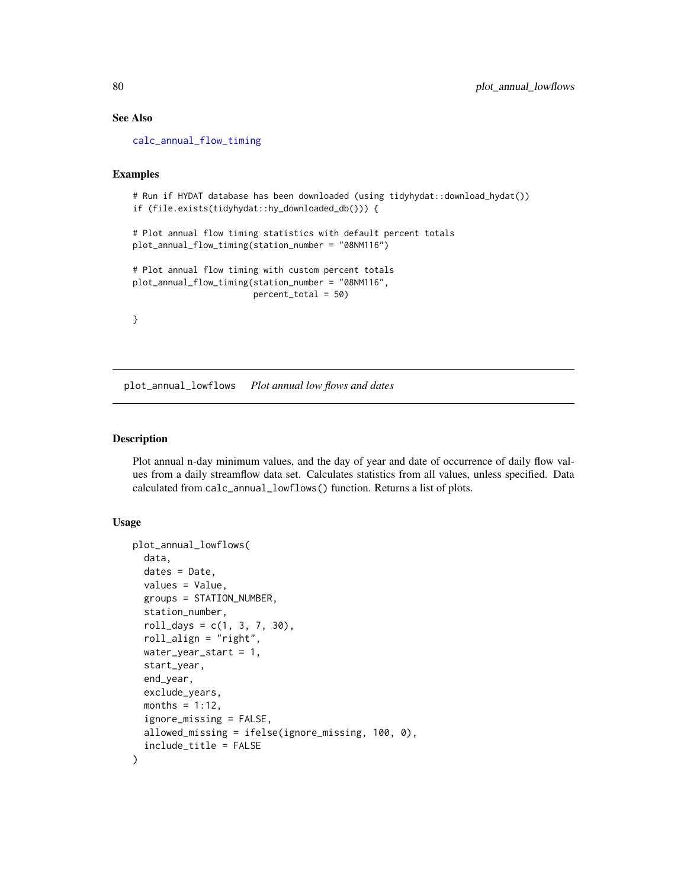# See Also

[calc\\_annual\\_flow\\_timing](#page-19-0)

#### Examples

```
# Run if HYDAT database has been downloaded (using tidyhydat::download_hydat())
if (file.exists(tidyhydat::hy_downloaded_db())) {
```

```
# Plot annual flow timing statistics with default percent totals
plot_annual_flow_timing(station_number = "08NM116")
```

```
# Plot annual flow timing with custom percent totals
plot_annual_flow_timing(station_number = "08NM116",
                       percent_total = 50)
```

```
}
```
plot\_annual\_lowflows *Plot annual low flows and dates*

#### Description

Plot annual n-day minimum values, and the day of year and date of occurrence of daily flow values from a daily streamflow data set. Calculates statistics from all values, unless specified. Data calculated from calc\_annual\_lowflows() function. Returns a list of plots.

## Usage

```
plot_annual_lowflows(
  data,
  dates = Date,
  values = Value,
  groups = STATION_NUMBER,
  station_number,
  roll\_days = c(1, 3, 7, 30),roll_align = "right",
 water_year_start = 1,
  start_year,
  end_year,
  exclude_years,
 months = 1:12,
  ignore_missing = FALSE,
  allowed_missing = ifelse(ignore_missing, 100, 0),
  include_title = FALSE
)
```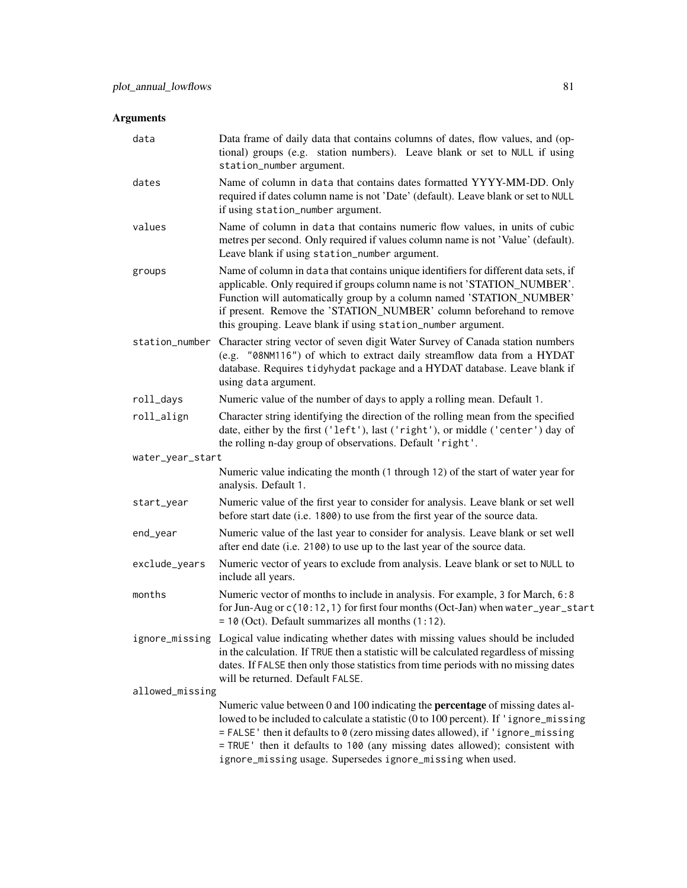| data             | Data frame of daily data that contains columns of dates, flow values, and (op-<br>tional) groups (e.g. station numbers). Leave blank or set to NULL if using<br>station_number argument.                                                                                                                                                                                                                        |
|------------------|-----------------------------------------------------------------------------------------------------------------------------------------------------------------------------------------------------------------------------------------------------------------------------------------------------------------------------------------------------------------------------------------------------------------|
| dates            | Name of column in data that contains dates formatted YYYY-MM-DD. Only<br>required if dates column name is not 'Date' (default). Leave blank or set to NULL<br>if using station_number argument.                                                                                                                                                                                                                 |
| values           | Name of column in data that contains numeric flow values, in units of cubic<br>metres per second. Only required if values column name is not 'Value' (default).<br>Leave blank if using station_number argument.                                                                                                                                                                                                |
| groups           | Name of column in data that contains unique identifiers for different data sets, if<br>applicable. Only required if groups column name is not 'STATION_NUMBER'.<br>Function will automatically group by a column named 'STATION_NUMBER'<br>if present. Remove the 'STATION_NUMBER' column beforehand to remove<br>this grouping. Leave blank if using station_number argument.                                  |
| station_number   | Character string vector of seven digit Water Survey of Canada station numbers<br>(e.g. "08NM116") of which to extract daily streamflow data from a HYDAT<br>database. Requires tidyhydat package and a HYDAT database. Leave blank if<br>using data argument.                                                                                                                                                   |
| roll_days        | Numeric value of the number of days to apply a rolling mean. Default 1.                                                                                                                                                                                                                                                                                                                                         |
| roll_align       | Character string identifying the direction of the rolling mean from the specified<br>date, either by the first ('left'), last ('right'), or middle ('center') day of<br>the rolling n-day group of observations. Default 'right'.                                                                                                                                                                               |
| water_year_start |                                                                                                                                                                                                                                                                                                                                                                                                                 |
|                  | Numeric value indicating the month (1 through 12) of the start of water year for<br>analysis. Default 1.                                                                                                                                                                                                                                                                                                        |
| start_year       | Numeric value of the first year to consider for analysis. Leave blank or set well<br>before start date (i.e. 1800) to use from the first year of the source data.                                                                                                                                                                                                                                               |
| end_year         | Numeric value of the last year to consider for analysis. Leave blank or set well<br>after end date (i.e. 2100) to use up to the last year of the source data.                                                                                                                                                                                                                                                   |
| exclude_years    | Numeric vector of years to exclude from analysis. Leave blank or set to NULL to<br>include all years.                                                                                                                                                                                                                                                                                                           |
| months           | Numeric vector of months to include in analysis. For example, 3 for March, 6:8<br>for Jun-Aug or c(10:12, 1) for first four months (Oct-Jan) when water_year_start<br>$= 10$ (Oct). Default summarizes all months $(1:12)$ .                                                                                                                                                                                    |
|                  | ignore_missing Logical value indicating whether dates with missing values should be included<br>in the calculation. If TRUE then a statistic will be calculated regardless of missing<br>dates. If FALSE then only those statistics from time periods with no missing dates<br>will be returned. Default FALSE.                                                                                                 |
| allowed_missing  |                                                                                                                                                                                                                                                                                                                                                                                                                 |
|                  | Numeric value between 0 and 100 indicating the <b>percentage</b> of missing dates al-<br>lowed to be included to calculate a statistic (0 to 100 percent). If 'ignore_missing<br>= FALSE' then it defaults to 0 (zero missing dates allowed), if 'ignore_missing<br>= TRUE ' then it defaults to 100 (any missing dates allowed); consistent with<br>ignore_missing usage. Supersedes ignore_missing when used. |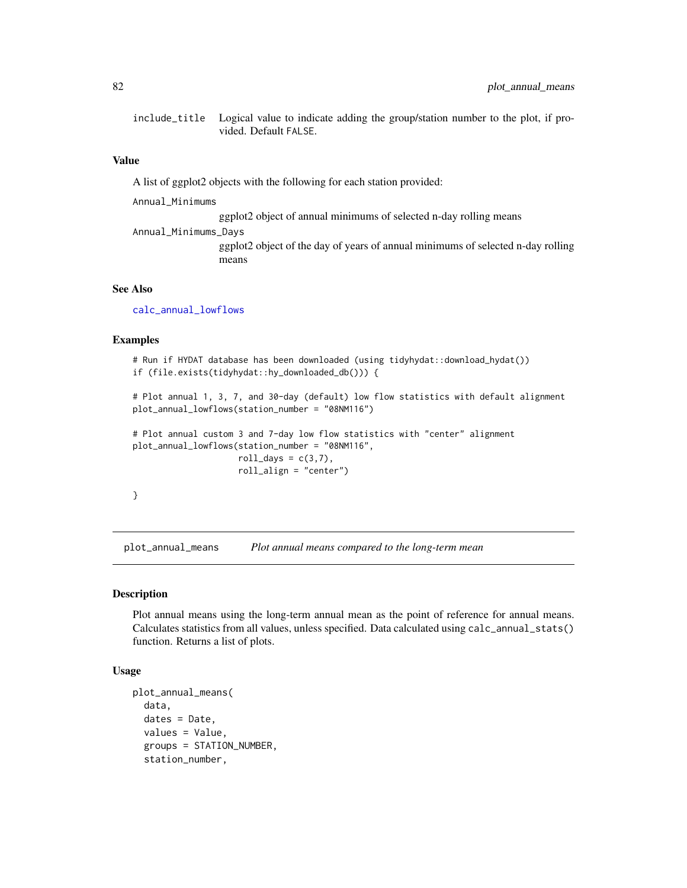include\_title Logical value to indicate adding the group/station number to the plot, if provided. Default FALSE.

### Value

A list of ggplot2 objects with the following for each station provided:

Annual\_Minimums

ggplot2 object of annual minimums of selected n-day rolling means

Annual\_Minimums\_Days

ggplot2 object of the day of years of annual minimums of selected n-day rolling means

## See Also

[calc\\_annual\\_lowflows](#page-22-0)

## Examples

```
# Run if HYDAT database has been downloaded (using tidyhydat::download_hydat())
if (file.exists(tidyhydat::hy_downloaded_db())) {
```

```
# Plot annual 1, 3, 7, and 30-day (default) low flow statistics with default alignment
plot_annual_lowflows(station_number = "08NM116")
```

```
# Plot annual custom 3 and 7-day low flow statistics with "center" alignment
plot_annual_lowflows(station_number = "08NM116",
                     roll_days = c(3,7),
                     roll_align = "center")
```

```
}
```
plot\_annual\_means *Plot annual means compared to the long-term mean*

#### Description

Plot annual means using the long-term annual mean as the point of reference for annual means. Calculates statistics from all values, unless specified. Data calculated using calc\_annual\_stats() function. Returns a list of plots.

## Usage

```
plot_annual_means(
  data,
  dates = Date,
  values = Value,
  groups = STATION_NUMBER,
  station_number,
```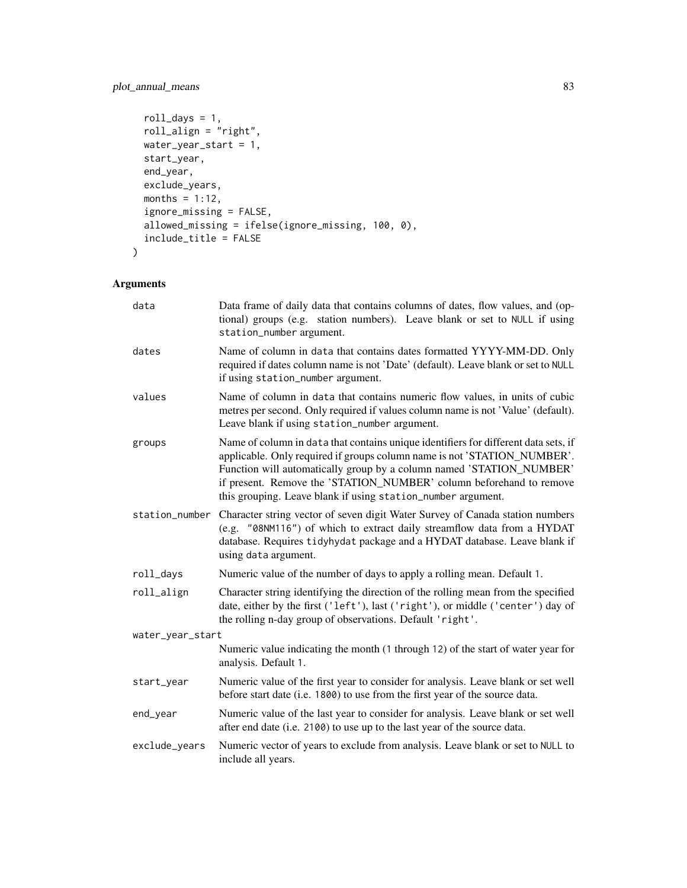# plot\_annual\_means 83

```
roll_days = 1,
 roll_align = "right",
 water_year_start = 1,
 start_year,
 end_year,
 exclude_years,
 months = 1:12,
  ignore_missing = FALSE,
  allowed_missing = ifelse(ignore_missing, 100, 0),
 include_title = FALSE
\mathcal{L}
```

| data             | Data frame of daily data that contains columns of dates, flow values, and (op-<br>tional) groups (e.g. station numbers). Leave blank or set to NULL if using<br>station_number argument.                                                                                                                                                                                       |  |
|------------------|--------------------------------------------------------------------------------------------------------------------------------------------------------------------------------------------------------------------------------------------------------------------------------------------------------------------------------------------------------------------------------|--|
| dates            | Name of column in data that contains dates formatted YYYY-MM-DD. Only<br>required if dates column name is not 'Date' (default). Leave blank or set to NULL<br>if using station_number argument.                                                                                                                                                                                |  |
| values           | Name of column in data that contains numeric flow values, in units of cubic<br>metres per second. Only required if values column name is not 'Value' (default).<br>Leave blank if using station_number argument.                                                                                                                                                               |  |
| groups           | Name of column in data that contains unique identifiers for different data sets, if<br>applicable. Only required if groups column name is not 'STATION_NUMBER'.<br>Function will automatically group by a column named 'STATION_NUMBER'<br>if present. Remove the 'STATION_NUMBER' column beforehand to remove<br>this grouping. Leave blank if using station_number argument. |  |
| station_number   | Character string vector of seven digit Water Survey of Canada station numbers<br>(e.g. "08NM116") of which to extract daily streamflow data from a HYDAT<br>database. Requires tidyhydat package and a HYDAT database. Leave blank if<br>using data argument.                                                                                                                  |  |
| roll_days        | Numeric value of the number of days to apply a rolling mean. Default 1.                                                                                                                                                                                                                                                                                                        |  |
| roll_align       | Character string identifying the direction of the rolling mean from the specified<br>date, either by the first ('left'), last ('right'), or middle ('center') day of<br>the rolling n-day group of observations. Default 'right'.                                                                                                                                              |  |
| water_year_start |                                                                                                                                                                                                                                                                                                                                                                                |  |
|                  | Numeric value indicating the month (1 through 12) of the start of water year for<br>analysis. Default 1.                                                                                                                                                                                                                                                                       |  |
| start_year       | Numeric value of the first year to consider for analysis. Leave blank or set well<br>before start date (i.e. 1800) to use from the first year of the source data.                                                                                                                                                                                                              |  |
| end_year         | Numeric value of the last year to consider for analysis. Leave blank or set well<br>after end date (i.e. 2100) to use up to the last year of the source data.                                                                                                                                                                                                                  |  |
| exclude_years    | Numeric vector of years to exclude from analysis. Leave blank or set to NULL to<br>include all years.                                                                                                                                                                                                                                                                          |  |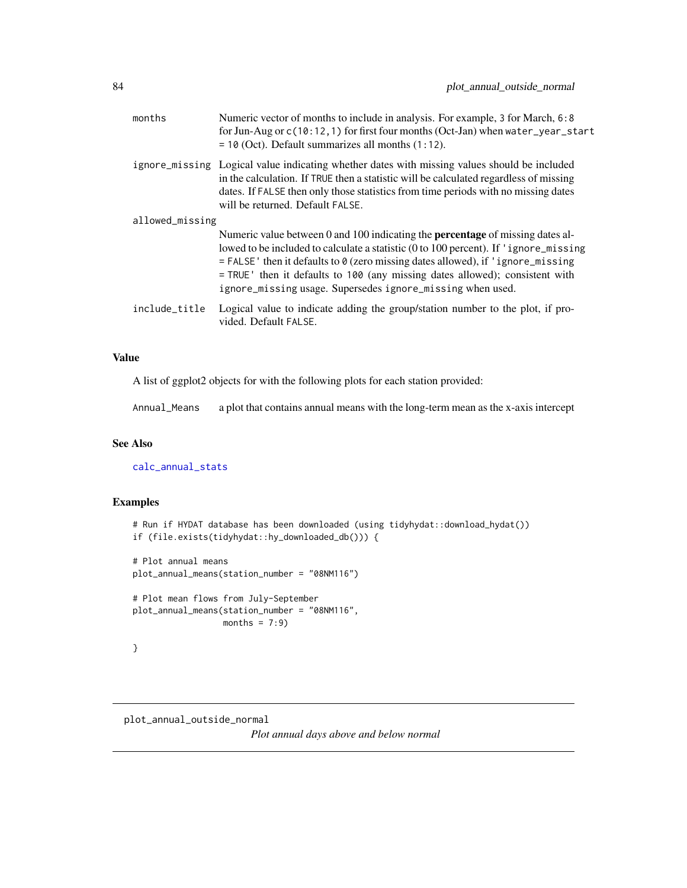| months          | Numeric vector of months to include in analysis. For example, 3 for March, 6:8<br>for Jun-Aug or $c(10:12,1)$ for first four months (Oct-Jan) when water_year_start<br>$= 10$ (Oct). Default summarizes all months $(1:12)$ .                                                                                                                                                                                     |  |
|-----------------|-------------------------------------------------------------------------------------------------------------------------------------------------------------------------------------------------------------------------------------------------------------------------------------------------------------------------------------------------------------------------------------------------------------------|--|
|                 | ignore_missing Logical value indicating whether dates with missing values should be included<br>in the calculation. If TRUE then a statistic will be calculated regardless of missing<br>dates. If FALSE then only those statistics from time periods with no missing dates<br>will be returned. Default FALSE.                                                                                                   |  |
| allowed_missing |                                                                                                                                                                                                                                                                                                                                                                                                                   |  |
|                 | Numeric value between 0 and 100 indicating the <b>percentage</b> of missing dates al-<br>lowed to be included to calculate a statistic (0 to 100 percent). If 'ignore_missing<br>$=$ FALSE' then it defaults to 0 (zero missing dates allowed), if 'ignore_missing<br>= TRUE ' then it defaults to 100 (any missing dates allowed); consistent with<br>ignore_missing usage. Supersedes ignore_missing when used. |  |
| include_title   | Logical value to indicate adding the group/station number to the plot, if pro-<br>vided. Default FALSE.                                                                                                                                                                                                                                                                                                           |  |

A list of ggplot2 objects for with the following plots for each station provided:

Annual\_Means a plot that contains annual means with the long-term mean as the x-axis intercept

## See Also

[calc\\_annual\\_stats](#page-29-0)

# Examples

```
# Run if HYDAT database has been downloaded (using tidyhydat::download_hydat())
if (file.exists(tidyhydat::hy_downloaded_db())) {
# Plot annual means
plot_annual_means(station_number = "08NM116")
# Plot mean flows from July-September
plot_annual_means(station_number = "08NM116",
                 months = 7:9)
}
```

```
plot_annual_outside_normal
```
*Plot annual days above and below normal*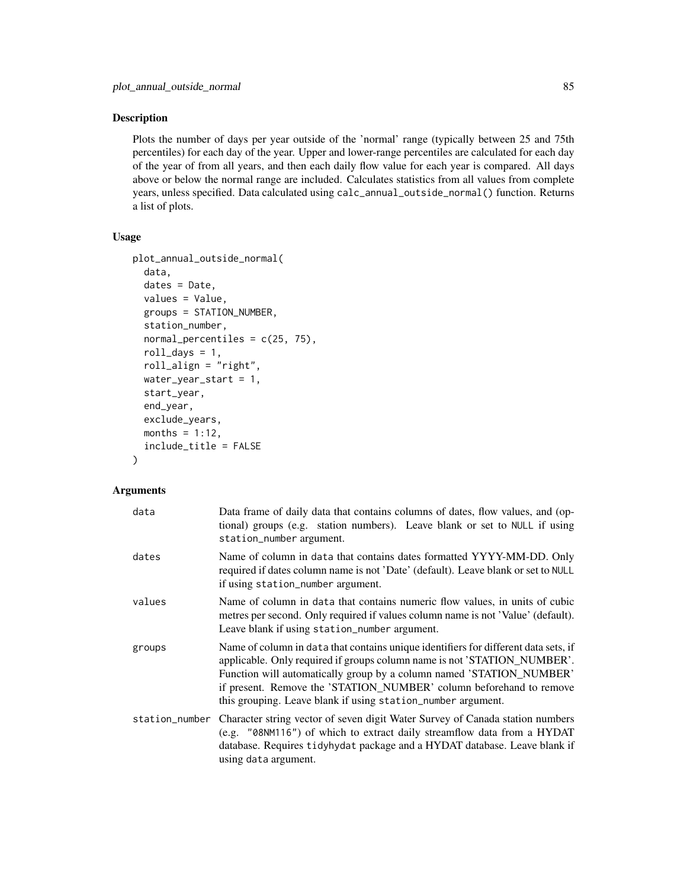# Description

Plots the number of days per year outside of the 'normal' range (typically between 25 and 75th percentiles) for each day of the year. Upper and lower-range percentiles are calculated for each day of the year of from all years, and then each daily flow value for each year is compared. All days above or below the normal range are included. Calculates statistics from all values from complete years, unless specified. Data calculated using calc\_annual\_outside\_normal() function. Returns a list of plots.

## Usage

```
plot_annual_outside_normal(
  data,
  dates = Date,
  values = Value,
  groups = STATION_NUMBER,
  station_number,
  normal_percentiles = c(25, 75),
  roll_days = 1,
  roll_align = "right",
  water_year_start = 1,
  start_year,
  end_year,
  exclude_years,
 months = 1:12,
  include_title = FALSE
)
```

| data   | Data frame of daily data that contains columns of dates, flow values, and (op-<br>tional) groups (e.g. station numbers). Leave blank or set to NULL if using<br>station_number argument.                                                                                                                                                                                       |
|--------|--------------------------------------------------------------------------------------------------------------------------------------------------------------------------------------------------------------------------------------------------------------------------------------------------------------------------------------------------------------------------------|
| dates  | Name of column in data that contains dates formatted YYYY-MM-DD. Only<br>required if dates column name is not 'Date' (default). Leave blank or set to NULL<br>if using station_number argument.                                                                                                                                                                                |
| values | Name of column in data that contains numeric flow values, in units of cubic<br>metres per second. Only required if values column name is not 'Value' (default).<br>Leave blank if using station_number argument.                                                                                                                                                               |
| groups | Name of column in data that contains unique identifiers for different data sets, if<br>applicable. Only required if groups column name is not 'STATION_NUMBER'.<br>Function will automatically group by a column named 'STATION_NUMBER'<br>if present. Remove the 'STATION_NUMBER' column beforehand to remove<br>this grouping. Leave blank if using station_number argument. |
|        | station_number Character string vector of seven digit Water Survey of Canada station numbers<br>(e.g. "08NM116") of which to extract daily streamflow data from a HYDAT<br>database. Requires tidyhydat package and a HYDAT database. Leave blank if<br>using data argument.                                                                                                   |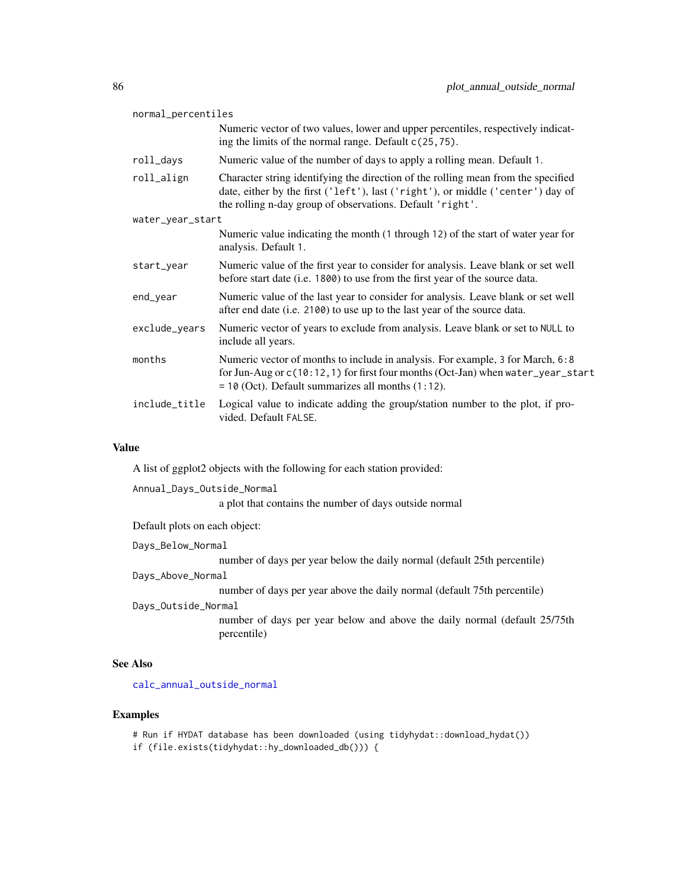| normal_percentiles |                                                                                                                                                                                                                                   |  |
|--------------------|-----------------------------------------------------------------------------------------------------------------------------------------------------------------------------------------------------------------------------------|--|
|                    | Numeric vector of two values, lower and upper percentiles, respectively indicat-<br>ing the limits of the normal range. Default $c(25, 75)$ .                                                                                     |  |
| roll_days          | Numeric value of the number of days to apply a rolling mean. Default 1.                                                                                                                                                           |  |
| roll_align         | Character string identifying the direction of the rolling mean from the specified<br>date, either by the first ('left'), last ('right'), or middle ('center') day of<br>the rolling n-day group of observations. Default 'right'. |  |
| water_year_start   |                                                                                                                                                                                                                                   |  |
|                    | Numeric value indicating the month (1 through 12) of the start of water year for<br>analysis. Default 1.                                                                                                                          |  |
| start_year         | Numeric value of the first year to consider for analysis. Leave blank or set well<br>before start date (i.e. 1800) to use from the first year of the source data.                                                                 |  |
| end_year           | Numeric value of the last year to consider for analysis. Leave blank or set well<br>after end date (i.e. 2100) to use up to the last year of the source data.                                                                     |  |
| exclude_years      | Numeric vector of years to exclude from analysis. Leave blank or set to NULL to<br>include all years.                                                                                                                             |  |
| months             | Numeric vector of months to include in analysis. For example, 3 for March, 6:8<br>for Jun-Aug or c(10:12, 1) for first four months (Oct-Jan) when water_year_start<br>$= 10$ (Oct). Default summarizes all months $(1:12)$ .      |  |
| include_title      | Logical value to indicate adding the group/station number to the plot, if pro-<br>vided. Default FALSE.                                                                                                                           |  |

A list of ggplot2 objects with the following for each station provided:

Annual\_Days\_Outside\_Normal

a plot that contains the number of days outside normal

Default plots on each object:

#### Days\_Below\_Normal

number of days per year below the daily normal (default 25th percentile)

## Days\_Above\_Normal

number of days per year above the daily normal (default 75th percentile)

#### Days\_Outside\_Normal

number of days per year below and above the daily normal (default 25/75th percentile)

#### See Also

[calc\\_annual\\_outside\\_normal](#page-24-0)

#### Examples

# Run if HYDAT database has been downloaded (using tidyhydat::download\_hydat()) if (file.exists(tidyhydat::hy\_downloaded\_db())) {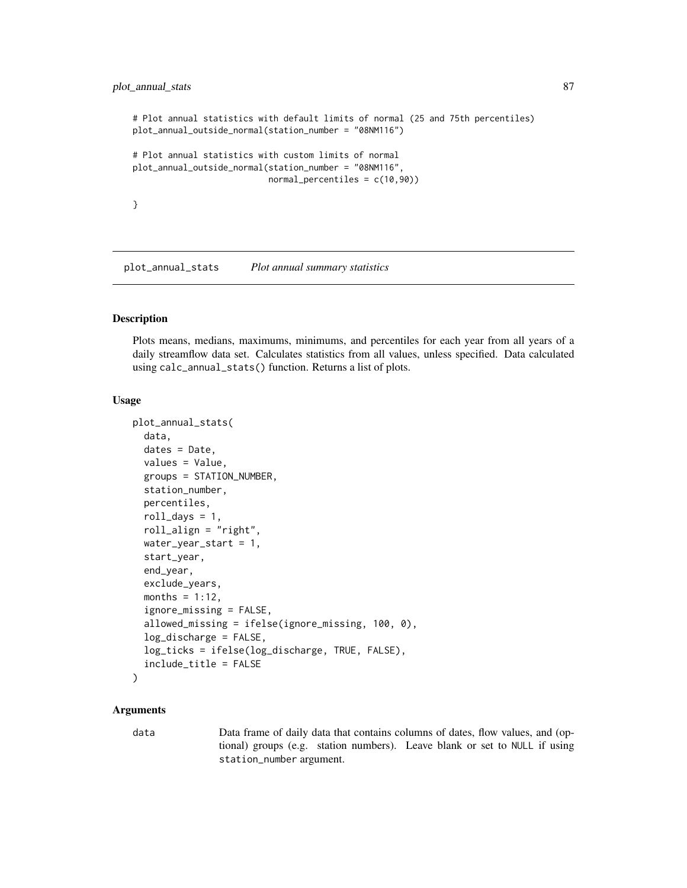# plot\_annual\_stats 87

```
# Plot annual statistics with default limits of normal (25 and 75th percentiles)
plot_annual_outside_normal(station_number = "08NM116")
# Plot annual statistics with custom limits of normal
plot_annual_outside_normal(station_number = "08NM116",
                          normal_percentiles = c(10,90))
}
```
plot\_annual\_stats *Plot annual summary statistics*

#### Description

Plots means, medians, maximums, minimums, and percentiles for each year from all years of a daily streamflow data set. Calculates statistics from all values, unless specified. Data calculated using calc\_annual\_stats() function. Returns a list of plots.

#### Usage

```
plot_annual_stats(
  data,
  dates = Date,
  values = Value,
  groups = STATION_NUMBER,
  station_number,
  percentiles,
  roll\_days = 1,
  roll_align = "right",
  water_year_start = 1,
  start_year,
  end_year,
  exclude_years,
  months = 1:12,
  ignore_missing = FALSE,
  allowed_missing = ifelse(ignore_missing, 100, 0),
  log_discharge = FALSE,
  log_ticks = ifelse(log_discharge, TRUE, FALSE),
  include_title = FALSE
)
```
#### Arguments

data Data frame of daily data that contains columns of dates, flow values, and (optional) groups (e.g. station numbers). Leave blank or set to NULL if using station\_number argument.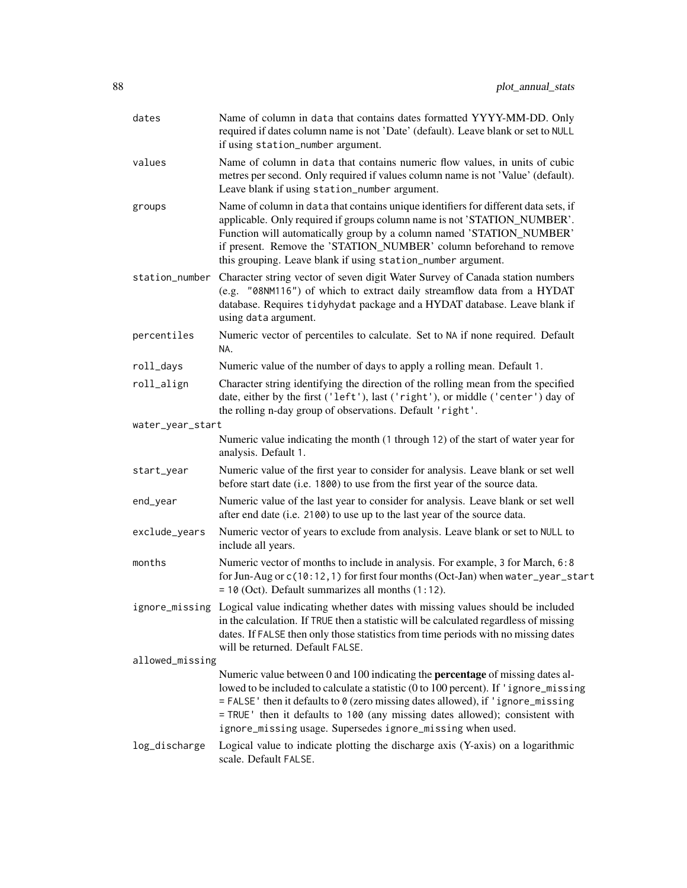| dates            | Name of column in data that contains dates formatted YYYY-MM-DD. Only<br>required if dates column name is not 'Date' (default). Leave blank or set to NULL<br>if using station_number argument.                                                                                                                                                                                                                 |
|------------------|-----------------------------------------------------------------------------------------------------------------------------------------------------------------------------------------------------------------------------------------------------------------------------------------------------------------------------------------------------------------------------------------------------------------|
| values           | Name of column in data that contains numeric flow values, in units of cubic<br>metres per second. Only required if values column name is not 'Value' (default).<br>Leave blank if using station_number argument.                                                                                                                                                                                                |
| groups           | Name of column in data that contains unique identifiers for different data sets, if<br>applicable. Only required if groups column name is not 'STATION_NUMBER'.<br>Function will automatically group by a column named 'STATION_NUMBER'<br>if present. Remove the 'STATION_NUMBER' column beforehand to remove<br>this grouping. Leave blank if using station_number argument.                                  |
|                  | station_number Character string vector of seven digit Water Survey of Canada station numbers<br>(e.g. "08NM116") of which to extract daily streamflow data from a HYDAT<br>database. Requires tidyhydat package and a HYDAT database. Leave blank if<br>using data argument.                                                                                                                                    |
| percentiles      | Numeric vector of percentiles to calculate. Set to NA if none required. Default<br>NA.                                                                                                                                                                                                                                                                                                                          |
| roll_days        | Numeric value of the number of days to apply a rolling mean. Default 1.                                                                                                                                                                                                                                                                                                                                         |
| roll_align       | Character string identifying the direction of the rolling mean from the specified<br>date, either by the first ('left'), last ('right'), or middle ('center') day of<br>the rolling n-day group of observations. Default 'right'.                                                                                                                                                                               |
| water_year_start |                                                                                                                                                                                                                                                                                                                                                                                                                 |
|                  | Numeric value indicating the month (1 through 12) of the start of water year for<br>analysis. Default 1.                                                                                                                                                                                                                                                                                                        |
| start_year       | Numeric value of the first year to consider for analysis. Leave blank or set well<br>before start date (i.e. 1800) to use from the first year of the source data.                                                                                                                                                                                                                                               |
| end_year         | Numeric value of the last year to consider for analysis. Leave blank or set well<br>after end date (i.e. 2100) to use up to the last year of the source data.                                                                                                                                                                                                                                                   |
| exclude_years    | Numeric vector of years to exclude from analysis. Leave blank or set to NULL to<br>include all years.                                                                                                                                                                                                                                                                                                           |
| months           | Numeric vector of months to include in analysis. For example, 3 for March, 6:8<br>for Jun-Aug or c(10:12, 1) for first four months (Oct-Jan) when water_year_start<br>$= 10$ (Oct). Default summarizes all months $(1:12)$ .                                                                                                                                                                                    |
|                  | ignore_missing Logical value indicating whether dates with missing values should be included<br>in the calculation. If TRUE then a statistic will be calculated regardless of missing<br>dates. If FALSE then only those statistics from time periods with no missing dates<br>will be returned. Default FALSE.                                                                                                 |
| allowed_missing  |                                                                                                                                                                                                                                                                                                                                                                                                                 |
|                  | Numeric value between 0 and 100 indicating the <b>percentage</b> of missing dates al-<br>lowed to be included to calculate a statistic (0 to 100 percent). If 'ignore_missing<br>= FALSE' then it defaults to 0 (zero missing dates allowed), if 'ignore_missing<br>= TRUE ' then it defaults to 100 (any missing dates allowed); consistent with<br>ignore_missing usage. Supersedes ignore_missing when used. |
| log_discharge    | Logical value to indicate plotting the discharge axis (Y-axis) on a logarithmic<br>scale. Default FALSE.                                                                                                                                                                                                                                                                                                        |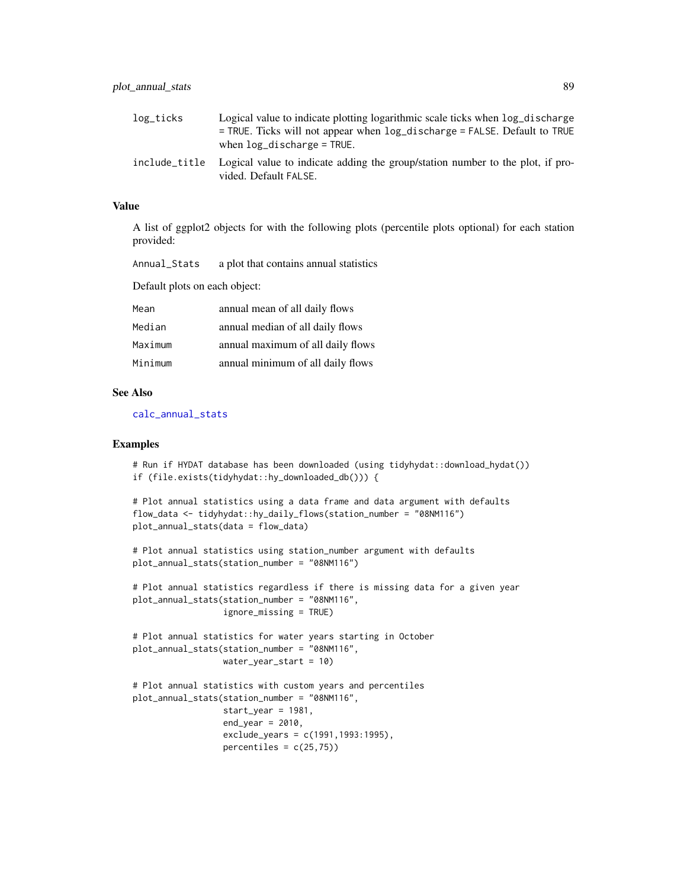| log_ticks     | Logical value to indicate plotting logarithmic scale ticks when $log\_discharge$<br>$=$ TRUE. Ticks will not appear when $log\_distance =$ FALSE. Default to TRUE<br>when $log$ discharge = TRUE. |
|---------------|---------------------------------------------------------------------------------------------------------------------------------------------------------------------------------------------------|
| include title | Logical value to indicate adding the group/station number to the plot, if pro-<br>vided. Default FALSE.                                                                                           |

A list of ggplot2 objects for with the following plots (percentile plots optional) for each station provided:

| Annual_Stats | a plot that contains annual statistics |  |  |  |
|--------------|----------------------------------------|--|--|--|
|--------------|----------------------------------------|--|--|--|

Default plots on each object:

| Mean    | annual mean of all daily flows    |
|---------|-----------------------------------|
| Median  | annual median of all daily flows  |
| Maximum | annual maximum of all daily flows |
| Minimum | annual minimum of all daily flows |

#### See Also

[calc\\_annual\\_stats](#page-29-0)

#### Examples

```
# Run if HYDAT database has been downloaded (using tidyhydat::download_hydat())
if (file.exists(tidyhydat::hy_downloaded_db())) {
```

```
# Plot annual statistics using a data frame and data argument with defaults
flow_data <- tidyhydat::hy_daily_flows(station_number = "08NM116")
plot_annual_stats(data = flow_data)
```

```
# Plot annual statistics using station_number argument with defaults
plot_annual_stats(station_number = "08NM116")
```

```
# Plot annual statistics regardless if there is missing data for a given year
plot_annual_stats(station_number = "08NM116",
                  ignore_missing = TRUE)
```

```
# Plot annual statistics for water years starting in October
plot_annual_stats(station_number = "08NM116",
                 water_year_start = 10)
```

```
# Plot annual statistics with custom years and percentiles
plot_annual_stats(station_number = "08NM116",
                 start_year = 1981,
                 end_year = 2010,
                  exclude_years = c(1991,1993:1995),
                  percentiles = c(25,75)
```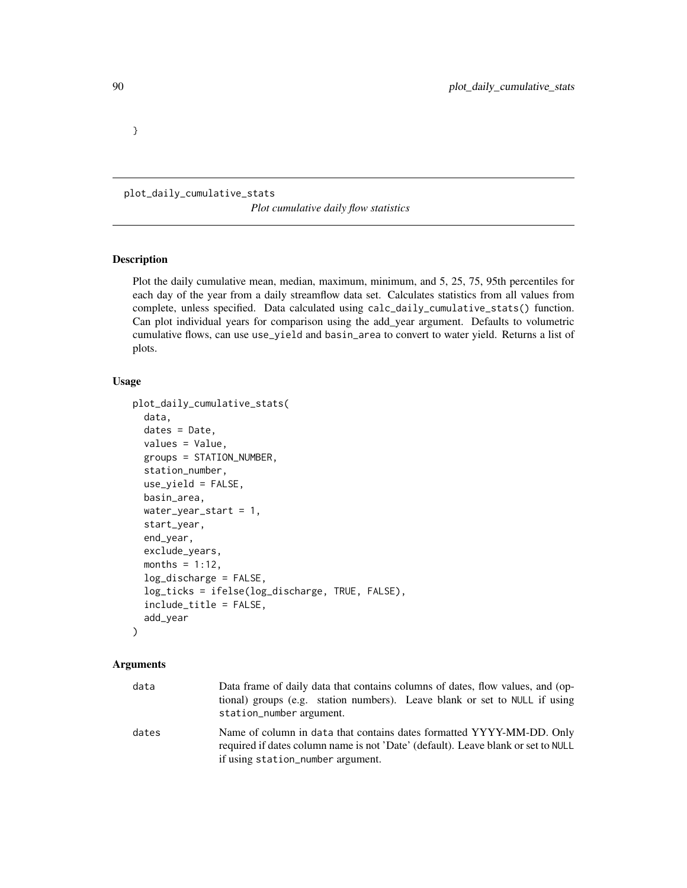}

plot\_daily\_cumulative\_stats

*Plot cumulative daily flow statistics*

#### Description

Plot the daily cumulative mean, median, maximum, minimum, and 5, 25, 75, 95th percentiles for each day of the year from a daily streamflow data set. Calculates statistics from all values from complete, unless specified. Data calculated using calc\_daily\_cumulative\_stats() function. Can plot individual years for comparison using the add\_year argument. Defaults to volumetric cumulative flows, can use use\_yield and basin\_area to convert to water yield. Returns a list of plots.

# Usage

```
plot_daily_cumulative_stats(
  data,
  dates = Date,
  values = Value,
  groups = STATION_NUMBER,
  station_number,
  use_yield = FALSE,
  basin_area,
  water_year_start = 1,
  start_year,
  end_year,
  exclude_years,
  months = 1:12,
  log_discharge = FALSE,
  log_ticks = ifelse(log_discharge, TRUE, FALSE),
  include_title = FALSE,
  add_year
)
```

| data  | Data frame of daily data that contains columns of dates, flow values, and (op-<br>tional) groups (e.g. station numbers). Leave blank or set to NULL if using<br>station_number argument.        |
|-------|-------------------------------------------------------------------------------------------------------------------------------------------------------------------------------------------------|
| dates | Name of column in data that contains dates formatted YYYY-MM-DD. Only<br>required if dates column name is not 'Date' (default). Leave blank or set to NULL<br>if using station_number argument. |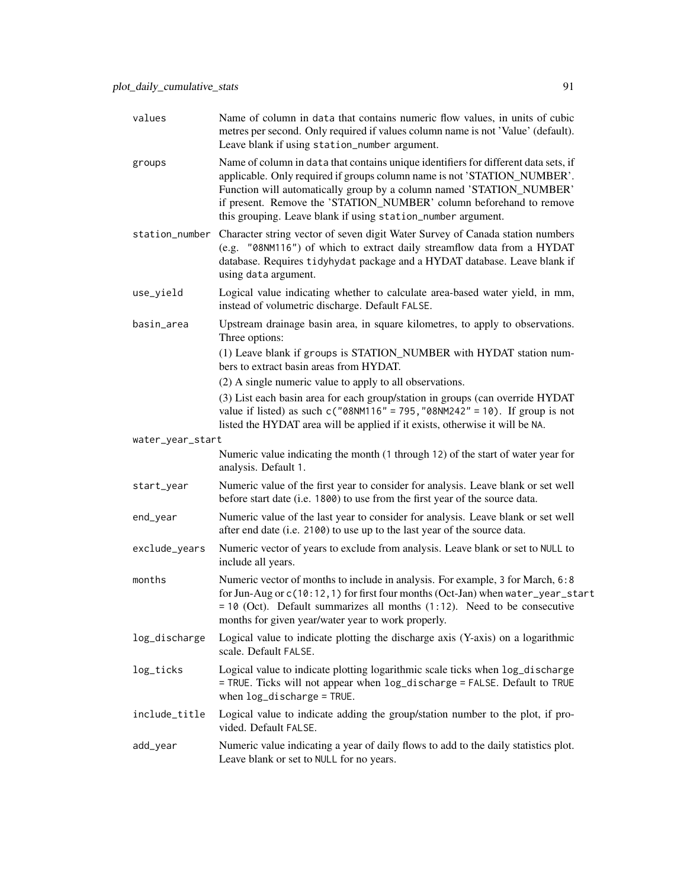| values           | Name of column in data that contains numeric flow values, in units of cubic<br>metres per second. Only required if values column name is not 'Value' (default).<br>Leave blank if using station_number argument.                                                                                                                                                               |
|------------------|--------------------------------------------------------------------------------------------------------------------------------------------------------------------------------------------------------------------------------------------------------------------------------------------------------------------------------------------------------------------------------|
| groups           | Name of column in data that contains unique identifiers for different data sets, if<br>applicable. Only required if groups column name is not 'STATION_NUMBER'.<br>Function will automatically group by a column named 'STATION_NUMBER'<br>if present. Remove the 'STATION_NUMBER' column beforehand to remove<br>this grouping. Leave blank if using station_number argument. |
|                  | station_number Character string vector of seven digit Water Survey of Canada station numbers<br>(e.g. "08NM116") of which to extract daily streamflow data from a HYDAT<br>database. Requires tidyhydat package and a HYDAT database. Leave blank if<br>using data argument.                                                                                                   |
| use_yield        | Logical value indicating whether to calculate area-based water yield, in mm,<br>instead of volumetric discharge. Default FALSE.                                                                                                                                                                                                                                                |
| basin_area       | Upstream drainage basin area, in square kilometres, to apply to observations.<br>Three options:                                                                                                                                                                                                                                                                                |
|                  | (1) Leave blank if groups is STATION_NUMBER with HYDAT station num-<br>bers to extract basin areas from HYDAT.                                                                                                                                                                                                                                                                 |
|                  | (2) A single numeric value to apply to all observations.                                                                                                                                                                                                                                                                                                                       |
|                  | (3) List each basin area for each group/station in groups (can override HYDAT<br>value if listed) as such $c("08NM116" = 795, "08NM242" = 10)$ . If group is not<br>listed the HYDAT area will be applied if it exists, otherwise it will be NA.                                                                                                                               |
| water_year_start |                                                                                                                                                                                                                                                                                                                                                                                |
|                  | Numeric value indicating the month (1 through 12) of the start of water year for<br>analysis. Default 1.                                                                                                                                                                                                                                                                       |
| start_year       | Numeric value of the first year to consider for analysis. Leave blank or set well<br>before start date (i.e. 1800) to use from the first year of the source data.                                                                                                                                                                                                              |
| end_year         | Numeric value of the last year to consider for analysis. Leave blank or set well<br>after end date (i.e. 2100) to use up to the last year of the source data.                                                                                                                                                                                                                  |
| exclude_years    | Numeric vector of years to exclude from analysis. Leave blank or set to NULL to<br>include all years.                                                                                                                                                                                                                                                                          |
| months           | Numeric vector of months to include in analysis. For example, 3 for March, 6:8<br>for Jun-Aug or c(10:12, 1) for first four months (Oct-Jan) when water_year_start<br>$= 10$ (Oct). Default summarizes all months (1:12). Need to be consecutive<br>months for given year/water year to work properly.                                                                         |
| log_discharge    | Logical value to indicate plotting the discharge axis (Y-axis) on a logarithmic<br>scale. Default FALSE.                                                                                                                                                                                                                                                                       |
| log_ticks        | Logical value to indicate plotting logarithmic scale ticks when log_discharge<br>= TRUE. Ticks will not appear when log_discharge = FALSE. Default to TRUE<br>when log_discharge = TRUE.                                                                                                                                                                                       |
| include_title    | Logical value to indicate adding the group/station number to the plot, if pro-<br>vided. Default FALSE.                                                                                                                                                                                                                                                                        |
| add_year         | Numeric value indicating a year of daily flows to add to the daily statistics plot.<br>Leave blank or set to NULL for no years.                                                                                                                                                                                                                                                |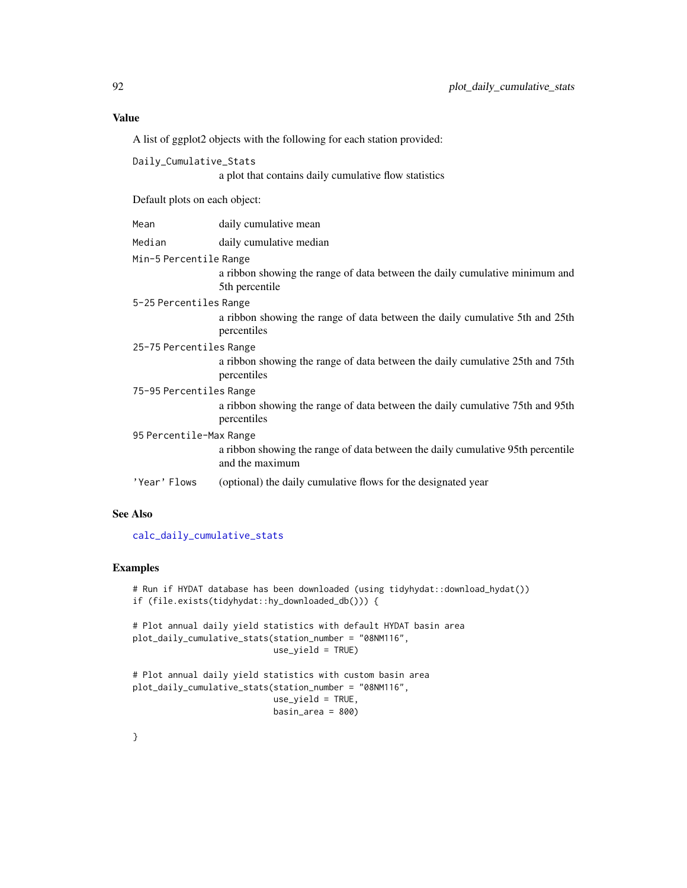A list of ggplot2 objects with the following for each station provided:

| Daily_Cumulative_Stats        |                                                                                                    |  |
|-------------------------------|----------------------------------------------------------------------------------------------------|--|
|                               | a plot that contains daily cumulative flow statistics                                              |  |
| Default plots on each object: |                                                                                                    |  |
| Mean                          | daily cumulative mean                                                                              |  |
| Median                        | daily cumulative median                                                                            |  |
| Min-5 Percentile Range        |                                                                                                    |  |
|                               | a ribbon showing the range of data between the daily cumulative minimum and<br>5th percentile      |  |
| 5-25 Percentiles Range        |                                                                                                    |  |
|                               | a ribbon showing the range of data between the daily cumulative 5th and 25th<br>percentiles        |  |
| 25-75 Percentiles Range       |                                                                                                    |  |
|                               | a ribbon showing the range of data between the daily cumulative 25th and 75th<br>percentiles       |  |
| 75-95 Percentiles Range       |                                                                                                    |  |
|                               | a ribbon showing the range of data between the daily cumulative 75th and 95th<br>percentiles       |  |
| 95 Percentile-Max Range       |                                                                                                    |  |
|                               | a ribbon showing the range of data between the daily cumulative 95th percentile<br>and the maximum |  |
| 'Year' Flows                  | (optional) the daily cumulative flows for the designated year                                      |  |

# See Also

[calc\\_daily\\_cumulative\\_stats](#page-32-0)

# Examples

# Run if HYDAT database has been downloaded (using tidyhydat::download\_hydat()) if (file.exists(tidyhydat::hy\_downloaded\_db())) {

```
# Plot annual daily yield statistics with default HYDAT basin area
plot_daily_cumulative_stats(station_number = "08NM116",
                           use_yield = TRUE)
```

```
# Plot annual daily yield statistics with custom basin area
plot_daily_cumulative_stats(station_number = "08NM116",
                           use_yield = TRUE,
                           basin_area = 800)
```
}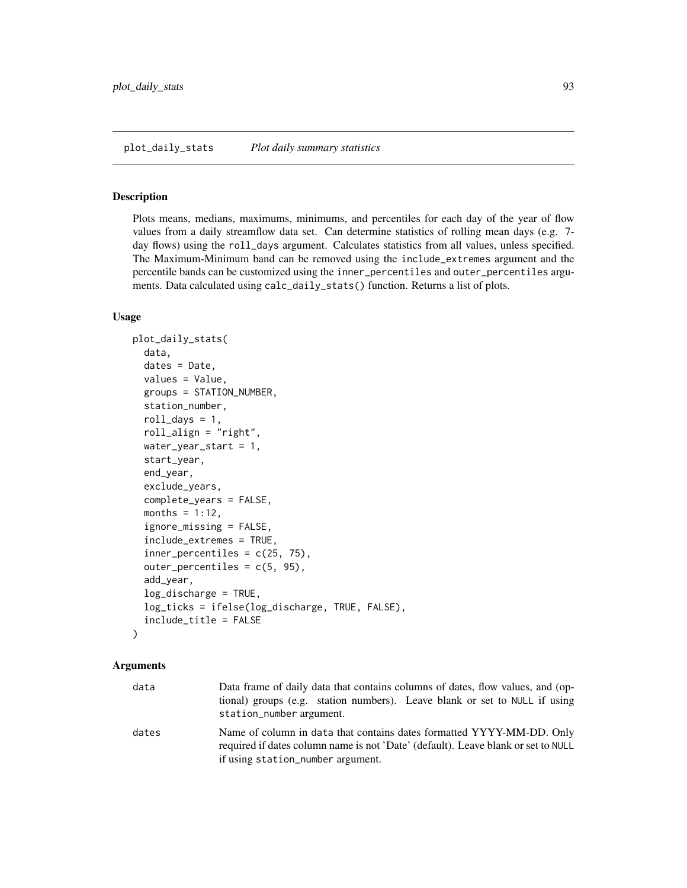#### Description

Plots means, medians, maximums, minimums, and percentiles for each day of the year of flow values from a daily streamflow data set. Can determine statistics of rolling mean days (e.g. 7 day flows) using the roll\_days argument. Calculates statistics from all values, unless specified. The Maximum-Minimum band can be removed using the include\_extremes argument and the percentile bands can be customized using the inner\_percentiles and outer\_percentiles arguments. Data calculated using calc\_daily\_stats() function. Returns a list of plots.

## Usage

```
plot_daily_stats(
  data,
  dates = Date,
  values = Value,
  groups = STATION_NUMBER,
  station_number,
  roll\_days = 1,
  roll_align = "right",
 water_year_start = 1,
  start_year,
  end_year,
  exclude_years,
  complete_years = FALSE,
  months = 1:12,
  ignore_missing = FALSE,
  include_extremes = TRUE,
  inner\_percentiles = c(25, 75),
  outer\_percentiles = c(5, 95),
  add_year,
  log_discharge = TRUE,
  log_ticks = ifelse(log_discharge, TRUE, FALSE),
  include_title = FALSE
)
```

| data  | Data frame of daily data that contains columns of dates, flow values, and (op-<br>tional) groups (e.g. station numbers). Leave blank or set to NULL if using<br>station_number argument.        |
|-------|-------------------------------------------------------------------------------------------------------------------------------------------------------------------------------------------------|
| dates | Name of column in data that contains dates formatted YYYY-MM-DD. Only<br>required if dates column name is not 'Date' (default). Leave blank or set to NULL<br>if using station_number argument. |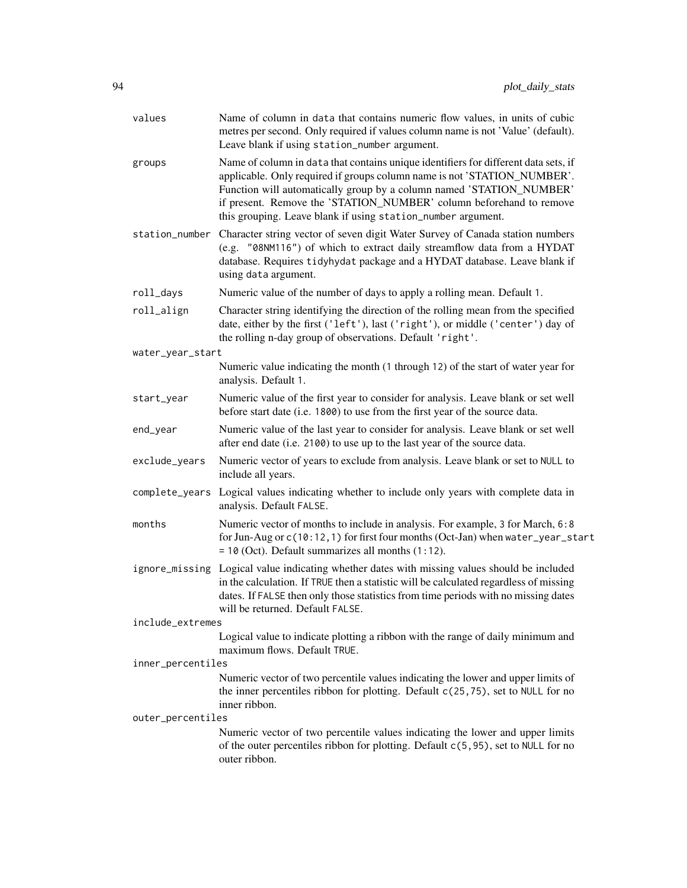| values            | Name of column in data that contains numeric flow values, in units of cubic<br>metres per second. Only required if values column name is not 'Value' (default).<br>Leave blank if using station_number argument.                                                                                                                                                               |
|-------------------|--------------------------------------------------------------------------------------------------------------------------------------------------------------------------------------------------------------------------------------------------------------------------------------------------------------------------------------------------------------------------------|
| groups            | Name of column in data that contains unique identifiers for different data sets, if<br>applicable. Only required if groups column name is not 'STATION_NUMBER'.<br>Function will automatically group by a column named 'STATION_NUMBER'<br>if present. Remove the 'STATION_NUMBER' column beforehand to remove<br>this grouping. Leave blank if using station_number argument. |
|                   | station_number Character string vector of seven digit Water Survey of Canada station numbers<br>(e.g. "08NM116") of which to extract daily streamflow data from a HYDAT<br>database. Requires tidyhydat package and a HYDAT database. Leave blank if<br>using data argument.                                                                                                   |
| roll_days         | Numeric value of the number of days to apply a rolling mean. Default 1.                                                                                                                                                                                                                                                                                                        |
| roll_align        | Character string identifying the direction of the rolling mean from the specified<br>date, either by the first ('left'), last ('right'), or middle ('center') day of<br>the rolling n-day group of observations. Default 'right'.                                                                                                                                              |
| water_year_start  |                                                                                                                                                                                                                                                                                                                                                                                |
|                   | Numeric value indicating the month (1 through 12) of the start of water year for<br>analysis. Default 1.                                                                                                                                                                                                                                                                       |
| start_year        | Numeric value of the first year to consider for analysis. Leave blank or set well<br>before start date (i.e. 1800) to use from the first year of the source data.                                                                                                                                                                                                              |
| end_year          | Numeric value of the last year to consider for analysis. Leave blank or set well<br>after end date (i.e. 2100) to use up to the last year of the source data.                                                                                                                                                                                                                  |
| exclude_years     | Numeric vector of years to exclude from analysis. Leave blank or set to NULL to<br>include all years.                                                                                                                                                                                                                                                                          |
| complete_years    | Logical values indicating whether to include only years with complete data in<br>analysis. Default FALSE.                                                                                                                                                                                                                                                                      |
| months            | Numeric vector of months to include in analysis. For example, 3 for March, 6:8<br>for Jun-Aug or c(10:12, 1) for first four months (Oct-Jan) when water_year_start<br>$= 10$ (Oct). Default summarizes all months $(1:12)$ .                                                                                                                                                   |
|                   | ignore_missing Logical value indicating whether dates with missing values should be included<br>in the calculation. If TRUE then a statistic will be calculated regardless of missing<br>dates. If FALSE then only those statistics from time periods with no missing dates<br>will be returned. Default FALSE.                                                                |
| include_extremes  |                                                                                                                                                                                                                                                                                                                                                                                |
|                   | Logical value to indicate plotting a ribbon with the range of daily minimum and<br>maximum flows. Default TRUE.                                                                                                                                                                                                                                                                |
| inner_percentiles |                                                                                                                                                                                                                                                                                                                                                                                |
|                   | Numeric vector of two percentile values indicating the lower and upper limits of<br>the inner percentiles ribbon for plotting. Default $c(25, 75)$ , set to NULL for no<br>inner ribbon.                                                                                                                                                                                       |
| outer_percentiles |                                                                                                                                                                                                                                                                                                                                                                                |
|                   | Numeric vector of two percentile values indicating the lower and upper limits<br>of the outer percentiles ribbon for plotting. Default c(5,95), set to NULL for no<br>outer ribbon.                                                                                                                                                                                            |
|                   |                                                                                                                                                                                                                                                                                                                                                                                |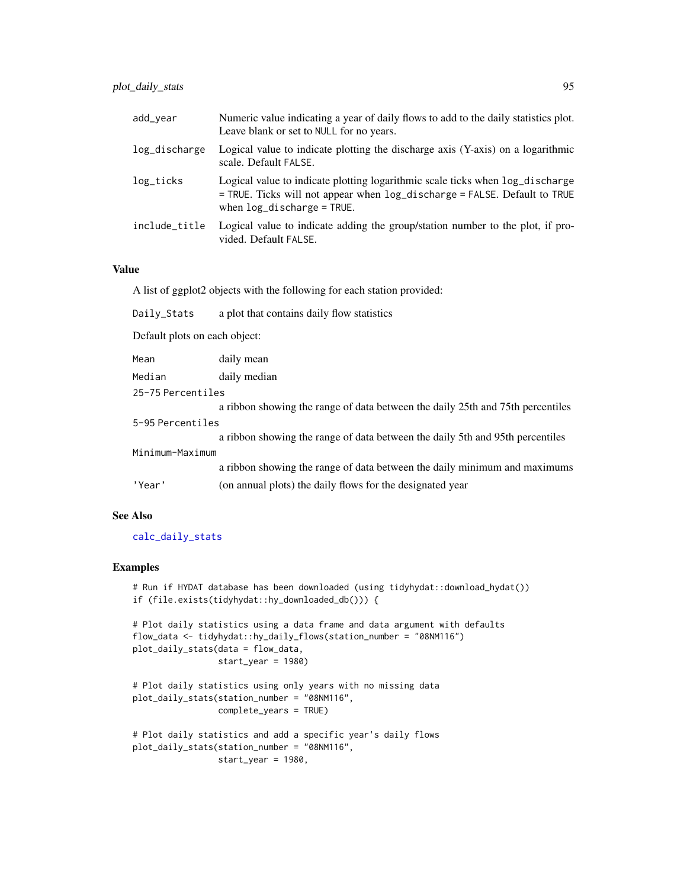| add_year      | Numeric value indicating a year of daily flows to add to the daily statistics plot.<br>Leave blank or set to NULL for no years.                                                             |
|---------------|---------------------------------------------------------------------------------------------------------------------------------------------------------------------------------------------|
| log_discharge | Logical value to indicate plotting the discharge axis (Y-axis) on a logarithmic<br>scale. Default FALSE.                                                                                    |
| log_ticks     | Logical value to indicate plotting logarithmic scale ticks when log_discharge<br>= TRUE. Ticks will not appear when log_discharge = FALSE. Default to TRUE<br>when $log_d$ ischarge = TRUE. |
| include_title | Logical value to indicate adding the group/station number to the plot, if pro-<br>vided. Default FALSE.                                                                                     |

A list of ggplot2 objects with the following for each station provided:

| Daily_Stats                   | a plot that contains daily flow statistics                                     |  |
|-------------------------------|--------------------------------------------------------------------------------|--|
| Default plots on each object: |                                                                                |  |
| Mean                          | daily mean                                                                     |  |
| Median                        | daily median                                                                   |  |
| 25-75 Percentiles             |                                                                                |  |
|                               | a ribbon showing the range of data between the daily 25th and 75th percentiles |  |
| 5-95 Percentiles              |                                                                                |  |
|                               | a ribbon showing the range of data between the daily 5th and 95th percentiles  |  |
| Minimum-Maximum               |                                                                                |  |
|                               | a ribbon showing the range of data between the daily minimum and maximums      |  |
| 'Year'                        | (on annual plots) the daily flows for the designated year                      |  |

# See Also

# [calc\\_daily\\_stats](#page-35-0)

# Examples

```
# Run if HYDAT database has been downloaded (using tidyhydat::download_hydat())
if (file.exists(tidyhydat::hy_downloaded_db())) {
```

```
# Plot daily statistics using a data frame and data argument with defaults
flow_data <- tidyhydat::hy_daily_flows(station_number = "08NM116")
plot_daily_stats(data = flow_data,
                 start_year = 1980)
```

```
# Plot daily statistics using only years with no missing data
plot_daily_stats(station_number = "08NM116",
                 complete_years = TRUE)
```

```
# Plot daily statistics and add a specific year's daily flows
plot_daily_stats(station_number = "08NM116",
                start_year = 1980,
```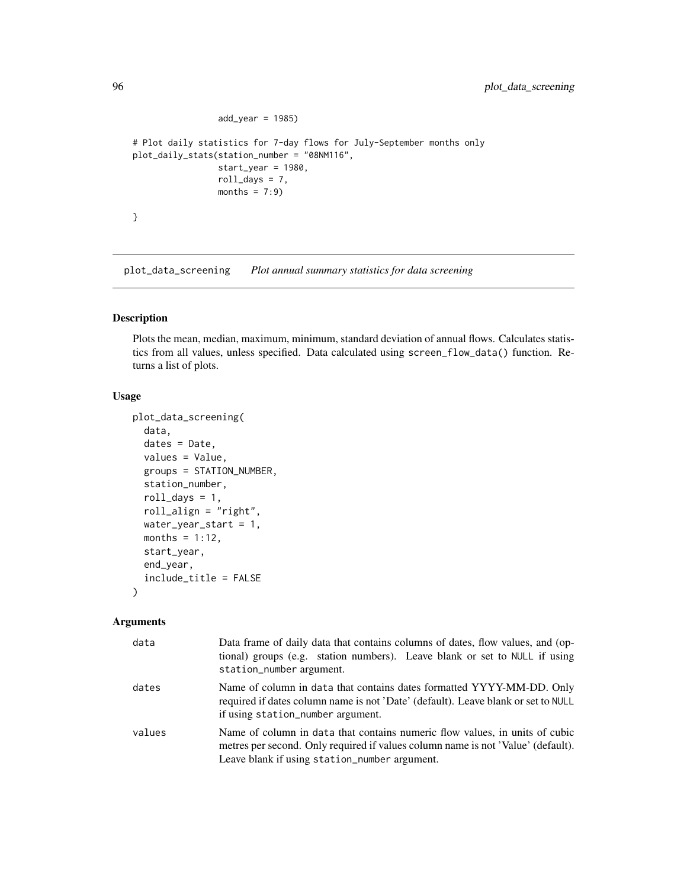```
add\_year = 1985)# Plot daily statistics for 7-day flows for July-September months only
plot_daily_stats(station_number = "08NM116",
                 start_year = 1980,
                 roll\_days = 7,
                 months = 7:9)
}
```
plot\_data\_screening *Plot annual summary statistics for data screening*

# Description

Plots the mean, median, maximum, minimum, standard deviation of annual flows. Calculates statistics from all values, unless specified. Data calculated using screen\_flow\_data() function. Returns a list of plots.

#### Usage

```
plot_data_screening(
  data,
  dates = Date,
  values = Value,
  groups = STATION_NUMBER,
  station_number,
  roll\_days = 1,
  roll_align = "right",
  water_year_start = 1,
  months = 1:12,
  start_year,
  end_year,
  include_title = FALSE
)
```

| data   | Data frame of daily data that contains columns of dates, flow values, and (op-<br>tional) groups (e.g. station numbers). Leave blank or set to NULL if using<br>station_number argument.                         |
|--------|------------------------------------------------------------------------------------------------------------------------------------------------------------------------------------------------------------------|
| dates  | Name of column in data that contains dates formatted YYYY-MM-DD. Only<br>required if dates column name is not 'Date' (default). Leave blank or set to NULL<br>if using station_number argument.                  |
| values | Name of column in data that contains numeric flow values, in units of cubic<br>metres per second. Only required if values column name is not 'Value' (default).<br>Leave blank if using station_number argument. |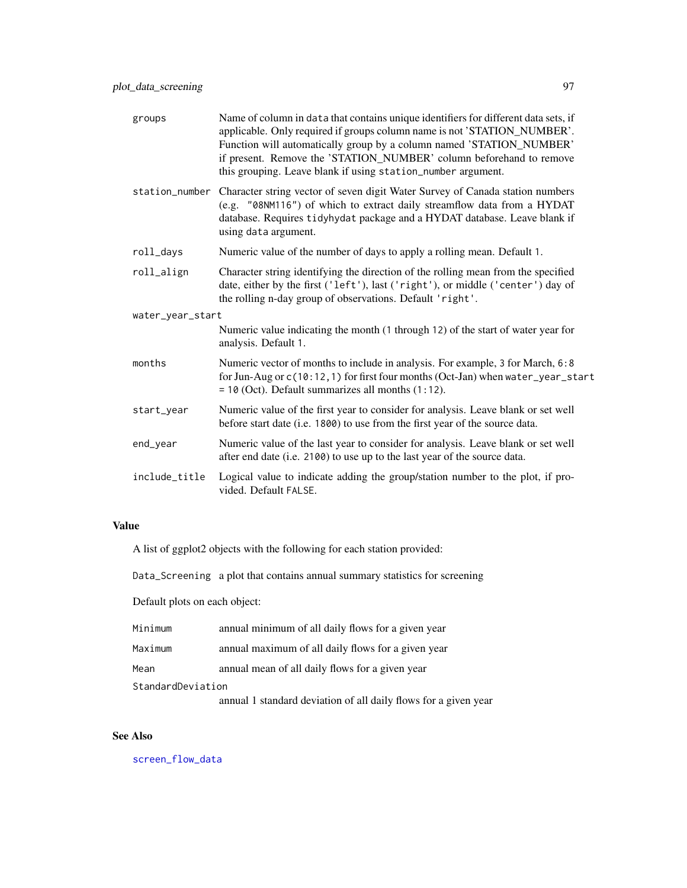| groups           | Name of column in data that contains unique identifiers for different data sets, if<br>applicable. Only required if groups column name is not 'STATION_NUMBER'.<br>Function will automatically group by a column named 'STATION_NUMBER'<br>if present. Remove the 'STATION_NUMBER' column beforehand to remove<br>this grouping. Leave blank if using station_number argument. |
|------------------|--------------------------------------------------------------------------------------------------------------------------------------------------------------------------------------------------------------------------------------------------------------------------------------------------------------------------------------------------------------------------------|
| station_number   | Character string vector of seven digit Water Survey of Canada station numbers<br>(e.g. "08NM116") of which to extract daily streamflow data from a HYDAT<br>database. Requires tidyhydat package and a HYDAT database. Leave blank if<br>using data argument.                                                                                                                  |
| roll_days        | Numeric value of the number of days to apply a rolling mean. Default 1.                                                                                                                                                                                                                                                                                                        |
| roll_align       | Character string identifying the direction of the rolling mean from the specified<br>date, either by the first ('left'), last ('right'), or middle ('center') day of<br>the rolling n-day group of observations. Default 'right'.                                                                                                                                              |
| water_year_start |                                                                                                                                                                                                                                                                                                                                                                                |
|                  | Numeric value indicating the month (1 through 12) of the start of water year for<br>analysis. Default 1.                                                                                                                                                                                                                                                                       |
| months           | Numeric vector of months to include in analysis. For example, 3 for March, 6:8<br>for Jun-Aug or c(10:12, 1) for first four months (Oct-Jan) when water_year_start<br>$= 10$ (Oct). Default summarizes all months $(1:12)$ .                                                                                                                                                   |
| start_year       | Numeric value of the first year to consider for analysis. Leave blank or set well<br>before start date (i.e. 1800) to use from the first year of the source data.                                                                                                                                                                                                              |
| end_year         | Numeric value of the last year to consider for analysis. Leave blank or set well<br>after end date (i.e. 2100) to use up to the last year of the source data.                                                                                                                                                                                                                  |
| include_title    | Logical value to indicate adding the group/station number to the plot, if pro-<br>vided. Default FALSE.                                                                                                                                                                                                                                                                        |

A list of ggplot2 objects with the following for each station provided:

Data\_Screening a plot that contains annual summary statistics for screening

Default plots on each object:

| Minimum           | annual minimum of all daily flows for a given year              |
|-------------------|-----------------------------------------------------------------|
| Maximum           | annual maximum of all daily flows for a given year              |
| Mean              | annual mean of all daily flows for a given year                 |
| StandardDeviation |                                                                 |
|                   | annual 1 standard deviation of all daily flows for a given year |

# See Also

[screen\\_flow\\_data](#page-116-0)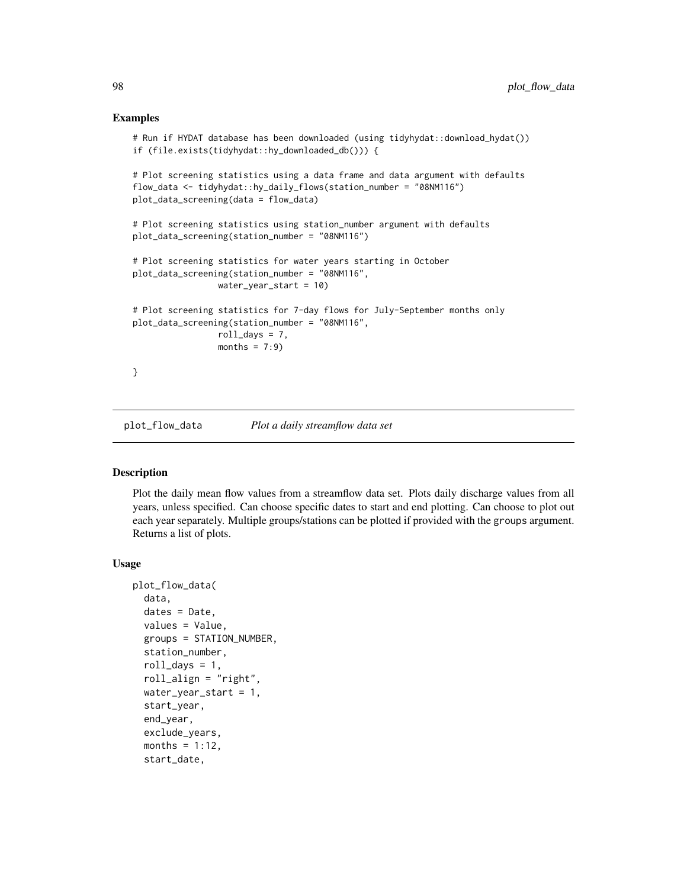#### Examples

```
# Run if HYDAT database has been downloaded (using tidyhydat::download_hydat())
if (file.exists(tidyhydat::hy_downloaded_db())) {
# Plot screening statistics using a data frame and data argument with defaults
flow_data <- tidyhydat::hy_daily_flows(station_number = "08NM116")
plot_data_screening(data = flow_data)
# Plot screening statistics using station_number argument with defaults
plot_data_screening(station_number = "08NM116")
# Plot screening statistics for water years starting in October
plot_data_screening(station_number = "08NM116",
                water_year_start = 10)
# Plot screening statistics for 7-day flows for July-September months only
plot_data_screening(station_number = "08NM116",
                 roll_days = 7,
                 months = 7:9)
}
```
plot\_flow\_data *Plot a daily streamflow data set*

#### Description

Plot the daily mean flow values from a streamflow data set. Plots daily discharge values from all years, unless specified. Can choose specific dates to start and end plotting. Can choose to plot out each year separately. Multiple groups/stations can be plotted if provided with the groups argument. Returns a list of plots.

#### Usage

```
plot_flow_data(
  data,
  dates = Date,
  values = Value,
  groups = STATION_NUMBER,
  station_number,
  roll\_days = 1,
  roll_align = "right",
  water_year_start = 1,
  start_year,
  end_year,
  exclude_years,
  months = 1:12,
  start_date,
```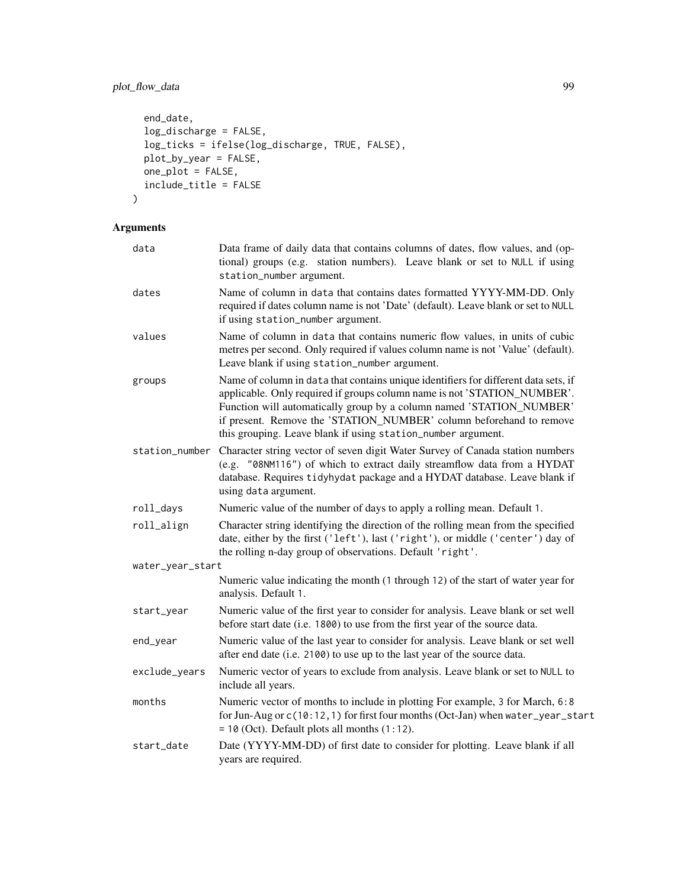# plot\_flow\_data 99

```
end_date,
 log_discharge = FALSE,
 log_ticks = ifelse(log_discharge, TRUE, FALSE),
 plot_by_year = FALSE,
 one\_plot = FALSE,include_title = FALSE
\mathcal{L}
```

| data             | Data frame of daily data that contains columns of dates, flow values, and (op-<br>tional) groups (e.g. station numbers). Leave blank or set to NULL if using<br>station_number argument.                                                                                                                                                                                       |
|------------------|--------------------------------------------------------------------------------------------------------------------------------------------------------------------------------------------------------------------------------------------------------------------------------------------------------------------------------------------------------------------------------|
| dates            | Name of column in data that contains dates formatted YYYY-MM-DD. Only<br>required if dates column name is not 'Date' (default). Leave blank or set to NULL<br>if using station_number argument.                                                                                                                                                                                |
| values           | Name of column in data that contains numeric flow values, in units of cubic<br>metres per second. Only required if values column name is not 'Value' (default).<br>Leave blank if using station_number argument.                                                                                                                                                               |
| groups           | Name of column in data that contains unique identifiers for different data sets, if<br>applicable. Only required if groups column name is not 'STATION_NUMBER'.<br>Function will automatically group by a column named 'STATION_NUMBER'<br>if present. Remove the 'STATION_NUMBER' column beforehand to remove<br>this grouping. Leave blank if using station_number argument. |
|                  | station_number Character string vector of seven digit Water Survey of Canada station numbers<br>(e.g. "08NM116") of which to extract daily streamflow data from a HYDAT<br>database. Requires tidyhydat package and a HYDAT database. Leave blank if<br>using data argument.                                                                                                   |
| roll_days        | Numeric value of the number of days to apply a rolling mean. Default 1.                                                                                                                                                                                                                                                                                                        |
| roll_align       | Character string identifying the direction of the rolling mean from the specified<br>date, either by the first ('left'), last ('right'), or middle ('center') day of<br>the rolling n-day group of observations. Default 'right'.                                                                                                                                              |
| water_year_start |                                                                                                                                                                                                                                                                                                                                                                                |
|                  | Numeric value indicating the month (1 through 12) of the start of water year for<br>analysis. Default 1.                                                                                                                                                                                                                                                                       |
| start_year       | Numeric value of the first year to consider for analysis. Leave blank or set well<br>before start date (i.e. 1800) to use from the first year of the source data.                                                                                                                                                                                                              |
| end_year         | Numeric value of the last year to consider for analysis. Leave blank or set well<br>after end date (i.e. 2100) to use up to the last year of the source data.                                                                                                                                                                                                                  |
| exclude_years    | Numeric vector of years to exclude from analysis. Leave blank or set to NULL to<br>include all years.                                                                                                                                                                                                                                                                          |
| months           | Numeric vector of months to include in plotting For example, 3 for March, 6:8<br>for Jun-Aug or c(10:12, 1) for first four months (Oct-Jan) when water_year_start<br>$= 10$ (Oct). Default plots all months $(1:12)$ .                                                                                                                                                         |
| start_date       | Date (YYYY-MM-DD) of first date to consider for plotting. Leave blank if all<br>years are required.                                                                                                                                                                                                                                                                            |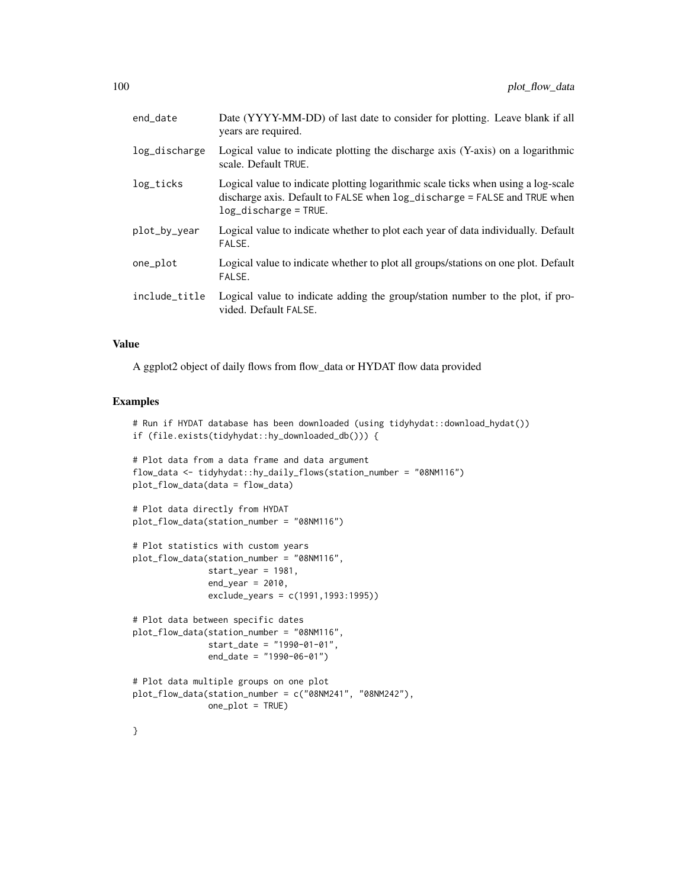| end_date      | Date (YYYY-MM-DD) of last date to consider for plotting. Leave blank if all<br>years are required.                                                                                            |
|---------------|-----------------------------------------------------------------------------------------------------------------------------------------------------------------------------------------------|
| log_discharge | Logical value to indicate plotting the discharge axis (Y-axis) on a logarithmic<br>scale. Default TRUE.                                                                                       |
| log_ticks     | Logical value to indicate plotting logarithmic scale ticks when using a log-scale<br>discharge axis. Default to FALSE when $log\_discharge = FALSE$ and TRUE when<br>$log_d$ ischarge = TRUE. |
| plot_by_year  | Logical value to indicate whether to plot each year of data individually. Default<br>FALSE.                                                                                                   |
| one_plot      | Logical value to indicate whether to plot all groups/stations on one plot. Default<br>FALSE.                                                                                                  |
| include_title | Logical value to indicate adding the group/station number to the plot, if pro-<br>vided. Default FALSE.                                                                                       |
|               |                                                                                                                                                                                               |

A ggplot2 object of daily flows from flow\_data or HYDAT flow data provided

#### Examples

```
# Run if HYDAT database has been downloaded (using tidyhydat::download_hydat())
if (file.exists(tidyhydat::hy_downloaded_db())) {
# Plot data from a data frame and data argument
flow_data <- tidyhydat::hy_daily_flows(station_number = "08NM116")
plot_flow_data(data = flow_data)
# Plot data directly from HYDAT
plot_flow_data(station_number = "08NM116")
# Plot statistics with custom years
plot_flow_data(station_number = "08NM116",
               start_year = 1981,
               end_year = 2010,
               exclude_years = c(1991,1993:1995))
# Plot data between specific dates
plot_flow_data(station_number = "08NM116",
               start_date = "1990-01-01",
               end_date = "1990-06-01")
# Plot data multiple groups on one plot
plot_flow_data(station_number = c("08NM241", "08NM242"),
               one_plot = TRUE)
}
```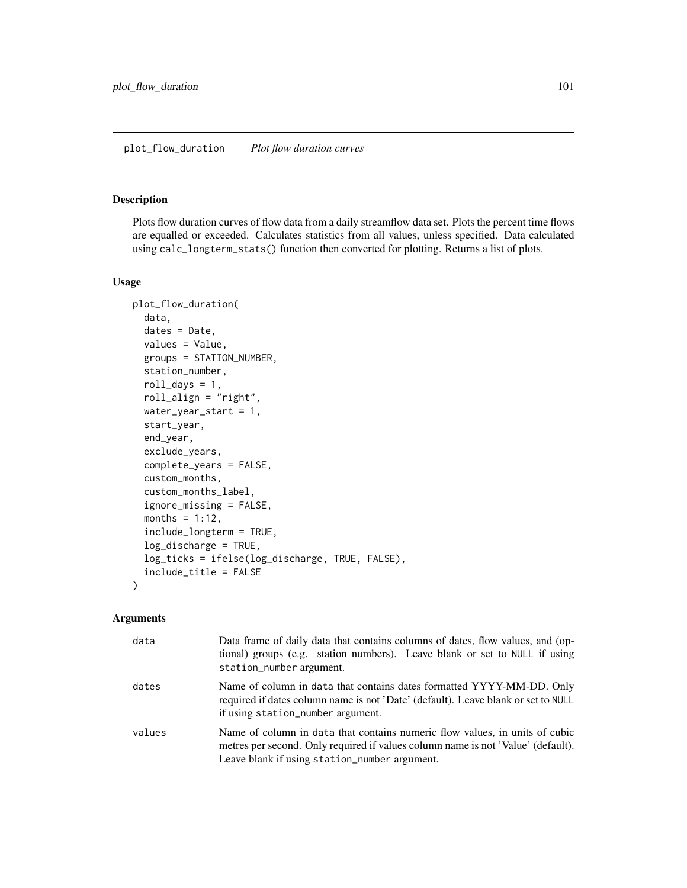#### plot\_flow\_duration *Plot flow duration curves*

## Description

Plots flow duration curves of flow data from a daily streamflow data set. Plots the percent time flows are equalled or exceeded. Calculates statistics from all values, unless specified. Data calculated using calc\_longterm\_stats() function then converted for plotting. Returns a list of plots.

#### Usage

```
plot_flow_duration(
  data,
  dates = Date,
  values = Value,
  groups = STATION_NUMBER,
  station_number,
  roll\_days = 1,
  roll_align = "right",
  water_year_start = 1,
  start_year,
  end_year,
  exclude_years,
  complete_years = FALSE,
  custom_months,
  custom_months_label,
  ignore_missing = FALSE,
  months = 1:12,
  include_longterm = TRUE,
  log_discharge = TRUE,
  log_ticks = ifelse(log_discharge, TRUE, FALSE),
  include_title = FALSE
\mathcal{L}
```

| data   | Data frame of daily data that contains columns of dates, flow values, and (op-<br>tional) groups (e.g. station numbers). Leave blank or set to NULL if using<br>station_number argument.                         |
|--------|------------------------------------------------------------------------------------------------------------------------------------------------------------------------------------------------------------------|
| dates  | Name of column in data that contains dates formatted YYYY-MM-DD. Only<br>required if dates column name is not 'Date' (default). Leave blank or set to NULL<br>if using station_number argument.                  |
| values | Name of column in data that contains numeric flow values, in units of cubic<br>metres per second. Only required if values column name is not 'Value' (default).<br>Leave blank if using station_number argument. |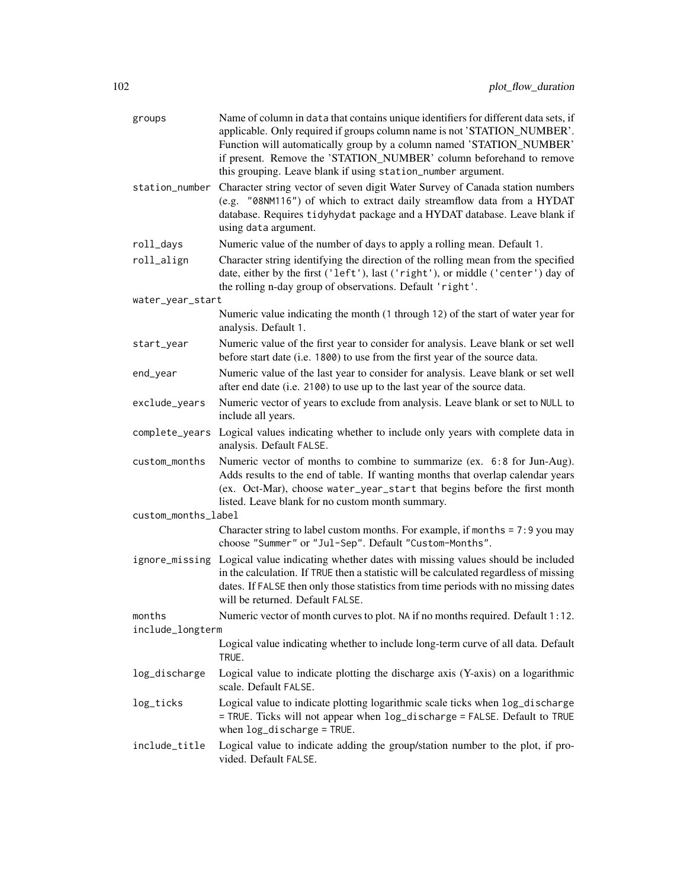| groups              | Name of column in data that contains unique identifiers for different data sets, if<br>applicable. Only required if groups column name is not 'STATION_NUMBER'.<br>Function will automatically group by a column named 'STATION_NUMBER'<br>if present. Remove the 'STATION_NUMBER' column beforehand to remove<br>this grouping. Leave blank if using station_number argument. |
|---------------------|--------------------------------------------------------------------------------------------------------------------------------------------------------------------------------------------------------------------------------------------------------------------------------------------------------------------------------------------------------------------------------|
| station_number      | Character string vector of seven digit Water Survey of Canada station numbers<br>(e.g. "08NM116") of which to extract daily streamflow data from a HYDAT<br>database. Requires tidyhydat package and a HYDAT database. Leave blank if<br>using data argument.                                                                                                                  |
| roll_days           | Numeric value of the number of days to apply a rolling mean. Default 1.                                                                                                                                                                                                                                                                                                        |
| roll_align          | Character string identifying the direction of the rolling mean from the specified<br>date, either by the first ('left'), last ('right'), or middle ('center') day of<br>the rolling n-day group of observations. Default 'right'.                                                                                                                                              |
| water_year_start    |                                                                                                                                                                                                                                                                                                                                                                                |
|                     | Numeric value indicating the month (1 through 12) of the start of water year for<br>analysis. Default 1.                                                                                                                                                                                                                                                                       |
| start_year          | Numeric value of the first year to consider for analysis. Leave blank or set well<br>before start date (i.e. 1800) to use from the first year of the source data.                                                                                                                                                                                                              |
| end_year            | Numeric value of the last year to consider for analysis. Leave blank or set well<br>after end date (i.e. 2100) to use up to the last year of the source data.                                                                                                                                                                                                                  |
| exclude_years       | Numeric vector of years to exclude from analysis. Leave blank or set to NULL to<br>include all years.                                                                                                                                                                                                                                                                          |
| complete_years      | Logical values indicating whether to include only years with complete data in<br>analysis. Default FALSE.                                                                                                                                                                                                                                                                      |
| custom_months       | Numeric vector of months to combine to summarize (ex. 6:8 for Jun-Aug).<br>Adds results to the end of table. If wanting months that overlap calendar years<br>(ex. Oct-Mar), choose water_year_start that begins before the first month<br>listed. Leave blank for no custom month summary.                                                                                    |
| custom_months_label |                                                                                                                                                                                                                                                                                                                                                                                |
|                     | Character string to label custom months. For example, if months = 7:9 you may<br>choose "Summer" or "Jul-Sep". Default "Custom-Months".                                                                                                                                                                                                                                        |
|                     | ignore_missing Logical value indicating whether dates with missing values should be included<br>in the calculation. If TRUE then a statistic will be calculated regardless of missing<br>dates. If FALSE then only those statistics from time periods with no missing dates<br>will be returned. Default FALSE.                                                                |
| months              | Numeric vector of month curves to plot. NA if no months required. Default 1:12.                                                                                                                                                                                                                                                                                                |
| include_longterm    |                                                                                                                                                                                                                                                                                                                                                                                |
|                     | Logical value indicating whether to include long-term curve of all data. Default<br>TRUE.                                                                                                                                                                                                                                                                                      |
| log_discharge       | Logical value to indicate plotting the discharge axis (Y-axis) on a logarithmic<br>scale. Default FALSE.                                                                                                                                                                                                                                                                       |
| log_ticks           | Logical value to indicate plotting logarithmic scale ticks when log_discharge<br>= TRUE. Ticks will not appear when log_discharge = FALSE. Default to TRUE<br>when $log\_discharge = TRUE$ .                                                                                                                                                                                   |
| include_title       | Logical value to indicate adding the group/station number to the plot, if pro-<br>vided. Default FALSE.                                                                                                                                                                                                                                                                        |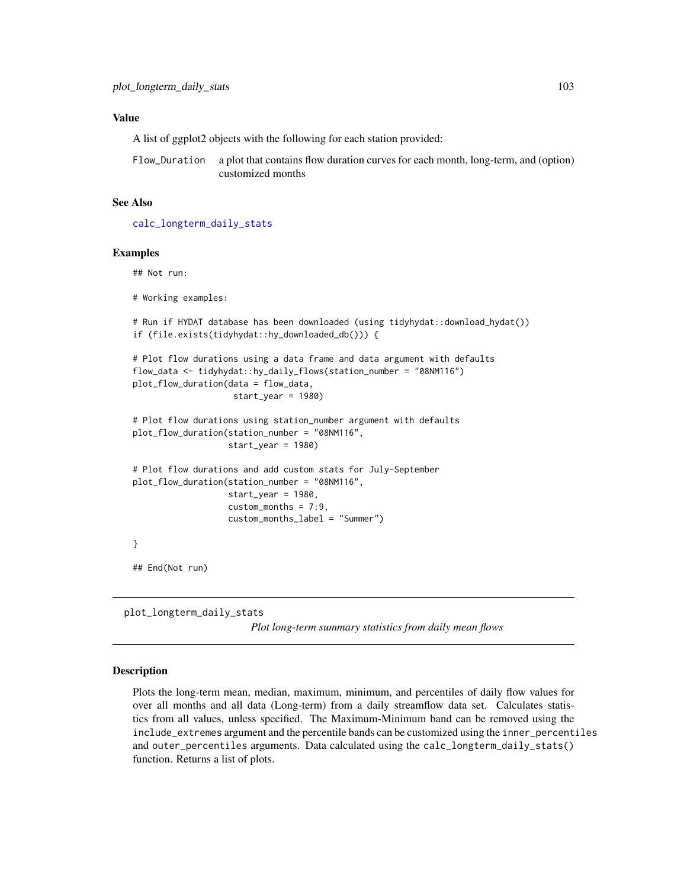A list of ggplot2 objects with the following for each station provided:

Flow\_Duration a plot that contains flow duration curves for each month, long-term, and (option) customized months

# See Also

[calc\\_longterm\\_daily\\_stats](#page-40-0)

#### Examples

## Not run:

# Working examples:

```
# Run if HYDAT database has been downloaded (using tidyhydat::download_hydat())
if (file.exists(tidyhydat::hy_downloaded_db())) {
```

```
# Plot flow durations using a data frame and data argument with defaults
flow_data <- tidyhydat::hy_daily_flows(station_number = "08NM116")
plot_flow_duration(data = flow_data,
                    start_year = 1980)
```

```
# Plot flow durations using station_number argument with defaults
plot_flow_duration(station_number = "08NM116",
                   start_year = 1980)
```

```
# Plot flow durations and add custom stats for July-September
plot_flow_duration(station_number = "08NM116",
                  start_year = 1980,
                   custom_months = 7:9,
                   custom_months_label = "Summer")
```
## End(Not run)

plot\_longterm\_daily\_stats *Plot long-term summary statistics from daily mean flows*

#### Description

}

Plots the long-term mean, median, maximum, minimum, and percentiles of daily flow values for over all months and all data (Long-term) from a daily streamflow data set. Calculates statistics from all values, unless specified. The Maximum-Minimum band can be removed using the include\_extremes argument and the percentile bands can be customized using the inner\_percentiles and outer\_percentiles arguments. Data calculated using the calc\_longterm\_daily\_stats() function. Returns a list of plots.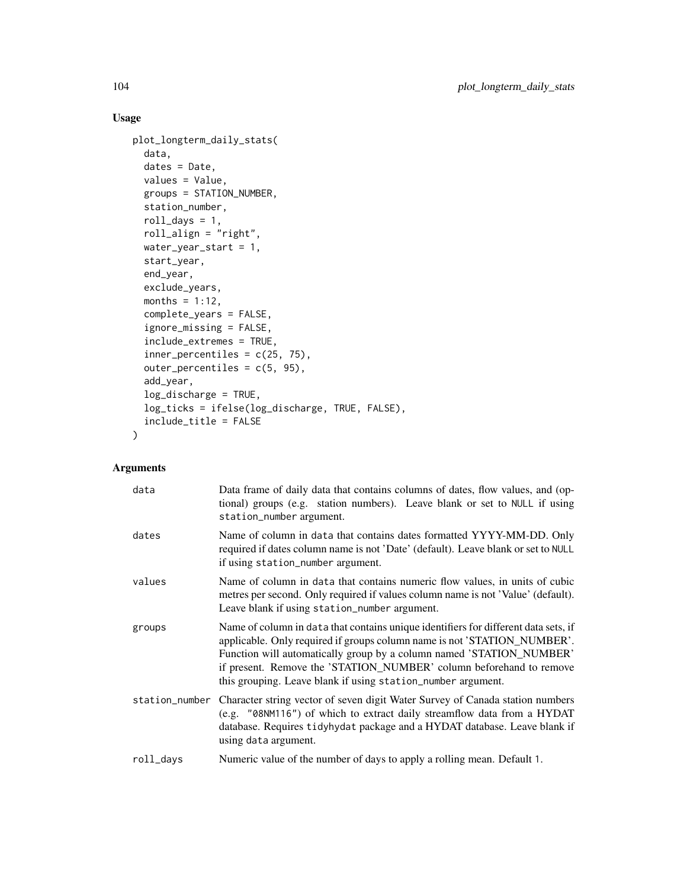# Usage

```
plot_longterm_daily_stats(
  data,
  dates = Date,
  values = Value,
 groups = STATION_NUMBER,
  station_number,
  roll\_days = 1,
  roll_align = "right",
 water_year_start = 1,
  start_year,
  end_year,
  exclude_years,
 months = 1:12,
  complete_years = FALSE,
  ignore_missing = FALSE,
  include_extremes = TRUE,
  inner_percentiles = c(25, 75),
  outer_percentiles = c(5, 95),
  add_year,
  log_discharge = TRUE,
  log_ticks = ifelse(log_discharge, TRUE, FALSE),
  include_title = FALSE
)
```

| data      | Data frame of daily data that contains columns of dates, flow values, and (op-<br>tional) groups (e.g. station numbers). Leave blank or set to NULL if using<br>station_number argument.                                                                                                                                                                                       |
|-----------|--------------------------------------------------------------------------------------------------------------------------------------------------------------------------------------------------------------------------------------------------------------------------------------------------------------------------------------------------------------------------------|
| dates     | Name of column in data that contains dates formatted YYYY-MM-DD. Only<br>required if dates column name is not 'Date' (default). Leave blank or set to NULL<br>if using station_number argument.                                                                                                                                                                                |
| values    | Name of column in data that contains numeric flow values, in units of cubic<br>metres per second. Only required if values column name is not 'Value' (default).<br>Leave blank if using station_number argument.                                                                                                                                                               |
| groups    | Name of column in data that contains unique identifiers for different data sets, if<br>applicable. Only required if groups column name is not 'STATION_NUMBER'.<br>Function will automatically group by a column named 'STATION_NUMBER'<br>if present. Remove the 'STATION_NUMBER' column beforehand to remove<br>this grouping. Leave blank if using station_number argument. |
|           | station_number Character string vector of seven digit Water Survey of Canada station numbers<br>(e.g. "08NM116") of which to extract daily streamflow data from a HYDAT<br>database. Requires tidyhydat package and a HYDAT database. Leave blank if<br>using data argument.                                                                                                   |
| roll_days | Numeric value of the number of days to apply a rolling mean. Default 1.                                                                                                                                                                                                                                                                                                        |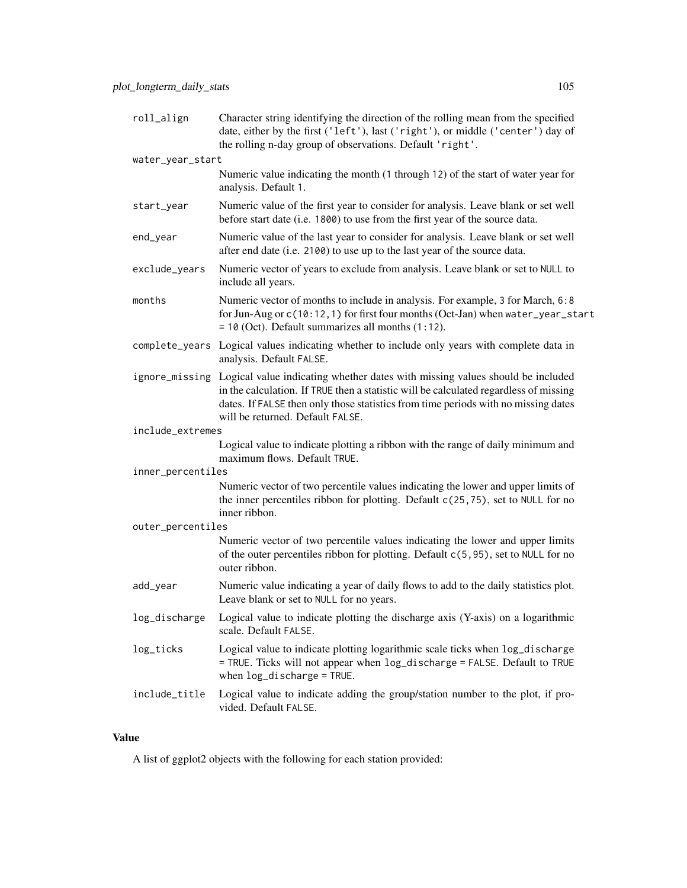| roll_align        | Character string identifying the direction of the rolling mean from the specified<br>date, either by the first ('left'), last ('right'), or middle ('center') day of<br>the rolling n-day group of observations. Default 'right'.                                                                               |
|-------------------|-----------------------------------------------------------------------------------------------------------------------------------------------------------------------------------------------------------------------------------------------------------------------------------------------------------------|
| water_year_start  |                                                                                                                                                                                                                                                                                                                 |
|                   | Numeric value indicating the month (1 through 12) of the start of water year for<br>analysis. Default 1.                                                                                                                                                                                                        |
| start_year        | Numeric value of the first year to consider for analysis. Leave blank or set well<br>before start date (i.e. 1800) to use from the first year of the source data.                                                                                                                                               |
| end_year          | Numeric value of the last year to consider for analysis. Leave blank or set well<br>after end date (i.e. 2100) to use up to the last year of the source data.                                                                                                                                                   |
| exclude_years     | Numeric vector of years to exclude from analysis. Leave blank or set to NULL to<br>include all years.                                                                                                                                                                                                           |
| months            | Numeric vector of months to include in analysis. For example, 3 for March, 6:8<br>for Jun-Aug or c(10:12, 1) for first four months (Oct-Jan) when water_year_start<br>$= 10$ (Oct). Default summarizes all months $(1:12)$ .                                                                                    |
|                   | complete_years Logical values indicating whether to include only years with complete data in<br>analysis. Default FALSE.                                                                                                                                                                                        |
|                   | ignore_missing Logical value indicating whether dates with missing values should be included<br>in the calculation. If TRUE then a statistic will be calculated regardless of missing<br>dates. If FALSE then only those statistics from time periods with no missing dates<br>will be returned. Default FALSE. |
| include_extremes  |                                                                                                                                                                                                                                                                                                                 |
|                   | Logical value to indicate plotting a ribbon with the range of daily minimum and<br>maximum flows. Default TRUE.                                                                                                                                                                                                 |
| inner_percentiles |                                                                                                                                                                                                                                                                                                                 |
|                   | Numeric vector of two percentile values indicating the lower and upper limits of<br>the inner percentiles ribbon for plotting. Default c(25,75), set to NULL for no<br>inner ribbon.                                                                                                                            |
| outer_percentiles |                                                                                                                                                                                                                                                                                                                 |
|                   | Numeric vector of two percentile values indicating the lower and upper limits<br>of the outer percentiles ribbon for plotting. Default c(5,95), set to NULL for no<br>outer ribbon.                                                                                                                             |
| add_year          | Numeric value indicating a year of daily flows to add to the daily statistics plot.<br>Leave blank or set to NULL for no years.                                                                                                                                                                                 |
| log_discharge     | Logical value to indicate plotting the discharge axis (Y-axis) on a logarithmic<br>scale. Default FALSE.                                                                                                                                                                                                        |
| log_ticks         | Logical value to indicate plotting logarithmic scale ticks when log_discharge<br>= TRUE. Ticks will not appear when log_discharge = FALSE. Default to TRUE<br>when $log\_discharge = TRUE$ .                                                                                                                    |
| include_title     | Logical value to indicate adding the group/station number to the plot, if pro-<br>vided. Default FALSE.                                                                                                                                                                                                         |

A list of ggplot2 objects with the following for each station provided: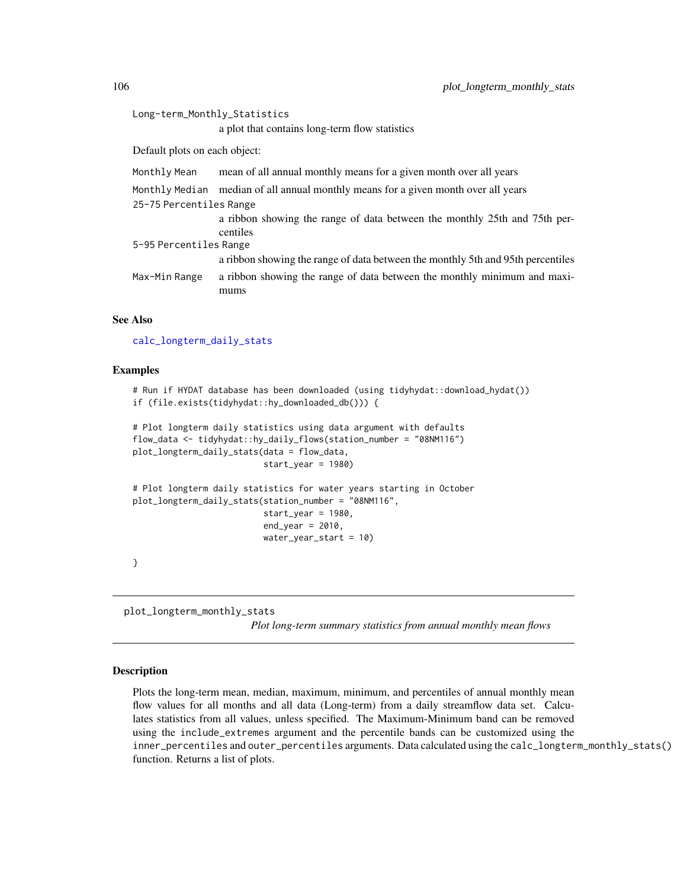```
Long-term_Monthly_Statistics
                  a plot that contains long-term flow statistics
Default plots on each object:
Monthly Mean mean of all annual monthly means for a given month over all years
Monthly Median median of all annual monthly means for a given month over all years
25-75 Percentiles Range
                  a ribbon showing the range of data between the monthly 25th and 75th per-
                 centiles
5-95 Percentiles Range
                  a ribbon showing the range of data between the monthly 5th and 95th percentiles
Max-Min Range a ribbon showing the range of data between the monthly minimum and maxi-
                  mums
```
#### See Also

[calc\\_longterm\\_daily\\_stats](#page-40-0)

#### Examples

```
# Run if HYDAT database has been downloaded (using tidyhydat::download_hydat())
if (file.exists(tidyhydat::hy_downloaded_db())) {
```

```
# Plot longterm daily statistics using data argument with defaults
flow_data <- tidyhydat::hy_daily_flows(station_number = "08NM116")
plot_longterm_daily_stats(data = flow_data,
                          start_year = 1980)
```

```
# Plot longterm daily statistics for water years starting in October
plot_longterm_daily_stats(station_number = "08NM116",
                          start_year = 1980,
                          end\_year = 2010,
                          water_year_start = 10)
```
}

plot\_longterm\_monthly\_stats *Plot long-term summary statistics from annual monthly mean flows*

#### Description

Plots the long-term mean, median, maximum, minimum, and percentiles of annual monthly mean flow values for all months and all data (Long-term) from a daily streamflow data set. Calculates statistics from all values, unless specified. The Maximum-Minimum band can be removed using the include\_extremes argument and the percentile bands can be customized using the inner\_percentiles and outer\_percentiles arguments. Data calculated using the calc\_longterm\_monthly\_stats() function. Returns a list of plots.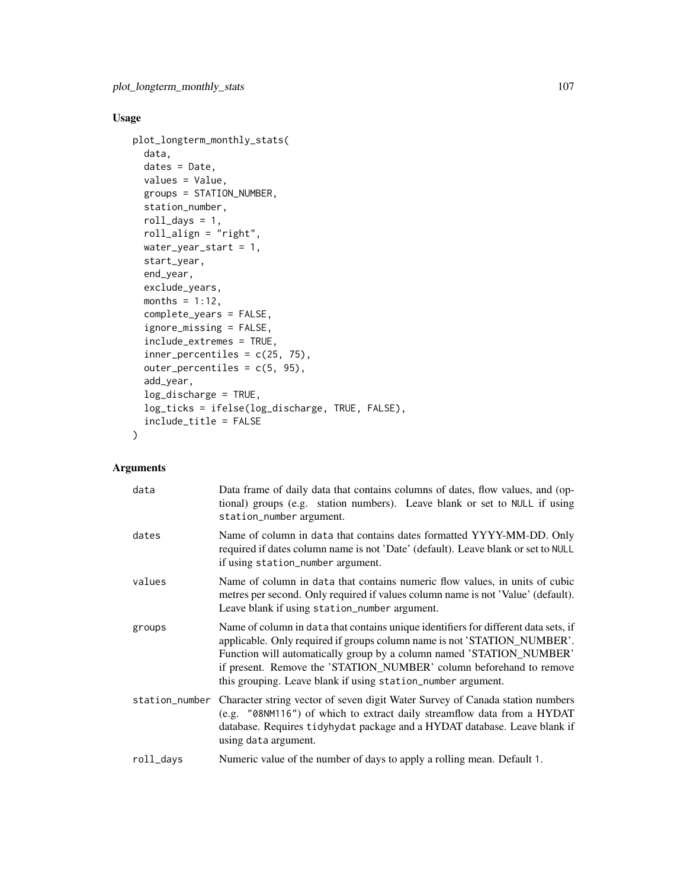# Usage

```
plot_longterm_monthly_stats(
  data,
  dates = Date,
 values = Value,
 groups = STATION_NUMBER,
  station_number,
  roll\_days = 1,
  roll_align = "right",
 water_year_start = 1,
  start_year,
  end_year,
  exclude_years,
 months = 1:12,
  complete_years = FALSE,
  ignore_missing = FALSE,
  include_extremes = TRUE,
  inner_percentiles = c(25, 75),
  outer_percentiles = c(5, 95),
  add_year,
  log_discharge = TRUE,
  log_ticks = ifelse(log_discharge, TRUE, FALSE),
  include_title = FALSE
)
```

| data           | Data frame of daily data that contains columns of dates, flow values, and (op-<br>tional) groups (e.g. station numbers). Leave blank or set to NULL if using<br>station_number argument.                                                                                                                                                                                       |
|----------------|--------------------------------------------------------------------------------------------------------------------------------------------------------------------------------------------------------------------------------------------------------------------------------------------------------------------------------------------------------------------------------|
| dates          | Name of column in data that contains dates formatted YYYY-MM-DD. Only<br>required if dates column name is not 'Date' (default). Leave blank or set to NULL<br>if using station_number argument.                                                                                                                                                                                |
| values         | Name of column in data that contains numeric flow values, in units of cubic<br>metres per second. Only required if values column name is not 'Value' (default).<br>Leave blank if using station_number argument.                                                                                                                                                               |
| groups         | Name of column in data that contains unique identifiers for different data sets, if<br>applicable. Only required if groups column name is not 'STATION_NUMBER'.<br>Function will automatically group by a column named 'STATION_NUMBER'<br>if present. Remove the 'STATION_NUMBER' column beforehand to remove<br>this grouping. Leave blank if using station_number argument. |
| station_number | Character string vector of seven digit Water Survey of Canada station numbers<br>(e.g. "08NM116") of which to extract daily streamflow data from a HYDAT<br>database. Requires tidyhydat package and a HYDAT database. Leave blank if<br>using data argument.                                                                                                                  |
| roll_days      | Numeric value of the number of days to apply a rolling mean. Default 1.                                                                                                                                                                                                                                                                                                        |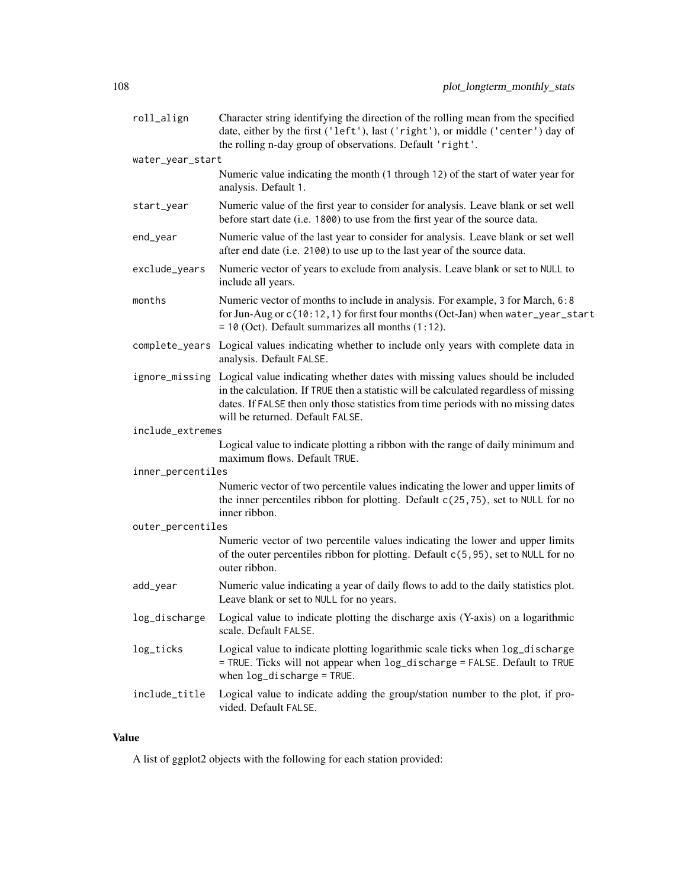| roll_align        | Character string identifying the direction of the rolling mean from the specified<br>date, either by the first ('left'), last ('right'), or middle ('center') day of<br>the rolling n-day group of observations. Default 'right'.                                                                               |
|-------------------|-----------------------------------------------------------------------------------------------------------------------------------------------------------------------------------------------------------------------------------------------------------------------------------------------------------------|
| water_year_start  |                                                                                                                                                                                                                                                                                                                 |
|                   | Numeric value indicating the month (1 through 12) of the start of water year for<br>analysis. Default 1.                                                                                                                                                                                                        |
| start_year        | Numeric value of the first year to consider for analysis. Leave blank or set well<br>before start date (i.e. 1800) to use from the first year of the source data.                                                                                                                                               |
| end_year          | Numeric value of the last year to consider for analysis. Leave blank or set well<br>after end date (i.e. 2100) to use up to the last year of the source data.                                                                                                                                                   |
| exclude_years     | Numeric vector of years to exclude from analysis. Leave blank or set to NULL to<br>include all years.                                                                                                                                                                                                           |
| months            | Numeric vector of months to include in analysis. For example, 3 for March, 6:8<br>for Jun-Aug or c(10:12, 1) for first four months (Oct-Jan) when water_year_start<br>$= 10$ (Oct). Default summarizes all months $(1:12)$ .                                                                                    |
|                   | complete_years Logical values indicating whether to include only years with complete data in<br>analysis. Default FALSE.                                                                                                                                                                                        |
|                   | ignore_missing Logical value indicating whether dates with missing values should be included<br>in the calculation. If TRUE then a statistic will be calculated regardless of missing<br>dates. If FALSE then only those statistics from time periods with no missing dates<br>will be returned. Default FALSE. |
| include_extremes  |                                                                                                                                                                                                                                                                                                                 |
|                   | Logical value to indicate plotting a ribbon with the range of daily minimum and<br>maximum flows. Default TRUE.                                                                                                                                                                                                 |
| inner_percentiles |                                                                                                                                                                                                                                                                                                                 |
|                   | Numeric vector of two percentile values indicating the lower and upper limits of<br>the inner percentiles ribbon for plotting. Default c(25,75), set to NULL for no<br>inner ribbon.                                                                                                                            |
| outer_percentiles |                                                                                                                                                                                                                                                                                                                 |
|                   | Numeric vector of two percentile values indicating the lower and upper limits<br>of the outer percentiles ribbon for plotting. Default c(5,95), set to NULL for no<br>outer ribbon.                                                                                                                             |
| add_year          | Numeric value indicating a year of daily flows to add to the daily statistics plot.<br>Leave blank or set to NULL for no years.                                                                                                                                                                                 |
| log_discharge     | Logical value to indicate plotting the discharge axis (Y-axis) on a logarithmic<br>scale. Default FALSE.                                                                                                                                                                                                        |
| log_ticks         | Logical value to indicate plotting logarithmic scale ticks when log_discharge<br>= TRUE. Ticks will not appear when log_discharge = FALSE. Default to TRUE<br>when log_discharge = TRUE.                                                                                                                        |
| include_title     | Logical value to indicate adding the group/station number to the plot, if pro-<br>vided. Default FALSE.                                                                                                                                                                                                         |

A list of ggplot2 objects with the following for each station provided: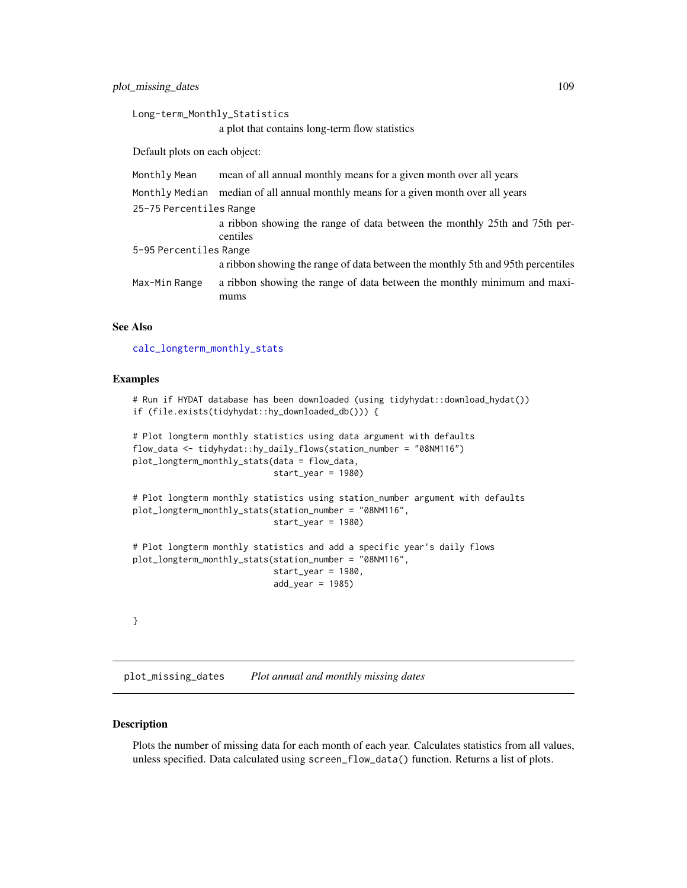```
Long-term_Monthly_Statistics
                  a plot that contains long-term flow statistics
Default plots on each object:
Monthly Mean mean of all annual monthly means for a given month over all years
Monthly Median median of all annual monthly means for a given month over all years
25-75 Percentiles Range
                  a ribbon showing the range of data between the monthly 25th and 75th per-
                 centiles
5-95 Percentiles Range
                  a ribbon showing the range of data between the monthly 5th and 95th percentiles
Max-Min Range a ribbon showing the range of data between the monthly minimum and maxi-
                  mums
```
# See Also

[calc\\_longterm\\_monthly\\_stats](#page-45-0)

#### Examples

```
# Run if HYDAT database has been downloaded (using tidyhydat::download_hydat())
if (file.exists(tidyhydat::hy_downloaded_db())) {
```

```
# Plot longterm monthly statistics using data argument with defaults
flow_data <- tidyhydat::hy_daily_flows(station_number = "08NM116")
plot_longterm_monthly_stats(data = flow_data,
                            start_year = 1980)
```

```
# Plot longterm monthly statistics using station_number argument with defaults
plot_longterm_monthly_stats(station_number = "08NM116",
                            start_year = 1980)
```

```
# Plot longterm monthly statistics and add a specific year's daily flows
plot_longterm_monthly_stats(station_number = "08NM116",
                            start_year = 1980,
                            add\_year = 1985)
```

```
}
```
<span id="page-108-0"></span>plot\_missing\_dates *Plot annual and monthly missing dates*

#### **Description**

Plots the number of missing data for each month of each year. Calculates statistics from all values, unless specified. Data calculated using screen\_flow\_data() function. Returns a list of plots.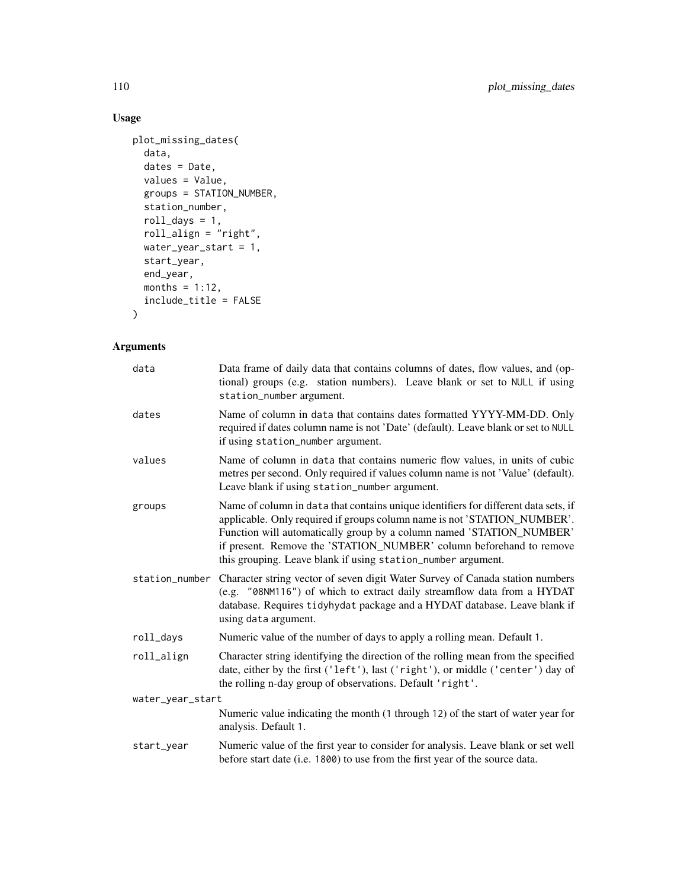# Usage

```
plot_missing_dates(
 data,
 dates = Date,
 values = Value,
 groups = STATION_NUMBER,
 station_number,
 roll\_days = 1,
 roll_align = "right",
 water_year_start = 1,
 start_year,
 end_year,
 months = 1:12,
  include_title = FALSE
)
```

| data             | Data frame of daily data that contains columns of dates, flow values, and (op-<br>tional) groups (e.g. station numbers). Leave blank or set to NULL if using<br>station_number argument.                                                                                                                                                                                       |
|------------------|--------------------------------------------------------------------------------------------------------------------------------------------------------------------------------------------------------------------------------------------------------------------------------------------------------------------------------------------------------------------------------|
| dates            | Name of column in data that contains dates formatted YYYY-MM-DD. Only<br>required if dates column name is not 'Date' (default). Leave blank or set to NULL<br>if using station_number argument.                                                                                                                                                                                |
| values           | Name of column in data that contains numeric flow values, in units of cubic<br>metres per second. Only required if values column name is not 'Value' (default).<br>Leave blank if using station_number argument.                                                                                                                                                               |
| groups           | Name of column in data that contains unique identifiers for different data sets, if<br>applicable. Only required if groups column name is not 'STATION_NUMBER'.<br>Function will automatically group by a column named 'STATION_NUMBER'<br>if present. Remove the 'STATION_NUMBER' column beforehand to remove<br>this grouping. Leave blank if using station_number argument. |
|                  | station_number Character string vector of seven digit Water Survey of Canada station numbers<br>(e.g. "08NM116") of which to extract daily streamflow data from a HYDAT<br>database. Requires tidyhydat package and a HYDAT database. Leave blank if<br>using data argument.                                                                                                   |
| roll_days        | Numeric value of the number of days to apply a rolling mean. Default 1.                                                                                                                                                                                                                                                                                                        |
| roll_align       | Character string identifying the direction of the rolling mean from the specified<br>date, either by the first ('left'), last ('right'), or middle ('center') day of<br>the rolling n-day group of observations. Default 'right'.                                                                                                                                              |
| water_year_start |                                                                                                                                                                                                                                                                                                                                                                                |
|                  | Numeric value indicating the month (1 through 12) of the start of water year for<br>analysis. Default 1.                                                                                                                                                                                                                                                                       |
| start_year       | Numeric value of the first year to consider for analysis. Leave blank or set well<br>before start date (i.e. 1800) to use from the first year of the source data.                                                                                                                                                                                                              |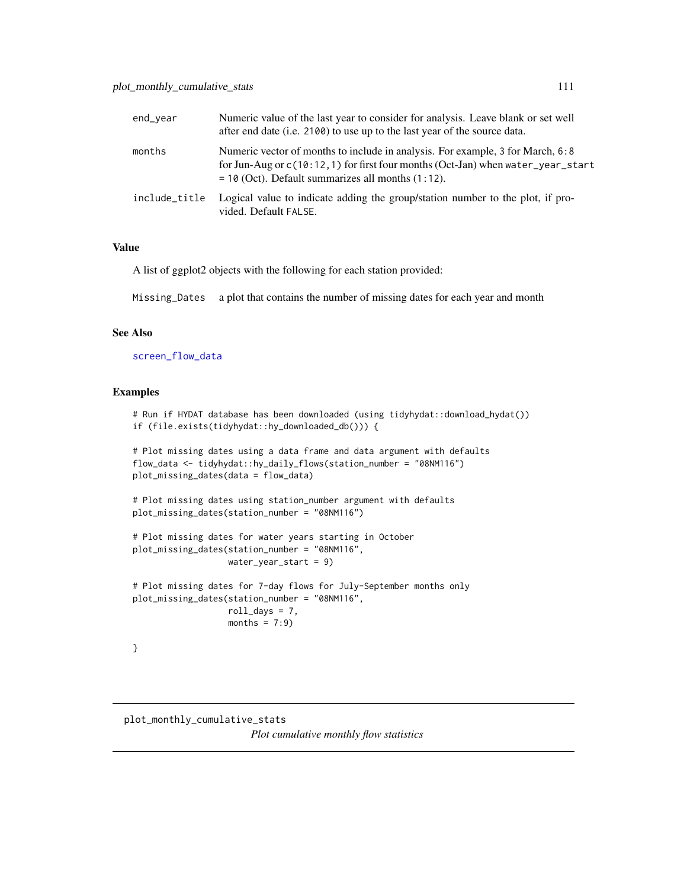<span id="page-110-1"></span>

| end_vear      | Numeric value of the last year to consider for analysis. Leave blank or set well<br>after end date (i.e. 2100) to use up to the last year of the source data.                                                                 |
|---------------|-------------------------------------------------------------------------------------------------------------------------------------------------------------------------------------------------------------------------------|
| months        | Numeric vector of months to include in analysis. For example, 3 for March, 6:8<br>for Jun-Aug or $c(10:12,1)$ for first four months (Oct-Jan) when water_year_start<br>$=$ 10 (Oct). Default summarizes all months $(1:12)$ . |
| include title | Logical value to indicate adding the group/station number to the plot, if pro-<br>vided. Default FALSE.                                                                                                                       |

# Value

A list of ggplot2 objects with the following for each station provided:

Missing\_Dates a plot that contains the number of missing dates for each year and month

# See Also

[screen\\_flow\\_data](#page-116-0)

#### Examples

```
# Run if HYDAT database has been downloaded (using tidyhydat::download_hydat())
if (file.exists(tidyhydat::hy_downloaded_db())) {
# Plot missing dates using a data frame and data argument with defaults
flow_data <- tidyhydat::hy_daily_flows(station_number = "08NM116")
plot_missing_dates(data = flow_data)
# Plot missing dates using station_number argument with defaults
plot_missing_dates(station_number = "08NM116")
# Plot missing dates for water years starting in October
plot_missing_dates(station_number = "08NM116",
                   water_year_start = 9)
# Plot missing dates for 7-day flows for July-September months only
plot_missing_dates(station_number = "08NM116",
                   roll\_days = 7,
                   months = 7:9)
}
```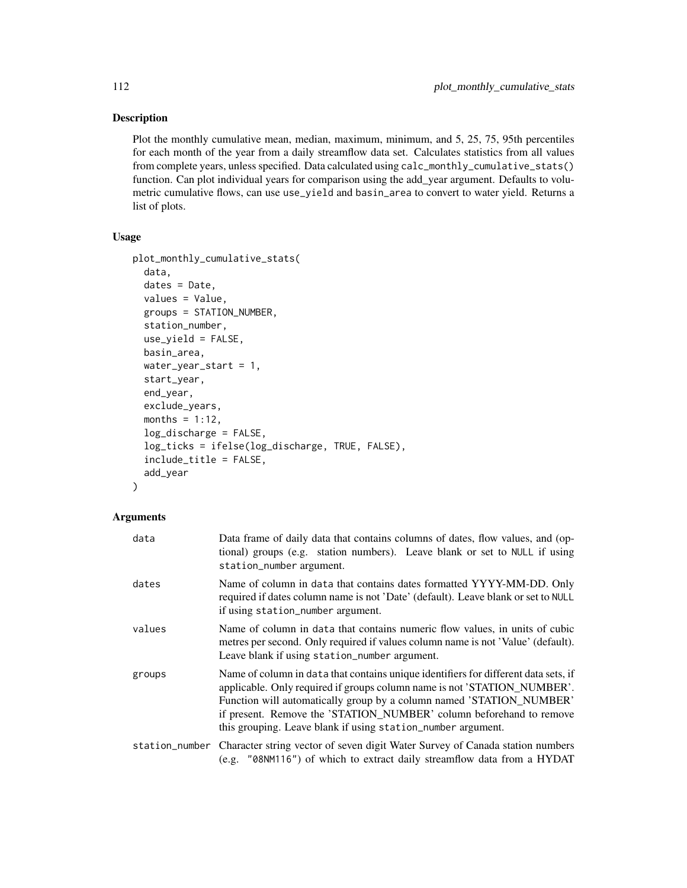# Description

Plot the monthly cumulative mean, median, maximum, minimum, and 5, 25, 75, 95th percentiles for each month of the year from a daily streamflow data set. Calculates statistics from all values from complete years, unless specified. Data calculated using calc\_monthly\_cumulative\_stats() function. Can plot individual years for comparison using the add\_year argument. Defaults to volumetric cumulative flows, can use use\_yield and basin\_area to convert to water yield. Returns a list of plots.

#### Usage

```
plot_monthly_cumulative_stats(
  data,
  dates = Date,
  values = Value,
  groups = STATION_NUMBER,
  station_number,
  use_yield = FALSE,
  basin_area,
  water_year_start = 1,
  start_year,
  end_year,
  exclude_years,
  months = 1:12,
  log_discharge = FALSE,
  log_ticks = ifelse(log_discharge, TRUE, FALSE),
  include_title = FALSE,
  add_year
)
```

| data   | Data frame of daily data that contains columns of dates, flow values, and (op-<br>tional) groups (e.g. station numbers). Leave blank or set to NULL if using<br>station_number argument.                                                                                                                                                                                       |
|--------|--------------------------------------------------------------------------------------------------------------------------------------------------------------------------------------------------------------------------------------------------------------------------------------------------------------------------------------------------------------------------------|
| dates  | Name of column in data that contains dates formatted YYYY-MM-DD. Only<br>required if dates column name is not 'Date' (default). Leave blank or set to NULL<br>if using station_number argument.                                                                                                                                                                                |
| values | Name of column in data that contains numeric flow values, in units of cubic<br>metres per second. Only required if values column name is not 'Value' (default).<br>Leave blank if using station_number argument.                                                                                                                                                               |
| groups | Name of column in data that contains unique identifiers for different data sets, if<br>applicable. Only required if groups column name is not 'STATION_NUMBER'.<br>Function will automatically group by a column named 'STATION_NUMBER'<br>if present. Remove the 'STATION_NUMBER' column beforehand to remove<br>this grouping. Leave blank if using station_number argument. |
|        | station_number Character string vector of seven digit Water Survey of Canada station numbers<br>(e.g. "08NM116") of which to extract daily streamflow data from a HYDAT                                                                                                                                                                                                        |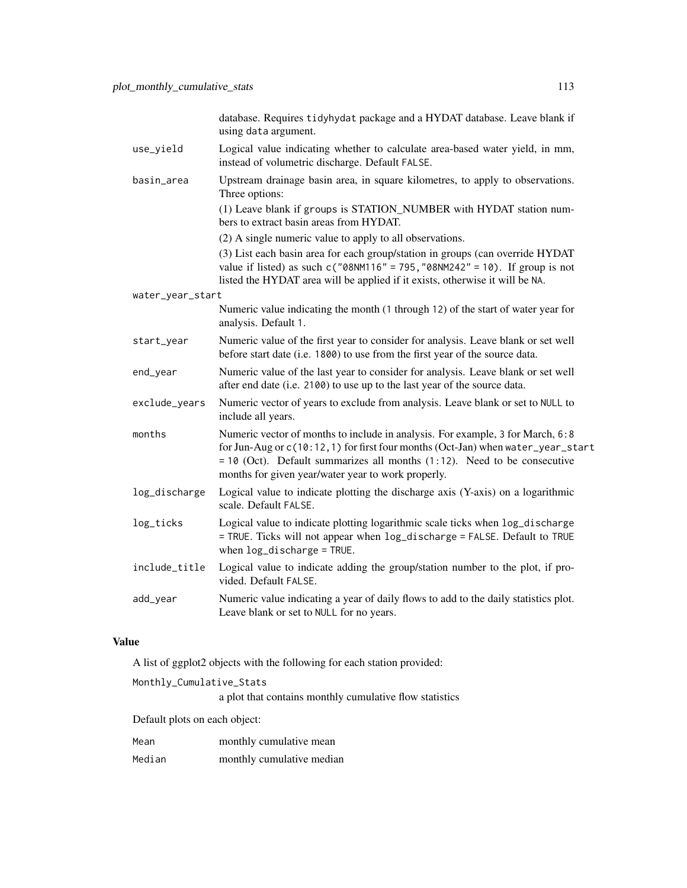database. Requires tidyhydat package and a HYDAT database. Leave blank if using data argument.

- use\_yield Logical value indicating whether to calculate area-based water yield, in mm, instead of volumetric discharge. Default FALSE.
- basin\_area Upstream drainage basin area, in square kilometres, to apply to observations. Three options:

(1) Leave blank if groups is STATION\_NUMBER with HYDAT station numbers to extract basin areas from HYDAT.

(2) A single numeric value to apply to all observations.

(3) List each basin area for each group/station in groups (can override HYDAT value if listed) as such  $c("08NM116" = 795, "08NM242" = 10)$ . If group is not listed the HYDAT area will be applied if it exists, otherwise it will be NA.

- water\_year\_start
	- Numeric value indicating the month (1 through 12) of the start of water year for analysis. Default 1.
- start\_year Numeric value of the first year to consider for analysis. Leave blank or set well before start date (i.e. 1800) to use from the first year of the source data.
- end\_year Numeric value of the last year to consider for analysis. Leave blank or set well after end date (i.e. 2100) to use up to the last year of the source data.
- exclude\_years Numeric vector of years to exclude from analysis. Leave blank or set to NULL to include all years.
- months Numeric vector of months to include in analysis. For example, 3 for March, 6:8 for Jun-Aug or c(10:12,1) for first four months (Oct-Jan) when water\_year\_start  $= 10$  (Oct). Default summarizes all months (1:12). Need to be consecutive months for given year/water year to work properly.
- log\_discharge Logical value to indicate plotting the discharge axis (Y-axis) on a logarithmic scale. Default FALSE.
- log\_ticks Logical value to indicate plotting logarithmic scale ticks when log\_discharge = TRUE. Ticks will not appear when log\_discharge = FALSE. Default to TRUE when log\_discharge = TRUE.
- include\_title Logical value to indicate adding the group/station number to the plot, if provided. Default FALSE.
- add\_year Numeric value indicating a year of daily flows to add to the daily statistics plot. Leave blank or set to NULL for no years.

#### Value

A list of ggplot2 objects with the following for each station provided:

Monthly\_Cumulative\_Stats

a plot that contains monthly cumulative flow statistics

Default plots on each object:

| Mean |  | monthly cumulative mean |  |
|------|--|-------------------------|--|
|------|--|-------------------------|--|

Median monthly cumulative median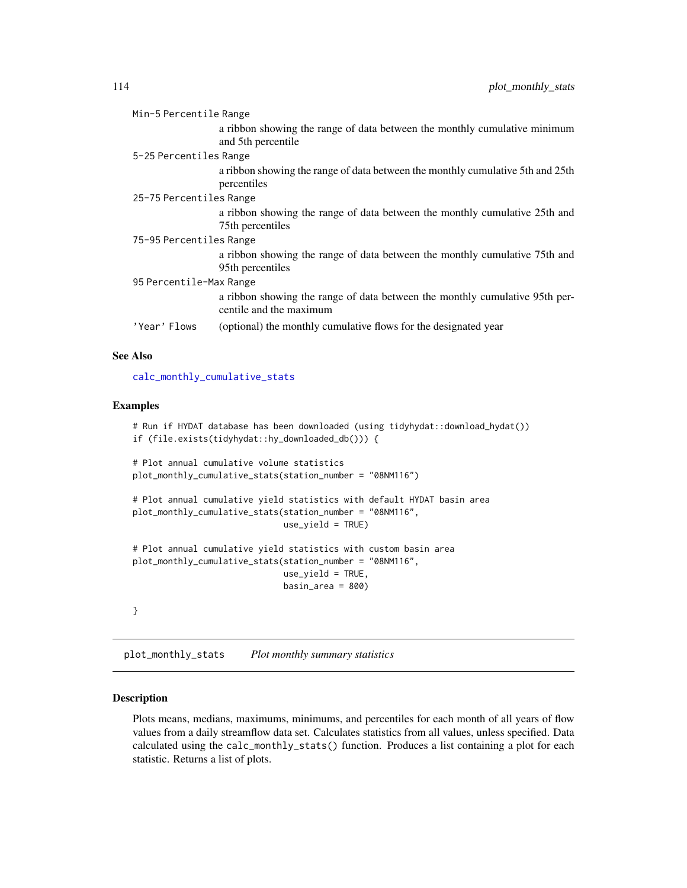| Min-5 Percentile Range  |                                                                                |  |
|-------------------------|--------------------------------------------------------------------------------|--|
|                         | a ribbon showing the range of data between the monthly cumulative minimum      |  |
|                         | and 5th percentile.                                                            |  |
| 5-25 Percentiles Range  |                                                                                |  |
|                         | a ribbon showing the range of data between the monthly cumulative 5th and 25th |  |
|                         | percentiles                                                                    |  |
| 25-75 Percentiles Range |                                                                                |  |
|                         | a ribbon showing the range of data between the monthly cumulative 25th and     |  |
|                         | 75th percentiles                                                               |  |
| 75-95 Percentiles Range |                                                                                |  |
|                         | a ribbon showing the range of data between the monthly cumulative 75th and     |  |
|                         | 95th percentiles                                                               |  |
| 95 Percentile-Max Range |                                                                                |  |
|                         | a ribbon showing the range of data between the monthly cumulative 95th per-    |  |
|                         | centile and the maximum                                                        |  |
| 'Year' Flows            | (optional) the monthly cumulative flows for the designated year                |  |

# See Also

[calc\\_monthly\\_cumulative\\_stats](#page-50-0)

# Examples

```
# Run if HYDAT database has been downloaded (using tidyhydat::download_hydat())
if (file.exists(tidyhydat::hy_downloaded_db())) {
# Plot annual cumulative volume statistics
plot_monthly_cumulative_stats(station_number = "08NM116")
# Plot annual cumulative yield statistics with default HYDAT basin area
plot_monthly_cumulative_stats(station_number = "08NM116",
                             use_yield = TRUE)
# Plot annual cumulative yield statistics with custom basin area
plot_monthly_cumulative_stats(station_number = "08NM116",
                             use_yield = TRUE,
                             basin_area = 800)
}
```
<span id="page-113-0"></span>plot\_monthly\_stats *Plot monthly summary statistics*

# Description

Plots means, medians, maximums, minimums, and percentiles for each month of all years of flow values from a daily streamflow data set. Calculates statistics from all values, unless specified. Data calculated using the calc\_monthly\_stats() function. Produces a list containing a plot for each statistic. Returns a list of plots.

<span id="page-113-1"></span>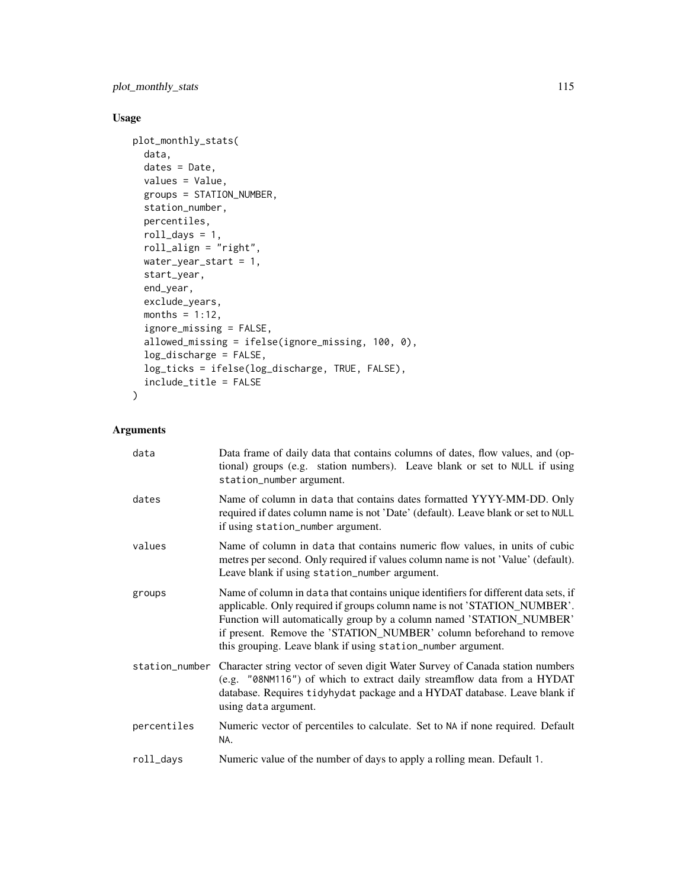plot\_monthly\_stats 115

# Usage

```
plot_monthly_stats(
  data,
 dates = Date,
 values = Value,
  groups = STATION_NUMBER,
  station_number,
 percentiles,
 roll\_days = 1,
  roll_align = "right",
 water_year_start = 1,
  start_year,
  end_year,
  exclude_years,
 months = 1:12,
  ignore_missing = FALSE,
  allowed_missing = ifelse(ignore_missing, 100, 0),
  log_discharge = FALSE,
  log_ticks = ifelse(log_discharge, TRUE, FALSE),
  include_title = FALSE
\mathcal{L}
```

| data        | Data frame of daily data that contains columns of dates, flow values, and (op-<br>tional) groups (e.g. station numbers). Leave blank or set to NULL if using<br>station_number argument.                                                                                                                                                                                       |
|-------------|--------------------------------------------------------------------------------------------------------------------------------------------------------------------------------------------------------------------------------------------------------------------------------------------------------------------------------------------------------------------------------|
| dates       | Name of column in data that contains dates formatted YYYY-MM-DD. Only<br>required if dates column name is not 'Date' (default). Leave blank or set to NULL<br>if using station_number argument.                                                                                                                                                                                |
| values      | Name of column in data that contains numeric flow values, in units of cubic<br>metres per second. Only required if values column name is not 'Value' (default).<br>Leave blank if using station_number argument.                                                                                                                                                               |
| groups      | Name of column in data that contains unique identifiers for different data sets, if<br>applicable. Only required if groups column name is not 'STATION_NUMBER'.<br>Function will automatically group by a column named 'STATION_NUMBER'<br>if present. Remove the 'STATION_NUMBER' column beforehand to remove<br>this grouping. Leave blank if using station_number argument. |
|             | station_number Character string vector of seven digit Water Survey of Canada station numbers<br>(e.g. "08NM116") of which to extract daily streamflow data from a HYDAT<br>database. Requires tidyhydat package and a HYDAT database. Leave blank if<br>using data argument.                                                                                                   |
| percentiles | Numeric vector of percentiles to calculate. Set to NA if none required. Default<br>NA.                                                                                                                                                                                                                                                                                         |
| roll_days   | Numeric value of the number of days to apply a rolling mean. Default 1.                                                                                                                                                                                                                                                                                                        |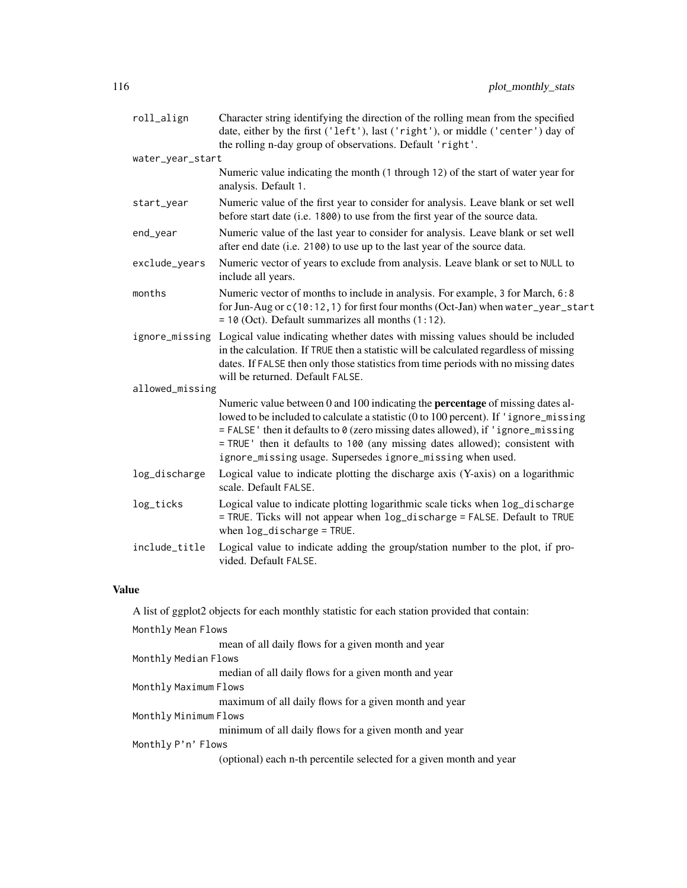| roll_align       | Character string identifying the direction of the rolling mean from the specified<br>date, either by the first ('left'), last ('right'), or middle ('center') day of<br>the rolling n-day group of observations. Default 'right'.                                                                                                                                                                               |
|------------------|-----------------------------------------------------------------------------------------------------------------------------------------------------------------------------------------------------------------------------------------------------------------------------------------------------------------------------------------------------------------------------------------------------------------|
| water_year_start |                                                                                                                                                                                                                                                                                                                                                                                                                 |
|                  | Numeric value indicating the month (1 through 12) of the start of water year for<br>analysis. Default 1.                                                                                                                                                                                                                                                                                                        |
| start_year       | Numeric value of the first year to consider for analysis. Leave blank or set well<br>before start date (i.e. 1800) to use from the first year of the source data.                                                                                                                                                                                                                                               |
| end_year         | Numeric value of the last year to consider for analysis. Leave blank or set well<br>after end date (i.e. 2100) to use up to the last year of the source data.                                                                                                                                                                                                                                                   |
| exclude_years    | Numeric vector of years to exclude from analysis. Leave blank or set to NULL to<br>include all years.                                                                                                                                                                                                                                                                                                           |
| months           | Numeric vector of months to include in analysis. For example, 3 for March, 6:8<br>for Jun-Aug or c(10:12, 1) for first four months (Oct-Jan) when water_year_start<br>$= 10$ (Oct). Default summarizes all months $(1:12)$ .                                                                                                                                                                                    |
| ignore_missing   | Logical value indicating whether dates with missing values should be included<br>in the calculation. If TRUE then a statistic will be calculated regardless of missing<br>dates. If FALSE then only those statistics from time periods with no missing dates<br>will be returned. Default FALSE.                                                                                                                |
| allowed_missing  |                                                                                                                                                                                                                                                                                                                                                                                                                 |
|                  | Numeric value between 0 and 100 indicating the <b>percentage</b> of missing dates al-<br>lowed to be included to calculate a statistic (0 to 100 percent). If 'ignore_missing<br>= FALSE' then it defaults to 0 (zero missing dates allowed), if 'ignore_missing<br>= TRUE ' then it defaults to 100 (any missing dates allowed); consistent with<br>ignore_missing usage. Supersedes ignore_missing when used. |
| log_discharge    | Logical value to indicate plotting the discharge axis (Y-axis) on a logarithmic<br>scale. Default FALSE.                                                                                                                                                                                                                                                                                                        |
| log_ticks        | Logical value to indicate plotting logarithmic scale ticks when log_discharge<br>= TRUE. Ticks will not appear when log_discharge = FALSE. Default to TRUE<br>when $log\_discharge = TRUE$ .                                                                                                                                                                                                                    |
| include_title    | Logical value to indicate adding the group/station number to the plot, if pro-<br>vided. Default FALSE.                                                                                                                                                                                                                                                                                                         |

# Value

| A list of ggplot2 objects for each monthly statistic for each station provided that contain: |  |  |
|----------------------------------------------------------------------------------------------|--|--|
| Monthly Mean Flows                                                                           |  |  |
| mean of all daily flows for a given month and year                                           |  |  |
| Monthly Median Flows                                                                         |  |  |
| median of all daily flows for a given month and year                                         |  |  |
| Monthly Maximum Flows                                                                        |  |  |
| maximum of all daily flows for a given month and year                                        |  |  |
| Monthly Minimum Flows                                                                        |  |  |
| minimum of all daily flows for a given month and year                                        |  |  |
| Monthly P'n' Flows                                                                           |  |  |
| (optional) each n-th percentile selected for a given month and year                          |  |  |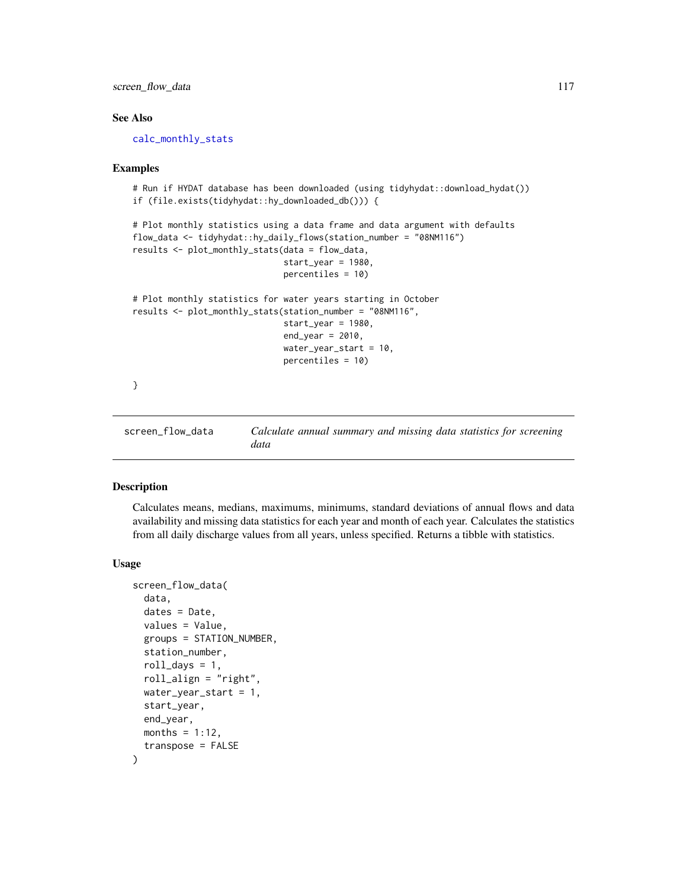# <span id="page-116-1"></span>screen\_flow\_data 117

# See Also

[calc\\_monthly\\_stats](#page-53-0)

#### Examples

```
# Run if HYDAT database has been downloaded (using tidyhydat::download_hydat())
if (file.exists(tidyhydat::hy_downloaded_db())) {
# Plot monthly statistics using a data frame and data argument with defaults
flow_data <- tidyhydat::hy_daily_flows(station_number = "08NM116")
results <- plot_monthly_stats(data = flow_data,
                              start_year = 1980,
                              percentiles = 10)
# Plot monthly statistics for water years starting in October
results <- plot_monthly_stats(station_number = "08NM116",
                              start_year = 1980,
                              end\_year = 2010,water_year_start = 10,
                              percentiles = 10)
}
```
<span id="page-116-0"></span>screen\_flow\_data *Calculate annual summary and missing data statistics for screening data*

# Description

Calculates means, medians, maximums, minimums, standard deviations of annual flows and data availability and missing data statistics for each year and month of each year. Calculates the statistics from all daily discharge values from all years, unless specified. Returns a tibble with statistics.

#### Usage

```
screen_flow_data(
  data,
  dates = Date,
  values = Value,
  groups = STATION_NUMBER,
  station_number,
  roll\_days = 1,
  roll_align = "right",
  water_year_start = 1,
  start_year,
  end_year,
 months = 1:12,
  transpose = FALSE
)
```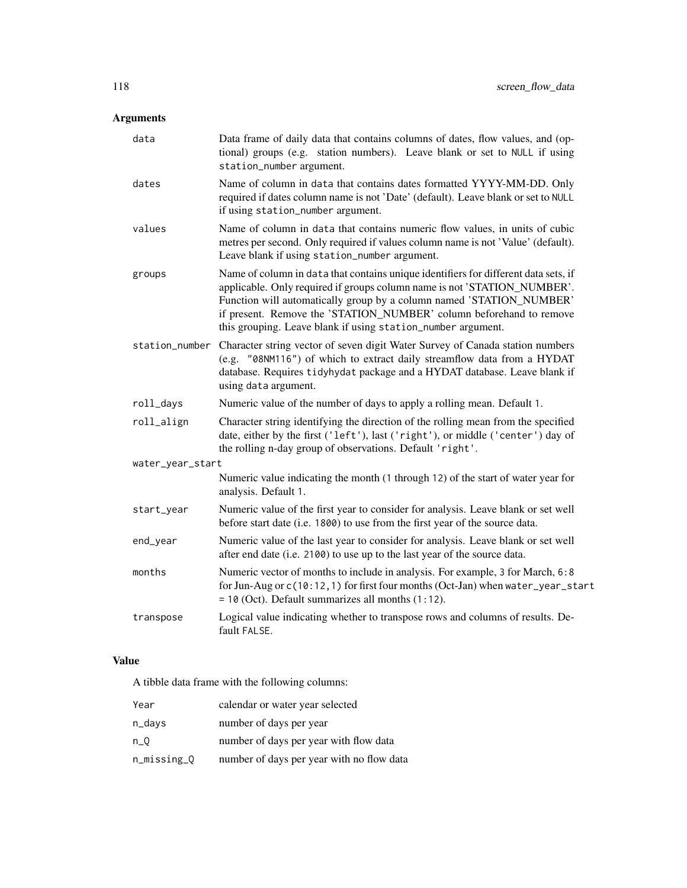# Arguments

| data             | Data frame of daily data that contains columns of dates, flow values, and (op-<br>tional) groups (e.g. station numbers). Leave blank or set to NULL if using<br>station_number argument.                                                                                                                                                                                       |
|------------------|--------------------------------------------------------------------------------------------------------------------------------------------------------------------------------------------------------------------------------------------------------------------------------------------------------------------------------------------------------------------------------|
| dates            | Name of column in data that contains dates formatted YYYY-MM-DD. Only<br>required if dates column name is not 'Date' (default). Leave blank or set to NULL<br>if using station_number argument.                                                                                                                                                                                |
| values           | Name of column in data that contains numeric flow values, in units of cubic<br>metres per second. Only required if values column name is not 'Value' (default).<br>Leave blank if using station_number argument.                                                                                                                                                               |
| groups           | Name of column in data that contains unique identifiers for different data sets, if<br>applicable. Only required if groups column name is not 'STATION_NUMBER'.<br>Function will automatically group by a column named 'STATION_NUMBER'<br>if present. Remove the 'STATION_NUMBER' column beforehand to remove<br>this grouping. Leave blank if using station_number argument. |
| station_number   | Character string vector of seven digit Water Survey of Canada station numbers<br>(e.g. "08NM116") of which to extract daily streamflow data from a HYDAT<br>database. Requires tidyhydat package and a HYDAT database. Leave blank if<br>using data argument.                                                                                                                  |
| roll_days        | Numeric value of the number of days to apply a rolling mean. Default 1.                                                                                                                                                                                                                                                                                                        |
| roll_align       | Character string identifying the direction of the rolling mean from the specified<br>date, either by the first ('left'), last ('right'), or middle ('center') day of<br>the rolling n-day group of observations. Default 'right'.                                                                                                                                              |
| water_year_start |                                                                                                                                                                                                                                                                                                                                                                                |
|                  | Numeric value indicating the month (1 through 12) of the start of water year for<br>analysis. Default 1.                                                                                                                                                                                                                                                                       |
| start_year       | Numeric value of the first year to consider for analysis. Leave blank or set well<br>before start date (i.e. 1800) to use from the first year of the source data.                                                                                                                                                                                                              |
| end_year         | Numeric value of the last year to consider for analysis. Leave blank or set well<br>after end date (i.e. 2100) to use up to the last year of the source data.                                                                                                                                                                                                                  |
| months           | Numeric vector of months to include in analysis. For example, 3 for March, 6:8<br>for Jun-Aug or c(10:12, 1) for first four months (Oct-Jan) when water_year_start<br>$= 10$ (Oct). Default summarizes all months $(1:12)$ .                                                                                                                                                   |
| transpose        | Logical value indicating whether to transpose rows and columns of results. De-<br>fault FALSE.                                                                                                                                                                                                                                                                                 |

# Value

A tibble data frame with the following columns:

| Year        | calendar or water year selected           |
|-------------|-------------------------------------------|
| n_days      | number of days per year                   |
| $n_0$       | number of days per year with flow data    |
| n_missing_Q | number of days per year with no flow data |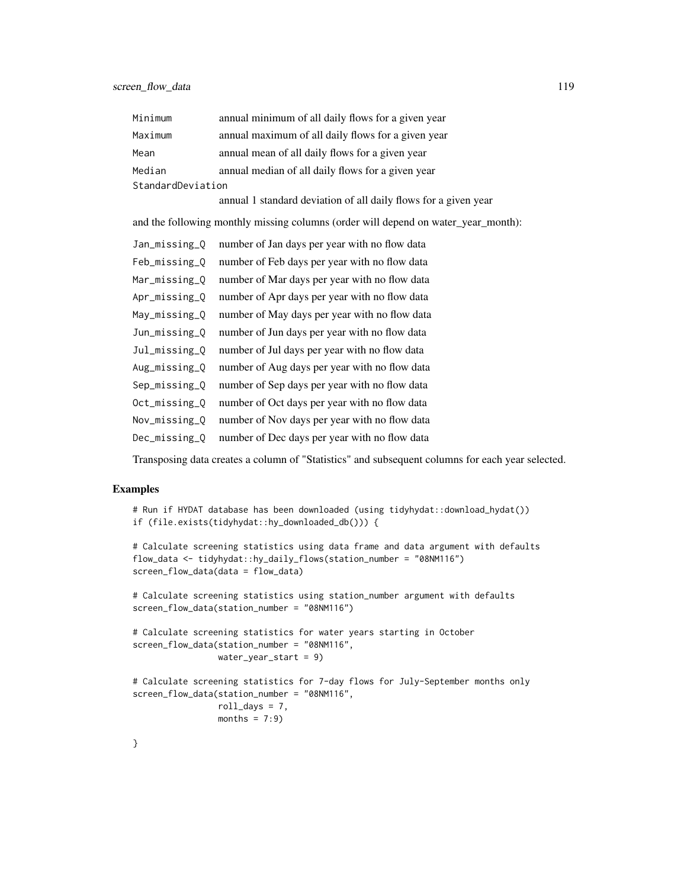| Minimum           | annual minimum of all daily flows for a given year |
|-------------------|----------------------------------------------------|
| Maximum           | annual maximum of all daily flows for a given year |
| Mean              | annual mean of all daily flows for a given year    |
| Median            | annual median of all daily flows for a given year  |
| StandardDeviation |                                                    |

annual 1 standard deviation of all daily flows for a given year

and the following monthly missing columns (order will depend on water\_year\_month):

| Jan_missing_Q | number of Jan days per year with no flow data |
|---------------|-----------------------------------------------|
| Feb_missing_Q | number of Feb days per year with no flow data |
| Mar_missing_Q | number of Mar days per year with no flow data |
| Apr_missing_Q | number of Apr days per year with no flow data |
| May_missing_Q | number of May days per year with no flow data |
| Jun_missing_O | number of Jun days per year with no flow data |
| Jul_missing_Q | number of Jul days per year with no flow data |
| Aug_missing_Q | number of Aug days per year with no flow data |
| Sep_missing_Q | number of Sep days per year with no flow data |
| Oct_missing_O | number of Oct days per year with no flow data |
| Nov_missing_Q | number of Nov days per year with no flow data |
| Dec_missing_O | number of Dec days per year with no flow data |

Transposing data creates a column of "Statistics" and subsequent columns for each year selected.

# Examples

```
# Run if HYDAT database has been downloaded (using tidyhydat::download_hydat())
if (file.exists(tidyhydat::hy_downloaded_db())) {
# Calculate screening statistics using data frame and data argument with defaults
flow_data <- tidyhydat::hy_daily_flows(station_number = "08NM116")
screen_flow_data(data = flow_data)
# Calculate screening statistics using station_number argument with defaults
screen_flow_data(station_number = "08NM116")
# Calculate screening statistics for water years starting in October
screen_flow_data(station_number = "08NM116",
                 water_year_start = 9)
# Calculate screening statistics for 7-day flows for July-September months only
screen_flow_data(station_number = "08NM116",
                 roll_days = 7,
                months = 7:9)
```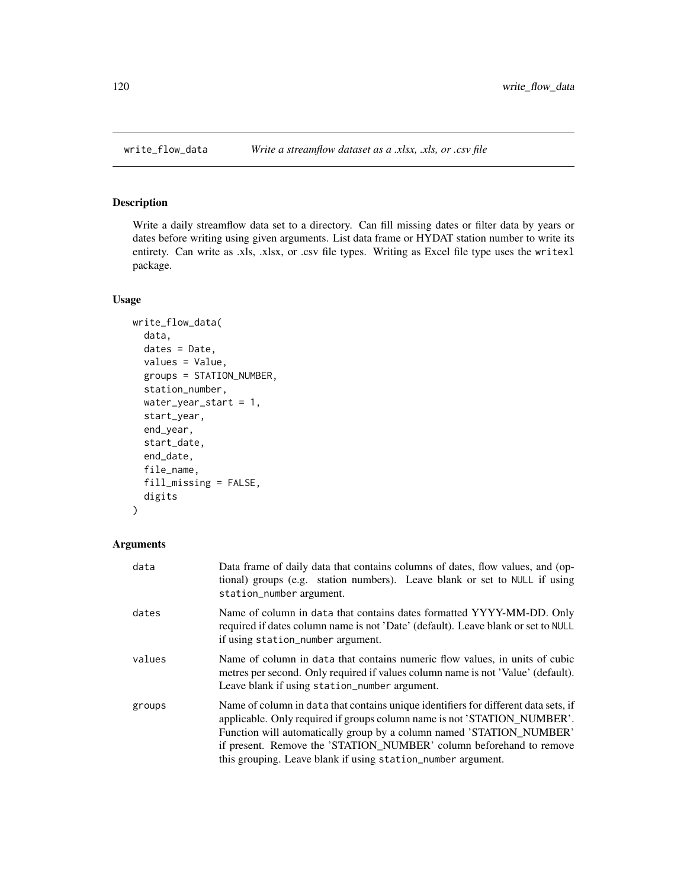# Description

Write a daily streamflow data set to a directory. Can fill missing dates or filter data by years or dates before writing using given arguments. List data frame or HYDAT station number to write its entirety. Can write as .xls, .xlsx, or .csv file types. Writing as Excel file type uses the writexl package.

#### Usage

```
write_flow_data(
  data,
  dates = Date,
  values = Value,
  groups = STATION_NUMBER,
  station_number,
 water_year_start = 1,
  start_year,
  end_year,
  start_date,
  end_date,
  file_name,
  fill_missing = FALSE,
  digits
)
```

| data   | Data frame of daily data that contains columns of dates, flow values, and (op-<br>tional) groups (e.g. station numbers). Leave blank or set to NULL if using<br>station_number argument.                                                                                                                                                                                       |
|--------|--------------------------------------------------------------------------------------------------------------------------------------------------------------------------------------------------------------------------------------------------------------------------------------------------------------------------------------------------------------------------------|
| dates  | Name of column in data that contains dates formatted YYYY-MM-DD. Only<br>required if dates column name is not 'Date' (default). Leave blank or set to NULL<br>if using station_number argument.                                                                                                                                                                                |
| values | Name of column in data that contains numeric flow values, in units of cubic<br>metres per second. Only required if values column name is not 'Value' (default).<br>Leave blank if using station_number argument.                                                                                                                                                               |
| groups | Name of column in data that contains unique identifiers for different data sets, if<br>applicable. Only required if groups column name is not 'STATION_NUMBER'.<br>Function will automatically group by a column named 'STATION_NUMBER'<br>if present. Remove the 'STATION_NUMBER' column beforehand to remove<br>this grouping. Leave blank if using station_number argument. |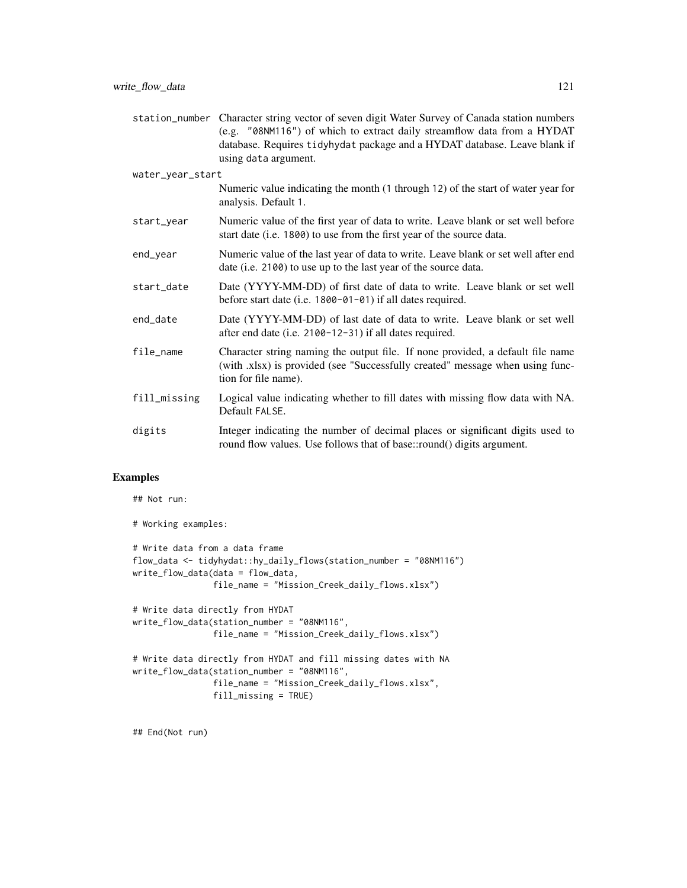station\_number Character string vector of seven digit Water Survey of Canada station numbers (e.g. "08NM116") of which to extract daily streamflow data from a HYDAT database. Requires tidyhydat package and a HYDAT database. Leave blank if using data argument.

water\_year\_start

Numeric value indicating the month (1 through 12) of the start of water year for analysis. Default 1.

- start\_year Numeric value of the first year of data to write. Leave blank or set well before start date (i.e. 1800) to use from the first year of the source data.
- end\_year Numeric value of the last year of data to write. Leave blank or set well after end date (i.e. 2100) to use up to the last year of the source data.
- start\_date Date (YYYY-MM-DD) of first date of data to write. Leave blank or set well before start date (i.e. 1800-01-01) if all dates required.
- end\_date Date (YYYY-MM-DD) of last date of data to write. Leave blank or set well after end date (i.e. 2100-12-31) if all dates required.
- file\_name Character string naming the output file. If none provided, a default file name (with .xlsx) is provided (see "Successfully created" message when using function for file name).
- fill\_missing Logical value indicating whether to fill dates with missing flow data with NA. Default FALSE.
- digits Integer indicating the number of decimal places or significant digits used to round flow values. Use follows that of base::round() digits argument.

#### Examples

## Not run:

```
# Working examples:
# Write data from a data frame
flow_data <- tidyhydat::hy_daily_flows(station_number = "08NM116")
write_flow_data(data = flow_data,
                file_name = "Mission_Creek_daily_flows.xlsx")
# Write data directly from HYDAT
write_flow_data(station_number = "08NM116",
                file_name = "Mission_Creek_daily_flows.xlsx")
# Write data directly from HYDAT and fill missing dates with NA
write_flow_data(station_number = "08NM116",
                file_name = "Mission_Creek_daily_flows.xlsx",
                fill_missing = TRUE)
```
## End(Not run)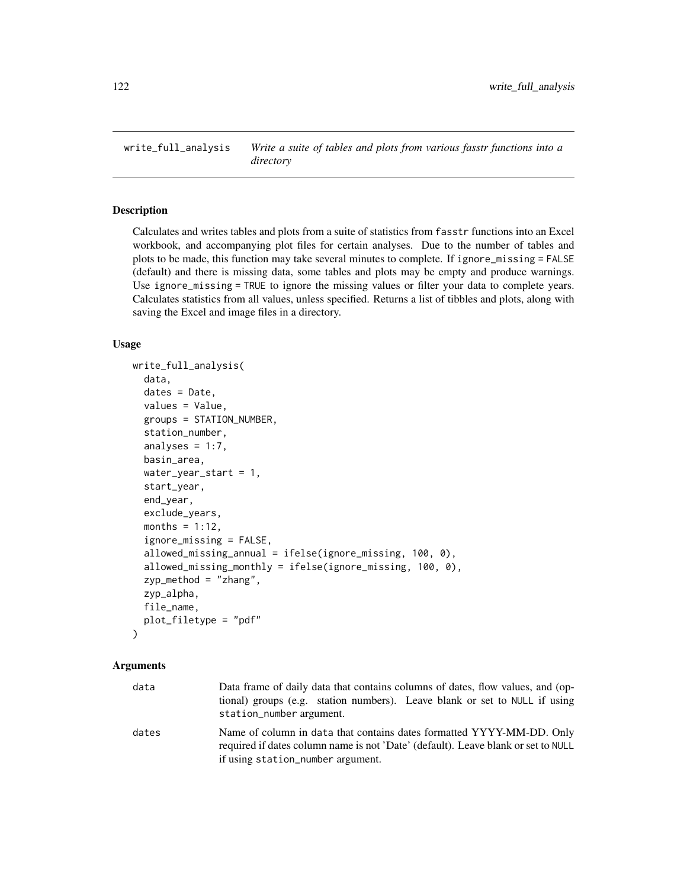<span id="page-121-0"></span>write\_full\_analysis *Write a suite of tables and plots from various fasstr functions into a directory*

#### Description

Calculates and writes tables and plots from a suite of statistics from fasstr functions into an Excel workbook, and accompanying plot files for certain analyses. Due to the number of tables and plots to be made, this function may take several minutes to complete. If ignore\_missing = FALSE (default) and there is missing data, some tables and plots may be empty and produce warnings. Use ignore\_missing = TRUE to ignore the missing values or filter your data to complete years. Calculates statistics from all values, unless specified. Returns a list of tibbles and plots, along with saving the Excel and image files in a directory.

#### Usage

```
write_full_analysis(
  data,
  dates = Date,
  values = Value,
  groups = STATION_NUMBER,
  station_number,
  analyses = 1:7,
 basin_area,
  water_year_start = 1,
  start_year,
  end_year,
  exclude_years,
 months = 1:12,
  ignore_missing = FALSE,
  allowed_missing_annual = ifelse(ignore_missing, 100, 0),
  allowed_missing_monthly = ifelse(ignore_missing, 100, 0),
  zyp_method = "zhang",
  zyp_alpha,
  file_name,
  plot_filetype = "pdf"
)
```

| data  | Data frame of daily data that contains columns of dates, flow values, and (op-<br>tional) groups (e.g. station numbers). Leave blank or set to NULL if using<br>station_number argument.        |
|-------|-------------------------------------------------------------------------------------------------------------------------------------------------------------------------------------------------|
| dates | Name of column in data that contains dates formatted YYYY-MM-DD. Only<br>required if dates column name is not 'Date' (default). Leave blank or set to NULL<br>if using station_number argument. |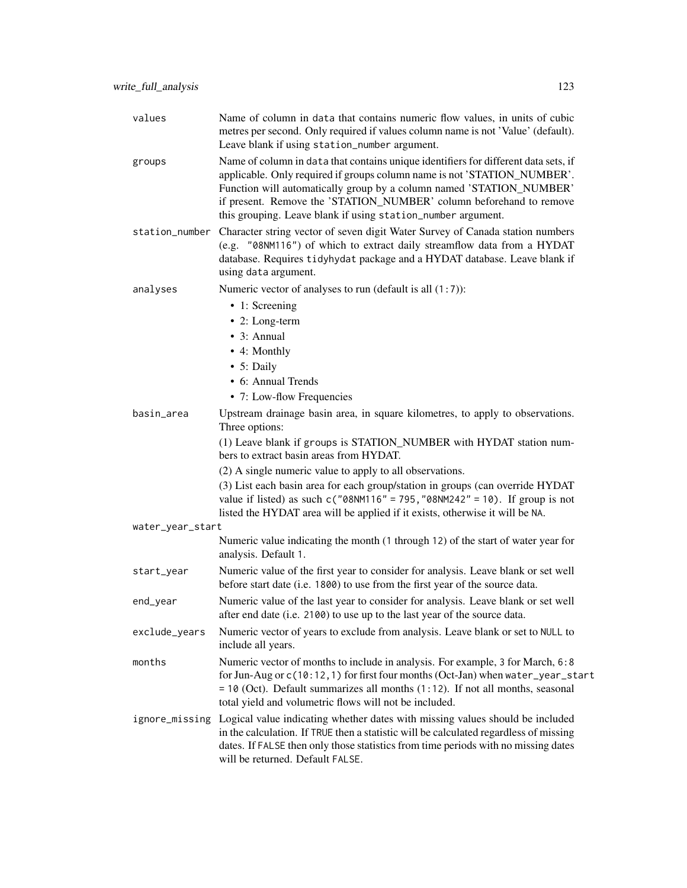| values           | Name of column in data that contains numeric flow values, in units of cubic<br>metres per second. Only required if values column name is not 'Value' (default).<br>Leave blank if using station_number argument.                                                                                                                                                               |
|------------------|--------------------------------------------------------------------------------------------------------------------------------------------------------------------------------------------------------------------------------------------------------------------------------------------------------------------------------------------------------------------------------|
| groups           | Name of column in data that contains unique identifiers for different data sets, if<br>applicable. Only required if groups column name is not 'STATION_NUMBER'.<br>Function will automatically group by a column named 'STATION_NUMBER'<br>if present. Remove the 'STATION_NUMBER' column beforehand to remove<br>this grouping. Leave blank if using station_number argument. |
|                  | station_number Character string vector of seven digit Water Survey of Canada station numbers<br>(e.g. "08NM116") of which to extract daily streamflow data from a HYDAT<br>database. Requires tidyhydat package and a HYDAT database. Leave blank if<br>using data argument.                                                                                                   |
| analyses         | Numeric vector of analyses to run (default is all $(1:7)$ ):                                                                                                                                                                                                                                                                                                                   |
|                  | • 1: Screening                                                                                                                                                                                                                                                                                                                                                                 |
|                  | $\bullet$ 2: Long-term                                                                                                                                                                                                                                                                                                                                                         |
|                  | $\bullet$ 3: Annual                                                                                                                                                                                                                                                                                                                                                            |
|                  | • 4: Monthly                                                                                                                                                                                                                                                                                                                                                                   |
|                  | • 5: Daily<br>• 6: Annual Trends                                                                                                                                                                                                                                                                                                                                               |
|                  | • 7: Low-flow Frequencies                                                                                                                                                                                                                                                                                                                                                      |
| basin_area       | Upstream drainage basin area, in square kilometres, to apply to observations.                                                                                                                                                                                                                                                                                                  |
|                  | Three options:                                                                                                                                                                                                                                                                                                                                                                 |
|                  | (1) Leave blank if groups is STATION_NUMBER with HYDAT station num-<br>bers to extract basin areas from HYDAT.                                                                                                                                                                                                                                                                 |
|                  | (2) A single numeric value to apply to all observations.                                                                                                                                                                                                                                                                                                                       |
|                  | (3) List each basin area for each group/station in groups (can override HYDAT<br>value if listed) as such $c("08NM116" = 795, "08NM242" = 10)$ . If group is not<br>listed the HYDAT area will be applied if it exists, otherwise it will be NA.                                                                                                                               |
| water_year_start |                                                                                                                                                                                                                                                                                                                                                                                |
|                  | Numeric value indicating the month (1 through 12) of the start of water year for<br>analysis. Default 1.                                                                                                                                                                                                                                                                       |
| start_year       | Numeric value of the first year to consider for analysis. Leave blank or set well<br>before start date (i.e. 1800) to use from the first year of the source data.                                                                                                                                                                                                              |
| end_year         | Numeric value of the last year to consider for analysis. Leave blank or set well<br>after end date (i.e. 2100) to use up to the last year of the source data.                                                                                                                                                                                                                  |
| exclude_years    | Numeric vector of years to exclude from analysis. Leave blank or set to NULL to<br>include all years.                                                                                                                                                                                                                                                                          |
| months           | Numeric vector of months to include in analysis. For example, 3 for March, 6:8<br>for Jun-Aug or c(10:12, 1) for first four months (Oct-Jan) when water_year_start<br>$= 10$ (Oct). Default summarizes all months (1:12). If not all months, seasonal<br>total yield and volumetric flows will not be included.                                                                |
| ignore_missing   | Logical value indicating whether dates with missing values should be included<br>in the calculation. If TRUE then a statistic will be calculated regardless of missing<br>dates. If FALSE then only those statistics from time periods with no missing dates<br>will be returned. Default FALSE.                                                                               |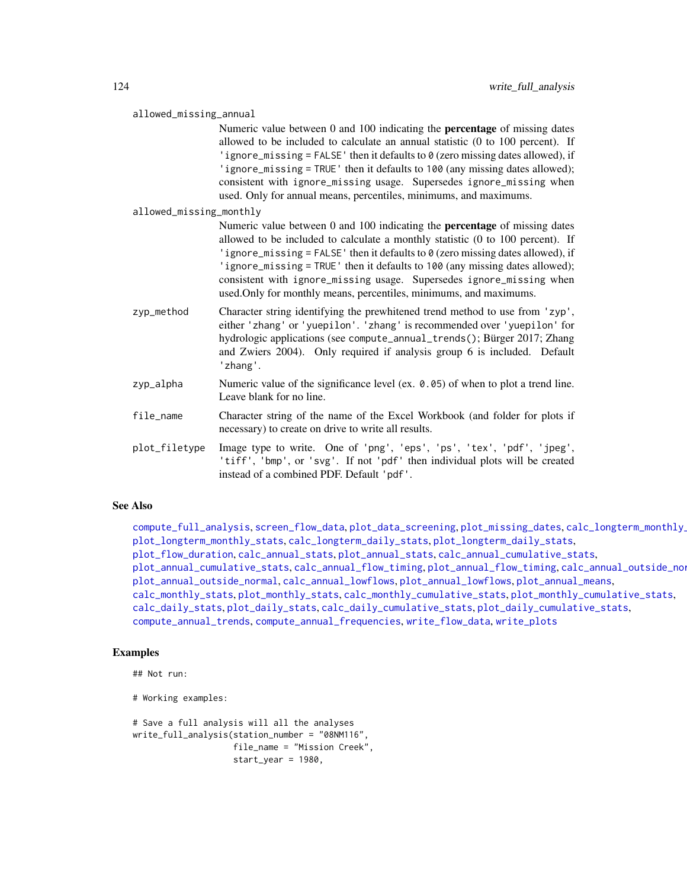<span id="page-123-0"></span>

| allowed_missing_annual |  |  |
|------------------------|--|--|
|                        |  |  |

Numeric value between 0 and 100 indicating the percentage of missing dates allowed to be included to calculate an annual statistic (0 to 100 percent). If 'ignore\_missing = FALSE' then it defaults to 0 (zero missing dates allowed), if 'ignore\_missing = TRUE' then it defaults to 100 (any missing dates allowed); consistent with ignore\_missing usage. Supersedes ignore\_missing when used. Only for annual means, percentiles, minimums, and maximums.

allowed\_missing\_monthly

Numeric value between 0 and 100 indicating the percentage of missing dates allowed to be included to calculate a monthly statistic (0 to 100 percent). If 'ignore\_missing = FALSE' then it defaults to 0 (zero missing dates allowed), if 'ignore\_missing = TRUE' then it defaults to 100 (any missing dates allowed); consistent with ignore\_missing usage. Supersedes ignore\_missing when used.Only for monthly means, percentiles, minimums, and maximums.

- zyp\_method Character string identifying the prewhitened trend method to use from 'zyp', either 'zhang' or 'yuepilon'. 'zhang' is recommended over 'yuepilon' for hydrologic applications (see compute\_annual\_trends(); Bürger 2017; Zhang and Zwiers 2004). Only required if analysis group 6 is included. Default 'zhang'.
- zyp\_alpha Numeric value of the significance level (ex. 0.05) of when to plot a trend line. Leave blank for no line.
- file\_name Character string of the name of the Excel Workbook (and folder for plots if necessary) to create on drive to write all results.
- plot\_filetype Image type to write. One of 'png', 'eps', 'ps', 'tex', 'pdf', 'jpeg', 'tiff', 'bmp', or 'svg'. If not 'pdf' then individual plots will be created instead of a combined PDF. Default 'pdf'.

#### See Also

[compute\\_full\\_analysis](#page-67-0), [screen\\_flow\\_data](#page-116-0), [plot\\_data\\_screening](#page-95-0), [plot\\_missing\\_dates](#page-108-0), calc\_longterm\_monthly\_ [plot\\_longterm\\_monthly\\_stats](#page-105-0), [calc\\_longterm\\_daily\\_stats](#page-40-0), [plot\\_longterm\\_daily\\_stats](#page-102-0), [plot\\_flow\\_duration](#page-100-0), [calc\\_annual\\_stats](#page-29-0), [plot\\_annual\\_stats](#page-86-0), [calc\\_annual\\_cumulative\\_stats](#page-17-0), [plot\\_annual\\_cumulative\\_stats](#page-74-0), [calc\\_annual\\_flow\\_timing](#page-19-0), [plot\\_annual\\_flow\\_timing](#page-77-0), [calc\\_annual\\_outside\\_normal](#page-24-0), [plot\\_annual\\_outside\\_normal](#page-83-0), [calc\\_annual\\_lowflows](#page-22-0), [plot\\_annual\\_lowflows](#page-79-0), [plot\\_annual\\_means](#page-81-0), [calc\\_monthly\\_stats](#page-53-0), [plot\\_monthly\\_stats](#page-113-0), [calc\\_monthly\\_cumulative\\_stats](#page-50-0), [plot\\_monthly\\_cumulative\\_stats](#page-110-0), [calc\\_daily\\_stats](#page-35-0), [plot\\_daily\\_stats](#page-92-0), [calc\\_daily\\_cumulative\\_stats](#page-32-0), [plot\\_daily\\_cumulative\\_stats](#page-89-0), [compute\\_annual\\_trends](#page-59-0), [compute\\_annual\\_frequencies](#page-55-0), [write\\_flow\\_data](#page-119-0), [write\\_plots](#page-125-0)

#### Examples

```
## Not run:
```

```
# Working examples:
```

```
# Save a full analysis will all the analyses
write_full_analysis(station_number = "08NM116",
                   file_name = "Mission Creek",
                    start_year = 1980,
```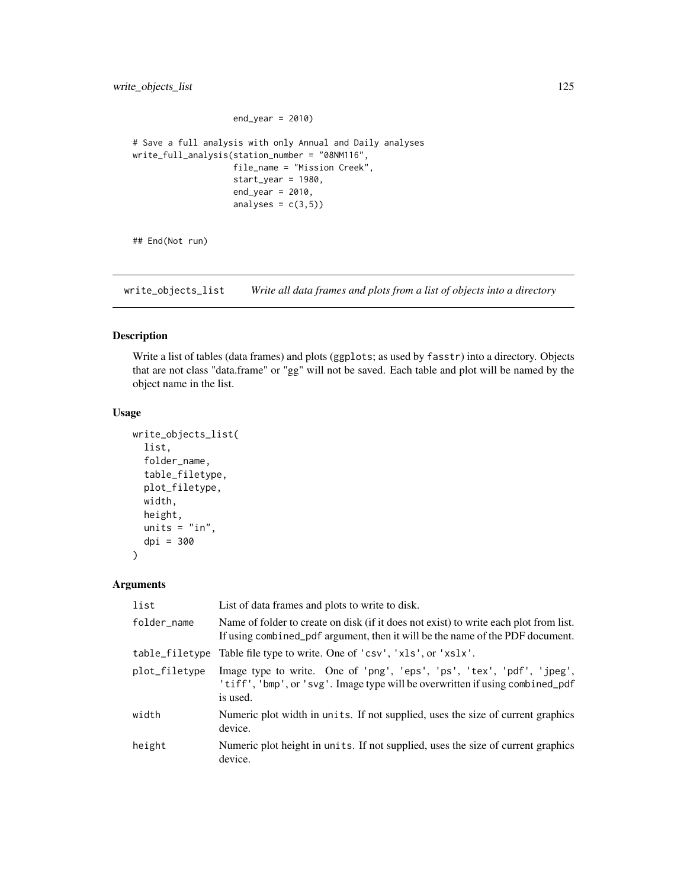```
end\_year = 2010# Save a full analysis with only Annual and Daily analyses
write_full_analysis(station_number = "08NM116",
                    file_name = "Mission Creek",
                    start_year = 1980,
                    end_year = 2010,
                    analyses = c(3,5))
```
## End(Not run)

write\_objects\_list *Write all data frames and plots from a list of objects into a directory*

# Description

Write a list of tables (data frames) and plots (ggplots; as used by fasstr) into a directory. Objects that are not class "data.frame" or "gg" will not be saved. Each table and plot will be named by the object name in the list.

# Usage

```
write_objects_list(
  list,
  folder_name,
  table_filetype,
  plot_filetype,
  width,
  height,
  units = "in",dpi = 300
\mathcal{L}
```

| list           | List of data frames and plots to write to disk.                                                                                                                        |
|----------------|------------------------------------------------------------------------------------------------------------------------------------------------------------------------|
| folder_name    | Name of folder to create on disk (if it does not exist) to write each plot from list.<br>If using combined pdf argument, then it will be the name of the PDF document. |
| table_filetype | Table file type to write. One of 'csv', 'xls', or 'xslx'.                                                                                                              |
| plot_filetype  | Image type to write. One of 'png', 'eps', 'ps', 'tex', 'pdf', 'jpeg',<br>'tiff', 'bmp', or 'svg'. Image type will be overwritten if using combined_pdf<br>is used.     |
| width          | Numeric plot width in units. If not supplied, uses the size of current graphics<br>device.                                                                             |
| height         | Numeric plot height in units. If not supplied, uses the size of current graphics<br>device.                                                                            |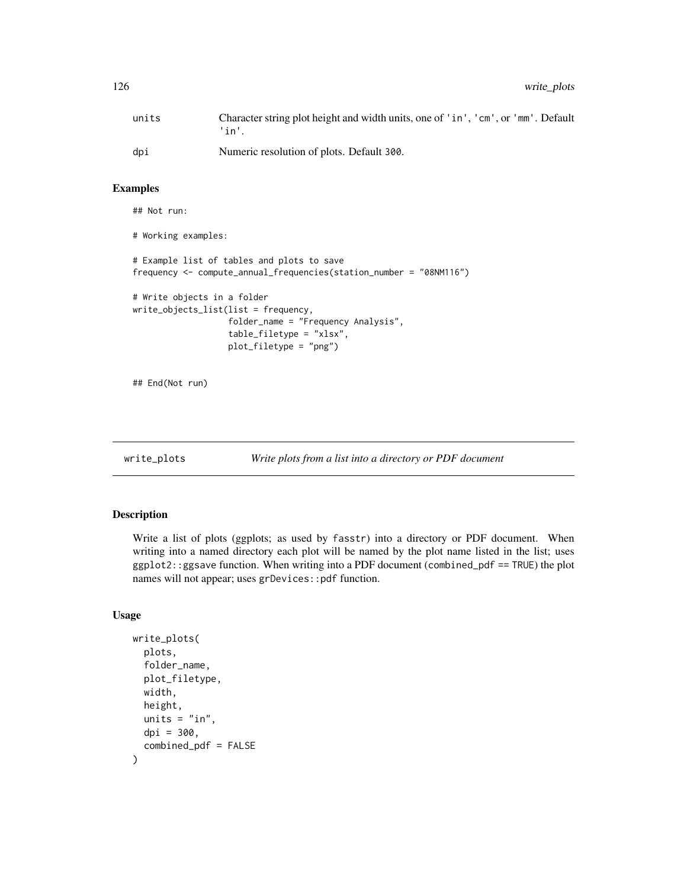<span id="page-125-1"></span>

| units | Character string plot height and width units, one of 'in', 'cm', or 'mm'. Default<br>'in'. |
|-------|--------------------------------------------------------------------------------------------|
| dpi   | Numeric resolution of plots. Default 300.                                                  |

#### Examples

```
## Not run:
# Working examples:
# Example list of tables and plots to save
frequency <- compute_annual_frequencies(station_number = "08NM116")
# Write objects in a folder
write_objects_list(list = frequency,
                   folder_name = "Frequency Analysis",
                   table_filetype = "xlsx",
                   plot_filetype = "png")
```
## End(Not run)

<span id="page-125-0"></span>

#### write\_plots *Write plots from a list into a directory or PDF document*

# Description

Write a list of plots (ggplots; as used by fasstr) into a directory or PDF document. When writing into a named directory each plot will be named by the plot name listed in the list; uses ggplot2::ggsave function. When writing into a PDF document (combined\_pdf == TRUE) the plot names will not appear; uses grDevices::pdf function.

#### Usage

```
write_plots(
  plots,
  folder_name,
  plot_filetype,
 width,
  height,
  units = "in",dpi = 300,
  combined_pdf = FALSE
)
```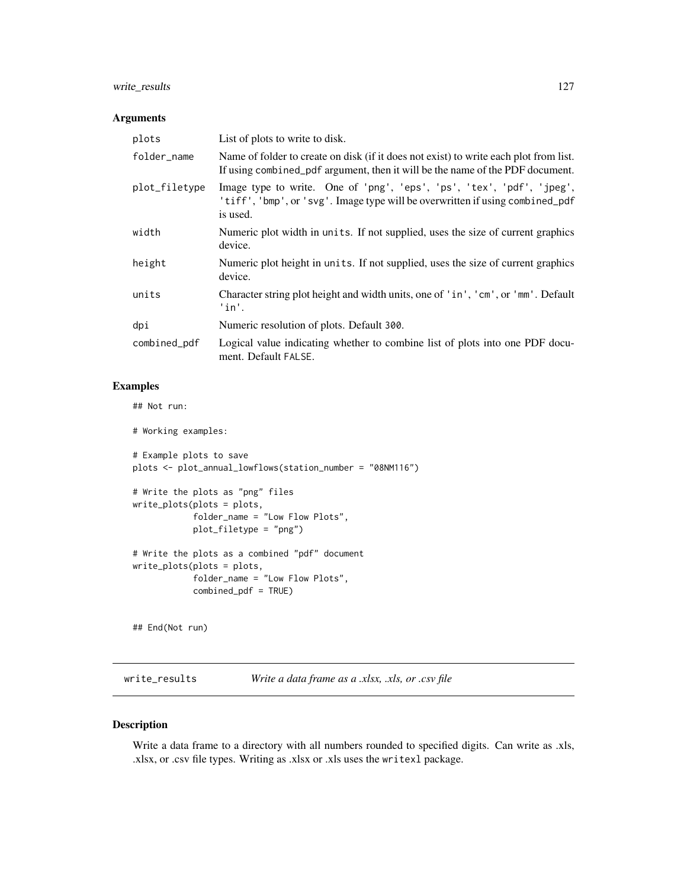# <span id="page-126-0"></span>write\_results 127

### Arguments

| plots         | List of plots to write to disk.                                                                                                                                        |
|---------------|------------------------------------------------------------------------------------------------------------------------------------------------------------------------|
| folder_name   | Name of folder to create on disk (if it does not exist) to write each plot from list.<br>If using combined_pdf argument, then it will be the name of the PDF document. |
| plot_filetype | Image type to write. One of 'png', 'eps', 'ps', 'tex', 'pdf', 'jpeg',<br>'tiff', 'bmp', or 'svg'. Image type will be overwritten if using combined_pdf<br>is used.     |
| width         | Numeric plot width in units. If not supplied, uses the size of current graphics<br>device.                                                                             |
| height        | Numeric plot height in units. If not supplied, uses the size of current graphics<br>device.                                                                            |
| units         | Character string plot height and width units, one of 'in', 'cm', or 'mm'. Default<br>$'$ in'.                                                                          |
| dpi           | Numeric resolution of plots. Default 300.                                                                                                                              |
| combined_pdf  | Logical value indicating whether to combine list of plots into one PDF docu-<br>ment. Default FALSE.                                                                   |

# Examples

## Not run:

# Working examples:

```
# Example plots to save
plots <- plot_annual_lowflows(station_number = "08NM116")
# Write the plots as "png" files
```

```
write_plots(plots = plots,
            folder_name = "Low Flow Plots",
            plot_filetype = "png")
# Write the plots as a combined "pdf" document
write_plots(plots = plots,
            folder_name = "Low Flow Plots",
            combined_pdf = TRUE)
```
## End(Not run)

write\_results *Write a data frame as a .xlsx, .xls, or .csv file*

# Description

Write a data frame to a directory with all numbers rounded to specified digits. Can write as .xls, .xlsx, or .csv file types. Writing as .xlsx or .xls uses the writexl package.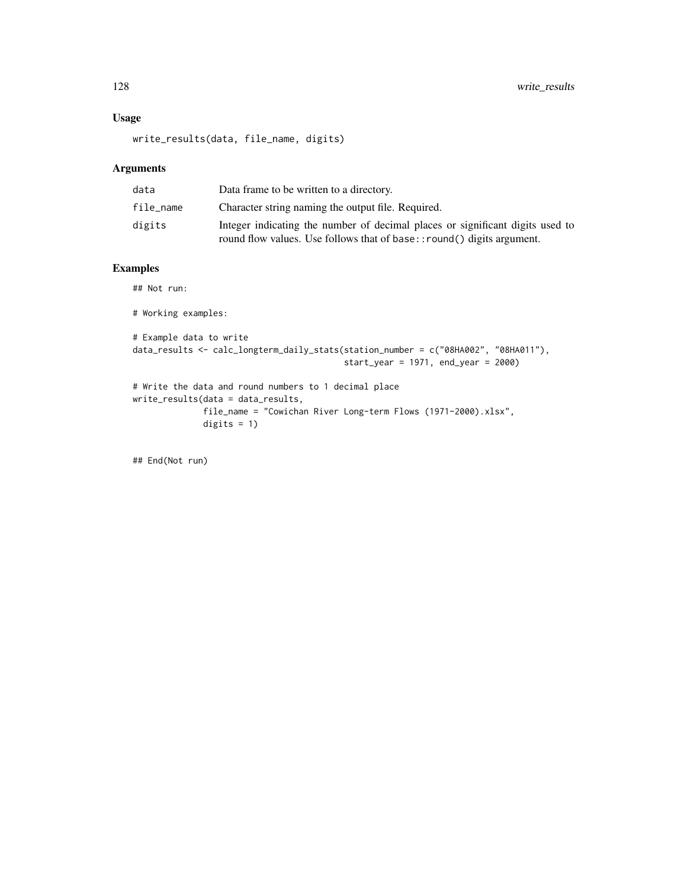# Usage

write\_results(data, file\_name, digits)

digits  $= 1$ )

# Arguments

| data      | Data frame to be written to a directory.                                                                                                               |
|-----------|--------------------------------------------------------------------------------------------------------------------------------------------------------|
| file_name | Character string naming the output file. Required.                                                                                                     |
| digits    | Integer indicating the number of decimal places or significant digits used to<br>round flow values. Use follows that of base::round() digits argument. |

# Examples

## Not run:

```
# Working examples:
```

```
# Example data to write
data_results <- calc_longterm_daily_stats(station_number = c("08HA002", "08HA011"),
                                          start_year = 1971, end_year = 2000)
# Write the data and round numbers to 1 decimal place
write_results(data = data_results,
             file_name = "Cowichan River Long-term Flows (1971-2000).xlsx",
```
## End(Not run)